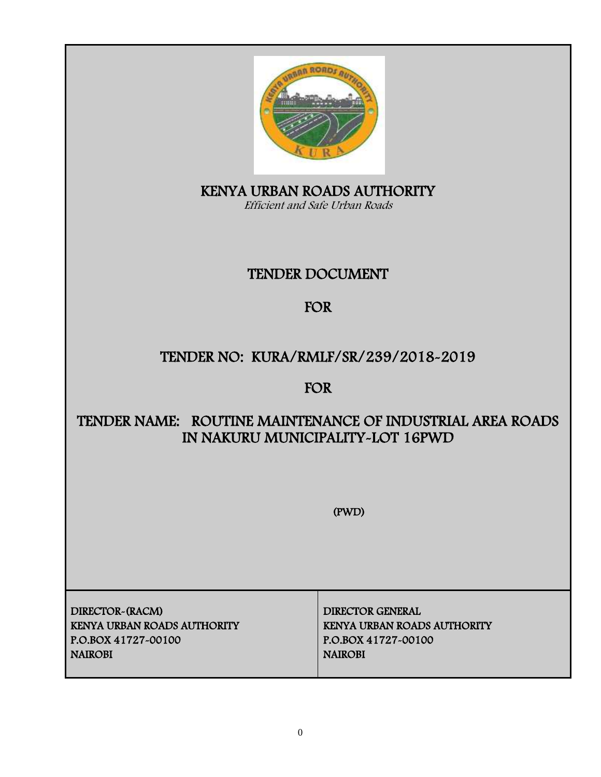

KENYA URBAN ROADS AUTHORITY Efficient and Safe Urban Roads

# TENDER DOCUMENT

# FOR

# TENDER NO: KURA/RMLF/SR/239/2018-2019

# FOR

# TENDER NAME: ROUTINE MAINTENANCE OF INDUSTRIAL AREA ROADS IN NAKURU MUNICIPALITY-LOT 16PWD

(PWD)

DIRECTOR-(RACM) DIRECTOR GENERAL KENYA URBAN ROADS AUTHORITY KENYA URBAN ROADS AUTHORITY P.O.BOX 41727-00100 P.O.BOX 41727-00100 NAIROBI NAIROBI NAIROBI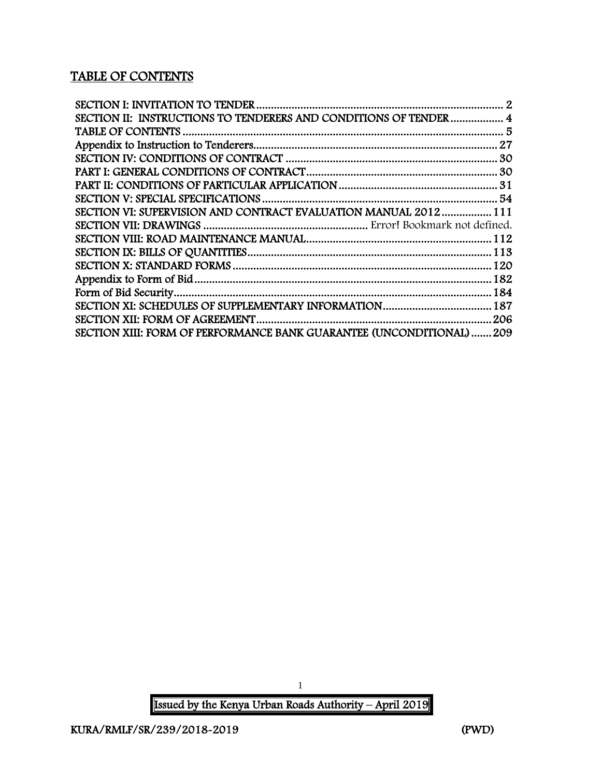### TABLE OF CONTENTS

| SECTION II: INSTRUCTIONS TO TENDERERS AND CONDITIONS OF TENDER      | $\overline{4}$ |
|---------------------------------------------------------------------|----------------|
| <b>TABLE OF CONTENTS</b>                                            | 5              |
|                                                                     | 27             |
|                                                                     |                |
|                                                                     |                |
|                                                                     |                |
|                                                                     |                |
| SECTION VI: SUPERVISION AND CONTRACT EVALUATION MANUAL 2012 111     |                |
|                                                                     |                |
|                                                                     |                |
|                                                                     |                |
|                                                                     | .120           |
|                                                                     | .182           |
|                                                                     | 184            |
|                                                                     | . 187          |
|                                                                     | 206            |
| SECTION XIII: FORM OF PERFORMANCE BANK GUARANTEE (UNCONDITIONAL)209 |                |

 Issued by the Kenya Urban Roads Authority – April 2019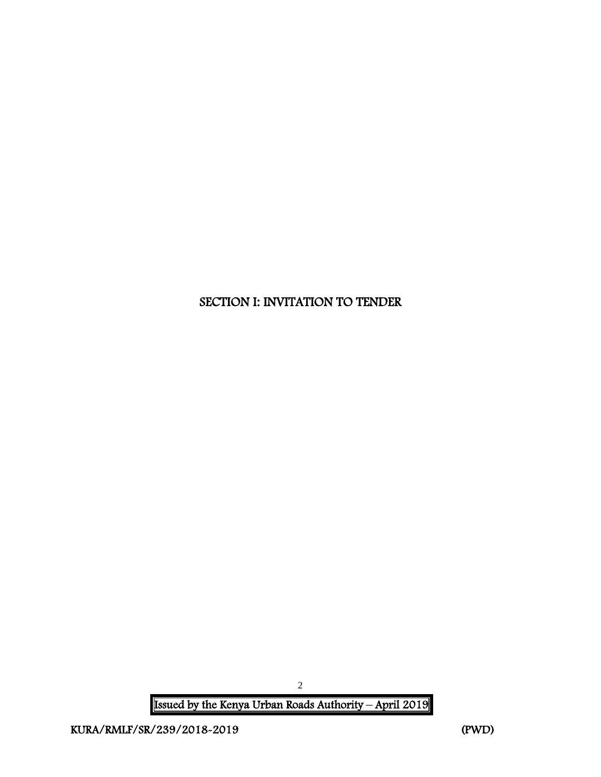## <span id="page-2-0"></span>SECTION I: INVITATION TO TENDER

 Issued by the Kenya Urban Roads Authority – April 2019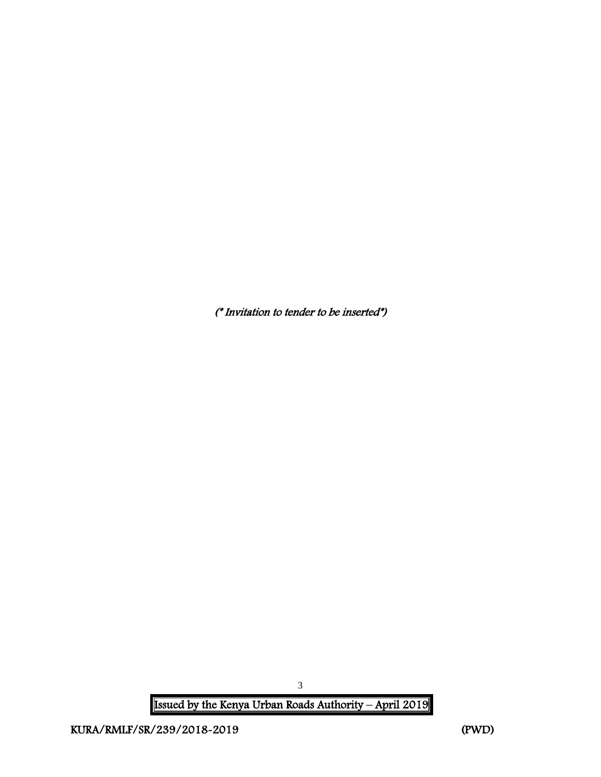(\* Invitation to tender to be inserted\*)

Issued by the Kenya Urban Roads Authority – April 2019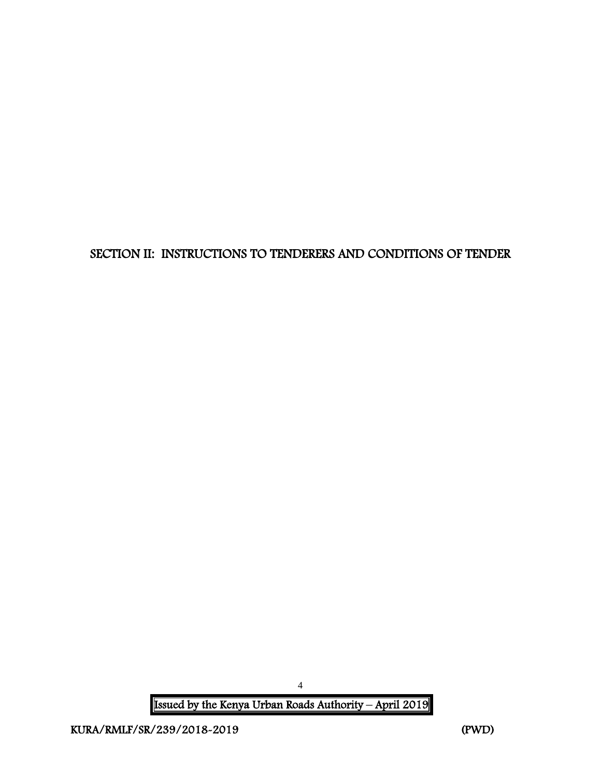<span id="page-4-0"></span>SECTION II: INSTRUCTIONS TO TENDERERS AND CONDITIONS OF TENDER

Issued by the Kenya Urban Roads Authority – April 2019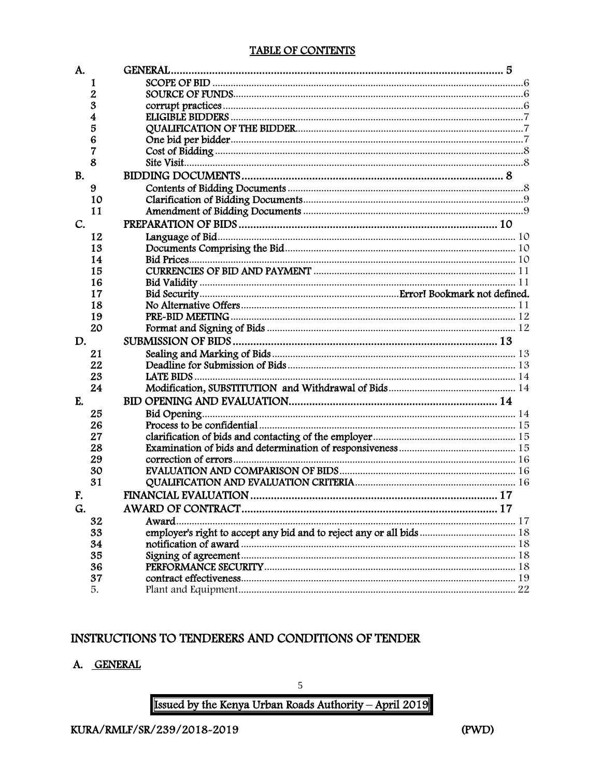#### **TABLE OF CONTENTS**

<span id="page-5-0"></span>

| A.        |                  | <b>GENERAL</b> |  |
|-----------|------------------|----------------|--|
|           | 1                |                |  |
|           | 2                |                |  |
|           | 3                |                |  |
|           | 4                |                |  |
|           | 5                |                |  |
|           | $\boldsymbol{6}$ |                |  |
|           | 7                |                |  |
|           | 8                |                |  |
| <b>B.</b> |                  |                |  |
|           | 9                |                |  |
|           | 10               |                |  |
|           | 11               |                |  |
| C.        |                  |                |  |
|           | 12               |                |  |
|           | 13               |                |  |
|           | 14               |                |  |
|           | 15               |                |  |
|           | 16               |                |  |
|           | 17               |                |  |
|           | 18               |                |  |
|           | 19               |                |  |
|           | 20               |                |  |
| D.        |                  |                |  |
|           | 21               |                |  |
|           | 22               |                |  |
|           | 23               |                |  |
|           | 24               |                |  |
| E.        |                  |                |  |
|           | 25               |                |  |
|           | 26               |                |  |
|           | 27               |                |  |
|           | 28               |                |  |
|           | 29               |                |  |
|           | 30               |                |  |
|           | 31               |                |  |
| F.        |                  |                |  |
| G.        |                  |                |  |
|           | 32               | Award.         |  |
|           | 33               |                |  |
|           | 34               |                |  |
|           | 35               |                |  |
|           | 36               |                |  |
|           | 37               |                |  |
|           | 5.               |                |  |

### INSTRUCTIONS TO TENDERERS AND CONDITIONS OF TENDER

### A. GENERAL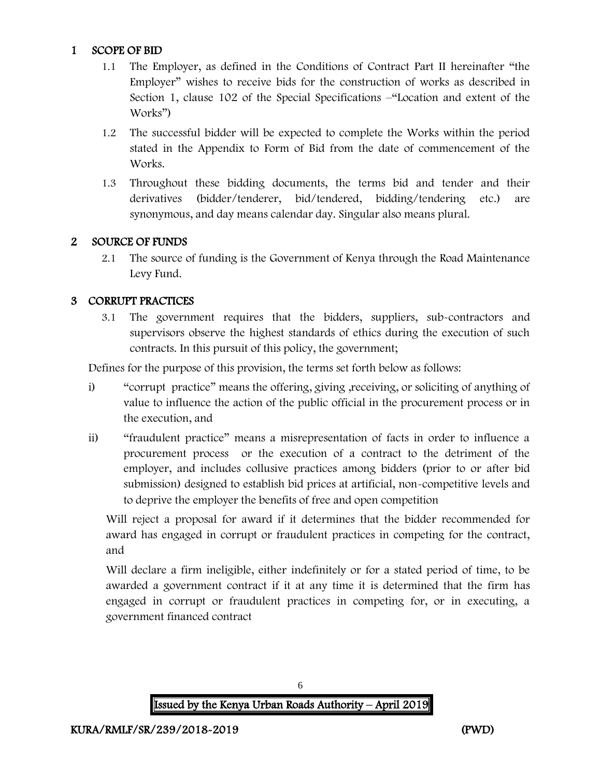### 1 SCOPE OF BID

- 1.1 The Employer, as defined in the Conditions of Contract Part II hereinafter "the Employer" wishes to receive bids for the construction of works as described in Section 1, clause 102 of the Special Specifications –"Location and extent of the Works")
- 1.2 The successful bidder will be expected to complete the Works within the period stated in the Appendix to Form of Bid from the date of commencement of the Works.
- 1.3 Throughout these bidding documents, the terms bid and tender and their derivatives (bidder/tenderer, bid/tendered, bidding/tendering etc.) are synonymous, and day means calendar day. Singular also means plural.

### 2 SOURCE OF FUNDS

2.1 The source of funding is the Government of Kenya through the Road Maintenance Levy Fund.

### 3 CORRUPT PRACTICES

3.1 The government requires that the bidders, suppliers, sub-contractors and supervisors observe the highest standards of ethics during the execution of such contracts. In this pursuit of this policy, the government;

Defines for the purpose of this provision, the terms set forth below as follows:

- i) "corrupt practice" means the offering, giving ,receiving, or soliciting of anything of value to influence the action of the public official in the procurement process or in the execution, and
- ii) "fraudulent practice" means a misrepresentation of facts in order to influence a procurement process or the execution of a contract to the detriment of the employer, and includes collusive practices among bidders (prior to or after bid submission) designed to establish bid prices at artificial, non-competitive levels and to deprive the employer the benefits of free and open competition

Will reject a proposal for award if it determines that the bidder recommended for award has engaged in corrupt or fraudulent practices in competing for the contract, and

Will declare a firm ineligible, either indefinitely or for a stated period of time, to be awarded a government contract if it at any time it is determined that the firm has engaged in corrupt or fraudulent practices in competing for, or in executing, a government financed contract

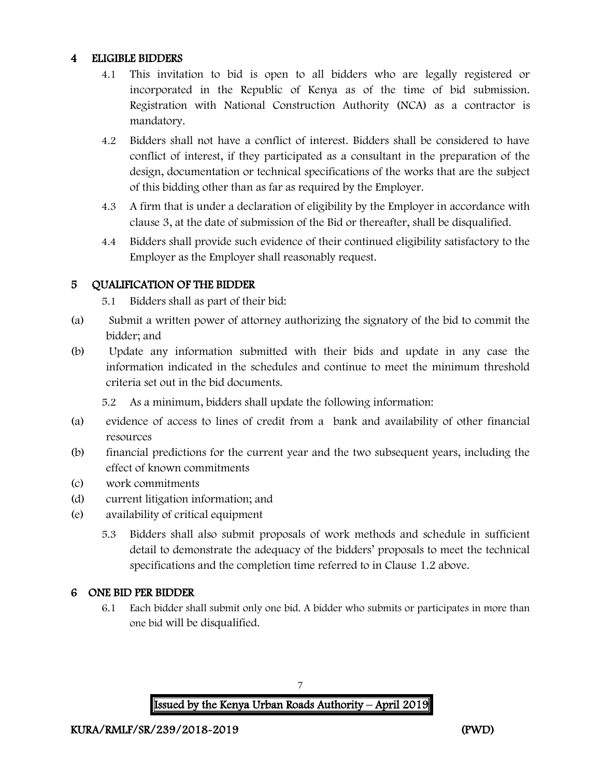#### 4 ELIGIBLE BIDDERS

- 4.1 This invitation to bid is open to all bidders who are legally registered or incorporated in the Republic of Kenya as of the time of bid submission. Registration with National Construction Authority (NCA) as a contractor is mandatory.
- 4.2 Bidders shall not have a conflict of interest. Bidders shall be considered to have conflict of interest, if they participated as a consultant in the preparation of the design, documentation or technical specifications of the works that are the subject of this bidding other than as far as required by the Employer.
- 4.3 A firm that is under a declaration of eligibility by the Employer in accordance with clause 3, at the date of submission of the Bid or thereafter, shall be disqualified.
- 4.4 Bidders shall provide such evidence of their continued eligibility satisfactory to the Employer as the Employer shall reasonably request.

#### 5 QUALIFICATION OF THE BIDDER

- 5.1 Bidders shall as part of their bid:
- (a) Submit a written power of attorney authorizing the signatory of the bid to commit the bidder; and
- (b) Update any information submitted with their bids and update in any case the information indicated in the schedules and continue to meet the minimum threshold criteria set out in the bid documents.

5.2 As a minimum, bidders shall update the following information:

- (a) evidence of access to lines of credit from a bank and availability of other financial resources
- (b) financial predictions for the current year and the two subsequent years, including the effect of known commitments
- (c) work commitments
- (d) current litigation information; and
- (e) availability of critical equipment
	- 5.3 Bidders shall also submit proposals of work methods and schedule in sufficient detail to demonstrate the adequacy of the bidders' proposals to meet the technical specifications and the completion time referred to in Clause 1.2 above.

#### 6 ONE BID PER BIDDER

6.1 Each bidder shall submit only one bid. A bidder who submits or participates in more than one bid will be disqualified.

> Issued by the Kenya Urban Roads Authority – April 2019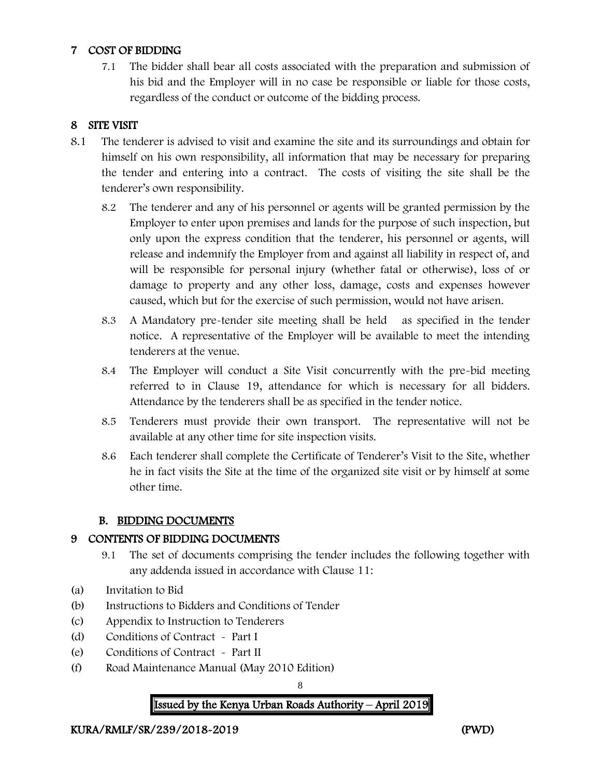### 7 COST OF BIDDING

7.1 The bidder shall bear all costs associated with the preparation and submission of his bid and the Employer will in no case be responsible or liable for those costs, regardless of the conduct or outcome of the bidding process.

### 8 SITE VISIT

- 8.1 The tenderer is advised to visit and examine the site and its surroundings and obtain for himself on his own responsibility, all information that may be necessary for preparing the tender and entering into a contract. The costs of visiting the site shall be the tenderer's own responsibility.
	- 8.2 The tenderer and any of his personnel or agents will be granted permission by the Employer to enter upon premises and lands for the purpose of such inspection, but only upon the express condition that the tenderer, his personnel or agents, will release and indemnify the Employer from and against all liability in respect of, and will be responsible for personal injury (whether fatal or otherwise), loss of or damage to property and any other loss, damage, costs and expenses however caused, which but for the exercise of such permission, would not have arisen.
	- 8.3 A Mandatory pre-tender site meeting shall be held as specified in the tender notice. A representative of the Employer will be available to meet the intending tenderers at the venue.
	- 8.4 The Employer will conduct a Site Visit concurrently with the pre-bid meeting referred to in Clause 19, attendance for which is necessary for all bidders. Attendance by the tenderers shall be as specified in the tender notice.
	- 8.5 Tenderers must provide their own transport. The representative will not be available at any other time for site inspection visits.
	- 8.6 Each tenderer shall complete the Certificate of Tenderer's Visit to the Site, whether he in fact visits the Site at the time of the organized site visit or by himself at some other time.

### B. BIDDING DOCUMENTS

### 9 CONTENTS OF BIDDING DOCUMENTS

- 9.1 The set of documents comprising the tender includes the following together with any addenda issued in accordance with Clause 11:
- (a) Invitation to Bid
- (b) Instructions to Bidders and Conditions of Tender
- (c) Appendix to Instruction to Tenderers
- (d) Conditions of Contract Part I
- (e) Conditions of Contract Part II
- (f) Road Maintenance Manual (May 2010 Edition)

#### 8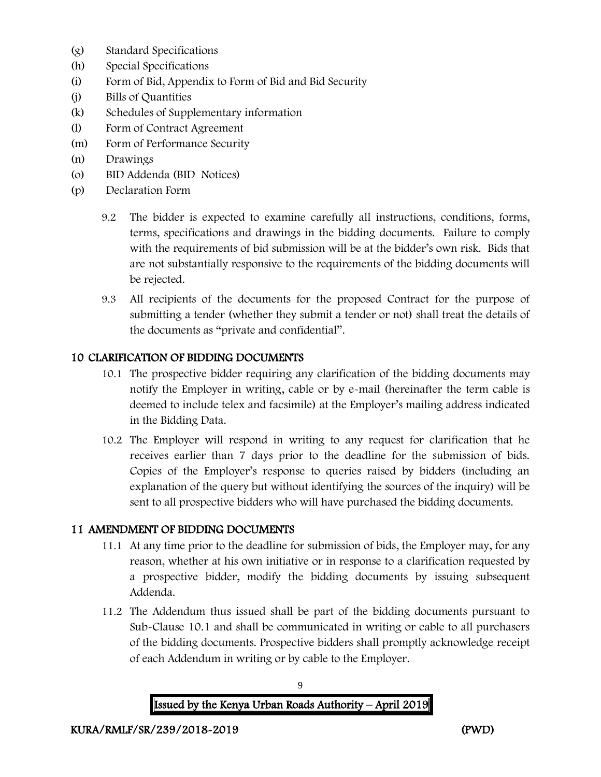- (g) Standard Specifications
- (h) Special Specifications
- (i) Form of Bid, Appendix to Form of Bid and Bid Security
- (j) Bills of Quantities
- (k) Schedules of Supplementary information
- (l) Form of Contract Agreement
- (m) Form of Performance Security
- (n) Drawings
- (o) BID Addenda (BID Notices)
- (p) Declaration Form
	- 9.2 The bidder is expected to examine carefully all instructions, conditions, forms, terms, specifications and drawings in the bidding documents. Failure to comply with the requirements of bid submission will be at the bidder's own risk. Bids that are not substantially responsive to the requirements of the bidding documents will be rejected.
	- 9.3 All recipients of the documents for the proposed Contract for the purpose of submitting a tender (whether they submit a tender or not) shall treat the details of the documents as "private and confidential".

### 10 CLARIFICATION OF BIDDING DOCUMENTS

- 10.1 The prospective bidder requiring any clarification of the bidding documents may notify the Employer in writing, cable or by e-mail (hereinafter the term cable is deemed to include telex and facsimile) at the Employer's mailing address indicated in the Bidding Data.
- 10.2 The Employer will respond in writing to any request for clarification that he receives earlier than 7 days prior to the deadline for the submission of bids. Copies of the Employer's response to queries raised by bidders (including an explanation of the query but without identifying the sources of the inquiry) will be sent to all prospective bidders who will have purchased the bidding documents.

### 11 AMENDMENT OF BIDDING DOCUMENTS

- 11.1 At any time prior to the deadline for submission of bids, the Employer may, for any reason, whether at his own initiative or in response to a clarification requested by a prospective bidder, modify the bidding documents by issuing subsequent Addenda.
- 11.2 The Addendum thus issued shall be part of the bidding documents pursuant to Sub-Clause 10.1 and shall be communicated in writing or cable to all purchasers of the bidding documents. Prospective bidders shall promptly acknowledge receipt of each Addendum in writing or by cable to the Employer.

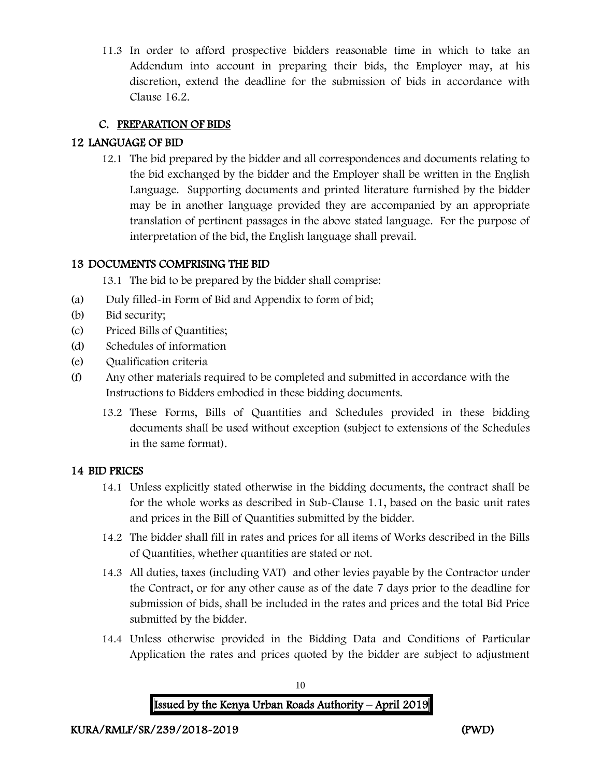11.3 In order to afford prospective bidders reasonable time in which to take an Addendum into account in preparing their bids, the Employer may, at his discretion, extend the deadline for the submission of bids in accordance with Clause 16.2.

### C. PREPARATION OF BIDS

### 12 LANGUAGE OF BID

12.1 The bid prepared by the bidder and all correspondences and documents relating to the bid exchanged by the bidder and the Employer shall be written in the English Language. Supporting documents and printed literature furnished by the bidder may be in another language provided they are accompanied by an appropriate translation of pertinent passages in the above stated language. For the purpose of interpretation of the bid, the English language shall prevail.

### 13 DOCUMENTS COMPRISING THE BID

13.1 The bid to be prepared by the bidder shall comprise:

- (a) Duly filled-in Form of Bid and Appendix to form of bid;
- (b) Bid security;
- (c) Priced Bills of Quantities;
- (d) Schedules of information
- (e) Qualification criteria
- (f) Any other materials required to be completed and submitted in accordance with the Instructions to Bidders embodied in these bidding documents.
	- 13.2 These Forms, Bills of Quantities and Schedules provided in these bidding documents shall be used without exception (subject to extensions of the Schedules in the same format).

#### 14 BID PRICES

- 14.1 Unless explicitly stated otherwise in the bidding documents, the contract shall be for the whole works as described in Sub-Clause 1.1, based on the basic unit rates and prices in the Bill of Quantities submitted by the bidder.
- 14.2 The bidder shall fill in rates and prices for all items of Works described in the Bills of Quantities, whether quantities are stated or not.
- 14.3 All duties, taxes (including VAT) and other levies payable by the Contractor under the Contract, or for any other cause as of the date 7 days prior to the deadline for submission of bids, shall be included in the rates and prices and the total Bid Price submitted by the bidder.
- 14.4 Unless otherwise provided in the Bidding Data and Conditions of Particular Application the rates and prices quoted by the bidder are subject to adjustment

| <b>Issued by the Kenya Urban Roads Authority – April 2019</b> |
|---------------------------------------------------------------|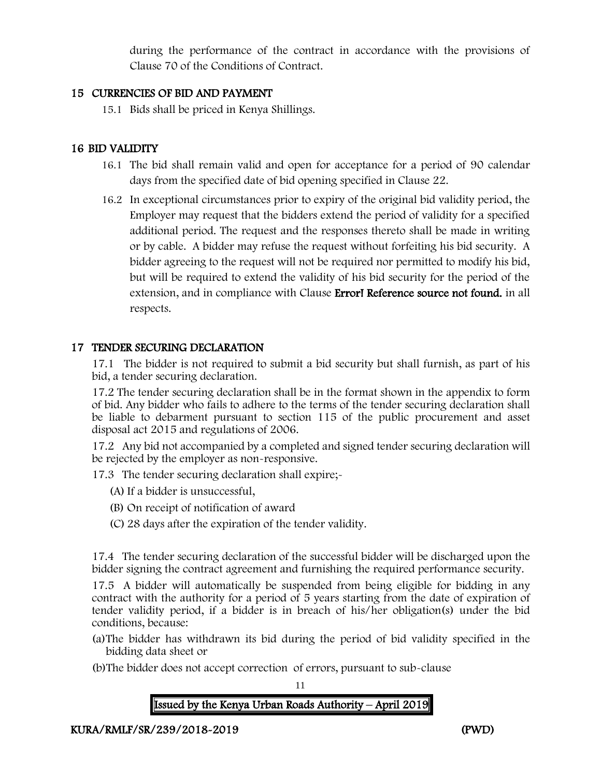during the performance of the contract in accordance with the provisions of Clause 70 of the Conditions of Contract.

#### 15 CURRENCIES OF BID AND PAYMENT

15.1 Bids shall be priced in Kenya Shillings.

#### 16 BID VALIDITY

- 16.1 The bid shall remain valid and open for acceptance for a period of 90 calendar days from the specified date of bid opening specified in Clause 22.
- 16.2 In exceptional circumstances prior to expiry of the original bid validity period, the Employer may request that the bidders extend the period of validity for a specified additional period. The request and the responses thereto shall be made in writing or by cable. A bidder may refuse the request without forfeiting his bid security. A bidder agreeing to the request will not be required nor permitted to modify his bid, but will be required to extend the validity of his bid security for the period of the extension, and in compliance with Clause **Error! Reference source not found.** in all respects.

#### 17 TENDER SECURING DECLARATION

17.1 The bidder is not required to submit a bid security but shall furnish, as part of his bid, a tender securing declaration.

17.2 The tender securing declaration shall be in the format shown in the appendix to form of bid. Any bidder who fails to adhere to the terms of the tender securing declaration shall be liable to debarment pursuant to section 115 of the public procurement and asset disposal act 2015 and regulations of 2006.

17.2 Any bid not accompanied by a completed and signed tender securing declaration will be rejected by the employer as non-responsive.

17.3 The tender securing declaration shall expire;-

- (A) If a bidder is unsuccessful,
- (B) On receipt of notification of award
- (C) 28 days after the expiration of the tender validity.

17.4 The tender securing declaration of the successful bidder will be discharged upon the bidder signing the contract agreement and furnishing the required performance security.

17.5 A bidder will automatically be suspended from being eligible for bidding in any contract with the authority for a period of 5 years starting from the date of expiration of tender validity period, if a bidder is in breach of his/her obligation(s) under the bid conditions, because:

- (a)The bidder has withdrawn its bid during the period of bid validity specified in the bidding data sheet or
- (b)The bidder does not accept correction of errors, pursuant to sub-clause

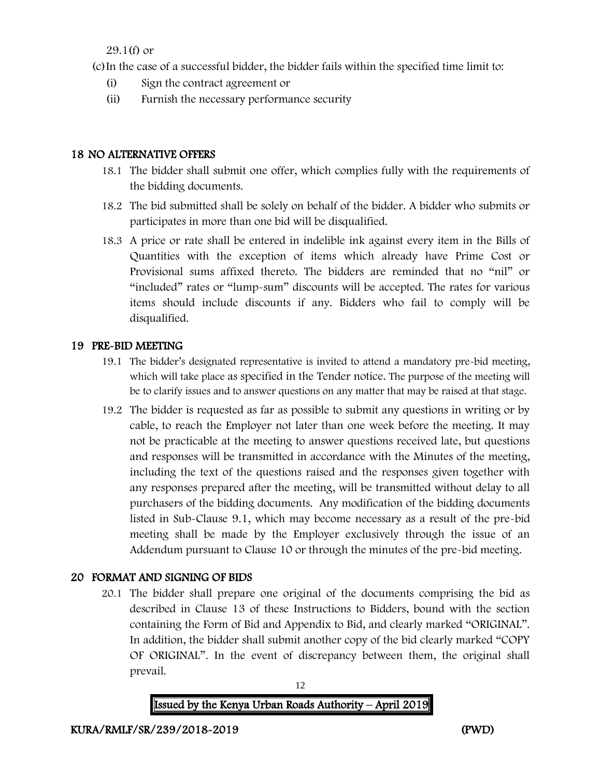29.1(f) or

(c)In the case of a successful bidder, the bidder fails within the specified time limit to:

- (i) Sign the contract agreement or
- (ii) Furnish the necessary performance security

### 18 NO ALTERNATIVE OFFERS

- 18.1 The bidder shall submit one offer, which complies fully with the requirements of the bidding documents.
- 18.2 The bid submitted shall be solely on behalf of the bidder. A bidder who submits or participates in more than one bid will be disqualified.
- 18.3 A price or rate shall be entered in indelible ink against every item in the Bills of Quantities with the exception of items which already have Prime Cost or Provisional sums affixed thereto. The bidders are reminded that no "nil" or "included" rates or "lump-sum" discounts will be accepted. The rates for various items should include discounts if any. Bidders who fail to comply will be disqualified.

### 19 PRE-BID MEETING

- 19.1 The bidder's designated representative is invited to attend a mandatory pre-bid meeting, which will take place as specified in the Tender notice. The purpose of the meeting will be to clarify issues and to answer questions on any matter that may be raised at that stage.
- 19.2 The bidder is requested as far as possible to submit any questions in writing or by cable, to reach the Employer not later than one week before the meeting. It may not be practicable at the meeting to answer questions received late, but questions and responses will be transmitted in accordance with the Minutes of the meeting, including the text of the questions raised and the responses given together with any responses prepared after the meeting, will be transmitted without delay to all purchasers of the bidding documents. Any modification of the bidding documents listed in Sub-Clause 9.1, which may become necessary as a result of the pre-bid meeting shall be made by the Employer exclusively through the issue of an Addendum pursuant to Clause 10 or through the minutes of the pre-bid meeting.

### 20 FORMAT AND SIGNING OF BIDS

20.1 The bidder shall prepare one original of the documents comprising the bid as described in Clause 13 of these Instructions to Bidders, bound with the section containing the Form of Bid and Appendix to Bid, and clearly marked "ORIGINAL". In addition, the bidder shall submit another copy of the bid clearly marked "COPY OF ORIGINAL". In the event of discrepancy between them, the original shall prevail.

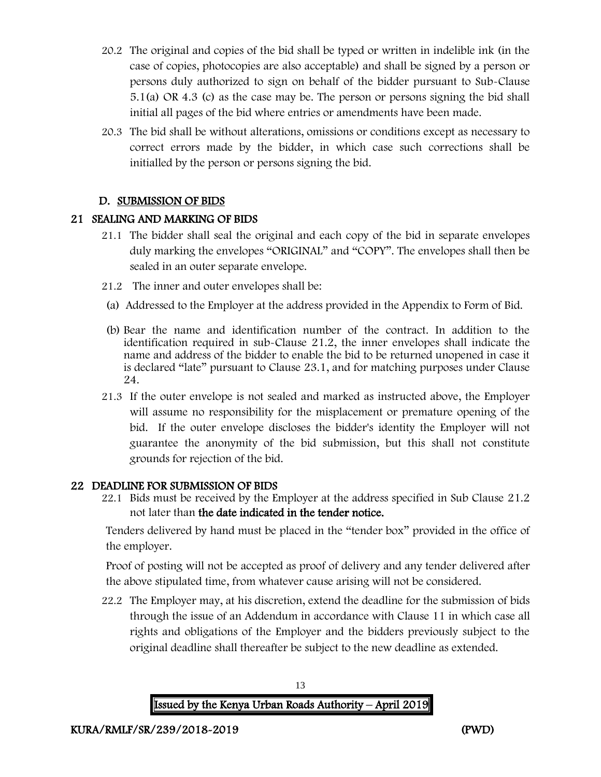- 20.2 The original and copies of the bid shall be typed or written in indelible ink (in the case of copies, photocopies are also acceptable) and shall be signed by a person or persons duly authorized to sign on behalf of the bidder pursuant to Sub-Clause 5.1(a) OR 4.3 (c) as the case may be. The person or persons signing the bid shall initial all pages of the bid where entries or amendments have been made.
- 20.3 The bid shall be without alterations, omissions or conditions except as necessary to correct errors made by the bidder, in which case such corrections shall be initialled by the person or persons signing the bid.

#### D. SUBMISSION OF BIDS

### 21 SEALING AND MARKING OF BIDS

- 21.1 The bidder shall seal the original and each copy of the bid in separate envelopes duly marking the envelopes "ORIGINAL" and "COPY". The envelopes shall then be sealed in an outer separate envelope.
- 21.2 The inner and outer envelopes shall be:
- (a) Addressed to the Employer at the address provided in the Appendix to Form of Bid.
- (b) Bear the name and identification number of the contract. In addition to the identification required in sub-Clause 21.2, the inner envelopes shall indicate the name and address of the bidder to enable the bid to be returned unopened in case it is declared "late" pursuant to Clause 23.1, and for matching purposes under Clause 24.
- 21.3 If the outer envelope is not sealed and marked as instructed above, the Employer will assume no responsibility for the misplacement or premature opening of the bid. If the outer envelope discloses the bidder's identity the Employer will not guarantee the anonymity of the bid submission, but this shall not constitute grounds for rejection of the bid.

#### 22 DEADLINE FOR SUBMISSION OF BIDS

22.1 Bids must be received by the Employer at the address specified in Sub Clause 21.2 not later than the date indicated in the tender notice.

Tenders delivered by hand must be placed in the "tender box" provided in the office of the employer.

Proof of posting will not be accepted as proof of delivery and any tender delivered after the above stipulated time, from whatever cause arising will not be considered.

22.2 The Employer may, at his discretion, extend the deadline for the submission of bids through the issue of an Addendum in accordance with Clause 11 in which case all rights and obligations of the Employer and the bidders previously subject to the original deadline shall thereafter be subject to the new deadline as extended.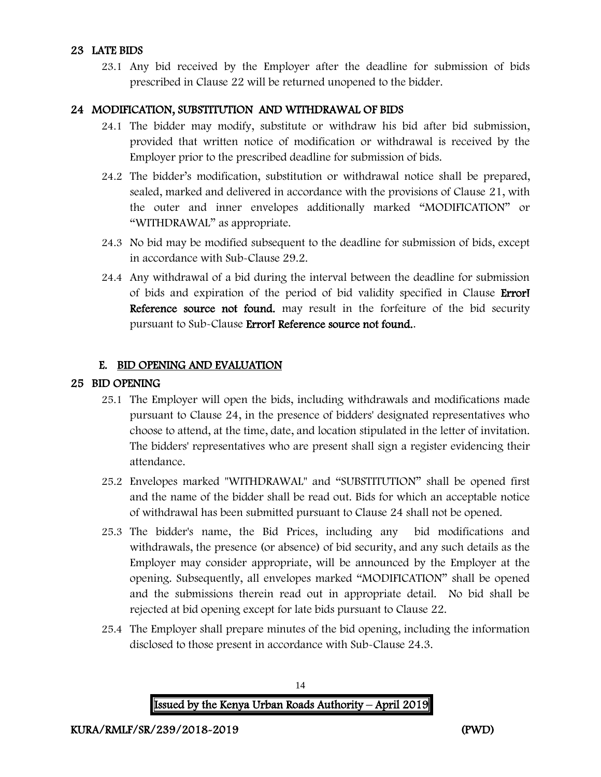### 23 LATE BIDS

23.1 Any bid received by the Employer after the deadline for submission of bids prescribed in Clause 22 will be returned unopened to the bidder.

#### 24 MODIFICATION, SUBSTITUTION AND WITHDRAWAL OF BIDS

- 24.1 The bidder may modify, substitute or withdraw his bid after bid submission, provided that written notice of modification or withdrawal is received by the Employer prior to the prescribed deadline for submission of bids.
- 24.2 The bidder's modification, substitution or withdrawal notice shall be prepared, sealed, marked and delivered in accordance with the provisions of Clause 21, with the outer and inner envelopes additionally marked "MODIFICATION" or "WITHDRAWAL" as appropriate.
- 24.3 No bid may be modified subsequent to the deadline for submission of bids, except in accordance with Sub-Clause 29.2.
- 24.4 Any withdrawal of a bid during the interval between the deadline for submission of bids and expiration of the period of bid validity specified in Clause Error! Reference source not found. may result in the forfeiture of the bid security pursuant to Sub-Clause Error! Reference source not found..

#### E. BID OPENING AND EVALUATION

#### 25 BID OPENING

- 25.1 The Employer will open the bids, including withdrawals and modifications made pursuant to Clause 24, in the presence of bidders' designated representatives who choose to attend, at the time, date, and location stipulated in the letter of invitation. The bidders' representatives who are present shall sign a register evidencing their attendance.
- 25.2 Envelopes marked "WITHDRAWAL" and "SUBSTITUTION" shall be opened first and the name of the bidder shall be read out. Bids for which an acceptable notice of withdrawal has been submitted pursuant to Clause 24 shall not be opened.
- 25.3 The bidder's name, the Bid Prices, including any bid modifications and withdrawals, the presence (or absence) of bid security, and any such details as the Employer may consider appropriate, will be announced by the Employer at the opening. Subsequently, all envelopes marked "MODIFICATION" shall be opened and the submissions therein read out in appropriate detail. No bid shall be rejected at bid opening except for late bids pursuant to Clause 22.
- 25.4 The Employer shall prepare minutes of the bid opening, including the information disclosed to those present in accordance with Sub-Clause 24.3.

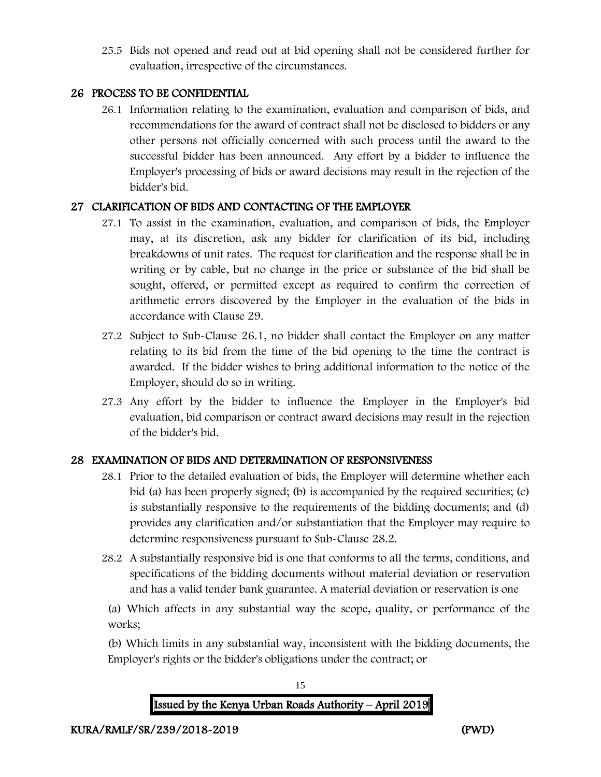25.5 Bids not opened and read out at bid opening shall not be considered further for evaluation, irrespective of the circumstances.

### 26 PROCESS TO BE CONFIDENTIAL

26.1 Information relating to the examination, evaluation and comparison of bids, and recommendations for the award of contract shall not be disclosed to bidders or any other persons not officially concerned with such process until the award to the successful bidder has been announced. Any effort by a bidder to influence the Employer's processing of bids or award decisions may result in the rejection of the bidder's bid.

### 27 CLARIFICATION OF BIDS AND CONTACTING OF THE EMPLOYER

- 27.1 To assist in the examination, evaluation, and comparison of bids, the Employer may, at its discretion, ask any bidder for clarification of its bid, including breakdowns of unit rates. The request for clarification and the response shall be in writing or by cable, but no change in the price or substance of the bid shall be sought, offered, or permitted except as required to confirm the correction of arithmetic errors discovered by the Employer in the evaluation of the bids in accordance with Clause 29.
- 27.2 Subject to Sub-Clause 26.1, no bidder shall contact the Employer on any matter relating to its bid from the time of the bid opening to the time the contract is awarded. If the bidder wishes to bring additional information to the notice of the Employer, should do so in writing.
- 27.3 Any effort by the bidder to influence the Employer in the Employer's bid evaluation, bid comparison or contract award decisions may result in the rejection of the bidder's bid.

### 28 EXAMINATION OF BIDS AND DETERMINATION OF RESPONSIVENESS

- 28.1 Prior to the detailed evaluation of bids, the Employer will determine whether each bid (a) has been properly signed; (b) is accompanied by the required securities; (c) is substantially responsive to the requirements of the bidding documents; and (d) provides any clarification and/or substantiation that the Employer may require to determine responsiveness pursuant to Sub-Clause 28.2.
- 28.2 A substantially responsive bid is one that conforms to all the terms, conditions, and specifications of the bidding documents without material deviation or reservation and has a valid tender bank guarantee. A material deviation or reservation is one

(a) Which affects in any substantial way the scope, quality, or performance of the works;

(b) Which limits in any substantial way, inconsistent with the bidding documents, the Employer's rights or the bidder's obligations under the contract; or

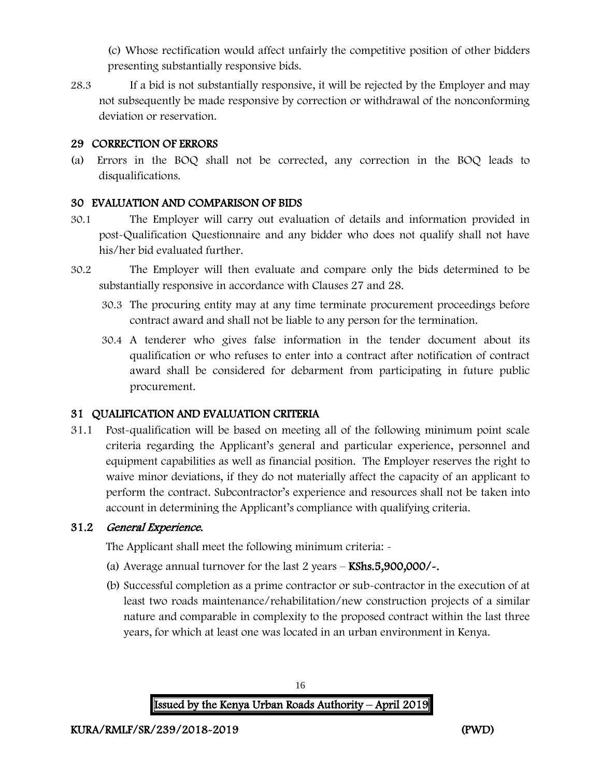(c) Whose rectification would affect unfairly the competitive position of other bidders presenting substantially responsive bids.

28.3 If a bid is not substantially responsive, it will be rejected by the Employer and may not subsequently be made responsive by correction or withdrawal of the nonconforming deviation or reservation.

#### 29 CORRECTION OF ERRORS

(a) Errors in the BOQ shall not be corrected, any correction in the BOQ leads to disqualifications.

### 30 EVALUATION AND COMPARISON OF BIDS

- 30.1 The Employer will carry out evaluation of details and information provided in post-Qualification Questionnaire and any bidder who does not qualify shall not have his/her bid evaluated further.
- 30.2 The Employer will then evaluate and compare only the bids determined to be substantially responsive in accordance with Clauses 27 and 28.
	- 30.3 The procuring entity may at any time terminate procurement proceedings before contract award and shall not be liable to any person for the termination.
	- 30.4 A tenderer who gives false information in the tender document about its qualification or who refuses to enter into a contract after notification of contract award shall be considered for debarment from participating in future public procurement.

### 31 QUALIFICATION AND EVALUATION CRITERIA

31.1 Post-qualification will be based on meeting all of the following minimum point scale criteria regarding the Applicant's general and particular experience, personnel and equipment capabilities as well as financial position. The Employer reserves the right to waive minor deviations, if they do not materially affect the capacity of an applicant to perform the contract. Subcontractor's experience and resources shall not be taken into account in determining the Applicant's compliance with qualifying criteria.

### 31.2 General Experience.

The Applicant shall meet the following minimum criteria: -

- (a) Average annual turnover for the last  $2$  years  $-$  KShs.5,900,000/ $\sim$ .
- (b) Successful completion as a prime contractor or sub-contractor in the execution of at least two roads maintenance/rehabilitation/new construction projects of a similar nature and comparable in complexity to the proposed contract within the last three years, for which at least one was located in an urban environment in Kenya.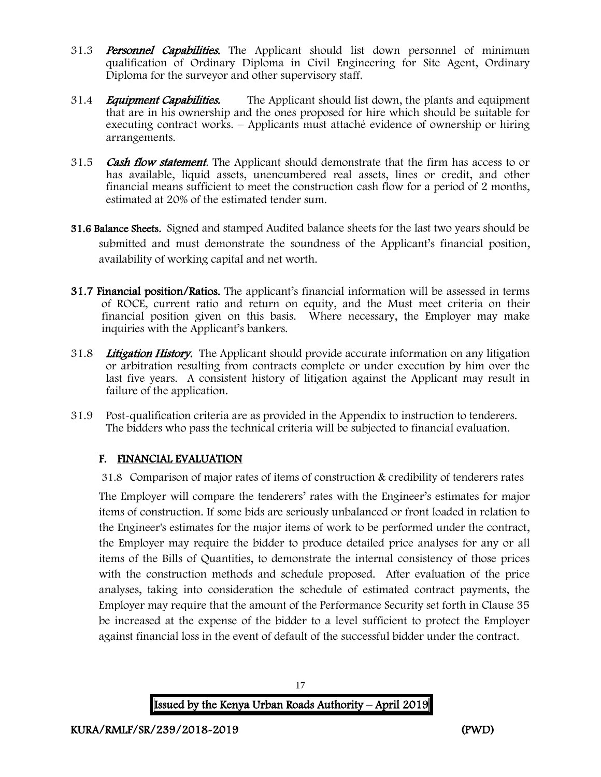- 31.3 **Personnel Capabilities.** The Applicant should list down personnel of minimum qualification of Ordinary Diploma in Civil Engineering for Site Agent, Ordinary Diploma for the surveyor and other supervisory staff.
- 31.4 *Equipment Capabilities.* The Applicant should list down, the plants and equipment that are in his ownership and the ones proposed for hire which should be suitable for executing contract works. – Applicants must attaché evidence of ownership or hiring arrangements.
- 31.5 Cash flow statement. The Applicant should demonstrate that the firm has access to or has available, liquid assets, unencumbered real assets, lines or credit, and other financial means sufficient to meet the construction cash flow for a period of 2 months, estimated at 20% of the estimated tender sum.
- 31.6 Balance Sheets. Signed and stamped Audited balance sheets for the last two years should be submitted and must demonstrate the soundness of the Applicant's financial position, availability of working capital and net worth.
- 31.7 Financial position/Ratios. The applicant's financial information will be assessed in terms of ROCE, current ratio and return on equity, and the Must meet criteria on their financial position given on this basis. Where necessary, the Employer may make inquiries with the Applicant's bankers.
- 31.8 Litigation History. The Applicant should provide accurate information on any litigation or arbitration resulting from contracts complete or under execution by him over the last five years. A consistent history of litigation against the Applicant may result in failure of the application.
- 31.9 Post-qualification criteria are as provided in the Appendix to instruction to tenderers. The bidders who pass the technical criteria will be subjected to financial evaluation.

### F. FINANCIAL EVALUATION

31.8 Comparison of major rates of items of construction & credibility of tenderers rates

The Employer will compare the tenderers' rates with the Engineer's estimates for major items of construction. If some bids are seriously unbalanced or front loaded in relation to the Engineer's estimates for the major items of work to be performed under the contract, the Employer may require the bidder to produce detailed price analyses for any or all items of the Bills of Quantities, to demonstrate the internal consistency of those prices with the construction methods and schedule proposed. After evaluation of the price analyses, taking into consideration the schedule of estimated contract payments, the Employer may require that the amount of the Performance Security set forth in Clause 35 be increased at the expense of the bidder to a level sufficient to protect the Employer against financial loss in the event of default of the successful bidder under the contract.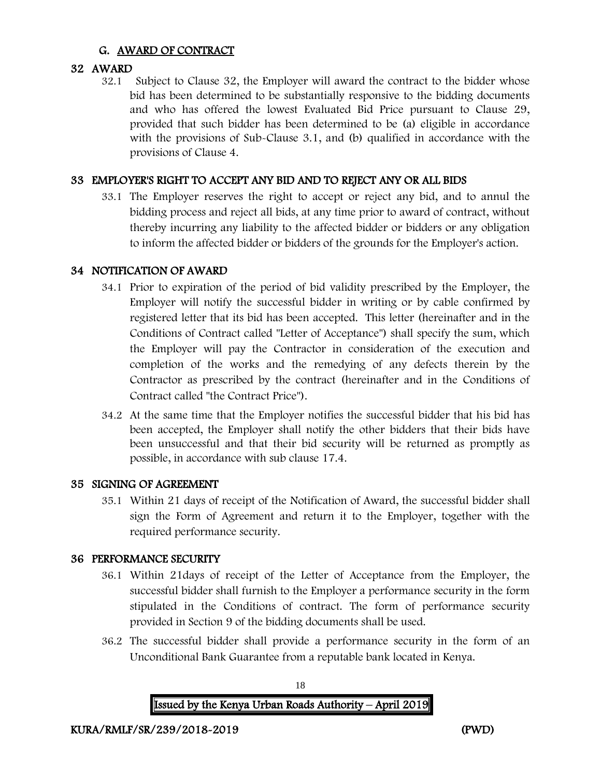### G. AWARD OF CONTRACT

### 32 AWARD

32.1 Subject to Clause 32, the Employer will award the contract to the bidder whose bid has been determined to be substantially responsive to the bidding documents and who has offered the lowest Evaluated Bid Price pursuant to Clause 29, provided that such bidder has been determined to be (a) eligible in accordance with the provisions of Sub-Clause 3.1, and (b) qualified in accordance with the provisions of Clause 4.

### 33 EMPLOYER'S RIGHT TO ACCEPT ANY BID AND TO REJECT ANY OR ALL BIDS

33.1 The Employer reserves the right to accept or reject any bid, and to annul the bidding process and reject all bids, at any time prior to award of contract, without thereby incurring any liability to the affected bidder or bidders or any obligation to inform the affected bidder or bidders of the grounds for the Employer's action.

### 34 NOTIFICATION OF AWARD

- 34.1 Prior to expiration of the period of bid validity prescribed by the Employer, the Employer will notify the successful bidder in writing or by cable confirmed by registered letter that its bid has been accepted. This letter (hereinafter and in the Conditions of Contract called "Letter of Acceptance") shall specify the sum, which the Employer will pay the Contractor in consideration of the execution and completion of the works and the remedying of any defects therein by the Contractor as prescribed by the contract (hereinafter and in the Conditions of Contract called "the Contract Price").
- 34.2 At the same time that the Employer notifies the successful bidder that his bid has been accepted, the Employer shall notify the other bidders that their bids have been unsuccessful and that their bid security will be returned as promptly as possible, in accordance with sub clause 17.4.

#### 35 SIGNING OF AGREEMENT

35.1 Within 21 days of receipt of the Notification of Award, the successful bidder shall sign the Form of Agreement and return it to the Employer, together with the required performance security.

#### 36 PERFORMANCE SECURITY

- 36.1 Within 21days of receipt of the Letter of Acceptance from the Employer, the successful bidder shall furnish to the Employer a performance security in the form stipulated in the Conditions of contract. The form of performance security provided in Section 9 of the bidding documents shall be used.
- 36.2 The successful bidder shall provide a performance security in the form of an Unconditional Bank Guarantee from a reputable bank located in Kenya.



KURA/RMLF/SR/239/2018-2019 (PWD)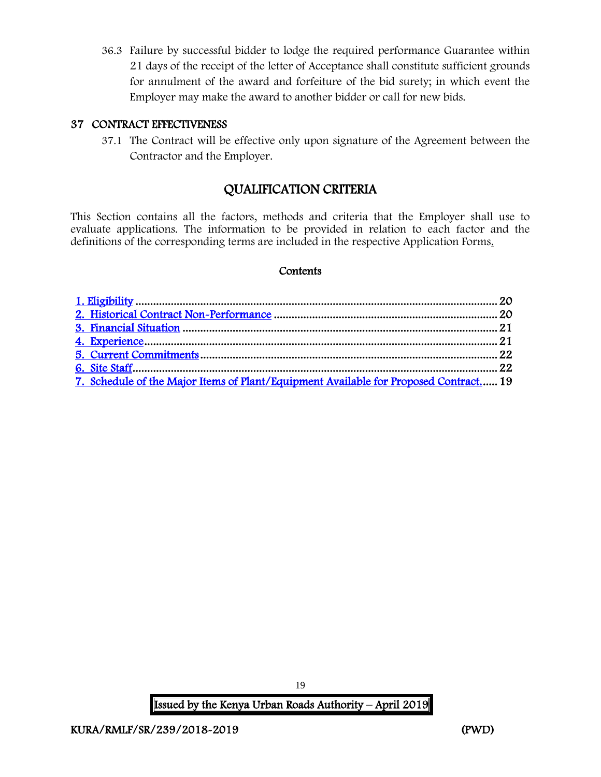36.3 Failure by successful bidder to lodge the required performance Guarantee within 21 days of the receipt of the letter of Acceptance shall constitute sufficient grounds for annulment of the award and forfeiture of the bid surety; in which event the Employer may make the award to another bidder or call for new bids.

#### 37 CONTRACT EFFECTIVENESS

37.1 The Contract will be effective only upon signature of the Agreement between the Contractor and the Employer.

### QUALIFICATION CRITERIA

<span id="page-19-0"></span>This Section contains all the factors, methods and criteria that the Employer shall use to evaluate applications. The information to be provided in relation to each factor and the definitions of the corresponding terms are included in the respective Application Forms.

#### **Contents**

| 7. Schedule of the Major Items of Plant/Equipment Available for Proposed Contract 19 |  |
|--------------------------------------------------------------------------------------|--|

 Issued by the Kenya Urban Roads Authority – April 2019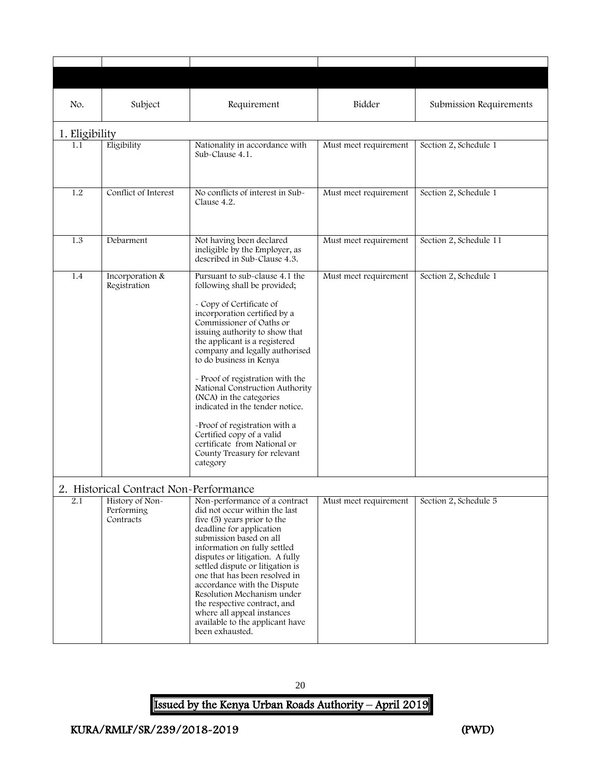<span id="page-20-0"></span>

| No.                                    | Subject                                                                                                 | Requirement                                                                                                                                                                                                                                                                                                                                                                                                                                                                                                                                                           | Bidder                | Submission Requirements |
|----------------------------------------|---------------------------------------------------------------------------------------------------------|-----------------------------------------------------------------------------------------------------------------------------------------------------------------------------------------------------------------------------------------------------------------------------------------------------------------------------------------------------------------------------------------------------------------------------------------------------------------------------------------------------------------------------------------------------------------------|-----------------------|-------------------------|
| 1. Eligibility                         |                                                                                                         |                                                                                                                                                                                                                                                                                                                                                                                                                                                                                                                                                                       |                       |                         |
| 1.1                                    | Eligibility                                                                                             | Nationality in accordance with<br>Sub-Clause 4.1.                                                                                                                                                                                                                                                                                                                                                                                                                                                                                                                     | Must meet requirement | Section 2, Schedule 1   |
| 1.2                                    | Conflict of Interest<br>No conflicts of interest in Sub-<br>Clause 4.2.                                 |                                                                                                                                                                                                                                                                                                                                                                                                                                                                                                                                                                       | Must meet requirement | Section 2, Schedule 1   |
| 1.3                                    | Debarment<br>Not having been declared<br>ineligible by the Employer, as<br>described in Sub-Clause 4.3. |                                                                                                                                                                                                                                                                                                                                                                                                                                                                                                                                                                       | Must meet requirement | Section 2, Schedule 11  |
| 1.4<br>Incorporation &<br>Registration |                                                                                                         | Pursuant to sub-clause 4.1 the<br>following shall be provided;<br>- Copy of Certificate of<br>incorporation certified by a<br>Commissioner of Oaths or<br>issuing authority to show that<br>the applicant is a registered<br>company and legally authorised<br>to do business in Kenya<br>- Proof of registration with the<br>National Construction Authority<br>(NCA) in the categories<br>indicated in the tender notice.<br>-Proof of registration with a<br>Certified copy of a valid<br>certificate from National or<br>County Treasury for relevant<br>category | Must meet requirement | Section 2, Schedule 1   |
|                                        | 2. Historical Contract Non-Performance                                                                  |                                                                                                                                                                                                                                                                                                                                                                                                                                                                                                                                                                       |                       |                         |
| 2.1                                    | History of Non-<br>Performing<br>Contracts                                                              | Non-performance of a contract<br>did not occur within the last<br>five (5) years prior to the<br>deadline for application<br>submission based on all<br>information on fully settled<br>disputes or litigation. A fully<br>settled dispute or litigation is<br>one that has been resolved in<br>accordance with the Dispute<br>Resolution Mechanism under<br>the respective contract, and<br>where all appeal instances<br>available to the applicant have<br>been exhausted.                                                                                         | Must meet requirement | Section 2, Schedule 5   |

<span id="page-20-1"></span>20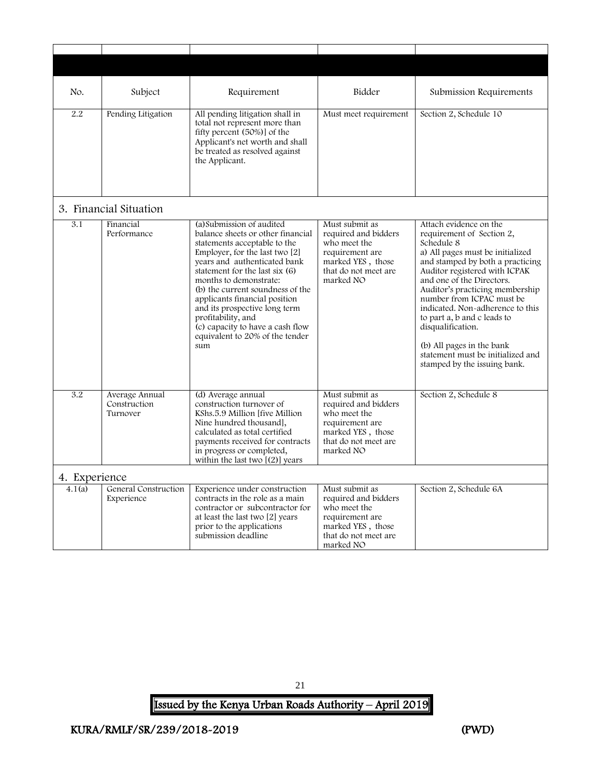<span id="page-21-0"></span>

| No.           | Subject                                    | Requirement                                                                                                                                                                                                                                                                                                                                                                                                                            | Bidder                                                                                                                              | Submission Requirements                                                                                                                                                                                                                                                                                                                                                                                                                                           |
|---------------|--------------------------------------------|----------------------------------------------------------------------------------------------------------------------------------------------------------------------------------------------------------------------------------------------------------------------------------------------------------------------------------------------------------------------------------------------------------------------------------------|-------------------------------------------------------------------------------------------------------------------------------------|-------------------------------------------------------------------------------------------------------------------------------------------------------------------------------------------------------------------------------------------------------------------------------------------------------------------------------------------------------------------------------------------------------------------------------------------------------------------|
| 2.2           | Pending Litigation                         | All pending litigation shall in<br>total not represent more than<br>fifty percent (50%)] of the<br>Applicant's net worth and shall<br>be treated as resolved against<br>the Applicant.                                                                                                                                                                                                                                                 | Must meet requirement                                                                                                               | Section 2, Schedule 10                                                                                                                                                                                                                                                                                                                                                                                                                                            |
|               | 3. Financial Situation                     |                                                                                                                                                                                                                                                                                                                                                                                                                                        |                                                                                                                                     |                                                                                                                                                                                                                                                                                                                                                                                                                                                                   |
| 3.1           | Financial<br>Performance                   | (a) Submission of audited<br>balance sheets or other financial<br>statements acceptable to the<br>Employer, for the last two [2]<br>years and authenticated bank<br>statement for the last six (6)<br>months to demonstrate:<br>(b) the current soundness of the<br>applicants financial position<br>and its prospective long term<br>profitability, and<br>(c) capacity to have a cash flow<br>equivalent to 20% of the tender<br>sum | Must submit as<br>required and bidders<br>who meet the<br>requirement are<br>marked YES, those<br>that do not meet are<br>marked NO | Attach evidence on the<br>requirement of Section 2,<br>Schedule 8<br>a) All pages must be initialized<br>and stamped by both a practicing<br>Auditor registered with ICPAK<br>and one of the Directors.<br>Auditor's practicing membership<br>number from ICPAC must be<br>indicated. Non-adherence to this<br>to part a, b and c leads to<br>disqualification.<br>(b) All pages in the bank<br>statement must be initialized and<br>stamped by the issuing bank. |
| 3.2           | Average Annual<br>Construction<br>Turnover | (d) Average annual<br>construction turnover of<br>KShs.5.9 Million [five Million]<br>Nine hundred thousand,<br>calculated as total certified<br>payments received for contracts<br>in progress or completed,<br>within the last two $[(2)]$ years                                                                                                                                                                                      | Must submit as<br>required and bidders<br>who meet the<br>requirement are<br>marked YES, those<br>that do not meet are<br>marked NO | Section 2, Schedule 8                                                                                                                                                                                                                                                                                                                                                                                                                                             |
| 4. Experience |                                            |                                                                                                                                                                                                                                                                                                                                                                                                                                        |                                                                                                                                     |                                                                                                                                                                                                                                                                                                                                                                                                                                                                   |
| 4.1(a)        | General Construction<br>Experience         | Experience under construction<br>contracts in the role as a main<br>contractor or subcontractor for<br>at least the last two [2] years<br>prior to the applications<br>submission deadline                                                                                                                                                                                                                                             | Must submit as<br>required and bidders<br>who meet the<br>requirement are<br>marked YES, those<br>that do not meet are<br>marked NO | Section 2, Schedule 6A                                                                                                                                                                                                                                                                                                                                                                                                                                            |

<span id="page-21-1"></span>21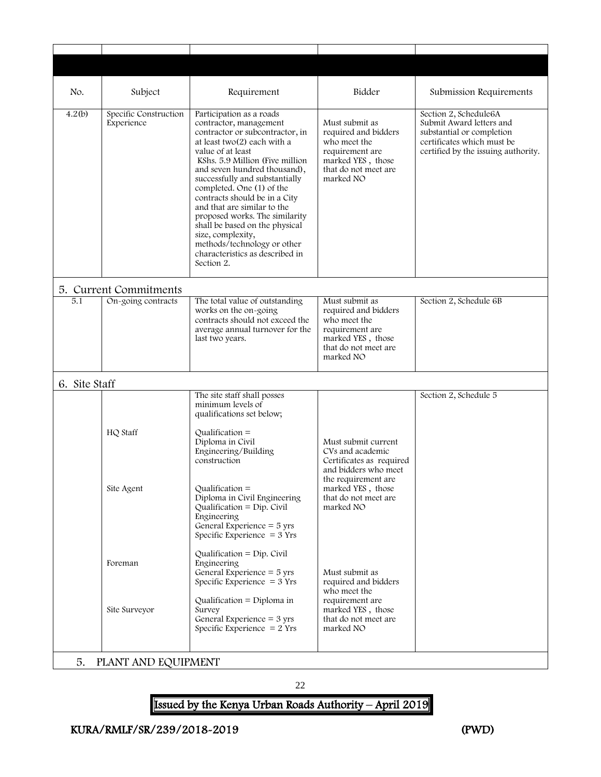<span id="page-22-1"></span><span id="page-22-0"></span>

| No.                                                                                                                                                                                                                                                                                                                                                                                                                                                                                                                                                                   | Subject                | Requirement                                                                                                                                                        | Bidder                                                                                                                                              | Submission Requirements |
|-----------------------------------------------------------------------------------------------------------------------------------------------------------------------------------------------------------------------------------------------------------------------------------------------------------------------------------------------------------------------------------------------------------------------------------------------------------------------------------------------------------------------------------------------------------------------|------------------------|--------------------------------------------------------------------------------------------------------------------------------------------------------------------|-----------------------------------------------------------------------------------------------------------------------------------------------------|-------------------------|
| 4.2(b)<br>Specific Construction<br>Participation as a roads<br>Experience<br>contractor, management<br>contractor or subcontractor, in<br>at least two(2) each with a<br>value of at least<br>KShs. 5.9 Million (Five million<br>and seven hundred thousand),<br>successfully and substantially<br>completed. One (1) of the<br>contracts should be in a City<br>and that are similar to the<br>proposed works. The similarity<br>shall be based on the physical<br>size, complexity,<br>methods/technology or other<br>characteristics as described in<br>Section 2. |                        | Must submit as<br>required and bidders<br>who meet the<br>requirement are<br>marked YES, those<br>that do not meet are<br>marked NO                                | Section 2, Schedule6A<br>Submit Award letters and<br>substantial or completion<br>certificates which must be<br>certified by the issuing authority. |                         |
|                                                                                                                                                                                                                                                                                                                                                                                                                                                                                                                                                                       | 5. Current Commitments |                                                                                                                                                                    |                                                                                                                                                     |                         |
| 5.1                                                                                                                                                                                                                                                                                                                                                                                                                                                                                                                                                                   | On-going contracts     | The total value of outstanding<br>works on the on-going<br>contracts should not exceed the<br>average annual turnover for the<br>last two years.                   | Must submit as<br>required and bidders<br>who meet the<br>requirement are<br>marked YES, those<br>that do not meet are<br>marked NO                 | Section 2, Schedule 6B  |
| 6. Site Staff                                                                                                                                                                                                                                                                                                                                                                                                                                                                                                                                                         |                        |                                                                                                                                                                    |                                                                                                                                                     |                         |
|                                                                                                                                                                                                                                                                                                                                                                                                                                                                                                                                                                       | HQ Staff               | The site staff shall posses<br>minimum levels of<br>qualifications set below;<br>Qualification $=$<br>Diploma in Civil<br>Engineering/Building<br>construction     | Must submit current<br>CVs and academic                                                                                                             | Section 2, Schedule 5   |
|                                                                                                                                                                                                                                                                                                                                                                                                                                                                                                                                                                       | Site Agent             | $Qualification =$<br>Diploma in Civil Engineering<br>Qualification = $Dip$ . Civil<br>Engineering<br>General Experience $=$ 5 yrs<br>Specific Experience $= 3$ Yrs | Certificates as required<br>and bidders who meet<br>the requirement are<br>marked YES, those<br>that do not meet are<br>marked NO                   |                         |
|                                                                                                                                                                                                                                                                                                                                                                                                                                                                                                                                                                       | Foreman                | Qualification = $Dip$ . Civil<br>Engineering<br>General Experience $=$ 5 yrs<br>Specific Experience $=$ 3 Yrs                                                      | Must submit as<br>required and bidders<br>who meet the                                                                                              |                         |
|                                                                                                                                                                                                                                                                                                                                                                                                                                                                                                                                                                       | Site Surveyor          | Qualification = Diploma in<br>Survey<br>General Experience $=$ 3 yrs<br>Specific Experience $= 2$ Yrs                                                              | requirement are<br>marked YES, those<br>that do not meet are<br>marked NO                                                                           |                         |
| 5.                                                                                                                                                                                                                                                                                                                                                                                                                                                                                                                                                                    | PLANT AND EQUIPMENT    |                                                                                                                                                                    |                                                                                                                                                     |                         |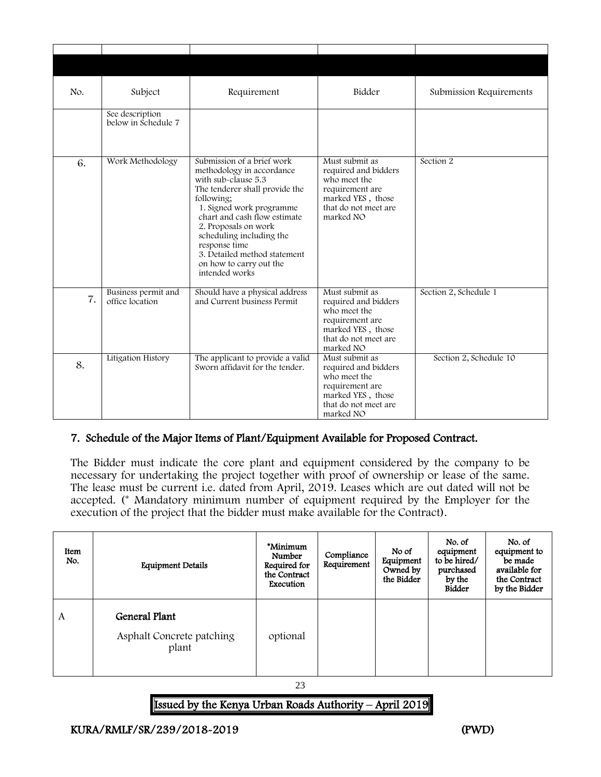| No.                                          | Subject                                | Requirement                                                                                                                                                                                                                                                                                                                                  | Bidder                                                                                                                              | Submission Requirements |
|----------------------------------------------|----------------------------------------|----------------------------------------------------------------------------------------------------------------------------------------------------------------------------------------------------------------------------------------------------------------------------------------------------------------------------------------------|-------------------------------------------------------------------------------------------------------------------------------------|-------------------------|
|                                              | See description<br>below in Schedule 7 |                                                                                                                                                                                                                                                                                                                                              |                                                                                                                                     |                         |
| 6.                                           | Work Methodology                       | Submission of a brief work<br>methodology in accordance<br>with sub-clause 5.3<br>The tenderer shall provide the<br>following;<br>1. Signed work programme<br>chart and cash flow estimate<br>2. Proposals on work<br>scheduling including the<br>response time<br>3. Detailed method statement<br>on how to carry out the<br>intended works | Must submit as<br>required and bidders<br>who meet the<br>requirement are<br>marked YES, those<br>that do not meet are<br>marked NO | Section 2               |
| Business permit and<br>7.<br>office location |                                        | Should have a physical address<br>and Current business Permit                                                                                                                                                                                                                                                                                | Must submit as<br>required and bidders<br>who meet the<br>requirement are<br>marked YES, those<br>that do not meet are<br>marked NO | Section 2, Schedule 1   |
| 8.                                           | Litigation History                     | The applicant to provide a valid<br>Sworn affidavit for the tender.                                                                                                                                                                                                                                                                          | Must submit as<br>required and bidders<br>who meet the<br>requirement are<br>marked YES, those<br>that do not meet are<br>marked NO | Section 2, Schedule 10  |

### 7. Schedule of the Major Items of Plant/Equipment Available for Proposed Contract.

The Bidder must indicate the core plant and equipment considered by the company to be necessary for undertaking the project together with proof of ownership or lease of the same. The lease must be current i.e. dated from April, 2019. Leases which are out dated will not be accepted. (\* Mandatory minimum number of equipment required by the Employer for the execution of the project that the bidder must make available for the Contract).

| Item<br>No. | <b>Equipment Details</b>                            | *Minimum<br>Number<br>Required for<br>the Contract<br>Execution | Compliance<br>Requirement | No of<br>Equipment<br>Owned by<br>the Bidder | No. of<br>equipment<br>to be hired/<br>purchased<br>by the<br><b>Bidder</b> | No. of<br>equipment to<br>be made<br>available for<br>the Contract<br>by the Bidder |
|-------------|-----------------------------------------------------|-----------------------------------------------------------------|---------------------------|----------------------------------------------|-----------------------------------------------------------------------------|-------------------------------------------------------------------------------------|
| A           | General Plant<br>Asphalt Concrete patching<br>plant | optional                                                        |                           |                                              |                                                                             |                                                                                     |

23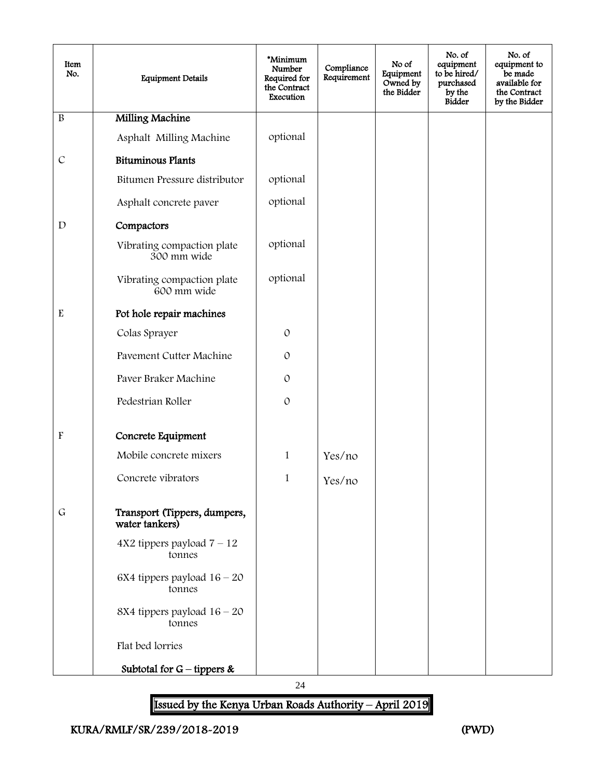| Item<br>No.               | <b>Equipment Details</b>                       | *Minimum<br>Number<br>Required for<br>the Contract<br>Execution | Compliance<br>Requirement | No of<br>Equipment<br>Owned by<br>the Bidder | No. of<br>equipment<br>to be hired/<br>purchased<br>by the<br><b>Bidder</b> | No. of<br>equipment to<br>be made<br>available for<br>the Contract<br>by the Bidder |
|---------------------------|------------------------------------------------|-----------------------------------------------------------------|---------------------------|----------------------------------------------|-----------------------------------------------------------------------------|-------------------------------------------------------------------------------------|
| $\, {\bf B}$              | <b>Milling Machine</b>                         |                                                                 |                           |                                              |                                                                             |                                                                                     |
|                           | Asphalt Milling Machine                        | optional                                                        |                           |                                              |                                                                             |                                                                                     |
| $\cal C$                  | <b>Bituminous Plants</b>                       |                                                                 |                           |                                              |                                                                             |                                                                                     |
|                           | Bitumen Pressure distributor                   | optional                                                        |                           |                                              |                                                                             |                                                                                     |
|                           | Asphalt concrete paver                         | optional                                                        |                           |                                              |                                                                             |                                                                                     |
| $\mathbf D$               | Compactors                                     |                                                                 |                           |                                              |                                                                             |                                                                                     |
|                           | Vibrating compaction plate<br>300 mm wide      | optional                                                        |                           |                                              |                                                                             |                                                                                     |
|                           | Vibrating compaction plate<br>600 mm wide      | optional                                                        |                           |                                              |                                                                             |                                                                                     |
| $\mathbf E$               | Pot hole repair machines                       |                                                                 |                           |                                              |                                                                             |                                                                                     |
|                           | Colas Sprayer                                  | $\mathcal{O}$                                                   |                           |                                              |                                                                             |                                                                                     |
|                           | Pavement Cutter Machine                        | $\Omega$                                                        |                           |                                              |                                                                             |                                                                                     |
|                           | Paver Braker Machine                           | $\mathcal{O}$                                                   |                           |                                              |                                                                             |                                                                                     |
|                           | Pedestrian Roller                              | $\mathcal{O}$                                                   |                           |                                              |                                                                             |                                                                                     |
| $\boldsymbol{\mathrm{F}}$ | Concrete Equipment                             |                                                                 |                           |                                              |                                                                             |                                                                                     |
|                           | Mobile concrete mixers                         | $\mathbf{1}$                                                    | Yes/no                    |                                              |                                                                             |                                                                                     |
|                           | Concrete vibrators                             | $\mathbf{1}$                                                    | Yes/no                    |                                              |                                                                             |                                                                                     |
| $\mathsf G$               | Transport (Tippers, dumpers,<br>water tankers) |                                                                 |                           |                                              |                                                                             |                                                                                     |
|                           | $4X2$ tippers payload $7 - 12$<br>tonnes       |                                                                 |                           |                                              |                                                                             |                                                                                     |
|                           | 6X4 tippers payload $16 - 20$<br>tonnes        |                                                                 |                           |                                              |                                                                             |                                                                                     |
|                           | 8X4 tippers payload $16 - 20$<br>tonnes        |                                                                 |                           |                                              |                                                                             |                                                                                     |
|                           | Flat bed lorries                               |                                                                 |                           |                                              |                                                                             |                                                                                     |
|                           | Subtotal for $G$ – tippers &                   |                                                                 |                           |                                              |                                                                             |                                                                                     |

24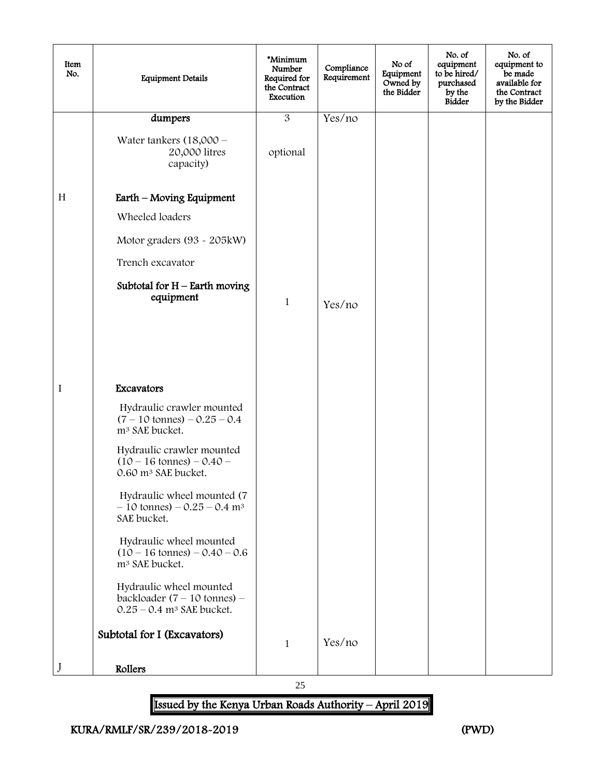| Item<br>No. | <b>Equipment Details</b>                                                                                     | *Minimum<br>Number<br>Required for<br>the Contract<br>Execution | Compliance<br>Requirement | No of<br>Equipment<br>Owned by<br>the Bidder | No. of<br>equipment<br>to be hired/<br>purchased<br>by the<br><b>Bidder</b> | No. of<br>equipment to<br>be made<br>available for<br>the Contract<br>by the Bidder |
|-------------|--------------------------------------------------------------------------------------------------------------|-----------------------------------------------------------------|---------------------------|----------------------------------------------|-----------------------------------------------------------------------------|-------------------------------------------------------------------------------------|
|             | dumpers                                                                                                      | $\overline{3}$                                                  | Yes/no                    |                                              |                                                                             |                                                                                     |
|             | Water tankers $(18,000 -$<br>20,000 litres<br>capacity)                                                      | optional                                                        |                           |                                              |                                                                             |                                                                                     |
| H           | Earth - Moving Equipment                                                                                     |                                                                 |                           |                                              |                                                                             |                                                                                     |
|             | Wheeled loaders                                                                                              |                                                                 |                           |                                              |                                                                             |                                                                                     |
|             | Motor graders (93 - 205kW)                                                                                   |                                                                 |                           |                                              |                                                                             |                                                                                     |
|             | Trench excavator                                                                                             |                                                                 |                           |                                              |                                                                             |                                                                                     |
|             | Subtotal for $H$ – Earth moving<br>equipment                                                                 | $\mathbf{1}$                                                    | Yes/no                    |                                              |                                                                             |                                                                                     |
|             |                                                                                                              |                                                                 |                           |                                              |                                                                             |                                                                                     |
|             |                                                                                                              |                                                                 |                           |                                              |                                                                             |                                                                                     |
| I           | Excavators                                                                                                   |                                                                 |                           |                                              |                                                                             |                                                                                     |
|             | Hydraulic crawler mounted<br>$(7 - 10 \text{ tonnes}) - 0.25 - 0.4$<br>m <sup>3</sup> SAE bucket.            |                                                                 |                           |                                              |                                                                             |                                                                                     |
|             | Hydraulic crawler mounted<br>$(10 - 16 \text{ tonnes}) - 0.40 -$<br>0.60 m <sup>3</sup> SAE bucket.          |                                                                 |                           |                                              |                                                                             |                                                                                     |
|             | Hydraulic wheel mounted (7<br>$-10$ tonnes) $-0.25 - 0.4$ m <sup>3</sup><br>SAE bucket.                      |                                                                 |                           |                                              |                                                                             |                                                                                     |
|             | Hydraulic wheel mounted<br>$(10 - 16 \text{ tonnes}) - 0.40 - 0.6$<br>m <sup>3</sup> SAE bucket.             |                                                                 |                           |                                              |                                                                             |                                                                                     |
|             | Hydraulic wheel mounted<br>backloader $(7 - 10 \text{ tonnes})$ –<br>$0.25 - 0.4$ m <sup>3</sup> SAE bucket. |                                                                 |                           |                                              |                                                                             |                                                                                     |
|             | Subtotal for I (Excavators)                                                                                  | $\mathbf{1}$                                                    | Yes/no                    |                                              |                                                                             |                                                                                     |
|             | Rollers                                                                                                      |                                                                 |                           |                                              |                                                                             |                                                                                     |

25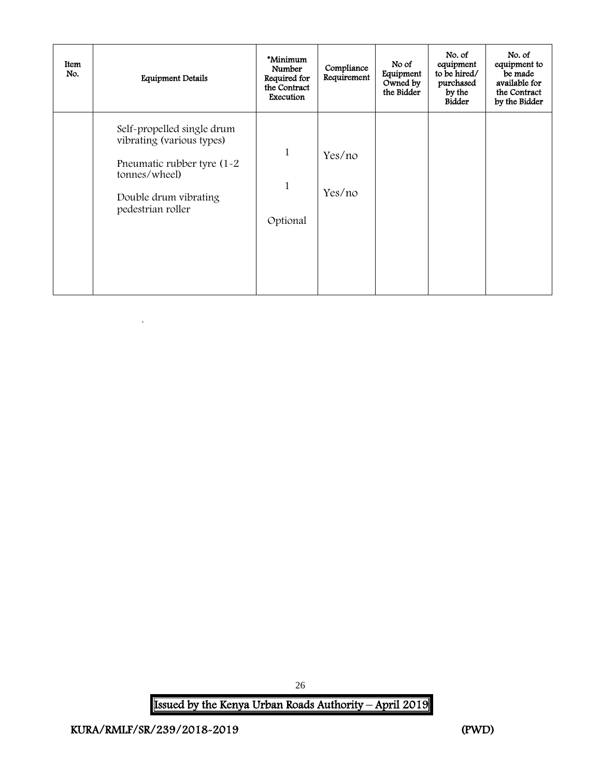| Item<br>No. | <b>Equipment Details</b>                                                                                                                                | *Minimum<br>Number<br>Required for<br>the Contract<br>Execution | Compliance<br>Requirement | No of<br>Equipment<br>Owned by<br>the Bidder | No. of<br>equipment<br>to be hired/<br>purchased<br>by the<br><b>Bidder</b> | No. of<br>equipment to<br>be made<br>available for<br>the Contract<br>by the Bidder |
|-------------|---------------------------------------------------------------------------------------------------------------------------------------------------------|-----------------------------------------------------------------|---------------------------|----------------------------------------------|-----------------------------------------------------------------------------|-------------------------------------------------------------------------------------|
|             | Self-propelled single drum<br>vibrating (various types)<br>Pneumatic rubber tyre $(1-2)$<br>tonnes/wheel)<br>Double drum vibrating<br>pedestrian roller | $\mathbf{1}$<br>1<br>Optional                                   | Yes/no<br>Yes/no          |                                              |                                                                             |                                                                                     |

Issued by the Kenya Urban Roads Authority – April 2019

<span id="page-26-0"></span> $\hat{\mathbf{v}}$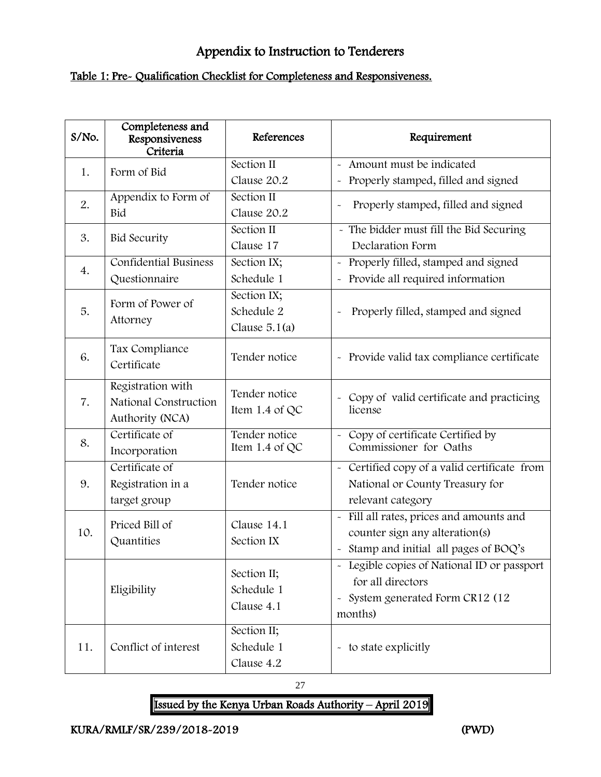# Appendix to Instruction to Tenderers

# Table 1: Pre- Qualification Checklist for Completeness and Responsiveness.

| S/No. | Completeness and<br>Responsiveness<br>Criteria                | References                                   | Requirement                                                                                                                                |
|-------|---------------------------------------------------------------|----------------------------------------------|--------------------------------------------------------------------------------------------------------------------------------------------|
| 1.    | Form of Bid                                                   | Section II<br>Clause 20.2                    | - Amount must be indicated<br>Properly stamped, filled and signed                                                                          |
| 2.    | Appendix to Form of<br>Bid                                    | Section II<br>Clause 20.2                    | Properly stamped, filled and signed                                                                                                        |
| 3.    | <b>Bid Security</b>                                           | Section II<br>Clause 17                      | - The bidder must fill the Bid Securing<br>Declaration Form                                                                                |
| 4.    | <b>Confidential Business</b><br>Questionnaire                 | Section IX;<br>Schedule 1                    | - Properly filled, stamped and signed<br>Provide all required information                                                                  |
| 5.    | Form of Power of<br>Attorney                                  | Section IX;<br>Schedule 2<br>Clause $5.1(a)$ | Properly filled, stamped and signed                                                                                                        |
| 6.    | Tax Compliance<br>Certificate                                 | Tender notice                                | - Provide valid tax compliance certificate                                                                                                 |
| 7.    | Registration with<br>National Construction<br>Authority (NCA) | Tender notice<br>Item 1.4 of QC              | Copy of valid certificate and practicing<br>$\sim$<br>license                                                                              |
| 8.    | Certificate of<br>Incorporation                               | Tender notice<br>Item 1.4 of QC              | - Copy of certificate Certified by<br>Commissioner for Oaths                                                                               |
| 9.    | Certificate of<br>Registration in a<br>target group           | Tender notice                                | - Certified copy of a valid certificate from<br>National or County Treasury for<br>relevant category                                       |
| 10.   | Priced Bill of<br>Quantities                                  | Clause 14.1<br>Section IX                    | - Fill all rates, prices and amounts and<br>counter sign any alteration(s)<br>- Stamp and initial all pages of BOQ's                       |
|       | Eligibility                                                   | Section II;<br>Schedule 1<br>Clause 4.1      | - Legible copies of National ID or passport<br>for all directors<br>System generated Form CR12 (12<br>$\widetilde{\phantom{m}}$<br>months) |
| 11.   | Conflict of interest                                          | Section II;<br>Schedule 1<br>Clause 4.2      | - to state explicitly                                                                                                                      |

27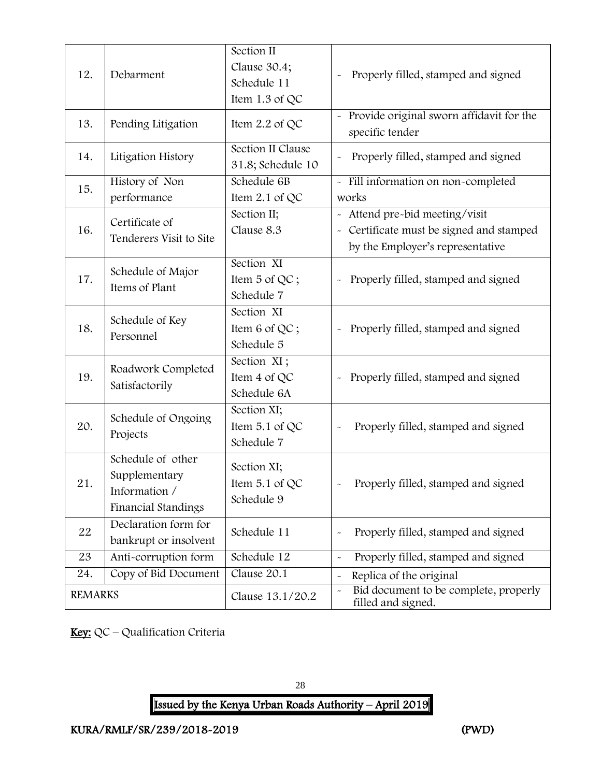|                | Debarment                                 | Section II<br>Clause 30.4;             |                                                                           |
|----------------|-------------------------------------------|----------------------------------------|---------------------------------------------------------------------------|
| 12.            |                                           | Schedule 11                            | Properly filled, stamped and signed                                       |
|                |                                           | Item 1.3 of QC                         |                                                                           |
| 13.            | Pending Litigation                        | Item $2.2$ of QC                       | Provide original sworn affidavit for the<br>specific tender               |
| 14.            | Litigation History                        | Section II Clause<br>31.8; Schedule 10 | Properly filled, stamped and signed                                       |
| 15.            | History of Non                            | Schedule 6B                            | - Fill information on non-completed                                       |
|                | performance                               | Item 2.1 of QC                         | works                                                                     |
| 16.            | Certificate of<br>Tenderers Visit to Site | Section II;                            | - Attend pre-bid meeting/visit                                            |
|                |                                           | Clause 8.3                             | Certificate must be signed and stamped<br>$\widetilde{\phantom{m}}$       |
|                |                                           |                                        | by the Employer's representative                                          |
|                | Schedule of Major<br>Items of Plant       | Section XI                             |                                                                           |
| 17.            |                                           | Item 5 of QC;                          | Properly filled, stamped and signed<br>$\ddot{\phantom{0}}$               |
|                |                                           | Schedule 7                             |                                                                           |
|                | Schedule of Key<br>Personnel              | Section XI                             |                                                                           |
| 18.            |                                           | Item 6 of QC;                          | Properly filled, stamped and signed                                       |
|                |                                           | Schedule 5                             |                                                                           |
|                | Roadwork Completed                        | Section XI;                            |                                                                           |
| 19.            | Satisfactorily                            | Item 4 of QC                           | Properly filled, stamped and signed<br>$\ddot{\phantom{0}}$               |
|                |                                           | Schedule 6A                            |                                                                           |
|                | Schedule of Ongoing                       | Section XI;                            |                                                                           |
| 20.            | Projects                                  | Item 5.1 of QC                         | Properly filled, stamped and signed                                       |
|                |                                           | Schedule 7                             |                                                                           |
|                | Schedule of other                         | Section XI;                            |                                                                           |
| 21.            | Supplementary                             | Item $5.1$ of QC                       | Properly filled, stamped and signed                                       |
|                | Information /                             | Schedule 9                             |                                                                           |
|                | Financial Standings                       |                                        |                                                                           |
| 22             | Declaration form for                      | Schedule 11                            | Properly filled, stamped and signed<br>$\ddot{\phantom{0}}$               |
|                | bankrupt or insolvent                     |                                        |                                                                           |
| 23             | Anti-corruption form                      | Schedule 12                            | Properly filled, stamped and signed<br>$\tilde{\phantom{a}}$              |
| 24.            | Copy of Bid Document                      | Clause 20.1                            | Replica of the original<br>$\tilde{}$                                     |
| <b>REMARKS</b> |                                           | Clause 13.1/20.2                       | Bid document to be complete, properly<br>$\tilde{}$<br>filled and signed. |

Key: QC - Qualification Criteria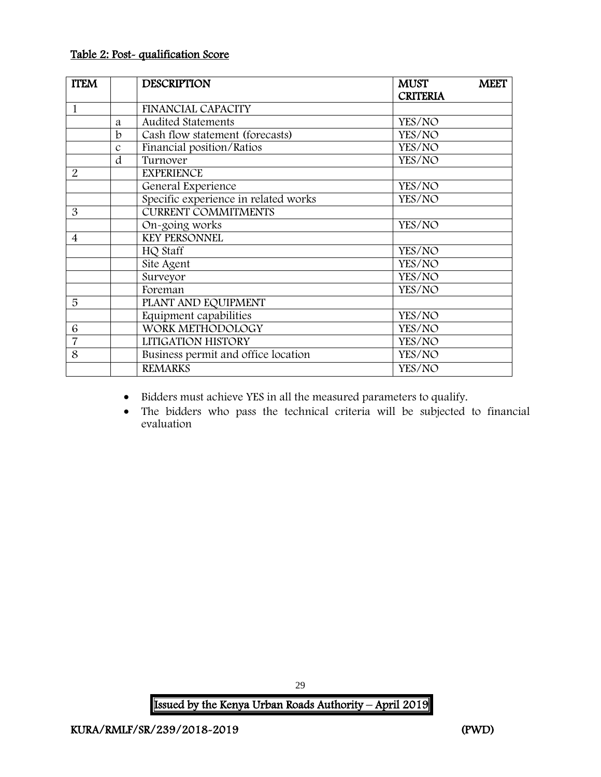#### Table 2: Post- qualification Score

| <b>TTEM</b>    |               | <b>DESCRIPTION</b>                   | <b>MUST</b>     | <b>MEET</b> |
|----------------|---------------|--------------------------------------|-----------------|-------------|
|                |               |                                      | <b>CRITERIA</b> |             |
| $\mathbf{1}$   |               | FINANCIAL CAPACITY                   |                 |             |
|                | a             | Audited Statements                   | YES/NO          |             |
|                | b             | Cash flow statement (forecasts)      | YES/NO          |             |
|                | $\mathcal{C}$ | Financial position/Ratios            | YES/NO          |             |
|                | d             | Turnover                             | YES/NO          |             |
| $\overline{2}$ |               | <b>EXPERIENCE</b>                    |                 |             |
|                |               | General Experience                   | YES/NO          |             |
|                |               | Specific experience in related works | YES/NO          |             |
| 3              |               | <b>CURRENT COMMITMENTS</b>           |                 |             |
|                |               | On-going works                       | YES/NO          |             |
| $\overline{4}$ |               | <b>KEY PERSONNEL</b>                 |                 |             |
|                |               | HQ Staff                             | YES/NO          |             |
|                |               | Site Agent                           | YES/NO          |             |
|                |               | Surveyor                             | YES/NO          |             |
|                |               | Foreman                              | YES/NO          |             |
| 5              |               | PLANT AND EQUIPMENT                  |                 |             |
|                |               | Equipment capabilities               | YES/NO          |             |
| 6              |               | WORK METHODOLOGY                     | YES/NO          |             |
| $\overline{7}$ |               | LITIGATION HISTORY                   | YES/NO          |             |
| 8              |               | Business permit and office location  | YES/NO          |             |
|                |               | <b>REMARKS</b>                       | YES/NO          |             |

Bidders must achieve YES in all the measured parameters to qualify.

 The bidders who pass the technical criteria will be subjected to financial evaluation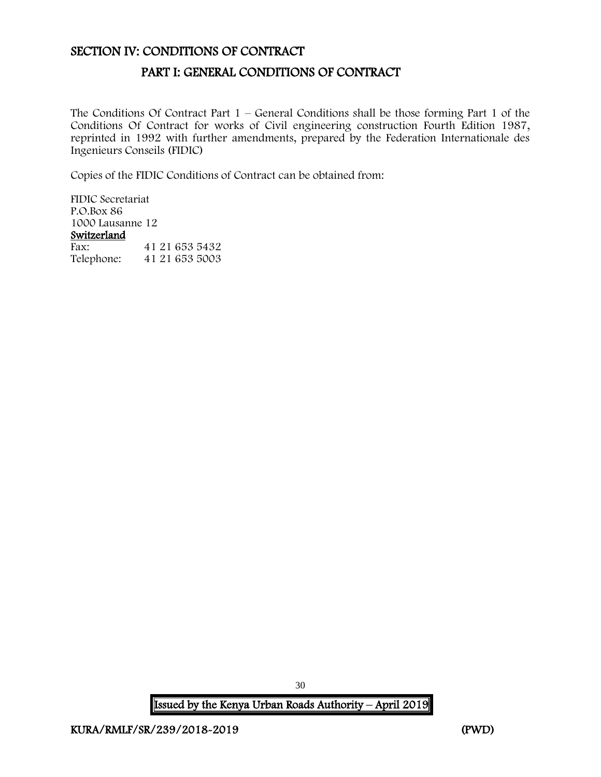### <span id="page-30-1"></span><span id="page-30-0"></span>SECTION IV: CONDITIONS OF CONTRACT

### PART I: GENERAL CONDITIONS OF CONTRACT

The Conditions Of Contract Part  $1$  – General Conditions shall be those forming Part 1 of the Conditions Of Contract for works of Civil engineering construction Fourth Edition 1987, reprinted in 1992 with further amendments, prepared by the Federation Internationale des Ingenieurs Conseils (FIDIC)

Copies of the FIDIC Conditions of Contract can be obtained from:

FIDIC Secretariat P.O.Box 86 1000 Lausanne 12 Switzerland Fax: 41 21 653 5432 Telephone: 41 21 653 5003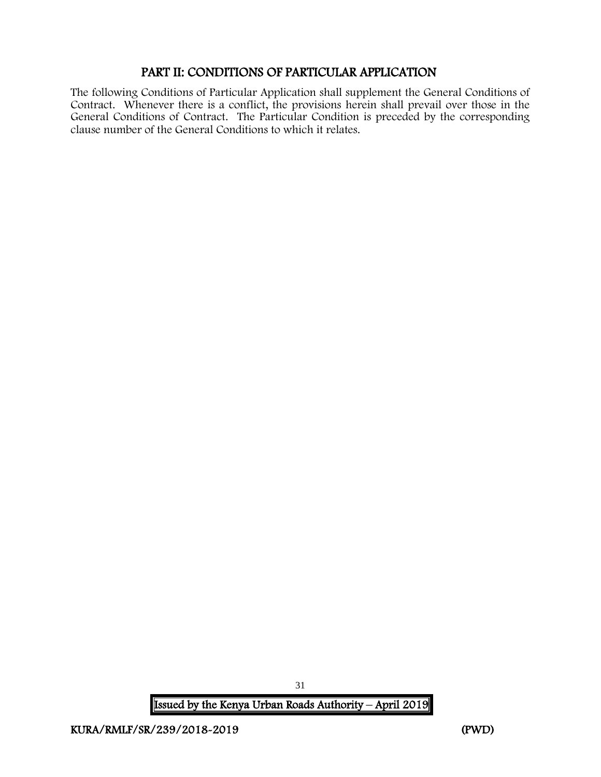### PART II: CONDITIONS OF PARTICULAR APPLICATION

<span id="page-31-0"></span>The following Conditions of Particular Application shall supplement the General Conditions of Contract. Whenever there is a conflict, the provisions herein shall prevail over those in the General Conditions of Contract. The Particular Condition is preceded by the corresponding clause number of the General Conditions to which it relates.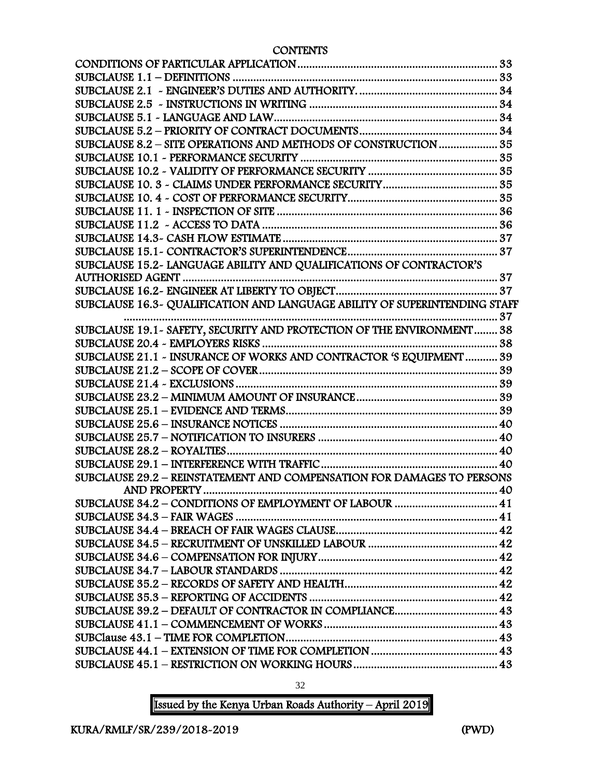#### **CONTENTS**

| SUBCLAUSE 8.2 - SITE OPERATIONS AND METHODS OF CONSTRUCTION  35            |  |
|----------------------------------------------------------------------------|--|
|                                                                            |  |
|                                                                            |  |
|                                                                            |  |
|                                                                            |  |
|                                                                            |  |
|                                                                            |  |
|                                                                            |  |
|                                                                            |  |
| SUBCLAUSE 15.2- LANGUAGE ABILITY AND QUALIFICATIONS OF CONTRACTOR'S        |  |
|                                                                            |  |
|                                                                            |  |
| SUBCLAUSE 16.3~ QUALIFICATION AND LANGUAGE ABILITY OF SUPERINTENDING STAFF |  |
|                                                                            |  |
| SUBCLAUSE 19.1 - SAFETY, SECURITY AND PROTECTION OF THE ENVIRONMENT 38     |  |
|                                                                            |  |
| SUBCLAUSE 21.1 - INSURANCE OF WORKS AND CONTRACTOR 'S EQUIPMENT 39         |  |
|                                                                            |  |
|                                                                            |  |
|                                                                            |  |
|                                                                            |  |
|                                                                            |  |
|                                                                            |  |
|                                                                            |  |
|                                                                            |  |
| SUBCLAUSE 29.2 - REINSTATEMENT AND COMPENSATION FOR DAMAGES TO PERSONS     |  |
|                                                                            |  |
| SUBCLAUSE 34.2 - CONDITIONS OF EMPLOYMENT OF LABOUR  41                    |  |
|                                                                            |  |
|                                                                            |  |
|                                                                            |  |
|                                                                            |  |
|                                                                            |  |
|                                                                            |  |
|                                                                            |  |
|                                                                            |  |
|                                                                            |  |
|                                                                            |  |
|                                                                            |  |
|                                                                            |  |
|                                                                            |  |

32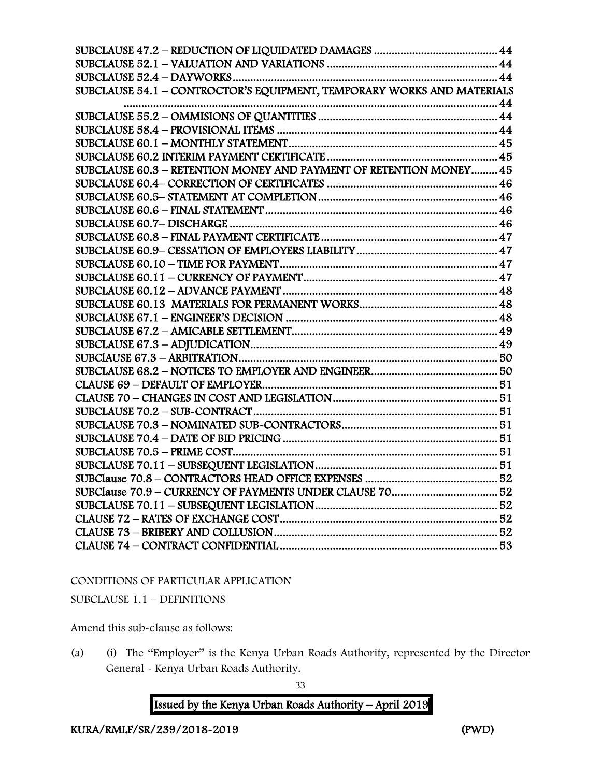| SUBCLAUSE 54.1 - CONTROCTOR'S EQUIPMENT, TEMPORARY WORKS AND MATERIALS |
|------------------------------------------------------------------------|
|                                                                        |
|                                                                        |
|                                                                        |
|                                                                        |
|                                                                        |
|                                                                        |
|                                                                        |
|                                                                        |
| SUBCLAUSE 60.3 - RETENTION MONEY AND PAYMENT OF RETENTION MONEY 45     |
|                                                                        |
|                                                                        |
|                                                                        |
|                                                                        |
|                                                                        |
|                                                                        |
|                                                                        |
|                                                                        |
|                                                                        |
|                                                                        |
|                                                                        |
|                                                                        |
|                                                                        |
|                                                                        |
|                                                                        |
|                                                                        |
|                                                                        |
|                                                                        |
|                                                                        |
|                                                                        |
|                                                                        |
|                                                                        |
|                                                                        |
|                                                                        |
|                                                                        |
|                                                                        |
|                                                                        |
|                                                                        |

CONDITIONS OF PARTICULAR APPLICATION

SUBCLAUSE 1.1 – DEFINITIONS

Amend this sub-clause as follows:

(a) (i) The "Employer" is the Kenya Urban Roads Authority, represented by the Director General - Kenya Urban Roads Authority.

33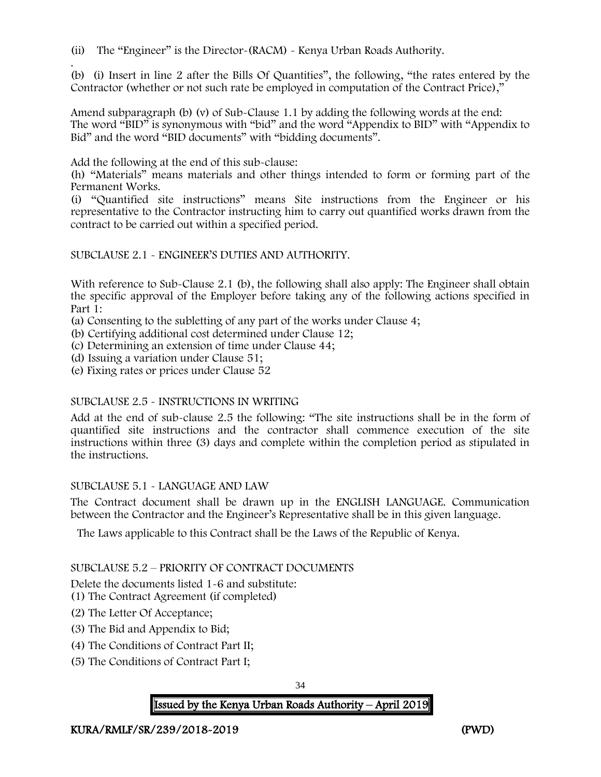(ii) The "Engineer" is the Director-(RACM) - Kenya Urban Roads Authority.

. (b) (i) Insert in line 2 after the Bills Of Quantities", the following, "the rates entered by the Contractor (whether or not such rate be employed in computation of the Contract Price),"

Amend subparagraph (b) (v) of Sub-Clause 1.1 by adding the following words at the end: The word "BID" is synonymous with "bid" and the word "Appendix to BID" with "Appendix to Bid" and the word "BID documents" with "bidding documents".

Add the following at the end of this sub-clause:

(h) "Materials" means materials and other things intended to form or forming part of the Permanent Works.

(i) "Quantified site instructions" means Site instructions from the Engineer or his representative to the Contractor instructing him to carry out quantified works drawn from the contract to be carried out within a specified period.

SUBCLAUSE 2.1 - ENGINEER'S DUTIES AND AUTHORITY.

With reference to Sub-Clause 2.1 (b), the following shall also apply: The Engineer shall obtain the specific approval of the Employer before taking any of the following actions specified in Part 1:

(a) Consenting to the subletting of any part of the works under Clause 4;

(b) Certifying additional cost determined under Clause 12;

(c) Determining an extension of time under Clause 44;

(d) Issuing a variation under Clause 51;

(e) Fixing rates or prices under Clause 52

#### SUBCLAUSE 2.5 - INSTRUCTIONS IN WRITING

Add at the end of sub-clause 2.5 the following: "The site instructions shall be in the form of quantified site instructions and the contractor shall commence execution of the site instructions within three (3) days and complete within the completion period as stipulated in the instructions.

#### SUBCLAUSE 5.1 - LANGUAGE AND LAW

The Contract document shall be drawn up in the ENGLISH LANGUAGE. Communication between the Contractor and the Engineer's Representative shall be in this given language.

The Laws applicable to this Contract shall be the Laws of the Republic of Kenya.

#### SUBCLAUSE 5.2 – PRIORITY OF CONTRACT DOCUMENTS

Delete the documents listed 1-6 and substitute:

- (1) The Contract Agreement (if completed)
- (2) The Letter Of Acceptance;
- (3) The Bid and Appendix to Bid;
- (4) The Conditions of Contract Part II;
- (5) The Conditions of Contract Part I;

 34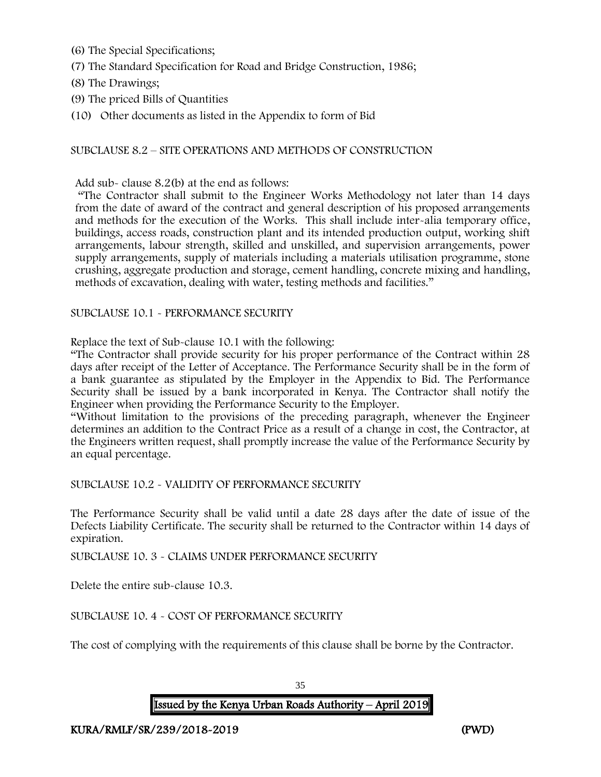- (6) The Special Specifications;
- (7) The Standard Specification for Road and Bridge Construction, 1986;
- (8) The Drawings;
- (9) The priced Bills of Quantities
- (10) Other documents as listed in the Appendix to form of Bid

#### SUBCLAUSE 8.2 – SITE OPERATIONS AND METHODS OF CONSTRUCTION

#### Add sub- clause 8.2(b) at the end as follows:

"The Contractor shall submit to the Engineer Works Methodology not later than 14 days from the date of award of the contract and general description of his proposed arrangements and methods for the execution of the Works. This shall include inter-alia temporary office, buildings, access roads, construction plant and its intended production output, working shift arrangements, labour strength, skilled and unskilled, and supervision arrangements, power supply arrangements, supply of materials including a materials utilisation programme, stone crushing, aggregate production and storage, cement handling, concrete mixing and handling, methods of excavation, dealing with water, testing methods and facilities."

#### SUBCLAUSE 10.1 - PERFORMANCE SECURITY

Replace the text of Sub-clause 10.1 with the following:

"The Contractor shall provide security for his proper performance of the Contract within 28 days after receipt of the Letter of Acceptance. The Performance Security shall be in the form of a bank guarantee as stipulated by the Employer in the Appendix to Bid. The Performance Security shall be issued by a bank incorporated in Kenya. The Contractor shall notify the Engineer when providing the Performance Security to the Employer.

"Without limitation to the provisions of the preceding paragraph, whenever the Engineer determines an addition to the Contract Price as a result of a change in cost, the Contractor, at the Engineers written request, shall promptly increase the value of the Performance Security by an equal percentage.

SUBCLAUSE 10.2 - VALIDITY OF PERFORMANCE SECURITY

The Performance Security shall be valid until a date 28 days after the date of issue of the Defects Liability Certificate. The security shall be returned to the Contractor within 14 days of expiration.

SUBCLAUSE 10. 3 - CLAIMS UNDER PERFORMANCE SECURITY

Delete the entire sub-clause 10.3.

SUBCLAUSE 10. 4 - COST OF PERFORMANCE SECURITY

The cost of complying with the requirements of this clause shall be borne by the Contractor.

| <b>Issued by the Kenya Urban Roads Authority – April 2019</b> |
|---------------------------------------------------------------|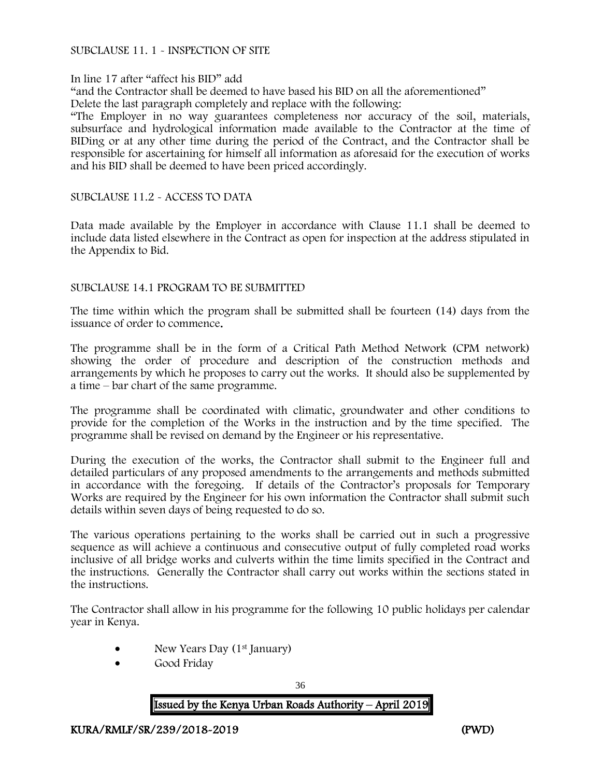### SUBCLAUSE 11. 1 - INSPECTION OF SITE

#### In line 17 after "affect his BID" add

"and the Contractor shall be deemed to have based his BID on all the aforementioned" Delete the last paragraph completely and replace with the following:

"The Employer in no way guarantees completeness nor accuracy of the soil, materials, subsurface and hydrological information made available to the Contractor at the time of BIDing or at any other time during the period of the Contract, and the Contractor shall be responsible for ascertaining for himself all information as aforesaid for the execution of works and his BID shall be deemed to have been priced accordingly.

SUBCLAUSE 11.2 - ACCESS TO DATA

Data made available by the Employer in accordance with Clause 11.1 shall be deemed to include data listed elsewhere in the Contract as open for inspection at the address stipulated in the Appendix to Bid.

#### SUBCLAUSE 14.1 PROGRAM TO BE SUBMITTED

The time within which the program shall be submitted shall be fourteen (14) days from the issuance of order to commence.

The programme shall be in the form of a Critical Path Method Network (CPM network) showing the order of procedure and description of the construction methods and arrangements by which he proposes to carry out the works. It should also be supplemented by a time – bar chart of the same programme.

The programme shall be coordinated with climatic, groundwater and other conditions to provide for the completion of the Works in the instruction and by the time specified. The programme shall be revised on demand by the Engineer or his representative.

During the execution of the works, the Contractor shall submit to the Engineer full and detailed particulars of any proposed amendments to the arrangements and methods submitted in accordance with the foregoing. If details of the Contractor's proposals for Temporary Works are required by the Engineer for his own information the Contractor shall submit such details within seven days of being requested to do so.

The various operations pertaining to the works shall be carried out in such a progressive sequence as will achieve a continuous and consecutive output of fully completed road works inclusive of all bridge works and culverts within the time limits specified in the Contract and the instructions. Generally the Contractor shall carry out works within the sections stated in the instructions.

The Contractor shall allow in his programme for the following 10 public holidays per calendar year in Kenya.

- New Years Day (1<sup>st</sup> January)
- Good Friday

 36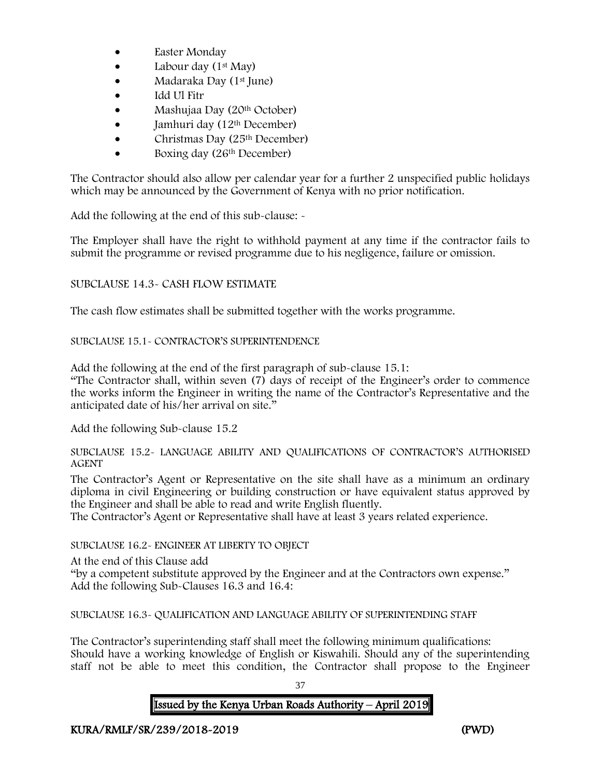- Easter Monday
- Labour day  $(1<sup>st</sup>$  May)
- $\bullet$  Madaraka Day (1<sup>st</sup> June)
- Idd Ul Fitr
- Mashujaa Day (20<sup>th</sup> October)
- $\bullet$  Jamhuri day (12<sup>th</sup> December)
- Christmas Day  $(25<sup>th</sup> December)$
- Boxing day (26<sup>th</sup> December)

The Contractor should also allow per calendar year for a further 2 unspecified public holidays which may be announced by the Government of Kenya with no prior notification.

Add the following at the end of this sub-clause: -

The Employer shall have the right to withhold payment at any time if the contractor fails to submit the programme or revised programme due to his negligence, failure or omission.

## SUBCLAUSE 14.3- CASH FLOW ESTIMATE

The cash flow estimates shall be submitted together with the works programme.

## SUBCLAUSE 15.1- CONTRACTOR'S SUPERINTENDENCE

Add the following at the end of the first paragraph of sub-clause 15.1:

"The Contractor shall, within seven (7) days of receipt of the Engineer's order to commence the works inform the Engineer in writing the name of the Contractor's Representative and the anticipated date of his/her arrival on site."

Add the following Sub-clause 15.2

SUBCLAUSE 15.2- LANGUAGE ABILITY AND QUALIFICATIONS OF CONTRACTOR'S AUTHORISED AGENT

The Contractor's Agent or Representative on the site shall have as a minimum an ordinary diploma in civil Engineering or building construction or have equivalent status approved by the Engineer and shall be able to read and write English fluently.

The Contractor's Agent or Representative shall have at least 3 years related experience.

## SUBCLAUSE 16.2- ENGINEER AT LIBERTY TO OBJECT

At the end of this Clause add

"by a competent substitute approved by the Engineer and at the Contractors own expense." Add the following Sub-Clauses 16.3 and 16.4:

SUBCLAUSE 16.3- QUALIFICATION AND LANGUAGE ABILITY OF SUPERINTENDING STAFF

The Contractor's superintending staff shall meet the following minimum qualifications: Should have a working knowledge of English or Kiswahili. Should any of the superintending staff not be able to meet this condition, the Contractor shall propose to the Engineer

> 37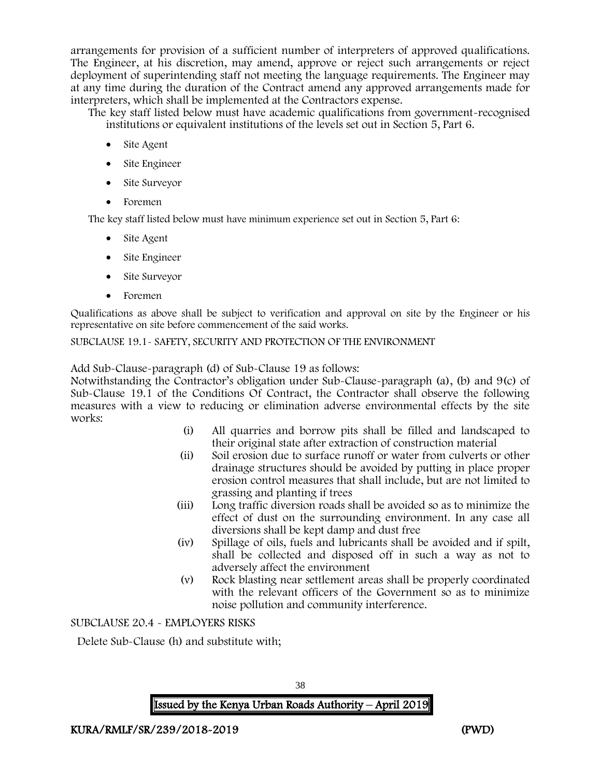arrangements for provision of a sufficient number of interpreters of approved qualifications. The Engineer, at his discretion, may amend, approve or reject such arrangements or reject deployment of superintending staff not meeting the language requirements. The Engineer may at any time during the duration of the Contract amend any approved arrangements made for interpreters, which shall be implemented at the Contractors expense.

The key staff listed below must have academic qualifications from government-recognised institutions or equivalent institutions of the levels set out in Section 5, Part 6.

- Site Agent
- Site Engineer
- Site Surveyor
- Foremen

The key staff listed below must have minimum experience set out in Section 5, Part 6:

- Site Agent
- Site Engineer
- Site Surveyor
- Foremen

Qualifications as above shall be subject to verification and approval on site by the Engineer or his representative on site before commencement of the said works.

SUBCLAUSE 19.1- SAFETY, SECURITY AND PROTECTION OF THE ENVIRONMENT

Add Sub-Clause-paragraph (d) of Sub-Clause 19 as follows:

Notwithstanding the Contractor's obligation under Sub-Clause-paragraph (a), (b) and 9(c) of Sub-Clause 19.1 of the Conditions Of Contract, the Contractor shall observe the following measures with a view to reducing or elimination adverse environmental effects by the site works:

- (i) All quarries and borrow pits shall be filled and landscaped to their original state after extraction of construction material
- (ii) Soil erosion due to surface runoff or water from culverts or other drainage structures should be avoided by putting in place proper erosion control measures that shall include, but are not limited to grassing and planting if trees
- (iii) Long traffic diversion roads shall be avoided so as to minimize the effect of dust on the surrounding environment. In any case all diversions shall be kept damp and dust free
- (iv) Spillage of oils, fuels and lubricants shall be avoided and if spilt, shall be collected and disposed off in such a way as not to adversely affect the environment
- (v) Rock blasting near settlement areas shall be properly coordinated with the relevant officers of the Government so as to minimize noise pollution and community interference.

SUBCLAUSE 20.4 - EMPLOYERS RISKS

Delete Sub-Clause (h) and substitute with;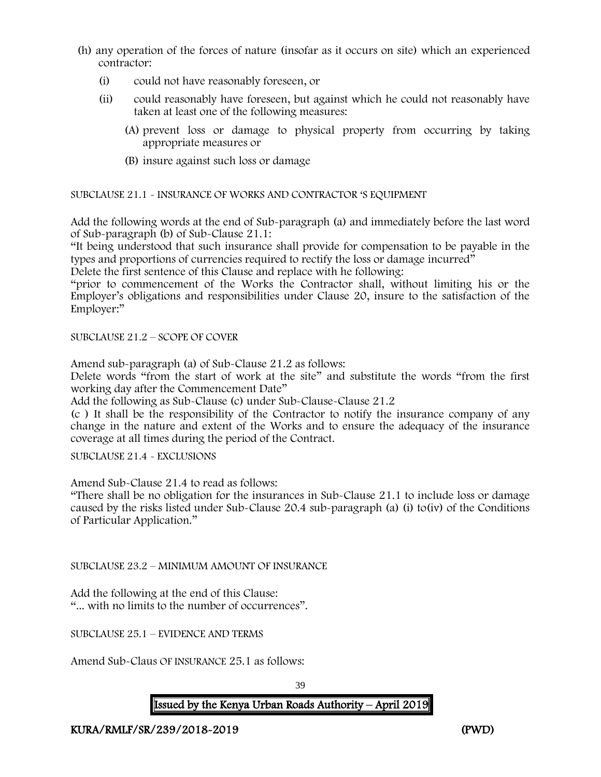- (h) any operation of the forces of nature (insofar as it occurs on site) which an experienced contractor:
	- (i) could not have reasonably foreseen, or
	- (ii) could reasonably have foreseen, but against which he could not reasonably have taken at least one of the following measures:
		- (A) prevent loss or damage to physical property from occurring by taking appropriate measures or
		- (B) insure against such loss or damage

SUBCLAUSE 21.1 - INSURANCE OF WORKS AND CONTRACTOR 'S EQUIPMENT

Add the following words at the end of Sub-paragraph (a) and immediately before the last word of Sub-paragraph (b) of Sub-Clause 21.1:

"It being understood that such insurance shall provide for compensation to be payable in the types and proportions of currencies required to rectify the loss or damage incurred"

Delete the first sentence of this Clause and replace with he following:

"prior to commencement of the Works the Contractor shall, without limiting his or the Employer's obligations and responsibilities under Clause 20, insure to the satisfaction of the Employer:"

SUBCLAUSE 21.2 – SCOPE OF COVER

Amend sub-paragraph (a) of Sub-Clause 21.2 as follows:

Delete words "from the start of work at the site" and substitute the words "from the first working day after the Commencement Date"

Add the following as Sub-Clause (c) under Sub-Clause-Clause 21.2

(c ) It shall be the responsibility of the Contractor to notify the insurance company of any change in the nature and extent of the Works and to ensure the adequacy of the insurance coverage at all times during the period of the Contract.

SUBCLAUSE 21.4 - EXCLUSIONS

Amend Sub-Clause 21.4 to read as follows:

"There shall be no obligation for the insurances in Sub-Clause 21.1 to include loss or damage caused by the risks listed under Sub-Clause 20.4 sub-paragraph (a) (i) to(iv) of the Conditions of Particular Application."

SUBCLAUSE 23.2 – MINIMUM AMOUNT OF INSURANCE

Add the following at the end of this Clause: "... with no limits to the number of occurrences".

SUBCLAUSE 25.1 – EVIDENCE AND TERMS

Amend Sub-Claus OF INSURANCE 25.1 as follows:

 39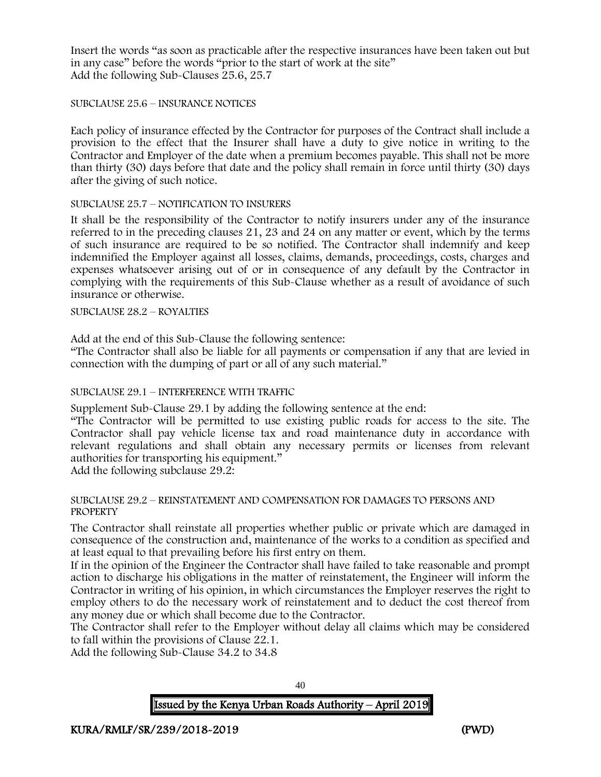Insert the words "as soon as practicable after the respective insurances have been taken out but in any case" before the words "prior to the start of work at the site" Add the following Sub-Clauses 25.6, 25.7

### SUBCLAUSE 25.6 – INSURANCE NOTICES

Each policy of insurance effected by the Contractor for purposes of the Contract shall include a provision to the effect that the Insurer shall have a duty to give notice in writing to the Contractor and Employer of the date when a premium becomes payable. This shall not be more than thirty (30) days before that date and the policy shall remain in force until thirty (30) days after the giving of such notice.

### SUBCLAUSE 25.7 – NOTIFICATION TO INSURERS

It shall be the responsibility of the Contractor to notify insurers under any of the insurance referred to in the preceding clauses 21, 23 and 24 on any matter or event, which by the terms of such insurance are required to be so notified. The Contractor shall indemnify and keep indemnified the Employer against all losses, claims, demands, proceedings, costs, charges and expenses whatsoever arising out of or in consequence of any default by the Contractor in complying with the requirements of this Sub-Clause whether as a result of avoidance of such insurance or otherwise.

#### SUBCLAUSE 28.2 – ROYALTIES

Add at the end of this Sub-Clause the following sentence:

"The Contractor shall also be liable for all payments or compensation if any that are levied in connection with the dumping of part or all of any such material."

#### SUBCLAUSE 29.1 – INTERFERENCE WITH TRAFFIC

Supplement Sub-Clause 29.1 by adding the following sentence at the end:

"The Contractor will be permitted to use existing public roads for access to the site. The Contractor shall pay vehicle license tax and road maintenance duty in accordance with relevant regulations and shall obtain any necessary permits or licenses from relevant authorities for transporting his equipment."

Add the following subclause 29.2:

#### SUBCLAUSE 29.2 – REINSTATEMENT AND COMPENSATION FOR DAMAGES TO PERSONS AND **PROPERTY**

The Contractor shall reinstate all properties whether public or private which are damaged in consequence of the construction and, maintenance of the works to a condition as specified and at least equal to that prevailing before his first entry on them.

If in the opinion of the Engineer the Contractor shall have failed to take reasonable and prompt action to discharge his obligations in the matter of reinstatement, the Engineer will inform the Contractor in writing of his opinion, in which circumstances the Employer reserves the right to employ others to do the necessary work of reinstatement and to deduct the cost thereof from any money due or which shall become due to the Contractor.

The Contractor shall refer to the Employer without delay all claims which may be considered to fall within the provisions of Clause 22.1.

Add the following Sub-Clause 34.2 to 34.8

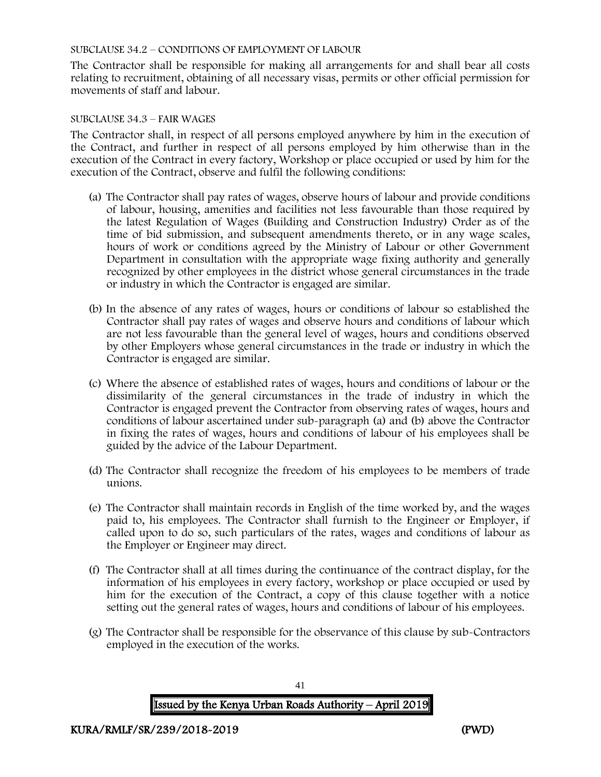### SUBCLAUSE 34.2 – CONDITIONS OF EMPLOYMENT OF LABOUR

The Contractor shall be responsible for making all arrangements for and shall bear all costs relating to recruitment, obtaining of all necessary visas, permits or other official permission for movements of staff and labour.

### SUBCLAUSE 34.3 – FAIR WAGES

The Contractor shall, in respect of all persons employed anywhere by him in the execution of the Contract, and further in respect of all persons employed by him otherwise than in the execution of the Contract in every factory, Workshop or place occupied or used by him for the execution of the Contract, observe and fulfil the following conditions:

- (a) The Contractor shall pay rates of wages, observe hours of labour and provide conditions of labour, housing, amenities and facilities not less favourable than those required by the latest Regulation of Wages (Building and Construction Industry) Order as of the time of bid submission, and subsequent amendments thereto, or in any wage scales, hours of work or conditions agreed by the Ministry of Labour or other Government Department in consultation with the appropriate wage fixing authority and generally recognized by other employees in the district whose general circumstances in the trade or industry in which the Contractor is engaged are similar.
- (b) In the absence of any rates of wages, hours or conditions of labour so established the Contractor shall pay rates of wages and observe hours and conditions of labour which are not less favourable than the general level of wages, hours and conditions observed by other Employers whose general circumstances in the trade or industry in which the Contractor is engaged are similar.
- (c) Where the absence of established rates of wages, hours and conditions of labour or the dissimilarity of the general circumstances in the trade of industry in which the Contractor is engaged prevent the Contractor from observing rates of wages, hours and conditions of labour ascertained under sub-paragraph (a) and (b) above the Contractor in fixing the rates of wages, hours and conditions of labour of his employees shall be guided by the advice of the Labour Department.
- (d) The Contractor shall recognize the freedom of his employees to be members of trade unions.
- (e) The Contractor shall maintain records in English of the time worked by, and the wages paid to, his employees. The Contractor shall furnish to the Engineer or Employer, if called upon to do so, such particulars of the rates, wages and conditions of labour as the Employer or Engineer may direct.
- (f) The Contractor shall at all times during the continuance of the contract display, for the information of his employees in every factory, workshop or place occupied or used by him for the execution of the Contract, a copy of this clause together with a notice setting out the general rates of wages, hours and conditions of labour of his employees.
- (g) The Contractor shall be responsible for the observance of this clause by sub-Contractors employed in the execution of the works.

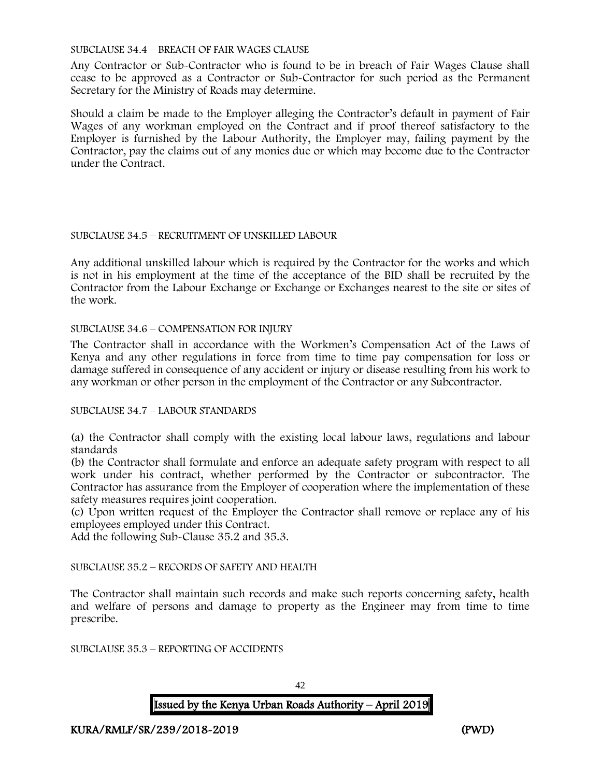#### SUBCLAUSE 34.4 – BREACH OF FAIR WAGES CLAUSE

Any Contractor or Sub-Contractor who is found to be in breach of Fair Wages Clause shall cease to be approved as a Contractor or Sub-Contractor for such period as the Permanent Secretary for the Ministry of Roads may determine.

Should a claim be made to the Employer alleging the Contractor's default in payment of Fair Wages of any workman employed on the Contract and if proof thereof satisfactory to the Employer is furnished by the Labour Authority, the Employer may, failing payment by the Contractor, pay the claims out of any monies due or which may become due to the Contractor under the Contract.

#### SUBCLAUSE 34.5 – RECRUITMENT OF UNSKILLED LABOUR

Any additional unskilled labour which is required by the Contractor for the works and which is not in his employment at the time of the acceptance of the BID shall be recruited by the Contractor from the Labour Exchange or Exchange or Exchanges nearest to the site or sites of the work.

#### SUBCLAUSE 34.6 – COMPENSATION FOR INJURY

The Contractor shall in accordance with the Workmen's Compensation Act of the Laws of Kenya and any other regulations in force from time to time pay compensation for loss or damage suffered in consequence of any accident or injury or disease resulting from his work to any workman or other person in the employment of the Contractor or any Subcontractor.

#### SUBCLAUSE 34.7 – LABOUR STANDARDS

(a) the Contractor shall comply with the existing local labour laws, regulations and labour standards

(b) the Contractor shall formulate and enforce an adequate safety program with respect to all work under his contract, whether performed by the Contractor or subcontractor. The Contractor has assurance from the Employer of cooperation where the implementation of these safety measures requires joint cooperation.

(c) Upon written request of the Employer the Contractor shall remove or replace any of his employees employed under this Contract.

Add the following Sub-Clause 35.2 and 35.3.

SUBCLAUSE 35.2 – RECORDS OF SAFETY AND HEALTH

The Contractor shall maintain such records and make such reports concerning safety, health and welfare of persons and damage to property as the Engineer may from time to time prescribe.

SUBCLAUSE 35.3 – REPORTING OF ACCIDENTS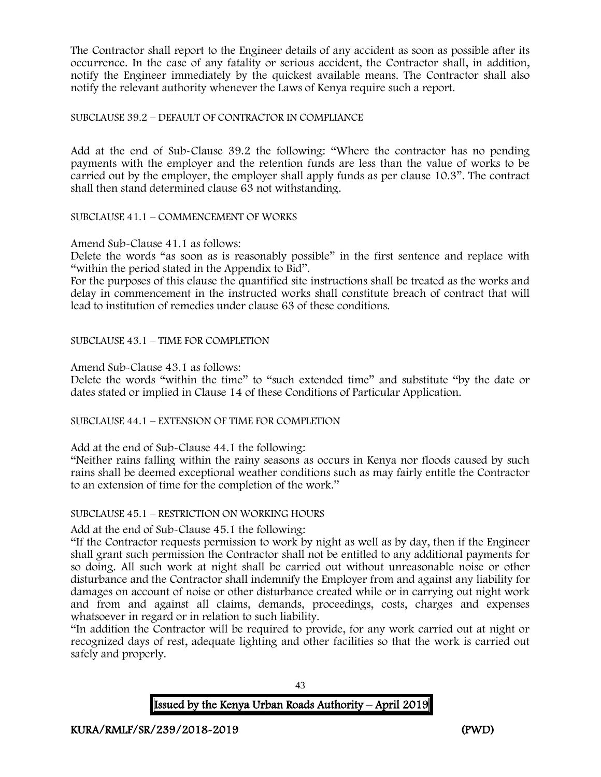The Contractor shall report to the Engineer details of any accident as soon as possible after its occurrence. In the case of any fatality or serious accident, the Contractor shall, in addition, notify the Engineer immediately by the quickest available means. The Contractor shall also notify the relevant authority whenever the Laws of Kenya require such a report.

## SUBCLAUSE 39.2 – DEFAULT OF CONTRACTOR IN COMPLIANCE

Add at the end of Sub-Clause 39.2 the following: "Where the contractor has no pending payments with the employer and the retention funds are less than the value of works to be carried out by the employer, the employer shall apply funds as per clause 10.3". The contract shall then stand determined clause 63 not withstanding.

SUBCLAUSE 41.1 – COMMENCEMENT OF WORKS

Amend Sub-Clause 41.1 as follows:

Delete the words "as soon as is reasonably possible" in the first sentence and replace with "within the period stated in the Appendix to Bid".

For the purposes of this clause the quantified site instructions shall be treated as the works and delay in commencement in the instructed works shall constitute breach of contract that will lead to institution of remedies under clause 63 of these conditions.

### SUBCLAUSE 43.1 – TIME FOR COMPLETION

Amend Sub-Clause 43.1 as follows:

Delete the words "within the time" to "such extended time" and substitute "by the date or dates stated or implied in Clause 14 of these Conditions of Particular Application.

SUBCLAUSE 44.1 – EXTENSION OF TIME FOR COMPLETION

Add at the end of Sub-Clause 44.1 the following:

"Neither rains falling within the rainy seasons as occurs in Kenya nor floods caused by such rains shall be deemed exceptional weather conditions such as may fairly entitle the Contractor to an extension of time for the completion of the work."

SUBCLAUSE 45.1 – RESTRICTION ON WORKING HOURS

Add at the end of Sub-Clause 45.1 the following:

"If the Contractor requests permission to work by night as well as by day, then if the Engineer shall grant such permission the Contractor shall not be entitled to any additional payments for so doing. All such work at night shall be carried out without unreasonable noise or other disturbance and the Contractor shall indemnify the Employer from and against any liability for damages on account of noise or other disturbance created while or in carrying out night work and from and against all claims, demands, proceedings, costs, charges and expenses whatsoever in regard or in relation to such liability.

"In addition the Contractor will be required to provide, for any work carried out at night or recognized days of rest, adequate lighting and other facilities so that the work is carried out safely and properly.

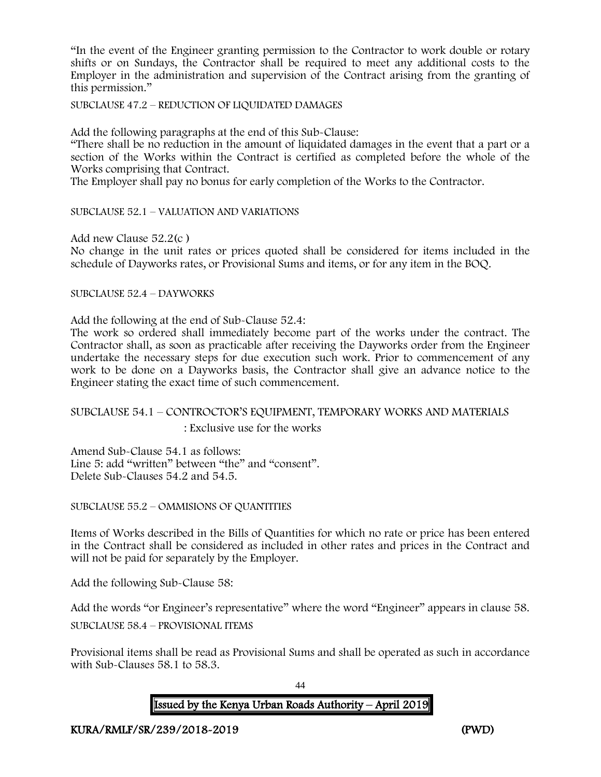"In the event of the Engineer granting permission to the Contractor to work double or rotary shifts or on Sundays, the Contractor shall be required to meet any additional costs to the Employer in the administration and supervision of the Contract arising from the granting of this permission."

## SUBCLAUSE 47.2 – REDUCTION OF LIQUIDATED DAMAGES

Add the following paragraphs at the end of this Sub-Clause:

"There shall be no reduction in the amount of liquidated damages in the event that a part or a section of the Works within the Contract is certified as completed before the whole of the Works comprising that Contract.

The Employer shall pay no bonus for early completion of the Works to the Contractor.

SUBCLAUSE 52.1 – VALUATION AND VARIATIONS

Add new Clause 52.2(c )

No change in the unit rates or prices quoted shall be considered for items included in the schedule of Dayworks rates, or Provisional Sums and items, or for any item in the BOQ.

SUBCLAUSE 52.4 – DAYWORKS

Add the following at the end of Sub-Clause 52.4:

The work so ordered shall immediately become part of the works under the contract. The Contractor shall, as soon as practicable after receiving the Dayworks order from the Engineer undertake the necessary steps for due execution such work. Prior to commencement of any work to be done on a Dayworks basis, the Contractor shall give an advance notice to the Engineer stating the exact time of such commencement.

### SUBCLAUSE 54.1 – CONTROCTOR'S EQUIPMENT, TEMPORARY WORKS AND MATERIALS : Exclusive use for the works

Amend Sub-Clause 54.1 as follows: Line 5: add "written" between "the" and "consent". Delete Sub-Clauses 54.2 and 54.5.

SUBCLAUSE 55.2 – OMMISIONS OF QUANTITIES

Items of Works described in the Bills of Quantities for which no rate or price has been entered in the Contract shall be considered as included in other rates and prices in the Contract and will not be paid for separately by the Employer.

Add the following Sub-Clause 58:

Add the words "or Engineer's representative" where the word "Engineer" appears in clause 58. SUBCLAUSE 58.4 – PROVISIONAL ITEMS

Provisional items shall be read as Provisional Sums and shall be operated as such in accordance with Sub-Clauses 58.1 to 58.3.

> 44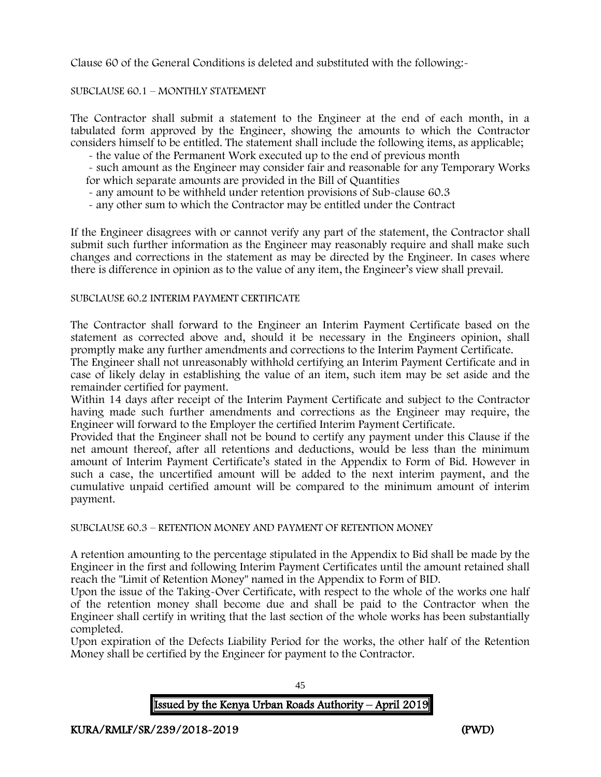Clause 60 of the General Conditions is deleted and substituted with the following:-

## SUBCLAUSE 60.1 – MONTHLY STATEMENT

The Contractor shall submit a statement to the Engineer at the end of each month, in a tabulated form approved by the Engineer, showing the amounts to which the Contractor considers himself to be entitled. The statement shall include the following items, as applicable;

- the value of the Permanent Work executed up to the end of previous month

- such amount as the Engineer may consider fair and reasonable for any Temporary Works for which separate amounts are provided in the Bill of Quantities

- any amount to be withheld under retention provisions of Sub-clause 60.3
- any other sum to which the Contractor may be entitled under the Contract

If the Engineer disagrees with or cannot verify any part of the statement, the Contractor shall submit such further information as the Engineer may reasonably require and shall make such changes and corrections in the statement as may be directed by the Engineer. In cases where there is difference in opinion as to the value of any item, the Engineer's view shall prevail.

### SUBCLAUSE 60.2 INTERIM PAYMENT CERTIFICATE

The Contractor shall forward to the Engineer an Interim Payment Certificate based on the statement as corrected above and, should it be necessary in the Engineers opinion, shall promptly make any further amendments and corrections to the Interim Payment Certificate.

The Engineer shall not unreasonably withhold certifying an Interim Payment Certificate and in case of likely delay in establishing the value of an item, such item may be set aside and the remainder certified for payment.

Within 14 days after receipt of the Interim Payment Certificate and subject to the Contractor having made such further amendments and corrections as the Engineer may require, the Engineer will forward to the Employer the certified Interim Payment Certificate.

Provided that the Engineer shall not be bound to certify any payment under this Clause if the net amount thereof, after all retentions and deductions, would be less than the minimum amount of Interim Payment Certificate's stated in the Appendix to Form of Bid. However in such a case, the uncertified amount will be added to the next interim payment, and the cumulative unpaid certified amount will be compared to the minimum amount of interim payment.

SUBCLAUSE 60.3 – RETENTION MONEY AND PAYMENT OF RETENTION MONEY

A retention amounting to the percentage stipulated in the Appendix to Bid shall be made by the Engineer in the first and following Interim Payment Certificates until the amount retained shall reach the "Limit of Retention Money" named in the Appendix to Form of BID.

Upon the issue of the Taking-Over Certificate, with respect to the whole of the works one half of the retention money shall become due and shall be paid to the Contractor when the Engineer shall certify in writing that the last section of the whole works has been substantially completed.

Upon expiration of the Defects Liability Period for the works, the other half of the Retention Money shall be certified by the Engineer for payment to the Contractor.

| Issued by the Kenya Urban Roads Authority - April 2019 |  |
|--------------------------------------------------------|--|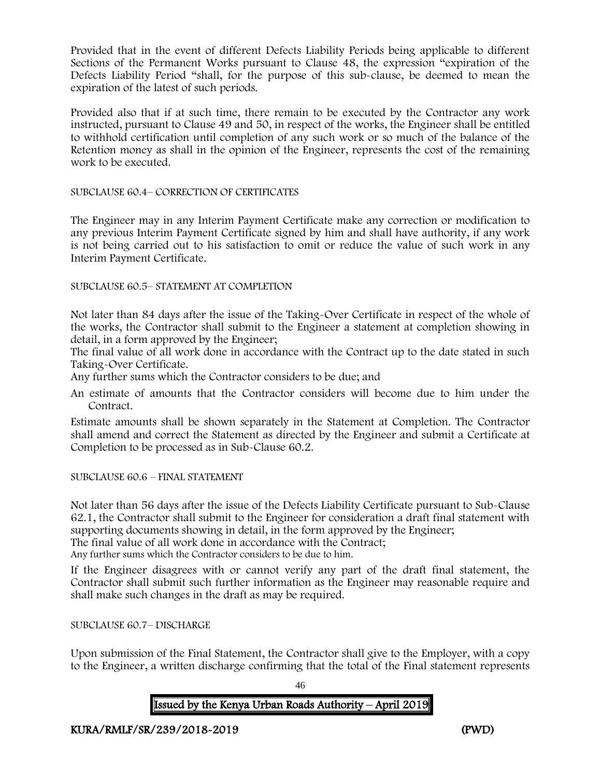Provided that in the event of different Defects Liability Periods being applicable to different Sections of the Permanent Works pursuant to Clause 48, the expression "expiration of the Defects Liability Period "shall, for the purpose of this sub-clause, be deemed to mean the expiration of the latest of such periods.

Provided also that if at such time, there remain to be executed by the Contractor any work instructed, pursuant to Clause 49 and 50, in respect of the works, the Engineer shall be entitled to withhold certification until completion of any such work or so much of the balance of the Retention money as shall in the opinion of the Engineer, represents the cost of the remaining work to be executed.

SUBCLAUSE 60.4– CORRECTION OF CERTIFICATES

The Engineer may in any Interim Payment Certificate make any correction or modification to any previous Interim Payment Certificate signed by him and shall have authority, if any work is not being carried out to his satisfaction to omit or reduce the value of such work in any Interim Payment Certificate.

SUBCLAUSE 60.5– STATEMENT AT COMPLETION

Not later than 84 days after the issue of the Taking-Over Certificate in respect of the whole of the works, the Contractor shall submit to the Engineer a statement at completion showing in detail, in a form approved by the Engineer;

The final value of all work done in accordance with the Contract up to the date stated in such Taking-Over Certificate.

Any further sums which the Contractor considers to be due; and

An estimate of amounts that the Contractor considers will become due to him under the Contract.

Estimate amounts shall be shown separately in the Statement at Completion. The Contractor shall amend and correct the Statement as directed by the Engineer and submit a Certificate at Completion to be processed as in Sub-Clause 60.2.

SUBCLAUSE 60.6 – FINAL STATEMENT

Not later than 56 days after the issue of the Defects Liability Certificate pursuant to Sub-Clause 62.1, the Contractor shall submit to the Engineer for consideration a draft final statement with supporting documents showing in detail, in the form approved by the Engineer;

The final value of all work done in accordance with the Contract;

Any further sums which the Contractor considers to be due to him.

If the Engineer disagrees with or cannot verify any part of the draft final statement, the Contractor shall submit such further information as the Engineer may reasonable require and shall make such changes in the draft as may be required.

SUBCLAUSE 60.7– DISCHARGE

Upon submission of the Final Statement, the Contractor shall give to the Employer, with a copy to the Engineer, a written discharge confirming that the total of the Final statement represents

46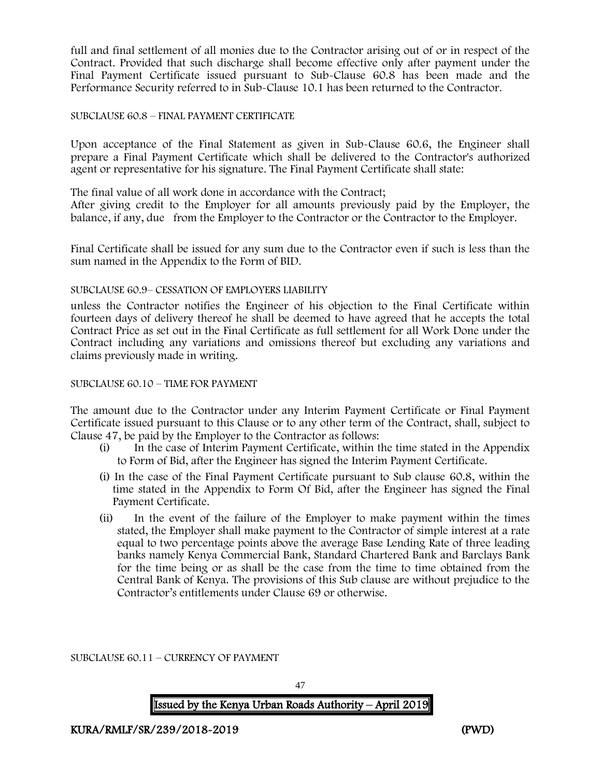full and final settlement of all monies due to the Contractor arising out of or in respect of the Contract. Provided that such discharge shall become effective only after payment under the Final Payment Certificate issued pursuant to Sub-Clause 60.8 has been made and the Performance Security referred to in Sub-Clause 10.1 has been returned to the Contractor.

#### SUBCLAUSE 60.8 – FINAL PAYMENT CERTIFICATE

Upon acceptance of the Final Statement as given in Sub-Clause 60.6, the Engineer shall prepare a Final Payment Certificate which shall be delivered to the Contractor's authorized agent or representative for his signature. The Final Payment Certificate shall state:

The final value of all work done in accordance with the Contract;

After giving credit to the Employer for all amounts previously paid by the Employer, the balance, if any, due from the Employer to the Contractor or the Contractor to the Employer.

Final Certificate shall be issued for any sum due to the Contractor even if such is less than the sum named in the Appendix to the Form of BID.

### SUBCLAUSE 60.9– CESSATION OF EMPLOYERS LIABILITY

unless the Contractor notifies the Engineer of his objection to the Final Certificate within fourteen days of delivery thereof he shall be deemed to have agreed that he accepts the total Contract Price as set out in the Final Certificate as full settlement for all Work Done under the Contract including any variations and omissions thereof but excluding any variations and claims previously made in writing.

#### SUBCLAUSE 60.10 – TIME FOR PAYMENT

The amount due to the Contractor under any Interim Payment Certificate or Final Payment Certificate issued pursuant to this Clause or to any other term of the Contract, shall, subject to Clause 47, be paid by the Employer to the Contractor as follows:

- (i) In the case of Interim Payment Certificate, within the time stated in the Appendix to Form of Bid, after the Engineer has signed the Interim Payment Certificate.
- (i) In the case of the Final Payment Certificate pursuant to Sub clause 60.8, within the time stated in the Appendix to Form Of Bid, after the Engineer has signed the Final Payment Certificate.
- (ii) In the event of the failure of the Employer to make payment within the times stated, the Employer shall make payment to the Contractor of simple interest at a rate equal to two percentage points above the average Base Lending Rate of three leading banks namely Kenya Commercial Bank, Standard Chartered Bank and Barclays Bank for the time being or as shall be the case from the time to time obtained from the Central Bank of Kenya. The provisions of this Sub clause are without prejudice to the Contractor's entitlements under Clause 69 or otherwise.

SUBCLAUSE 60.11 – CURRENCY OF PAYMENT



KURA/RMLF/SR/239/2018-2019 (PWD)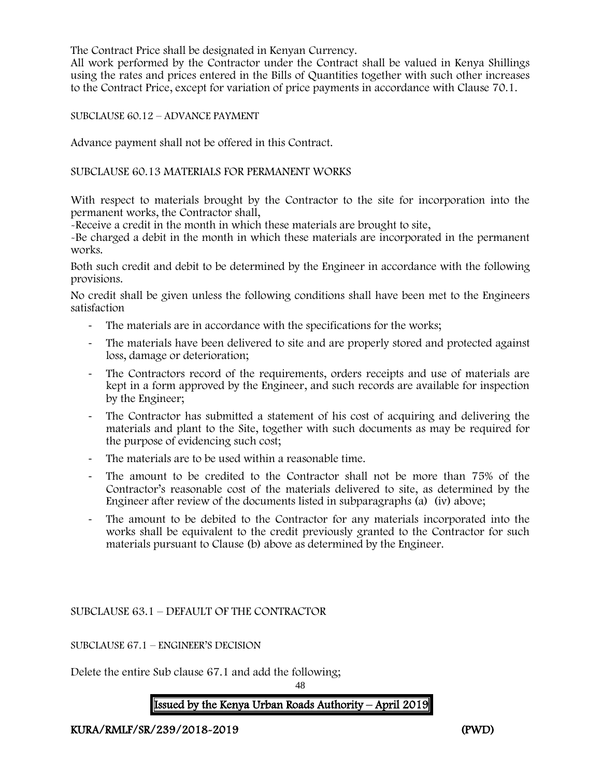The Contract Price shall be designated in Kenyan Currency.

All work performed by the Contractor under the Contract shall be valued in Kenya Shillings using the rates and prices entered in the Bills of Quantities together with such other increases to the Contract Price, except for variation of price payments in accordance with Clause 70.1.

### SUBCLAUSE 60.12 – ADVANCE PAYMENT

Advance payment shall not be offered in this Contract.

#### SUBCLAUSE 60.13 MATERIALS FOR PERMANENT WORKS

With respect to materials brought by the Contractor to the site for incorporation into the permanent works, the Contractor shall,

-Receive a credit in the month in which these materials are brought to site,

-Be charged a debit in the month in which these materials are incorporated in the permanent works.

Both such credit and debit to be determined by the Engineer in accordance with the following provisions.

No credit shall be given unless the following conditions shall have been met to the Engineers satisfaction

- The materials are in accordance with the specifications for the works;
- The materials have been delivered to site and are properly stored and protected against loss, damage or deterioration;
- The Contractors record of the requirements, orders receipts and use of materials are kept in a form approved by the Engineer, and such records are available for inspection by the Engineer;
- The Contractor has submitted a statement of his cost of acquiring and delivering the materials and plant to the Site, together with such documents as may be required for the purpose of evidencing such cost;
- The materials are to be used within a reasonable time.
- The amount to be credited to the Contractor shall not be more than 75% of the Contractor's reasonable cost of the materials delivered to site, as determined by the Engineer after review of the documents listed in subparagraphs (a) (iv) above;
- The amount to be debited to the Contractor for any materials incorporated into the works shall be equivalent to the credit previously granted to the Contractor for such materials pursuant to Clause (b) above as determined by the Engineer.

SUBCLAUSE 63.1 – DEFAULT OF THE CONTRACTOR

SUBCLAUSE 67.1 – ENGINEER'S DECISION

Delete the entire Sub clause 67.1 and add the following;

48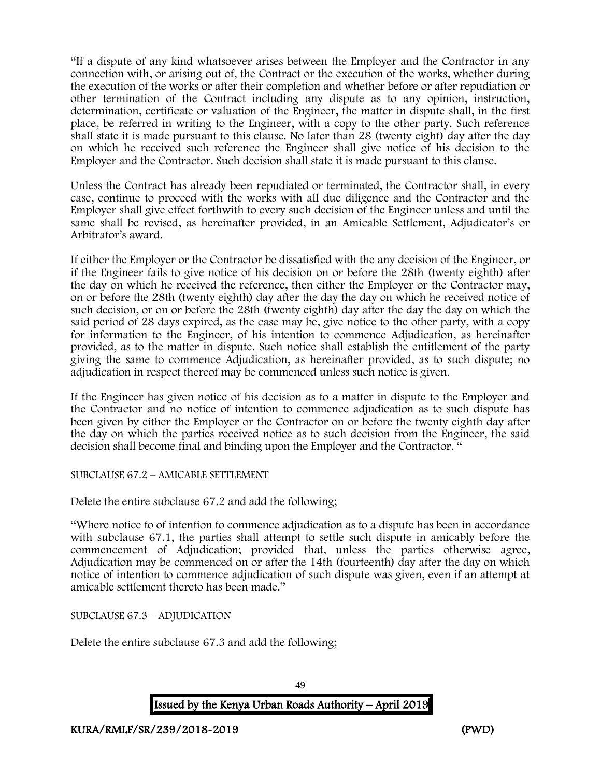"If a dispute of any kind whatsoever arises between the Employer and the Contractor in any connection with, or arising out of, the Contract or the execution of the works, whether during the execution of the works or after their completion and whether before or after repudiation or other termination of the Contract including any dispute as to any opinion, instruction, determination, certificate or valuation of the Engineer, the matter in dispute shall, in the first place, be referred in writing to the Engineer, with a copy to the other party. Such reference shall state it is made pursuant to this clause. No later than 28 (twenty eight) day after the day on which he received such reference the Engineer shall give notice of his decision to the Employer and the Contractor. Such decision shall state it is made pursuant to this clause.

Unless the Contract has already been repudiated or terminated, the Contractor shall, in every case, continue to proceed with the works with all due diligence and the Contractor and the Employer shall give effect forthwith to every such decision of the Engineer unless and until the same shall be revised, as hereinafter provided, in an Amicable Settlement, Adjudicator's or Arbitrator's award.

If either the Employer or the Contractor be dissatisfied with the any decision of the Engineer, or if the Engineer fails to give notice of his decision on or before the 28th (twenty eighth) after the day on which he received the reference, then either the Employer or the Contractor may, on or before the 28th (twenty eighth) day after the day the day on which he received notice of such decision, or on or before the 28th (twenty eighth) day after the day the day on which the said period of 28 days expired, as the case may be, give notice to the other party, with a copy for information to the Engineer, of his intention to commence Adjudication, as hereinafter provided, as to the matter in dispute. Such notice shall establish the entitlement of the party giving the same to commence Adjudication, as hereinafter provided, as to such dispute; no adjudication in respect thereof may be commenced unless such notice is given.

If the Engineer has given notice of his decision as to a matter in dispute to the Employer and the Contractor and no notice of intention to commence adjudication as to such dispute has been given by either the Employer or the Contractor on or before the twenty eighth day after the day on which the parties received notice as to such decision from the Engineer, the said decision shall become final and binding upon the Employer and the Contractor. "

## SUBCLAUSE 67.2 – AMICABLE SETTLEMENT

Delete the entire subclause 67.2 and add the following;

"Where notice to of intention to commence adjudication as to a dispute has been in accordance with subclause 67.1, the parties shall attempt to settle such dispute in amicably before the commencement of Adjudication; provided that, unless the parties otherwise agree, Adjudication may be commenced on or after the 14th (fourteenth) day after the day on which notice of intention to commence adjudication of such dispute was given, even if an attempt at amicable settlement thereto has been made."

SUBCLAUSE 67.3 – ADJUDICATION

Delete the entire subclause 67.3 and add the following;

Issued by the Kenya Urban Roads Authority – April 2019

49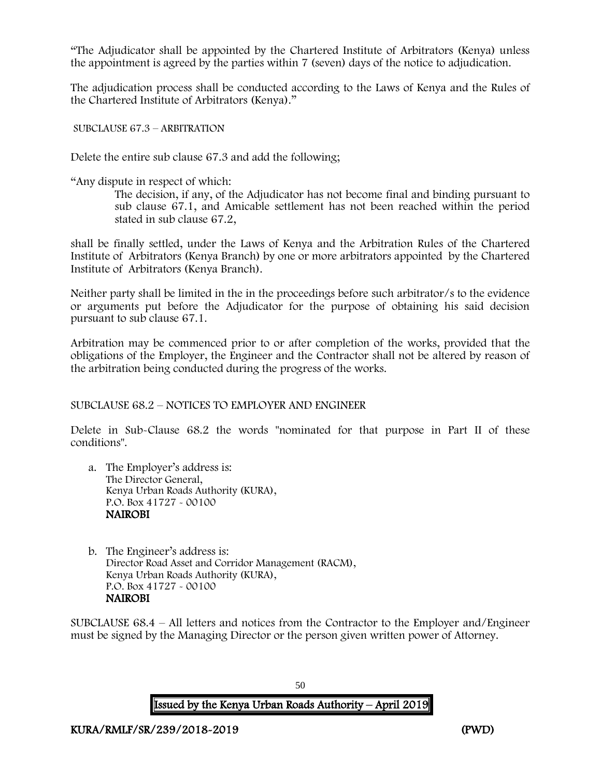"The Adjudicator shall be appointed by the Chartered Institute of Arbitrators (Kenya) unless the appointment is agreed by the parties within 7 (seven) days of the notice to adjudication.

The adjudication process shall be conducted according to the Laws of Kenya and the Rules of the Chartered Institute of Arbitrators (Kenya)."

SUBCLAUSE 67.3 – ARBITRATION

Delete the entire sub clause 67.3 and add the following;

"Any dispute in respect of which:

The decision, if any, of the Adjudicator has not become final and binding pursuant to sub clause 67.1, and Amicable settlement has not been reached within the period stated in sub clause 67.2,

shall be finally settled, under the Laws of Kenya and the Arbitration Rules of the Chartered Institute of Arbitrators (Kenya Branch) by one or more arbitrators appointed by the Chartered Institute of Arbitrators (Kenya Branch).

Neither party shall be limited in the in the proceedings before such arbitrator/s to the evidence or arguments put before the Adjudicator for the purpose of obtaining his said decision pursuant to sub clause 67.1.

Arbitration may be commenced prior to or after completion of the works, provided that the obligations of the Employer, the Engineer and the Contractor shall not be altered by reason of the arbitration being conducted during the progress of the works.

SUBCLAUSE 68.2 – NOTICES TO EMPLOYER AND ENGINEER

Delete in Sub-Clause 68.2 the words "nominated for that purpose in Part II of these conditions".

- a. The Employer's address is: The Director General, Kenya Urban Roads Authority (KURA), P.O. Box 41727 - 00100 NAIROBI
- b. The Engineer's address is: Director Road Asset and Corridor Management (RACM), Kenya Urban Roads Authority (KURA), P.O. Box 41727 - 00100 NAIROBI

SUBCLAUSE 68.4 – All letters and notices from the Contractor to the Employer and/Engineer must be signed by the Managing Director or the person given written power of Attorney.

| Issued by the Kenya Urban Roads Authority – April 2019 $\parallel$ |
|--------------------------------------------------------------------|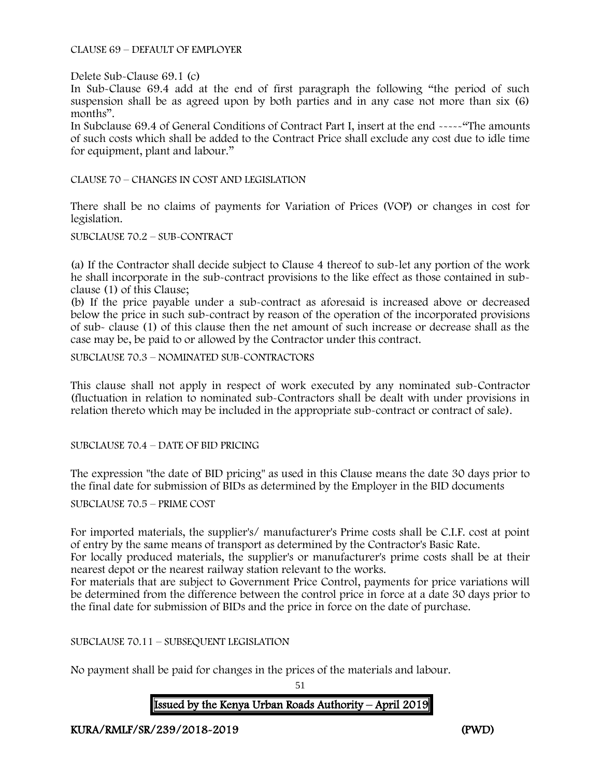CLAUSE 69 – DEFAULT OF EMPLOYER

Delete Sub-Clause 69.1 (c)

In Sub-Clause 69.4 add at the end of first paragraph the following "the period of such suspension shall be as agreed upon by both parties and in any case not more than six (6) months".

In Subclause 69.4 of General Conditions of Contract Part I, insert at the end -----"The amounts of such costs which shall be added to the Contract Price shall exclude any cost due to idle time for equipment, plant and labour."

CLAUSE 70 – CHANGES IN COST AND LEGISLATION

There shall be no claims of payments for Variation of Prices (VOP) or changes in cost for legislation.

SUBCLAUSE 70.2 – SUB-CONTRACT

(a) If the Contractor shall decide subject to Clause 4 thereof to sub-let any portion of the work he shall incorporate in the sub-contract provisions to the like effect as those contained in subclause (1) of this Clause;

(b) If the price payable under a sub-contract as aforesaid is increased above or decreased below the price in such sub-contract by reason of the operation of the incorporated provisions of sub- clause (1) of this clause then the net amount of such increase or decrease shall as the case may be, be paid to or allowed by the Contractor under this contract.

SUBCLAUSE 70.3 – NOMINATED SUB-CONTRACTORS

This clause shall not apply in respect of work executed by any nominated sub-Contractor (fluctuation in relation to nominated sub-Contractors shall be dealt with under provisions in relation thereto which may be included in the appropriate sub-contract or contract of sale).

SUBCLAUSE 70.4 – DATE OF BID PRICING

The expression "the date of BID pricing" as used in this Clause means the date 30 days prior to the final date for submission of BIDs as determined by the Employer in the BID documents

SUBCLAUSE 70.5 – PRIME COST

For imported materials, the supplier's/ manufacturer's Prime costs shall be C.I.F. cost at point of entry by the same means of transport as determined by the Contractor's Basic Rate.

For locally produced materials, the supplier's or manufacturer's prime costs shall be at their nearest depot or the nearest railway station relevant to the works.

For materials that are subject to Government Price Control, payments for price variations will be determined from the difference between the control price in force at a date 30 days prior to the final date for submission of BIDs and the price in force on the date of purchase.

SUBCLAUSE 70.11 – SUBSEQUENT LEGISLATION

No payment shall be paid for changes in the prices of the materials and labour.

# Issued by the Kenya Urban Roads Authority – April 2019

51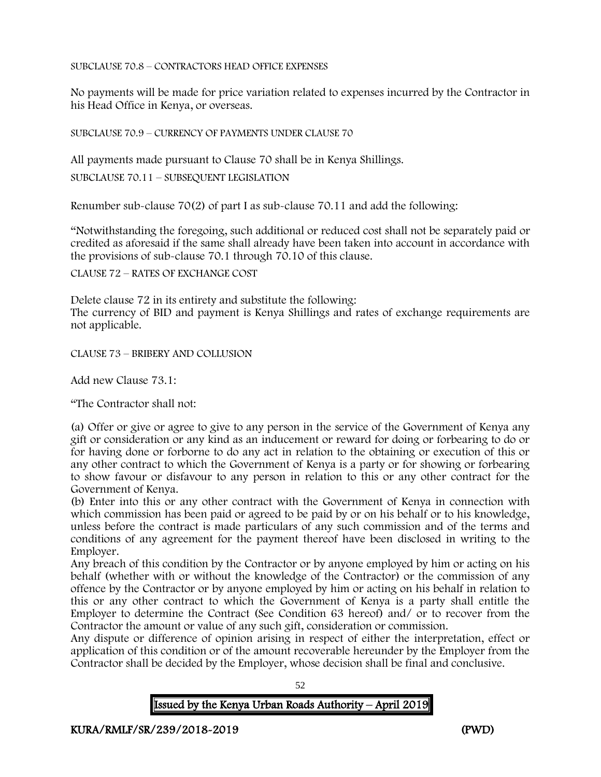SUBCLAUSE 70.8 – CONTRACTORS HEAD OFFICE EXPENSES

No payments will be made for price variation related to expenses incurred by the Contractor in his Head Office in Kenya, or overseas.

SUBCLAUSE 70.9 – CURRENCY OF PAYMENTS UNDER CLAUSE 70

All payments made pursuant to Clause 70 shall be in Kenya Shillings.

SUBCLAUSE 70.11 – SUBSEQUENT LEGISLATION

Renumber sub-clause 70(2) of part I as sub-clause 70.11 and add the following:

"Notwithstanding the foregoing, such additional or reduced cost shall not be separately paid or credited as aforesaid if the same shall already have been taken into account in accordance with the provisions of sub-clause 70.1 through 70.10 of this clause.

CLAUSE 72 – RATES OF EXCHANGE COST

Delete clause 72 in its entirety and substitute the following: The currency of BID and payment is Kenya Shillings and rates of exchange requirements are not applicable.

CLAUSE 73 – BRIBERY AND COLLUSION

Add new Clause 73.1:

"The Contractor shall not:

(a) Offer or give or agree to give to any person in the service of the Government of Kenya any gift or consideration or any kind as an inducement or reward for doing or forbearing to do or for having done or forborne to do any act in relation to the obtaining or execution of this or any other contract to which the Government of Kenya is a party or for showing or forbearing to show favour or disfavour to any person in relation to this or any other contract for the Government of Kenya.

(b) Enter into this or any other contract with the Government of Kenya in connection with which commission has been paid or agreed to be paid by or on his behalf or to his knowledge, unless before the contract is made particulars of any such commission and of the terms and conditions of any agreement for the payment thereof have been disclosed in writing to the Employer.

Any breach of this condition by the Contractor or by anyone employed by him or acting on his behalf (whether with or without the knowledge of the Contractor) or the commission of any offence by the Contractor or by anyone employed by him or acting on his behalf in relation to this or any other contract to which the Government of Kenya is a party shall entitle the Employer to determine the Contract (See Condition 63 hereof) and/ or to recover from the Contractor the amount or value of any such gift, consideration or commission.

Any dispute or difference of opinion arising in respect of either the interpretation, effect or application of this condition or of the amount recoverable hereunder by the Employer from the Contractor shall be decided by the Employer, whose decision shall be final and conclusive.

| Issued by the Kenya Urban Roads Authority - April 2019 |
|--------------------------------------------------------|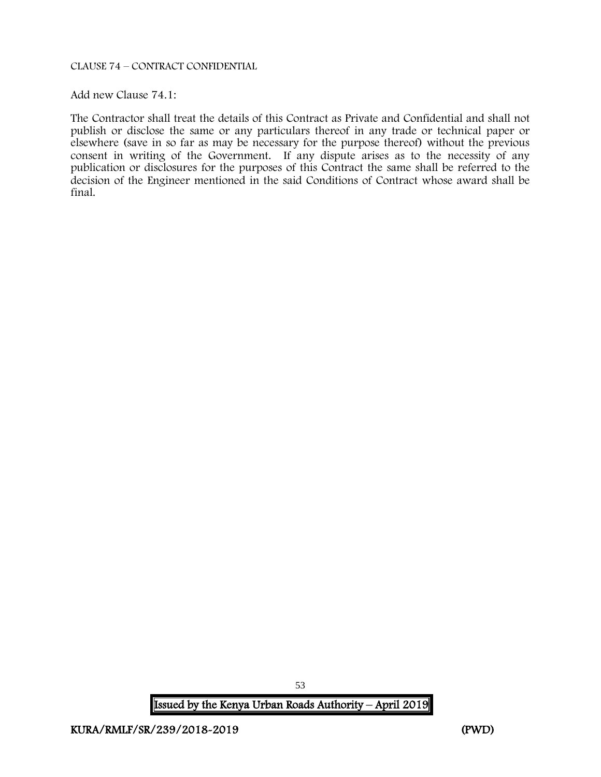CLAUSE 74 – CONTRACT CONFIDENTIAL

Add new Clause 74.1:

The Contractor shall treat the details of this Contract as Private and Confidential and shall not publish or disclose the same or any particulars thereof in any trade or technical paper or elsewhere (save in so far as may be necessary for the purpose thereof) without the previous consent in writing of the Government. If any dispute arises as to the necessity of any publication or disclosures for the purposes of this Contract the same shall be referred to the decision of the Engineer mentioned in the said Conditions of Contract whose award shall be final.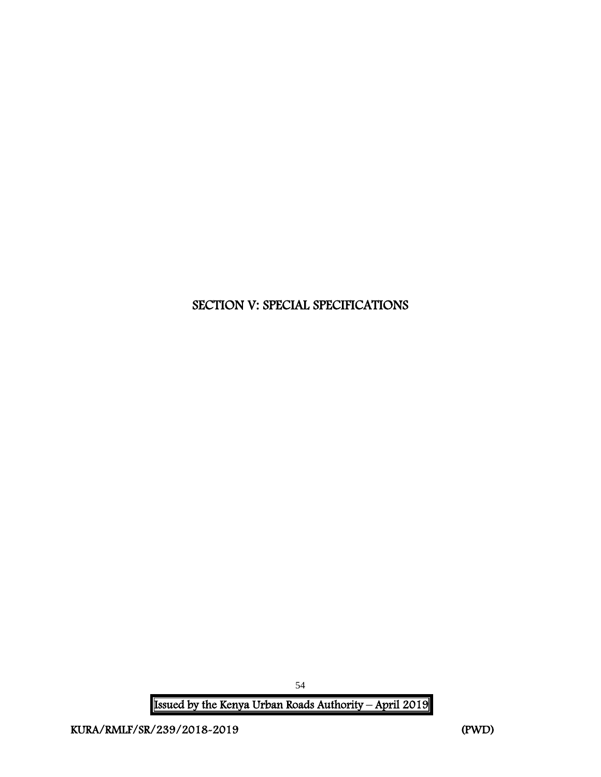# SECTION V: SPECIAL SPECIFICATIONS

Issued by the Kenya Urban Roads Authority – April 2019

54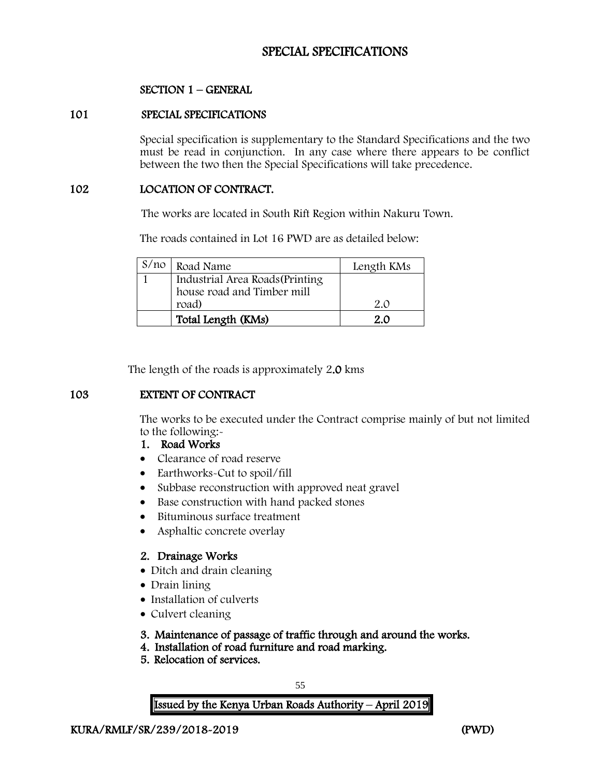## SPECIAL SPECIFICATIONS

## SECTION 1 – GENERAL

### 101 SPECIAL SPECIFICATIONS

Special specification is supplementary to the Standard Specifications and the two must be read in conjunction. In any case where there appears to be conflict between the two then the Special Specifications will take precedence.

### 102 LOCATION OF CONTRACT.

The works are located in South Rift Region within Nakuru Town.

The roads contained in Lot 16 PWD are as detailed below:

| S/no | Road Name                       | Length KMs |
|------|---------------------------------|------------|
|      | Industrial Area Roads (Printing |            |
|      | house road and Timber mill      |            |
|      | road)                           | 2.0        |
|      | Total Length (KMs)              | 2.0        |

The length of the roads is approximately 2.0 kms

## 103 EXTENT OF CONTRACT

The works to be executed under the Contract comprise mainly of but not limited to the following:-

- 1. Road Works
- Clearance of road reserve
- Earthworks-Cut to spoil/fill
- Subbase reconstruction with approved neat gravel
- Base construction with hand packed stones
- Bituminous surface treatment
- Asphaltic concrete overlay

## 2. Drainage Works

- Ditch and drain cleaning
- Drain lining
- Installation of culverts
- Culvert cleaning
- 3. Maintenance of passage of traffic through and around the works.
- 4. Installation of road furniture and road marking.
- 5. Relocation of services.

 55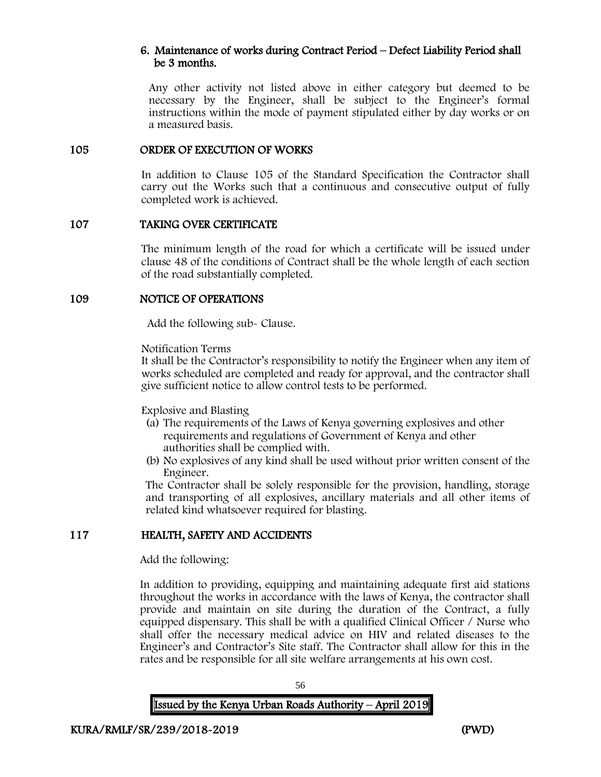## 6. Maintenance of works during Contract Period – Defect Liability Period shall be 3 months.

Any other activity not listed above in either category but deemed to be necessary by the Engineer, shall be subject to the Engineer's formal instructions within the mode of payment stipulated either by day works or on a measured basis.

### 105 ORDER OF EXECUTION OF WORKS

In addition to Clause 105 of the Standard Specification the Contractor shall carry out the Works such that a continuous and consecutive output of fully completed work is achieved.

### 107 TAKING OVER CERTIFICATE

The minimum length of the road for which a certificate will be issued under clause 48 of the conditions of Contract shall be the whole length of each section of the road substantially completed.

### 109 NOTICE OF OPERATIONS

Add the following sub- Clause.

Notification Terms

It shall be the Contractor's responsibility to notify the Engineer when any item of works scheduled are completed and ready for approval, and the contractor shall give sufficient notice to allow control tests to be performed.

Explosive and Blasting

- (a) The requirements of the Laws of Kenya governing explosives and other requirements and regulations of Government of Kenya and other authorities shall be complied with.
- (b) No explosives of any kind shall be used without prior written consent of the Engineer.

The Contractor shall be solely responsible for the provision, handling, storage and transporting of all explosives, ancillary materials and all other items of related kind whatsoever required for blasting.

## 117 HEALTH, SAFETY AND ACCIDENTS

Add the following:

In addition to providing, equipping and maintaining adequate first aid stations throughout the works in accordance with the laws of Kenya, the contractor shall provide and maintain on site during the duration of the Contract, a fully equipped dispensary. This shall be with a qualified Clinical Officer / Nurse who shall offer the necessary medical advice on HIV and related diseases to the Engineer's and Contractor's Site staff. The Contractor shall allow for this in the rates and be responsible for all site welfare arrangements at his own cost.

| I<br>× | ۰.<br>۰.<br>v<br>., |  |
|--------|---------------------|--|
|        |                     |  |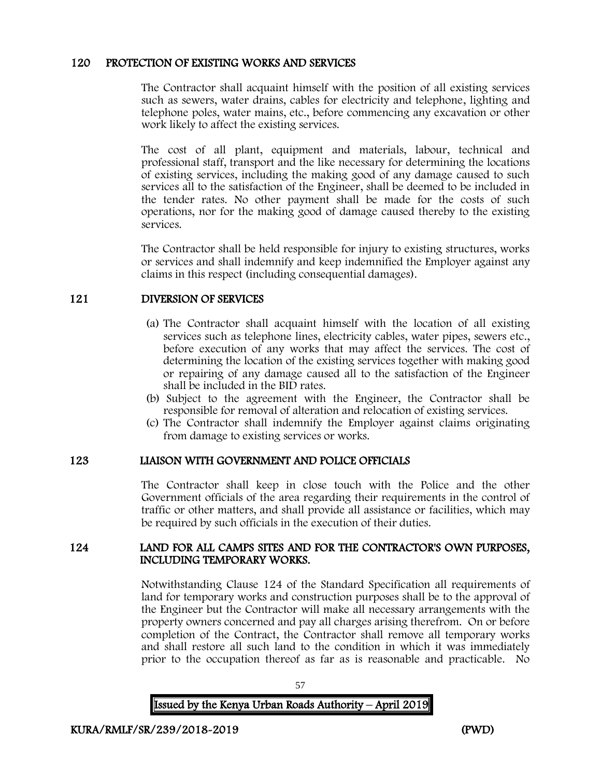### 120 PROTECTION OF EXISTING WORKS AND SERVICES

The Contractor shall acquaint himself with the position of all existing services such as sewers, water drains, cables for electricity and telephone, lighting and telephone poles, water mains, etc., before commencing any excavation or other work likely to affect the existing services.

The cost of all plant, equipment and materials, labour, technical and professional staff, transport and the like necessary for determining the locations of existing services, including the making good of any damage caused to such services all to the satisfaction of the Engineer, shall be deemed to be included in the tender rates. No other payment shall be made for the costs of such operations, nor for the making good of damage caused thereby to the existing services.

The Contractor shall be held responsible for injury to existing structures, works or services and shall indemnify and keep indemnified the Employer against any claims in this respect (including consequential damages).

### 121 DIVERSION OF SERVICES

- (a) The Contractor shall acquaint himself with the location of all existing services such as telephone lines, electricity cables, water pipes, sewers etc., before execution of any works that may affect the services. The cost of determining the location of the existing services together with making good or repairing of any damage caused all to the satisfaction of the Engineer shall be included in the BID rates.
- (b) Subject to the agreement with the Engineer, the Contractor shall be responsible for removal of alteration and relocation of existing services.
- (c) The Contractor shall indemnify the Employer against claims originating from damage to existing services or works.

### 123 LIAISON WITH GOVERNMENT AND POLICE OFFICIALS

The Contractor shall keep in close touch with the Police and the other Government officials of the area regarding their requirements in the control of traffic or other matters, and shall provide all assistance or facilities, which may be required by such officials in the execution of their duties.

#### 124 LAND FOR ALL CAMPS SITES AND FOR THE CONTRACTOR'S OWN PURPOSES, INCLUDING TEMPORARY WORKS.

Notwithstanding Clause 124 of the Standard Specification all requirements of land for temporary works and construction purposes shall be to the approval of the Engineer but the Contractor will make all necessary arrangements with the property owners concerned and pay all charges arising therefrom. On or before completion of the Contract, the Contractor shall remove all temporary works and shall restore all such land to the condition in which it was immediately prior to the occupation thereof as far as is reasonable and practicable. No

| <b>Issued by the Kenya Urban Roads Authority – April 2019</b> |
|---------------------------------------------------------------|

57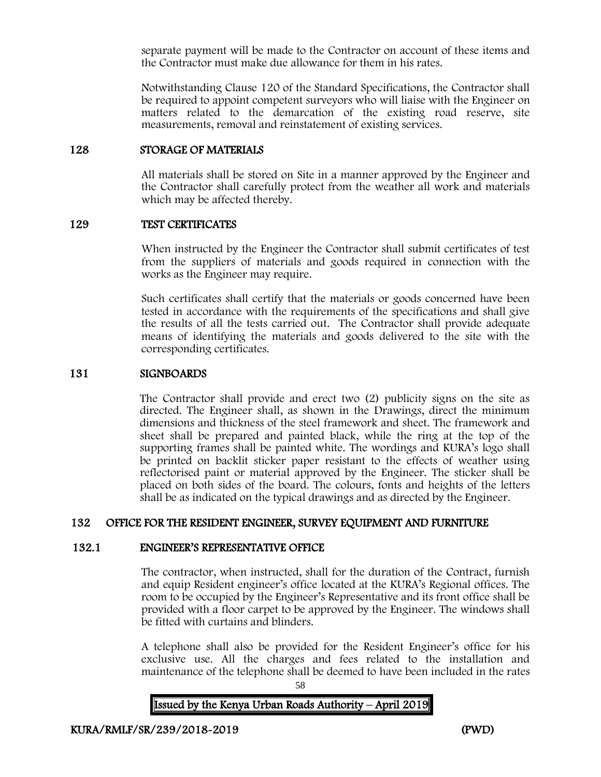separate payment will be made to the Contractor on account of these items and the Contractor must make due allowance for them in his rates.

Notwithstanding Clause 120 of the Standard Specifications, the Contractor shall be required to appoint competent surveyors who will liaise with the Engineer on matters related to the demarcation of the existing road reserve, site measurements, removal and reinstatement of existing services.

### 128 STORAGE OF MATERIALS

All materials shall be stored on Site in a manner approved by the Engineer and the Contractor shall carefully protect from the weather all work and materials which may be affected thereby.

### 129 TEST CERTIFICATES

When instructed by the Engineer the Contractor shall submit certificates of test from the suppliers of materials and goods required in connection with the works as the Engineer may require.

Such certificates shall certify that the materials or goods concerned have been tested in accordance with the requirements of the specifications and shall give the results of all the tests carried out. The Contractor shall provide adequate means of identifying the materials and goods delivered to the site with the corresponding certificates.

### 131 SIGNBOARDS

The Contractor shall provide and erect two (2) publicity signs on the site as directed. The Engineer shall, as shown in the Drawings, direct the minimum dimensions and thickness of the steel framework and sheet. The framework and sheet shall be prepared and painted black, while the ring at the top of the supporting frames shall be painted white. The wordings and KURA's logo shall be printed on backlit sticker paper resistant to the effects of weather using reflectorised paint or material approved by the Engineer. The sticker shall be placed on both sides of the board. The colours, fonts and heights of the letters shall be as indicated on the typical drawings and as directed by the Engineer.

## 132 OFFICE FOR THE RESIDENT ENGINEER, SURVEY EQUIPMENT AND FURNITURE

#### 132.1 ENGINEER'S REPRESENTATIVE OFFICE

The contractor, when instructed, shall for the duration of the Contract, furnish and equip Resident engineer's office located at the KURA's Regional offices. The room to be occupied by the Engineer's Representative and its front office shall be provided with a floor carpet to be approved by the Engineer. The windows shall be fitted with curtains and blinders.

58 A telephone shall also be provided for the Resident Engineer's office for his exclusive use. All the charges and fees related to the installation and maintenance of the telephone shall be deemed to have been included in the rates

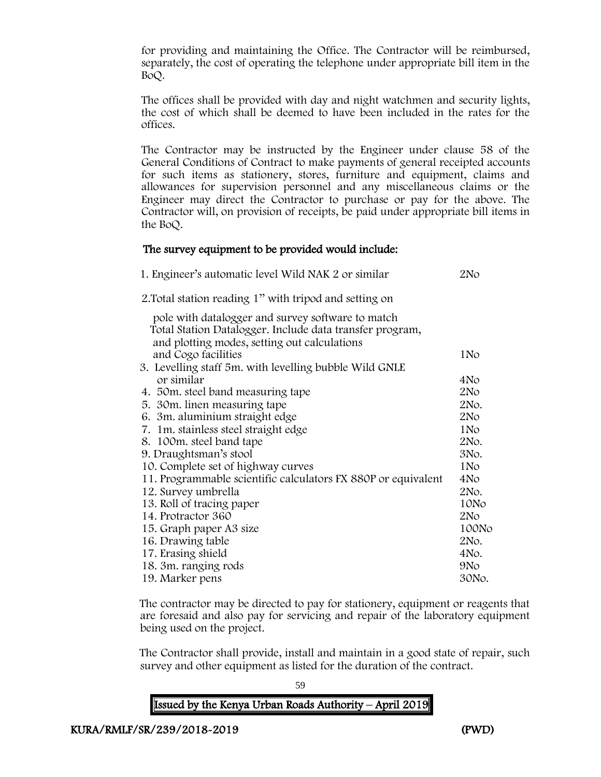for providing and maintaining the Office. The Contractor will be reimbursed, separately, the cost of operating the telephone under appropriate bill item in the BoQ.

The offices shall be provided with day and night watchmen and security lights, the cost of which shall be deemed to have been included in the rates for the offices.

The Contractor may be instructed by the Engineer under clause 58 of the General Conditions of Contract to make payments of general receipted accounts for such items as stationery, stores, furniture and equipment, claims and allowances for supervision personnel and any miscellaneous claims or the Engineer may direct the Contractor to purchase or pay for the above. The Contractor will, on provision of receipts, be paid under appropriate bill items in the BoQ.

### The survey equipment to be provided would include:

| 1. Engineer's automatic level Wild NAK 2 or similar                 | 2N <sub>O</sub> |
|---------------------------------------------------------------------|-----------------|
| 2. Total station reading 1" with tripod and setting on              |                 |
| pole with datalogger and survey software to match                   |                 |
| Total Station Datalogger. Include data transfer program,            |                 |
| and plotting modes, setting out calculations<br>and Cogo facilities | 1N <sub>o</sub> |
| 3. Levelling staff 5m. with levelling bubble Wild GNLE              |                 |
| or similar                                                          | 4No             |
| 4. 50m. steel band measuring tape                                   | 2N <sub>O</sub> |
| 5. 30m. linen measuring tape                                        | 2No.            |
| 6. 3m. aluminium straight edge                                      | 2N <sub>O</sub> |
| 7. 1m. stainless steel straight edge                                | 1N <sub>o</sub> |
| 8. 100m. steel band tape                                            | 2No.            |
| 9. Draughtsman's stool                                              | 3No.            |
| 10. Complete set of highway curves                                  | 1N <sub>o</sub> |
| 11. Programmable scientific calculators FX 880P or equivalent       | 4No             |
| 12. Survey umbrella                                                 | 2No.            |
| 13. Roll of tracing paper                                           | 10No            |
| 14. Protractor 360                                                  | 2N <sub>O</sub> |
| 15. Graph paper A3 size                                             | 100No           |
| 16. Drawing table                                                   | 2No.            |
| 17. Erasing shield                                                  | 4No.            |
| 18. 3m. ranging rods                                                | 9N <sub>o</sub> |
| 19. Marker pens                                                     | 30No.           |

The contractor may be directed to pay for stationery, equipment or reagents that are foresaid and also pay for servicing and repair of the laboratory equipment being used on the project.

The Contractor shall provide, install and maintain in a good state of repair, such survey and other equipment as listed for the duration of the contract.

| <b>Issued by the Kenya Urban Roads Authority - April 2019</b> |
|---------------------------------------------------------------|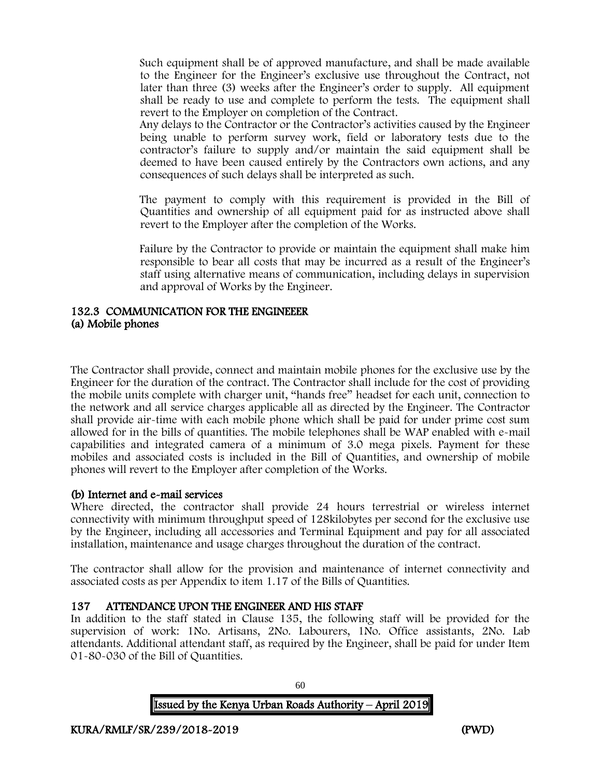Such equipment shall be of approved manufacture, and shall be made available to the Engineer for the Engineer's exclusive use throughout the Contract, not later than three (3) weeks after the Engineer's order to supply. All equipment shall be ready to use and complete to perform the tests. The equipment shall revert to the Employer on completion of the Contract.

Any delays to the Contractor or the Contractor's activities caused by the Engineer being unable to perform survey work, field or laboratory tests due to the contractor's failure to supply and/or maintain the said equipment shall be deemed to have been caused entirely by the Contractors own actions, and any consequences of such delays shall be interpreted as such.

The payment to comply with this requirement is provided in the Bill of Quantities and ownership of all equipment paid for as instructed above shall revert to the Employer after the completion of the Works.

Failure by the Contractor to provide or maintain the equipment shall make him responsible to bear all costs that may be incurred as a result of the Engineer's staff using alternative means of communication, including delays in supervision and approval of Works by the Engineer.

## 132.3 COMMUNICATION FOR THE ENGINEEER (a) Mobile phones

The Contractor shall provide, connect and maintain mobile phones for the exclusive use by the Engineer for the duration of the contract. The Contractor shall include for the cost of providing the mobile units complete with charger unit, "hands free" headset for each unit, connection to the network and all service charges applicable all as directed by the Engineer. The Contractor shall provide air-time with each mobile phone which shall be paid for under prime cost sum allowed for in the bills of quantities. The mobile telephones shall be WAP enabled with e-mail capabilities and integrated camera of a minimum of 3.0 mega pixels. Payment for these mobiles and associated costs is included in the Bill of Quantities, and ownership of mobile phones will revert to the Employer after completion of the Works.

## (b) Internet and e-mail services

Where directed, the contractor shall provide 24 hours terrestrial or wireless internet connectivity with minimum throughput speed of 128kilobytes per second for the exclusive use by the Engineer, including all accessories and Terminal Equipment and pay for all associated installation, maintenance and usage charges throughout the duration of the contract.

The contractor shall allow for the provision and maintenance of internet connectivity and associated costs as per Appendix to item 1.17 of the Bills of Quantities.

## 137 ATTENDANCE UPON THE ENGINEER AND HIS STAFF

In addition to the staff stated in Clause 135, the following staff will be provided for the supervision of work: 1No. Artisans, 2No. Labourers, 1No. Office assistants, 2No. Lab attendants. Additional attendant staff, as required by the Engineer, shall be paid for under Item 01-80-030 of the Bill of Quantities.

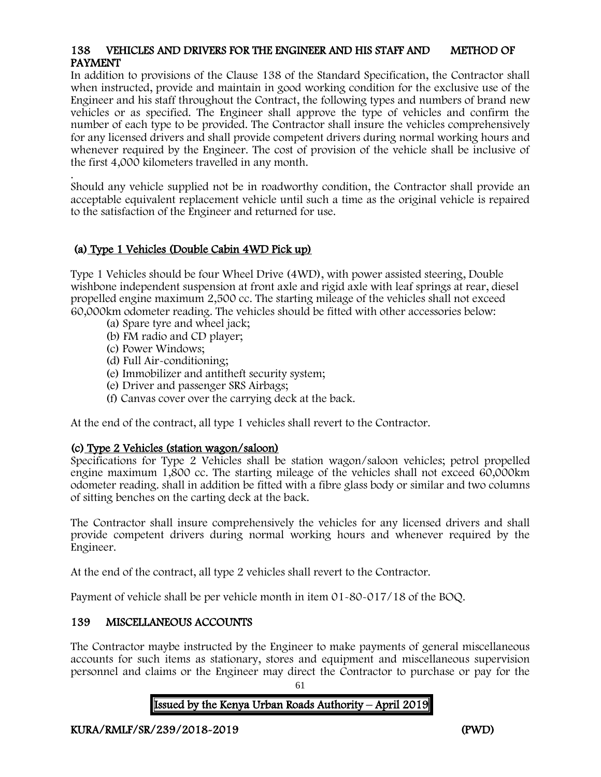## 138 VEHICLES AND DRIVERS FOR THE ENGINEER AND HIS STAFF AND METHOD OF PAYMENT

In addition to provisions of the Clause 138 of the Standard Specification, the Contractor shall when instructed, provide and maintain in good working condition for the exclusive use of the Engineer and his staff throughout the Contract, the following types and numbers of brand new vehicles or as specified. The Engineer shall approve the type of vehicles and confirm the number of each type to be provided. The Contractor shall insure the vehicles comprehensively for any licensed drivers and shall provide competent drivers during normal working hours and whenever required by the Engineer. The cost of provision of the vehicle shall be inclusive of the first 4,000 kilometers travelled in any month.

. Should any vehicle supplied not be in roadworthy condition, the Contractor shall provide an acceptable equivalent replacement vehicle until such a time as the original vehicle is repaired to the satisfaction of the Engineer and returned for use.

## (a) Type 1 Vehicles (Double Cabin 4WD Pick up)

Type 1 Vehicles should be four Wheel Drive (4WD), with power assisted steering, Double wishbone independent suspension at front axle and rigid axle with leaf springs at rear, diesel propelled engine maximum 2,500 cc. The starting mileage of the vehicles shall not exceed 60,000km odometer reading. The vehicles should be fitted with other accessories below:

- (a) Spare tyre and wheel jack;
- (b) FM radio and CD player;
- (c) Power Windows;
- (d) Full Air-conditioning;
- (e) Immobilizer and antitheft security system;
- (e) Driver and passenger SRS Airbags;
- (f) Canvas cover over the carrying deck at the back.

At the end of the contract, all type 1 vehicles shall revert to the Contractor.

## (c) Type 2 Vehicles (station wagon/saloon)

Specifications for Type 2 Vehicles shall be station wagon/saloon vehicles; petrol propelled engine maximum 1,800 cc. The starting mileage of the vehicles shall not exceed 60,000km odometer reading. shall in addition be fitted with a fibre glass body or similar and two columns of sitting benches on the carting deck at the back.

The Contractor shall insure comprehensively the vehicles for any licensed drivers and shall provide competent drivers during normal working hours and whenever required by the Engineer.

At the end of the contract, all type 2 vehicles shall revert to the Contractor.

Payment of vehicle shall be per vehicle month in item 01-80-017/18 of the BOQ.

## 139 MISCELLANEOUS ACCOUNTS

The Contractor maybe instructed by the Engineer to make payments of general miscellaneous accounts for such items as stationary, stores and equipment and miscellaneous supervision personnel and claims or the Engineer may direct the Contractor to purchase or pay for the

> 61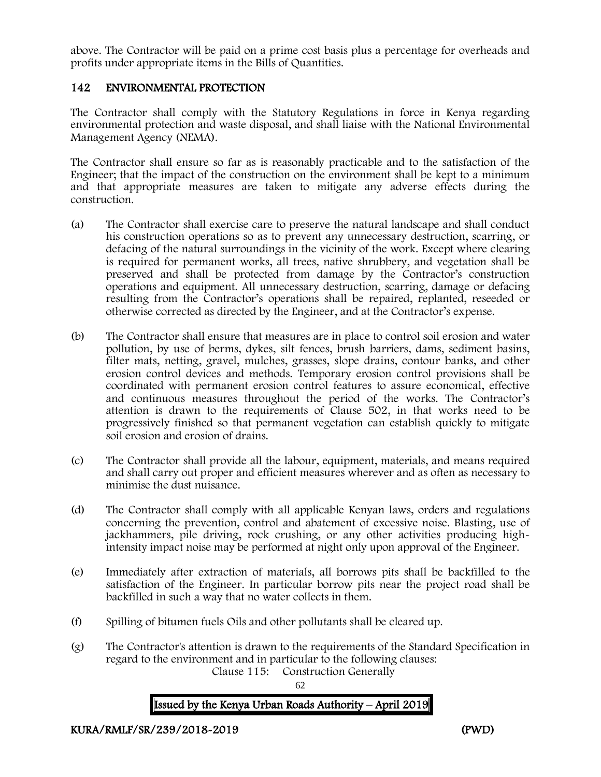above. The Contractor will be paid on a prime cost basis plus a percentage for overheads and profits under appropriate items in the Bills of Quantities.

## 142 ENVIRONMENTAL PROTECTION

The Contractor shall comply with the Statutory Regulations in force in Kenya regarding environmental protection and waste disposal, and shall liaise with the National Environmental Management Agency (NEMA).

The Contractor shall ensure so far as is reasonably practicable and to the satisfaction of the Engineer; that the impact of the construction on the environment shall be kept to a minimum and that appropriate measures are taken to mitigate any adverse effects during the construction.

- (a) The Contractor shall exercise care to preserve the natural landscape and shall conduct his construction operations so as to prevent any unnecessary destruction, scarring, or defacing of the natural surroundings in the vicinity of the work. Except where clearing is required for permanent works, all trees, native shrubbery, and vegetation shall be preserved and shall be protected from damage by the Contractor's construction operations and equipment. All unnecessary destruction, scarring, damage or defacing resulting from the Contractor's operations shall be repaired, replanted, reseeded or otherwise corrected as directed by the Engineer, and at the Contractor's expense.
- (b) The Contractor shall ensure that measures are in place to control soil erosion and water pollution, by use of berms, dykes, silt fences, brush barriers, dams, sediment basins, filter mats, netting, gravel, mulches, grasses, slope drains, contour banks, and other erosion control devices and methods. Temporary erosion control provisions shall be coordinated with permanent erosion control features to assure economical, effective and continuous measures throughout the period of the works. The Contractor's attention is drawn to the requirements of Clause 502, in that works need to be progressively finished so that permanent vegetation can establish quickly to mitigate soil erosion and erosion of drains.
- (c) The Contractor shall provide all the labour, equipment, materials, and means required and shall carry out proper and efficient measures wherever and as often as necessary to minimise the dust nuisance.
- (d) The Contractor shall comply with all applicable Kenyan laws, orders and regulations concerning the prevention, control and abatement of excessive noise. Blasting, use of jackhammers, pile driving, rock crushing, or any other activities producing highintensity impact noise may be performed at night only upon approval of the Engineer.
- (e) Immediately after extraction of materials, all borrows pits shall be backfilled to the satisfaction of the Engineer. In particular borrow pits near the project road shall be backfilled in such a way that no water collects in them.
- (f) Spilling of bitumen fuels Oils and other pollutants shall be cleared up.
- (g) The Contractor's attention is drawn to the requirements of the Standard Specification in regard to the environment and in particular to the following clauses:

Clause 115: Construction Generally

62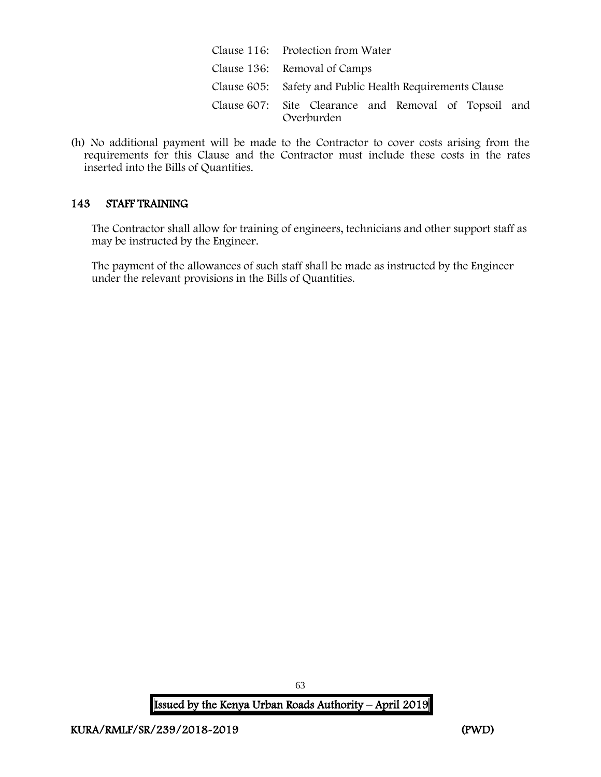| Clause 116: Protection from Water                                   |
|---------------------------------------------------------------------|
| Clause 136: Removal of Camps                                        |
| Clause 605: Safety and Public Health Requirements Clause            |
| Clause 607: Site Clearance and Removal of Topsoil and<br>Overburden |

(h) No additional payment will be made to the Contractor to cover costs arising from the requirements for this Clause and the Contractor must include these costs in the rates inserted into the Bills of Quantities.

## 143 STAFF TRAINING

The Contractor shall allow for training of engineers, technicians and other support staff as may be instructed by the Engineer.

The payment of the allowances of such staff shall be made as instructed by the Engineer under the relevant provisions in the Bills of Quantities.

Issued by the Kenya Urban Roads Authority – April 2019

63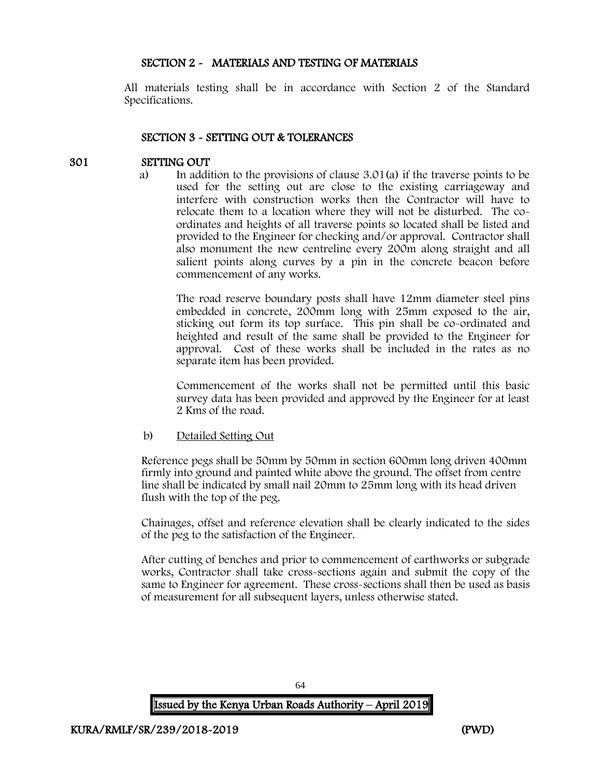## SECTION 2 - MATERIALS AND TESTING OF MATERIALS

All materials testing shall be in accordance with Section 2 of the Standard Specifications.

#### SECTION 3 - SETTING OUT & TOLERANCES

### 301 SETTING OUT

a) In addition to the provisions of clause 3.01(a) if the traverse points to be used for the setting out are close to the existing carriageway and interfere with construction works then the Contractor will have to relocate them to a location where they will not be disturbed. The coordinates and heights of all traverse points so located shall be listed and provided to the Engineer for checking and/or approval. Contractor shall also monument the new centreline every 200m along straight and all salient points along curves by a pin in the concrete beacon before commencement of any works.

The road reserve boundary posts shall have 12mm diameter steel pins embedded in concrete, 200mm long with 25mm exposed to the air, sticking out form its top surface. This pin shall be co-ordinated and heighted and result of the same shall be provided to the Engineer for approval. Cost of these works shall be included in the rates as no separate item has been provided.

Commencement of the works shall not be permitted until this basic survey data has been provided and approved by the Engineer for at least 2 Kms of the road.

b) Detailed Setting Out

Reference pegs shall be 50mm by 50mm in section 600mm long driven 400mm firmly into ground and painted white above the ground. The offset from centre line shall be indicated by small nail 20mm to 25mm long with its head driven flush with the top of the peg.

Chainages, offset and reference elevation shall be clearly indicated to the sides of the peg to the satisfaction of the Engineer.

After cutting of benches and prior to commencement of earthworks or subgrade works, Contractor shall take cross-sections again and submit the copy of the same to Engineer for agreement. These cross-sections shall then be used as basis of measurement for all subsequent layers, unless otherwise stated.

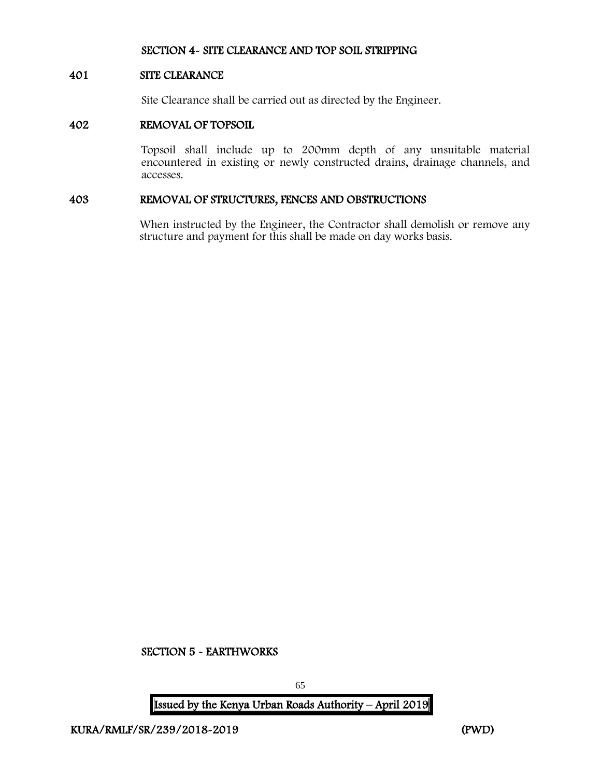### SECTION 4- SITE CLEARANCE AND TOP SOIL STRIPPING

#### 401 SITE CLEARANCE

Site Clearance shall be carried out as directed by the Engineer.

#### 402 REMOVAL OF TOPSOIL

Topsoil shall include up to 200mm depth of any unsuitable material encountered in existing or newly constructed drains, drainage channels, and accesses.

#### 403 REMOVAL OF STRUCTURES, FENCES AND OBSTRUCTIONS

When instructed by the Engineer, the Contractor shall demolish or remove any structure and payment for this shall be made on day works basis.

SECTION 5 - EARTHWORKS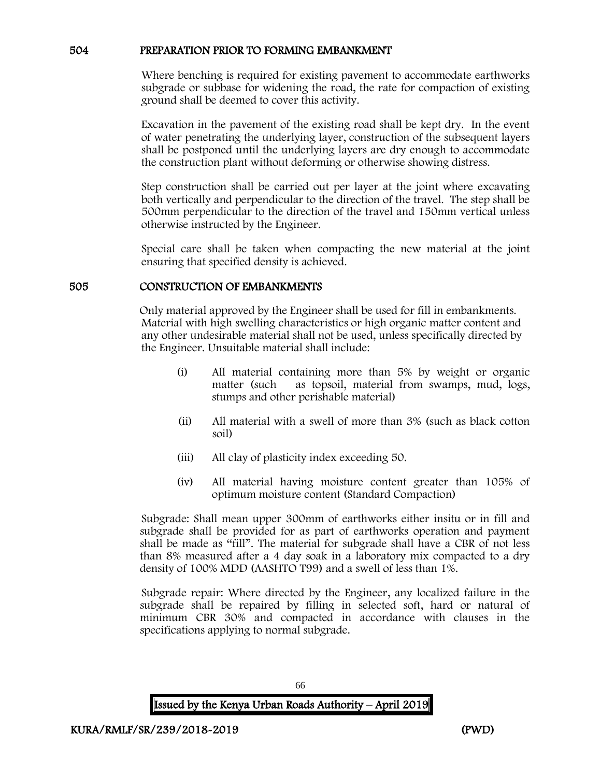#### 504 PREPARATION PRIOR TO FORMING EMBANKMENT

Where benching is required for existing pavement to accommodate earthworks subgrade or subbase for widening the road, the rate for compaction of existing ground shall be deemed to cover this activity.

Excavation in the pavement of the existing road shall be kept dry. In the event of water penetrating the underlying layer, construction of the subsequent layers shall be postponed until the underlying layers are dry enough to accommodate the construction plant without deforming or otherwise showing distress.

Step construction shall be carried out per layer at the joint where excavating both vertically and perpendicular to the direction of the travel. The step shall be 500mm perpendicular to the direction of the travel and 150mm vertical unless otherwise instructed by the Engineer.

Special care shall be taken when compacting the new material at the joint ensuring that specified density is achieved.

#### 505 CONSTRUCTION OF EMBANKMENTS

Only material approved by the Engineer shall be used for fill in embankments. Material with high swelling characteristics or high organic matter content and any other undesirable material shall not be used, unless specifically directed by the Engineer. Unsuitable material shall include:

- (i) All material containing more than 5% by weight or organic matter (such as topsoil, material from swamps, mud, logs, stumps and other perishable material)
- (ii) All material with a swell of more than 3% (such as black cotton soil)
- (iii) All clay of plasticity index exceeding 50.
- (iv) All material having moisture content greater than 105% of optimum moisture content (Standard Compaction)

Subgrade: Shall mean upper 300mm of earthworks either insitu or in fill and subgrade shall be provided for as part of earthworks operation and payment shall be made as "fill". The material for subgrade shall have a CBR of not less than 8% measured after a 4 day soak in a laboratory mix compacted to a dry density of 100% MDD (AASHTO T99) and a swell of less than 1%.

Subgrade repair: Where directed by the Engineer, any localized failure in the subgrade shall be repaired by filling in selected soft, hard or natural of minimum CBR 30% and compacted in accordance with clauses in the specifications applying to normal subgrade.

| <b>Issued by the Kenya Urban Roads Authority – April 2019</b> |
|---------------------------------------------------------------|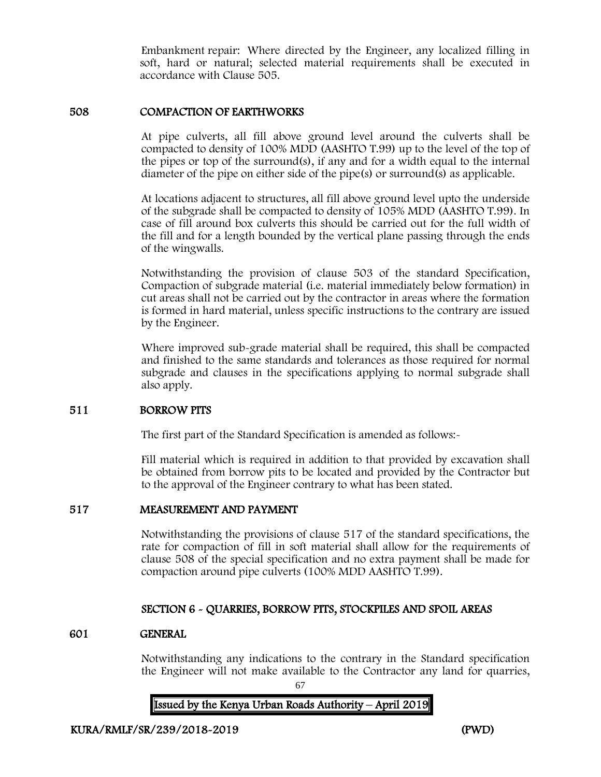Embankment repair: Where directed by the Engineer, any localized filling in soft, hard or natural; selected material requirements shall be executed in accordance with Clause 505.

### 508 COMPACTION OF EARTHWORKS

At pipe culverts, all fill above ground level around the culverts shall be compacted to density of 100% MDD (AASHTO T.99) up to the level of the top of the pipes or top of the surround(s), if any and for a width equal to the internal diameter of the pipe on either side of the pipe(s) or surround(s) as applicable.

At locations adjacent to structures, all fill above ground level upto the underside of the subgrade shall be compacted to density of 105% MDD (AASHTO T.99). In case of fill around box culverts this should be carried out for the full width of the fill and for a length bounded by the vertical plane passing through the ends of the wingwalls.

Notwithstanding the provision of clause 503 of the standard Specification, Compaction of subgrade material (i.e. material immediately below formation) in cut areas shall not be carried out by the contractor in areas where the formation is formed in hard material, unless specific instructions to the contrary are issued by the Engineer.

Where improved sub-grade material shall be required, this shall be compacted and finished to the same standards and tolerances as those required for normal subgrade and clauses in the specifications applying to normal subgrade shall also apply.

## 511 BORROW PITS

The first part of the Standard Specification is amended as follows:

Fill material which is required in addition to that provided by excavation shall be obtained from borrow pits to be located and provided by the Contractor but to the approval of the Engineer contrary to what has been stated.

#### 517 MEASUREMENT AND PAYMENT

Notwithstanding the provisions of clause 517 of the standard specifications, the rate for compaction of fill in soft material shall allow for the requirements of clause 508 of the special specification and no extra payment shall be made for compaction around pipe culverts (100% MDD AASHTO T.99).

## SECTION 6 - QUARRIES, BORROW PITS, STOCKPILES AND SPOIL AREAS

#### 601 GENERAL

Notwithstanding any indications to the contrary in the Standard specification the Engineer will not make available to the Contractor any land for quarries,

> 67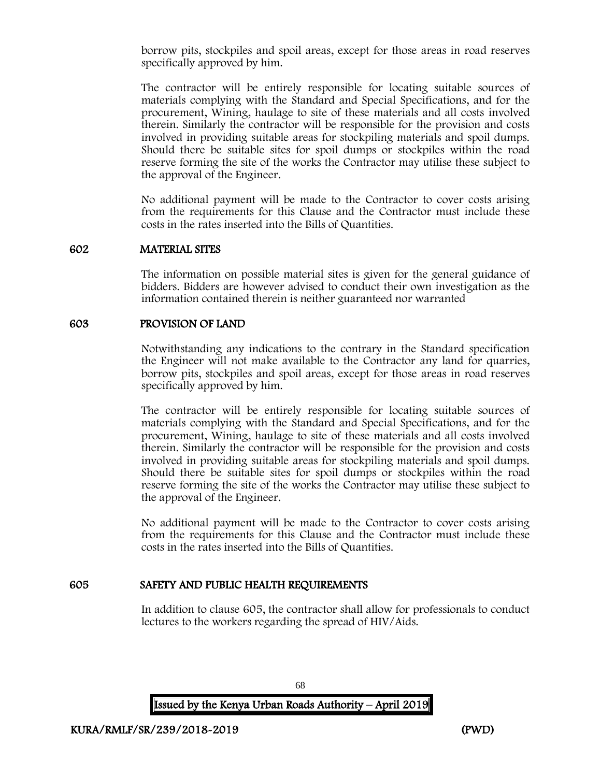borrow pits, stockpiles and spoil areas, except for those areas in road reserves specifically approved by him.

The contractor will be entirely responsible for locating suitable sources of materials complying with the Standard and Special Specifications, and for the procurement, Wining, haulage to site of these materials and all costs involved therein. Similarly the contractor will be responsible for the provision and costs involved in providing suitable areas for stockpiling materials and spoil dumps. Should there be suitable sites for spoil dumps or stockpiles within the road reserve forming the site of the works the Contractor may utilise these subject to the approval of the Engineer.

No additional payment will be made to the Contractor to cover costs arising from the requirements for this Clause and the Contractor must include these costs in the rates inserted into the Bills of Quantities.

#### 602 MATERIAL SITES

The information on possible material sites is given for the general guidance of bidders. Bidders are however advised to conduct their own investigation as the information contained therein is neither guaranteed nor warranted

#### 603 PROVISION OF LAND

Notwithstanding any indications to the contrary in the Standard specification the Engineer will not make available to the Contractor any land for quarries, borrow pits, stockpiles and spoil areas, except for those areas in road reserves specifically approved by him.

The contractor will be entirely responsible for locating suitable sources of materials complying with the Standard and Special Specifications, and for the procurement, Wining, haulage to site of these materials and all costs involved therein. Similarly the contractor will be responsible for the provision and costs involved in providing suitable areas for stockpiling materials and spoil dumps. Should there be suitable sites for spoil dumps or stockpiles within the road reserve forming the site of the works the Contractor may utilise these subject to the approval of the Engineer.

No additional payment will be made to the Contractor to cover costs arising from the requirements for this Clause and the Contractor must include these costs in the rates inserted into the Bills of Quantities.

#### 605 SAFETY AND PUBLIC HEALTH REQUIREMENTS

In addition to clause 605, the contractor shall allow for professionals to conduct lectures to the workers regarding the spread of HIV/Aids.

 Issued by the Kenya Urban Roads Authority – April 2019

68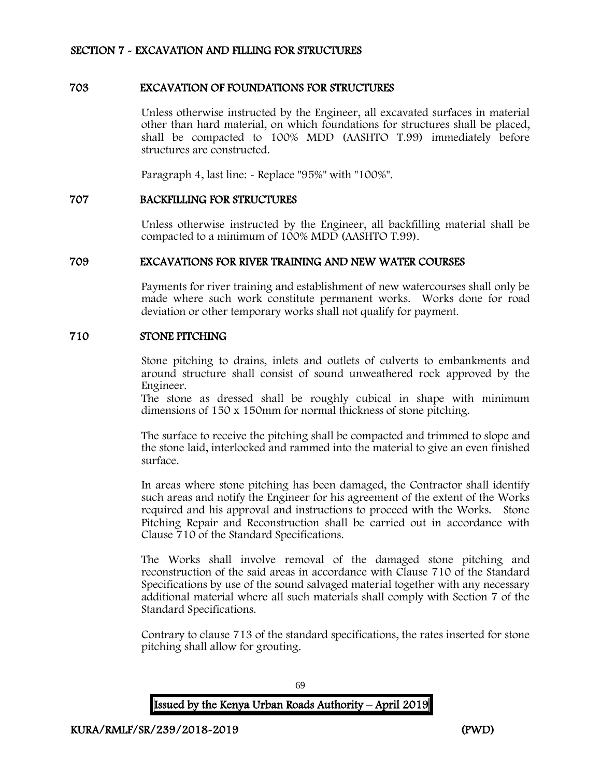### SECTION 7 - EXCAVATION AND FILLING FOR STRUCTURES

### 703 EXCAVATION OF FOUNDATIONS FOR STRUCTURES

Unless otherwise instructed by the Engineer, all excavated surfaces in material other than hard material, on which foundations for structures shall be placed, shall be compacted to 100% MDD (AASHTO T.99) immediately before structures are constructed.

Paragraph 4, last line: - Replace "95%" with "100%".

#### 707 BACKFILLING FOR STRUCTURES

Unless otherwise instructed by the Engineer, all backfilling material shall be compacted to a minimum of 100% MDD (AASHTO T.99).

#### 709 EXCAVATIONS FOR RIVER TRAINING AND NEW WATER COURSES

Payments for river training and establishment of new watercourses shall only be made where such work constitute permanent works. Works done for road deviation or other temporary works shall not qualify for payment.

### 710 STONE PITCHING

Stone pitching to drains, inlets and outlets of culverts to embankments and around structure shall consist of sound unweathered rock approved by the Engineer.

The stone as dressed shall be roughly cubical in shape with minimum dimensions of 150 x 150mm for normal thickness of stone pitching.

The surface to receive the pitching shall be compacted and trimmed to slope and the stone laid, interlocked and rammed into the material to give an even finished surface.

In areas where stone pitching has been damaged, the Contractor shall identify such areas and notify the Engineer for his agreement of the extent of the Works required and his approval and instructions to proceed with the Works. Stone Pitching Repair and Reconstruction shall be carried out in accordance with Clause 710 of the Standard Specifications.

The Works shall involve removal of the damaged stone pitching and reconstruction of the said areas in accordance with Clause 710 of the Standard Specifications by use of the sound salvaged material together with any necessary additional material where all such materials shall comply with Section 7 of the Standard Specifications.

Contrary to clause 713 of the standard specifications, the rates inserted for stone pitching shall allow for grouting.

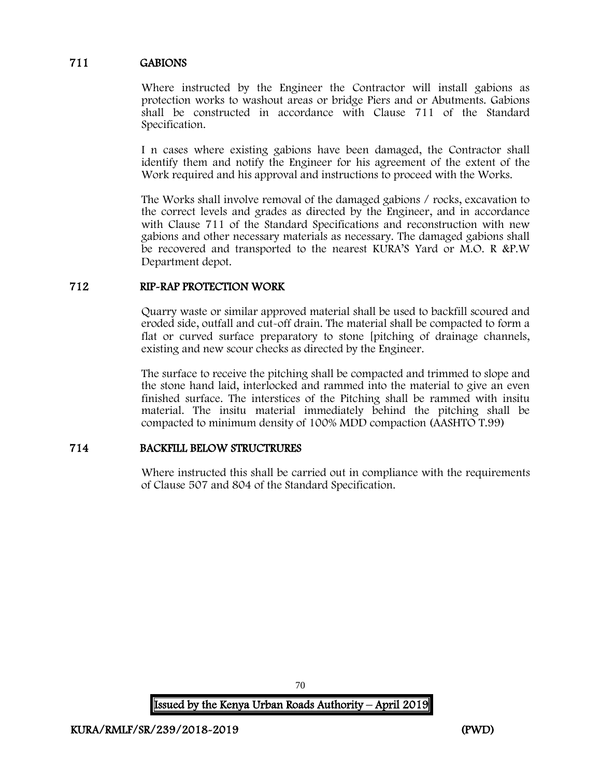## 711 GABIONS

Where instructed by the Engineer the Contractor will install gabions as protection works to washout areas or bridge Piers and or Abutments. Gabions shall be constructed in accordance with Clause 711 of the Standard Specification.

I n cases where existing gabions have been damaged, the Contractor shall identify them and notify the Engineer for his agreement of the extent of the Work required and his approval and instructions to proceed with the Works.

The Works shall involve removal of the damaged gabions / rocks, excavation to the correct levels and grades as directed by the Engineer, and in accordance with Clause 711 of the Standard Specifications and reconstruction with new gabions and other necessary materials as necessary. The damaged gabions shall be recovered and transported to the nearest KURA'S Yard or M.O. R &P.W Department depot.

## 712 RIP-RAP PROTECTION WORK

Quarry waste or similar approved material shall be used to backfill scoured and eroded side, outfall and cut-off drain. The material shall be compacted to form a flat or curved surface preparatory to stone [pitching of drainage channels, existing and new scour checks as directed by the Engineer.

The surface to receive the pitching shall be compacted and trimmed to slope and the stone hand laid, interlocked and rammed into the material to give an even finished surface. The interstices of the Pitching shall be rammed with insitu material. The insitu material immediately behind the pitching shall be compacted to minimum density of 100% MDD compaction (AASHTO T.99)

## 714 BACKFILL BELOW STRUCTRURES

Where instructed this shall be carried out in compliance with the requirements of Clause 507 and 804 of the Standard Specification.

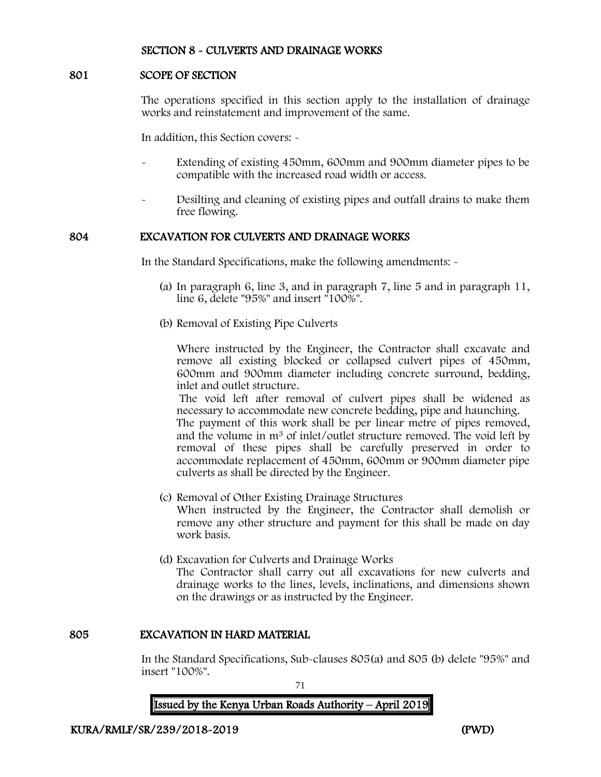### SECTION 8 - CULVERTS AND DRAINAGE WORKS

#### 801 SCOPE OF SECTION

The operations specified in this section apply to the installation of drainage works and reinstatement and improvement of the same.

In addition, this Section covers: -

- Extending of existing 450mm, 600mm and 900mm diameter pipes to be compatible with the increased road width or access.
- Desilting and cleaning of existing pipes and outfall drains to make them free flowing.

#### 804 EXCAVATION FOR CULVERTS AND DRAINAGE WORKS

In the Standard Specifications, make the following amendments: -

- (a) In paragraph 6, line 3, and in paragraph 7, line 5 and in paragraph 11, line 6, delete "95%" and insert "100%".
- (b) Removal of Existing Pipe Culverts

Where instructed by the Engineer, the Contractor shall excavate and remove all existing blocked or collapsed culvert pipes of 450mm, 600mm and 900mm diameter including concrete surround, bedding, inlet and outlet structure.

The void left after removal of culvert pipes shall be widened as necessary to accommodate new concrete bedding, pipe and haunching. The payment of this work shall be per linear metre of pipes removed, and the volume in m<sup>3</sup> of inlet/outlet structure removed. The void left by removal of these pipes shall be carefully preserved in order to accommodate replacement of 450mm, 600mm or 900mm diameter pipe culverts as shall be directed by the Engineer.

- (c) Removal of Other Existing Drainage Structures When instructed by the Engineer, the Contractor shall demolish or remove any other structure and payment for this shall be made on day work basis.
- (d) Excavation for Culverts and Drainage Works The Contractor shall carry out all excavations for new culverts and drainage works to the lines, levels, inclinations, and dimensions shown on the drawings or as instructed by the Engineer.

#### 805 EXCAVATION IN HARD MATERIAL

In the Standard Specifications, Sub-clauses 805(a) and 805 (b) delete "95%" and insert "100%".

> 71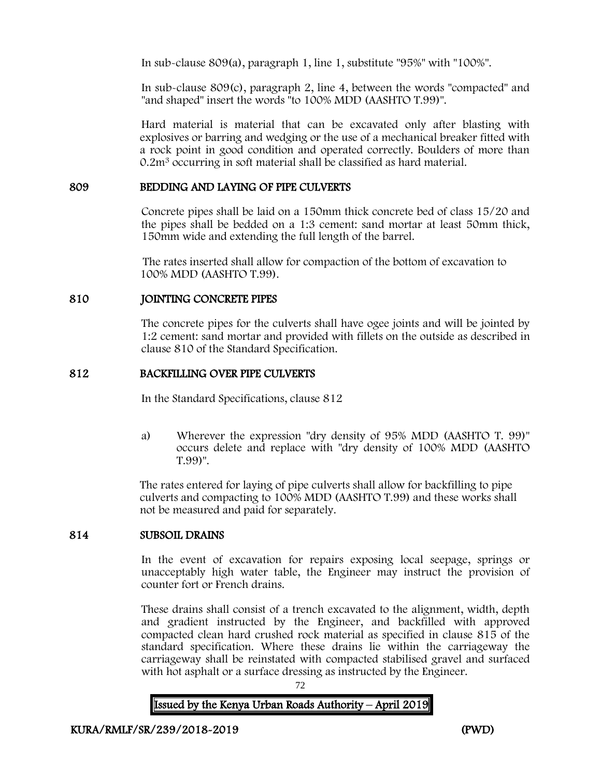In sub-clause 809(a), paragraph 1, line 1, substitute "95%" with "100%".

In sub-clause 809(c), paragraph 2, line 4, between the words "compacted" and "and shaped" insert the words "to 100% MDD (AASHTO T.99)".

Hard material is material that can be excavated only after blasting with explosives or barring and wedging or the use of a mechanical breaker fitted with a rock point in good condition and operated correctly. Boulders of more than 0.2m<sup>3</sup> occurring in soft material shall be classified as hard material.

## 809 BEDDING AND LAYING OF PIPE CULVERTS

Concrete pipes shall be laid on a 150mm thick concrete bed of class 15/20 and the pipes shall be bedded on a 1:3 cement: sand mortar at least 50mm thick, 150mm wide and extending the full length of the barrel.

The rates inserted shall allow for compaction of the bottom of excavation to 100% MDD (AASHTO T.99).

## 810 JOINTING CONCRETE PIPES

The concrete pipes for the culverts shall have ogee joints and will be jointed by 1:2 cement: sand mortar and provided with fillets on the outside as described in clause 810 of the Standard Specification.

## 812 BACKFILLING OVER PIPE CULVERTS

In the Standard Specifications, clause 812

a) Wherever the expression "dry density of 95% MDD (AASHTO T. 99)" occurs delete and replace with "dry density of 100% MDD (AASHTO T.99)".

The rates entered for laying of pipe culverts shall allow for backfilling to pipe culverts and compacting to 100% MDD (AASHTO T.99) and these works shall not be measured and paid for separately.

#### 814 SUBSOIL DRAINS

In the event of excavation for repairs exposing local seepage, springs or unacceptably high water table, the Engineer may instruct the provision of counter fort or French drains.

These drains shall consist of a trench excavated to the alignment, width, depth and gradient instructed by the Engineer, and backfilled with approved compacted clean hard crushed rock material as specified in clause 815 of the standard specification. Where these drains lie within the carriageway the carriageway shall be reinstated with compacted stabilised gravel and surfaced with hot asphalt or a surface dressing as instructed by the Engineer.



72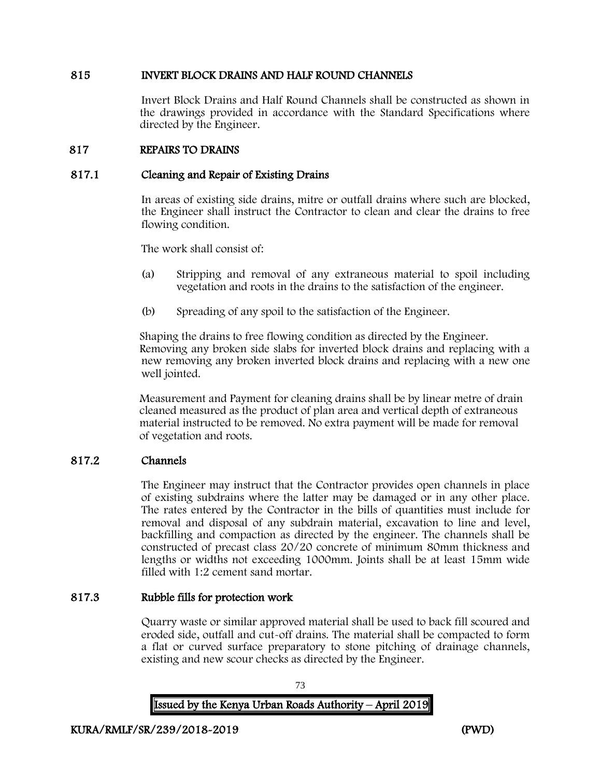# 815 INVERT BLOCK DRAINS AND HALF ROUND CHANNELS

Invert Block Drains and Half Round Channels shall be constructed as shown in the drawings provided in accordance with the Standard Specifications where directed by the Engineer.

## 817 REPAIRS TO DRAINS

## 817.1 Cleaning and Repair of Existing Drains

In areas of existing side drains, mitre or outfall drains where such are blocked, the Engineer shall instruct the Contractor to clean and clear the drains to free flowing condition.

The work shall consist of:

- (a) Stripping and removal of any extraneous material to spoil including vegetation and roots in the drains to the satisfaction of the engineer.
- (b) Spreading of any spoil to the satisfaction of the Engineer.

Shaping the drains to free flowing condition as directed by the Engineer. Removing any broken side slabs for inverted block drains and replacing with a new removing any broken inverted block drains and replacing with a new one well jointed.

Measurement and Payment for cleaning drains shall be by linear metre of drain cleaned measured as the product of plan area and vertical depth of extraneous material instructed to be removed. No extra payment will be made for removal of vegetation and roots.

## 817.2 Channels

The Engineer may instruct that the Contractor provides open channels in place of existing subdrains where the latter may be damaged or in any other place. The rates entered by the Contractor in the bills of quantities must include for removal and disposal of any subdrain material, excavation to line and level, backfilling and compaction as directed by the engineer. The channels shall be constructed of precast class 20/20 concrete of minimum 80mm thickness and lengths or widths not exceeding 1000mm. Joints shall be at least 15mm wide filled with 1:2 cement sand mortar.

## 817.3 Rubble fills for protection work

Quarry waste or similar approved material shall be used to back fill scoured and eroded side, outfall and cut-off drains. The material shall be compacted to form a flat or curved surface preparatory to stone pitching of drainage channels, existing and new scour checks as directed by the Engineer.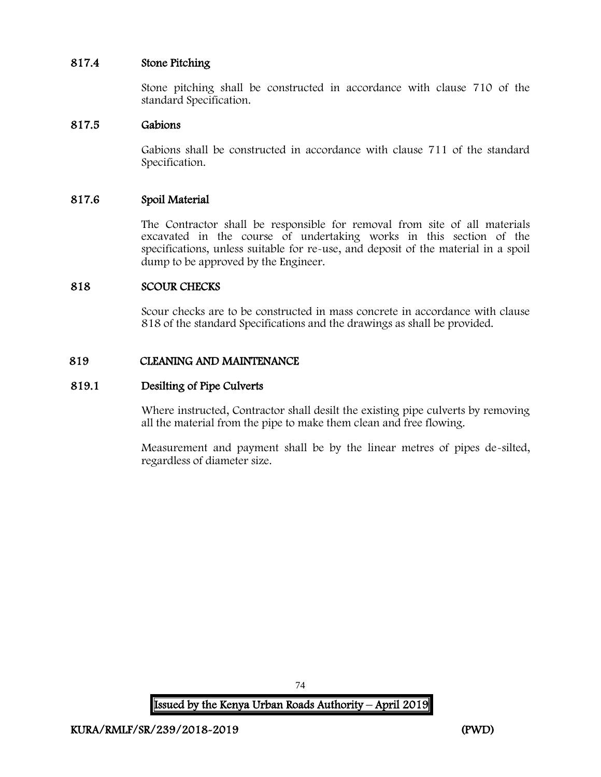# 817.4 Stone Pitching

Stone pitching shall be constructed in accordance with clause 710 of the standard Specification.

## 817.5 Gabions

Gabions shall be constructed in accordance with clause 711 of the standard Specification.

## 817.6 Spoil Material

The Contractor shall be responsible for removal from site of all materials excavated in the course of undertaking works in this section of the specifications, unless suitable for re-use, and deposit of the material in a spoil dump to be approved by the Engineer.

## 818 SCOUR CHECKS

Scour checks are to be constructed in mass concrete in accordance with clause 818 of the standard Specifications and the drawings as shall be provided.

## 819 CLEANING AND MAINTENANCE

## 819.1 Desilting of Pipe Culverts

Where instructed, Contractor shall desilt the existing pipe culverts by removing all the material from the pipe to make them clean and free flowing.

Measurement and payment shall be by the linear metres of pipes de-silted, regardless of diameter size.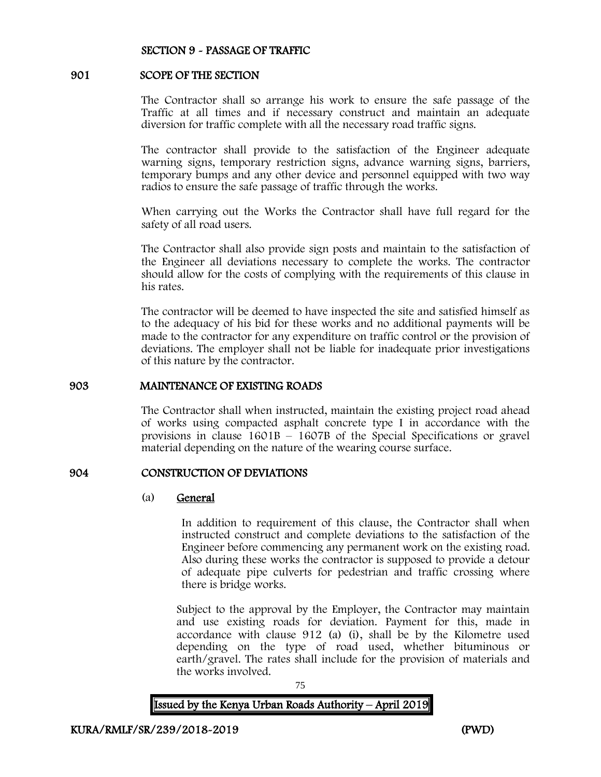## SECTION 9 - PASSAGE OF TRAFFIC

#### 901 SCOPE OF THE SECTION

The Contractor shall so arrange his work to ensure the safe passage of the Traffic at all times and if necessary construct and maintain an adequate diversion for traffic complete with all the necessary road traffic signs.

The contractor shall provide to the satisfaction of the Engineer adequate warning signs, temporary restriction signs, advance warning signs, barriers, temporary bumps and any other device and personnel equipped with two way radios to ensure the safe passage of traffic through the works.

When carrying out the Works the Contractor shall have full regard for the safety of all road users.

The Contractor shall also provide sign posts and maintain to the satisfaction of the Engineer all deviations necessary to complete the works. The contractor should allow for the costs of complying with the requirements of this clause in his rates.

The contractor will be deemed to have inspected the site and satisfied himself as to the adequacy of his bid for these works and no additional payments will be made to the contractor for any expenditure on traffic control or the provision of deviations. The employer shall not be liable for inadequate prior investigations of this nature by the contractor.

#### 903 MAINTENANCE OF EXISTING ROADS

The Contractor shall when instructed, maintain the existing project road ahead of works using compacted asphalt concrete type I in accordance with the provisions in clause 1601B – 1607B of the Special Specifications or gravel material depending on the nature of the wearing course surface.

## 904 CONSTRUCTION OF DEVIATIONS

#### (a) General

In addition to requirement of this clause, the Contractor shall when instructed construct and complete deviations to the satisfaction of the Engineer before commencing any permanent work on the existing road. Also during these works the contractor is supposed to provide a detour of adequate pipe culverts for pedestrian and traffic crossing where there is bridge works.

Subject to the approval by the Employer, the Contractor may maintain and use existing roads for deviation. Payment for this, made in accordance with clause 912 (a) (i), shall be by the Kilometre used depending on the type of road used, whether bituminous or earth/gravel. The rates shall include for the provision of materials and the works involved.

> 75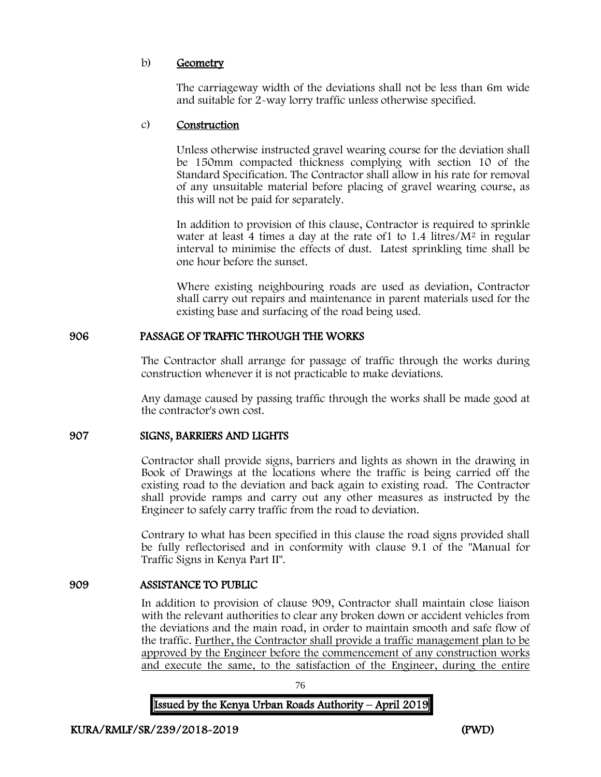# b) Geometry

The carriageway width of the deviations shall not be less than 6m wide and suitable for 2-way lorry traffic unless otherwise specified.

## c) Construction

Unless otherwise instructed gravel wearing course for the deviation shall be 150mm compacted thickness complying with section 10 of the Standard Specification. The Contractor shall allow in his rate for removal of any unsuitable material before placing of gravel wearing course, as this will not be paid for separately.

In addition to provision of this clause, Contractor is required to sprinkle water at least 4 times a day at the rate of 1 to  $1.4$  litres/ $M<sup>2</sup>$  in regular interval to minimise the effects of dust. Latest sprinkling time shall be one hour before the sunset.

Where existing neighbouring roads are used as deviation, Contractor shall carry out repairs and maintenance in parent materials used for the existing base and surfacing of the road being used.

## 906 PASSAGE OF TRAFFIC THROUGH THE WORKS

The Contractor shall arrange for passage of traffic through the works during construction whenever it is not practicable to make deviations.

Any damage caused by passing traffic through the works shall be made good at the contractor's own cost.

## 907 SIGNS, BARRIERS AND LIGHTS

Contractor shall provide signs, barriers and lights as shown in the drawing in Book of Drawings at the locations where the traffic is being carried off the existing road to the deviation and back again to existing road. The Contractor shall provide ramps and carry out any other measures as instructed by the Engineer to safely carry traffic from the road to deviation.

Contrary to what has been specified in this clause the road signs provided shall be fully reflectorised and in conformity with clause 9.1 of the "Manual for Traffic Signs in Kenya Part II".

## 909 ASSISTANCE TO PUBLIC

In addition to provision of clause 909, Contractor shall maintain close liaison with the relevant authorities to clear any broken down or accident vehicles from the deviations and the main road, in order to maintain smooth and safe flow of the traffic. Further, the Contractor shall provide a traffic management plan to be approved by the Engineer before the commencement of any construction works and execute the same, to the satisfaction of the Engineer, during the entire

76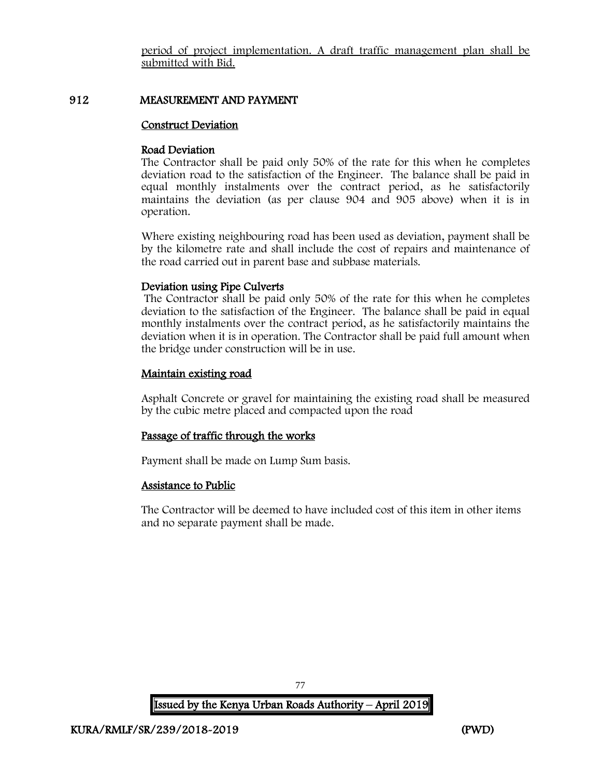period of project implementation. A draft traffic management plan shall be submitted with Bid.

## 912 MEASUREMENT AND PAYMENT

#### Construct Deviation

#### Road Deviation

The Contractor shall be paid only 50% of the rate for this when he completes deviation road to the satisfaction of the Engineer. The balance shall be paid in equal monthly instalments over the contract period, as he satisfactorily maintains the deviation (as per clause 904 and 905 above) when it is in operation.

Where existing neighbouring road has been used as deviation, payment shall be by the kilometre rate and shall include the cost of repairs and maintenance of the road carried out in parent base and subbase materials.

## Deviation using Pipe Culverts

The Contractor shall be paid only 50% of the rate for this when he completes deviation to the satisfaction of the Engineer. The balance shall be paid in equal monthly instalments over the contract period, as he satisfactorily maintains the deviation when it is in operation. The Contractor shall be paid full amount when the bridge under construction will be in use.

## Maintain existing road

Asphalt Concrete or gravel for maintaining the existing road shall be measured by the cubic metre placed and compacted upon the road

## Passage of traffic through the works

Payment shall be made on Lump Sum basis.

#### Assistance to Public

The Contractor will be deemed to have included cost of this item in other items and no separate payment shall be made.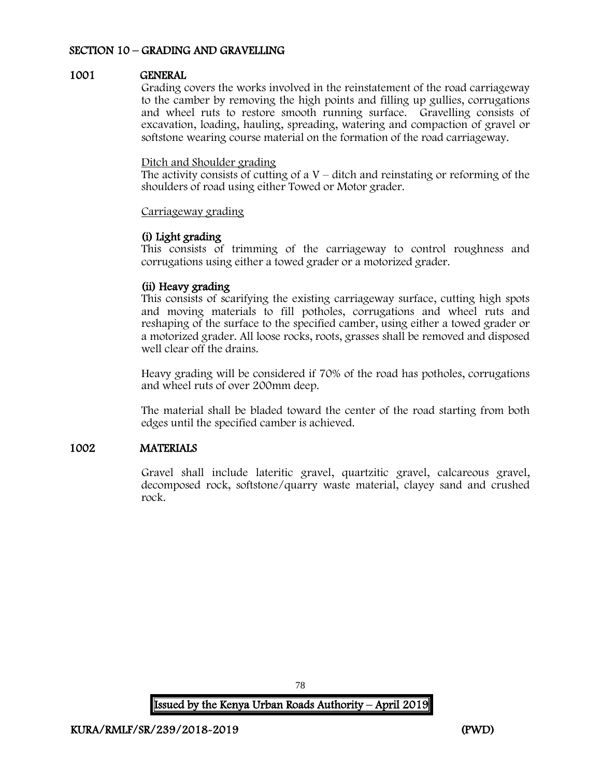# SECTION 10 – GRADING AND GRAVELLING

## 1001 GENERAL

Grading covers the works involved in the reinstatement of the road carriageway to the camber by removing the high points and filling up gullies, corrugations and wheel ruts to restore smooth running surface. Gravelling consists of excavation, loading, hauling, spreading, watering and compaction of gravel or softstone wearing course material on the formation of the road carriageway.

## Ditch and Shoulder grading

The activity consists of cutting of a  $V$  – ditch and reinstating or reforming of the shoulders of road using either Towed or Motor grader.

#### Carriageway grading

## (i) Light grading

This consists of trimming of the carriageway to control roughness and corrugations using either a towed grader or a motorized grader.

## (ii) Heavy grading

This consists of scarifying the existing carriageway surface, cutting high spots and moving materials to fill potholes, corrugations and wheel ruts and reshaping of the surface to the specified camber, using either a towed grader or a motorized grader. All loose rocks, roots, grasses shall be removed and disposed well clear off the drains.

Heavy grading will be considered if 70% of the road has potholes, corrugations and wheel ruts of over 200mm deep.

The material shall be bladed toward the center of the road starting from both edges until the specified camber is achieved.

## 1002 MATERIALS

Gravel shall include lateritic gravel, quartzitic gravel, calcareous gravel, decomposed rock, softstone/quarry waste material, clayey sand and crushed rock.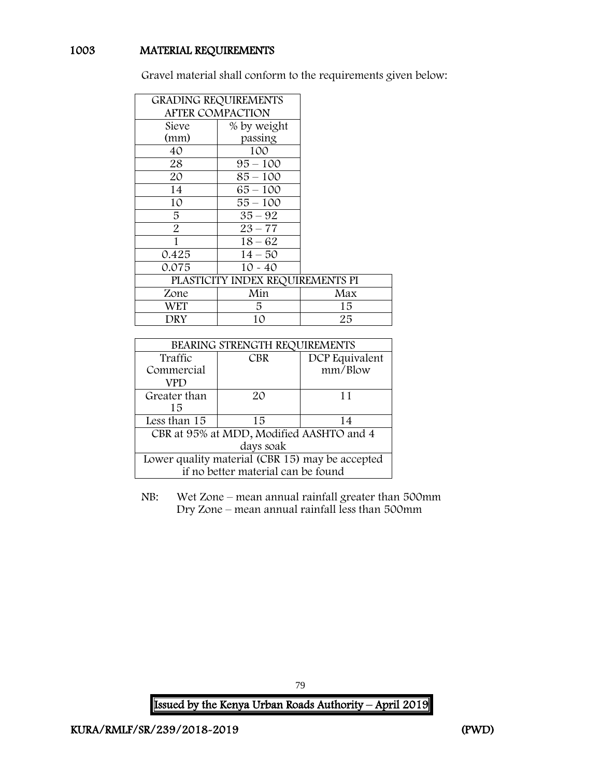# 1003 MATERIAL REQUIREMENTS

Gravel material shall conform to the requirements given below:

| <b>GRADING REQUIREMENTS</b>      |             |     |
|----------------------------------|-------------|-----|
| <b>AFTER COMPACTION</b>          |             |     |
| Sieve                            | % by weight |     |
| (mm)                             | passing     |     |
| 40                               | 100         |     |
| 28                               | $95 - 100$  |     |
| 20                               | $85 - 100$  |     |
| 14                               | $65 - 100$  |     |
| 10                               | $55 - 100$  |     |
| 5                                | $35 - 92$   |     |
| 2                                | $23 - 77$   |     |
| 1                                | $18 - 62$   |     |
| 0.425                            | $14 - 50$   |     |
| 0.075                            | $10 - 40$   |     |
| PLASTICITY INDEX REQUIREMENTS PI |             |     |
| Zone                             | Min         | Max |
| WET                              | 5           | 15  |
| DRY                              | 10          | 25  |

| BEARING STRENGTH REQUIREMENTS                   |            |                |
|-------------------------------------------------|------------|----------------|
| Traffic                                         | <b>CBR</b> | DCP Equivalent |
| Commercial                                      |            | mm/Blow        |
| VPD                                             |            |                |
| Greater than                                    | 20         | 11             |
| 15                                              |            |                |
| Less than 15                                    | 15         | 14             |
| CBR at 95% at MDD, Modified AASHTO and 4        |            |                |
| days soak                                       |            |                |
| Lower quality material (CBR 15) may be accepted |            |                |
| if no better material can be found              |            |                |

NB: Wet Zone – mean annual rainfall greater than 500mm Dry Zone – mean annual rainfall less than 500mm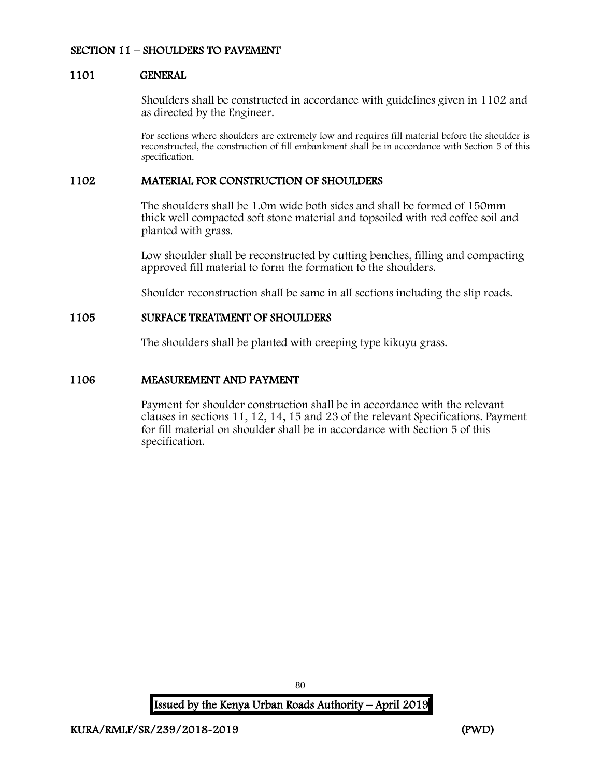# SECTION 11 – SHOULDERS TO PAVEMENT

## 1101 GENERAL

Shoulders shall be constructed in accordance with guidelines given in 1102 and as directed by the Engineer.

For sections where shoulders are extremely low and requires fill material before the shoulder is reconstructed, the construction of fill embankment shall be in accordance with Section 5 of this specification.

## 1102 MATERIAL FOR CONSTRUCTION OF SHOULDERS

The shoulders shall be 1.0m wide both sides and shall be formed of 150mm thick well compacted soft stone material and topsoiled with red coffee soil and planted with grass.

Low shoulder shall be reconstructed by cutting benches, filling and compacting approved fill material to form the formation to the shoulders.

Shoulder reconstruction shall be same in all sections including the slip roads.

## 1105 SURFACE TREATMENT OF SHOULDERS

The shoulders shall be planted with creeping type kikuyu grass.

## 1106 MEASUREMENT AND PAYMENT

Payment for shoulder construction shall be in accordance with the relevant clauses in sections 11, 12, 14, 15 and 23 of the relevant Specifications. Payment for fill material on shoulder shall be in accordance with Section 5 of this specification.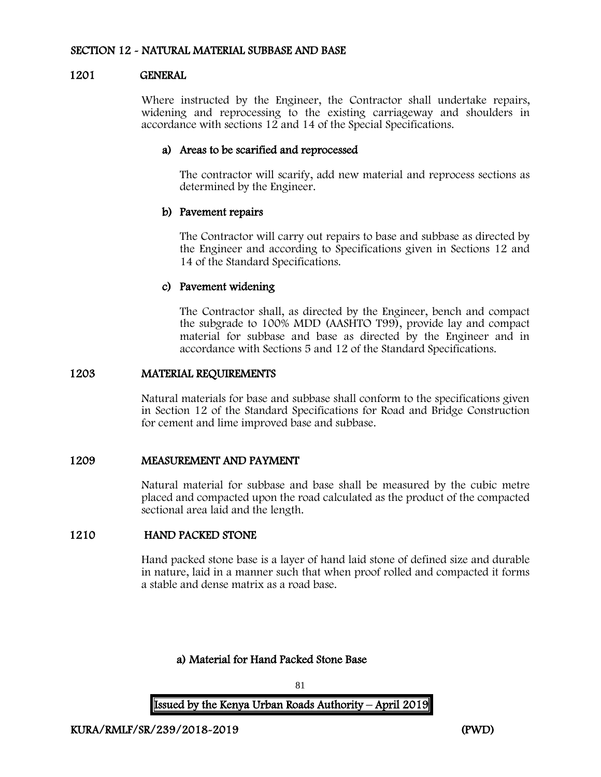# SECTION 12 - NATURAL MATERIAL SUBBASE AND BASE

## 1201 GENERAL

Where instructed by the Engineer, the Contractor shall undertake repairs, widening and reprocessing to the existing carriageway and shoulders in accordance with sections 12 and 14 of the Special Specifications.

## a) Areas to be scarified and reprocessed

The contractor will scarify, add new material and reprocess sections as determined by the Engineer.

## b) Pavement repairs

The Contractor will carry out repairs to base and subbase as directed by the Engineer and according to Specifications given in Sections 12 and 14 of the Standard Specifications.

## c) Pavement widening

The Contractor shall, as directed by the Engineer, bench and compact the subgrade to 100% MDD (AASHTO T99), provide lay and compact material for subbase and base as directed by the Engineer and in accordance with Sections 5 and 12 of the Standard Specifications.

#### 1203 MATERIAL REQUIREMENTS

Natural materials for base and subbase shall conform to the specifications given in Section 12 of the Standard Specifications for Road and Bridge Construction for cement and lime improved base and subbase.

## 1209 MEASUREMENT AND PAYMENT

Natural material for subbase and base shall be measured by the cubic metre placed and compacted upon the road calculated as the product of the compacted sectional area laid and the length.

## 1210 HAND PACKED STONE

Hand packed stone base is a layer of hand laid stone of defined size and durable in nature, laid in a manner such that when proof rolled and compacted it forms a stable and dense matrix as a road base.

## a) Material for Hand Packed Stone Base

81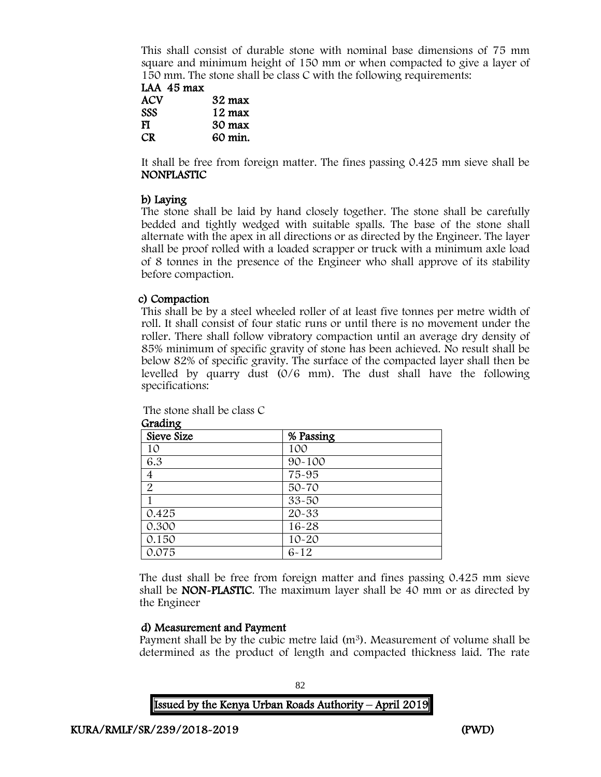This shall consist of durable stone with nominal base dimensions of 75 mm square and minimum height of 150 mm or when compacted to give a layer of 150 mm. The stone shall be class C with the following requirements:

| LAA 45 max |         |
|------------|---------|
| ACV        | 32 max  |
| SSS        | 12 max  |
| FI         | 30 max  |
| CR.        | 60 min. |

It shall be free from foreign matter. The fines passing 0.425 mm sieve shall be NONPLASTIC

# b) Laying

The stone shall be laid by hand closely together. The stone shall be carefully bedded and tightly wedged with suitable spalls. The base of the stone shall alternate with the apex in all directions or as directed by the Engineer. The layer shall be proof rolled with a loaded scrapper or truck with a minimum axle load of 8 tonnes in the presence of the Engineer who shall approve of its stability before compaction.

# c) Compaction

This shall be by a steel wheeled roller of at least five tonnes per metre width of roll. It shall consist of four static runs or until there is no movement under the roller. There shall follow vibratory compaction until an average dry density of 85% minimum of specific gravity of stone has been achieved. No result shall be below 82% of specific gravity. The surface of the compacted layer shall then be levelled by quarry dust (0/6 mm). The dust shall have the following specifications:

| Sieve Size     | % Passing  |  |
|----------------|------------|--|
| 10             | 100        |  |
| 6.3            | $90 - 100$ |  |
| $\overline{4}$ | 75-95      |  |
| $\overline{2}$ | $50 - 70$  |  |
|                | 33-50      |  |
| 0.425          | 20-33      |  |
| 0.300          | 16-28      |  |
| 0.150          | $10 - 20$  |  |
| 0.075          | $6 - 12$   |  |

The stone shall be class C Grading

The dust shall be free from foreign matter and fines passing 0.425 mm sieve shall be NON-PLASTIC. The maximum layer shall be 40 mm or as directed by the Engineer

## d) Measurement and Payment

Payment shall be by the cubic metre laid  $(m<sup>3</sup>)$ . Measurement of volume shall be determined as the product of length and compacted thickness laid. The rate

| Issued by the Kenya Urban Roads Authority - April 2019 |
|--------------------------------------------------------|

 $\mathbf{Q}$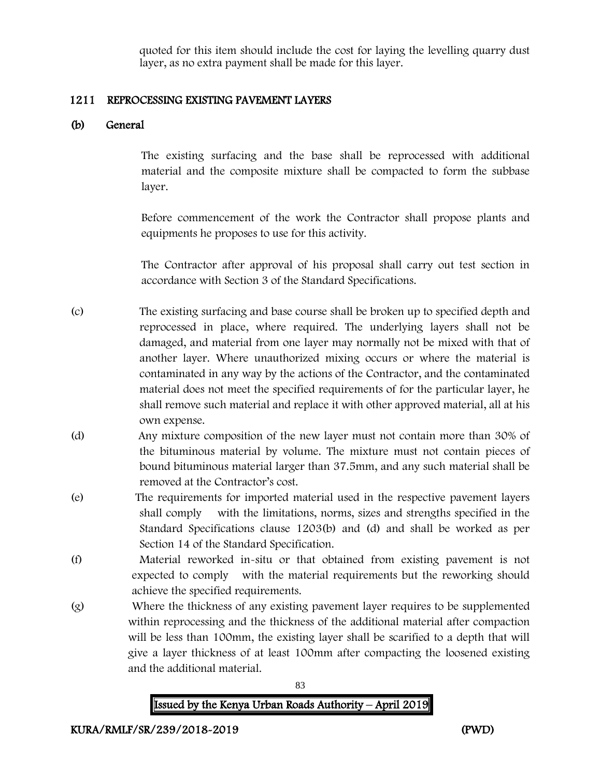quoted for this item should include the cost for laying the levelling quarry dust layer, as no extra payment shall be made for this layer.

## 1211 REPROCESSING EXISTING PAVEMENT LAYERS

## (b) General

The existing surfacing and the base shall be reprocessed with additional material and the composite mixture shall be compacted to form the subbase layer.

Before commencement of the work the Contractor shall propose plants and equipments he proposes to use for this activity.

The Contractor after approval of his proposal shall carry out test section in accordance with Section 3 of the Standard Specifications.

- (c) The existing surfacing and base course shall be broken up to specified depth and reprocessed in place, where required. The underlying layers shall not be damaged, and material from one layer may normally not be mixed with that of another layer. Where unauthorized mixing occurs or where the material is contaminated in any way by the actions of the Contractor, and the contaminated material does not meet the specified requirements of for the particular layer, he shall remove such material and replace it with other approved material, all at his own expense.
- (d) Any mixture composition of the new layer must not contain more than 30% of the bituminous material by volume. The mixture must not contain pieces of bound bituminous material larger than 37.5mm, and any such material shall be removed at the Contractor's cost.
- (e) The requirements for imported material used in the respective pavement layers shall comply with the limitations, norms, sizes and strengths specified in the Standard Specifications clause 1203(b) and (d) and shall be worked as per Section 14 of the Standard Specification.
- (f) Material reworked in-situ or that obtained from existing pavement is not expected to comply with the material requirements but the reworking should achieve the specified requirements.
- (g) Where the thickness of any existing pavement layer requires to be supplemented within reprocessing and the thickness of the additional material after compaction will be less than 100mm, the existing layer shall be scarified to a depth that will give a layer thickness of at least 100mm after compacting the loosened existing and the additional material.

83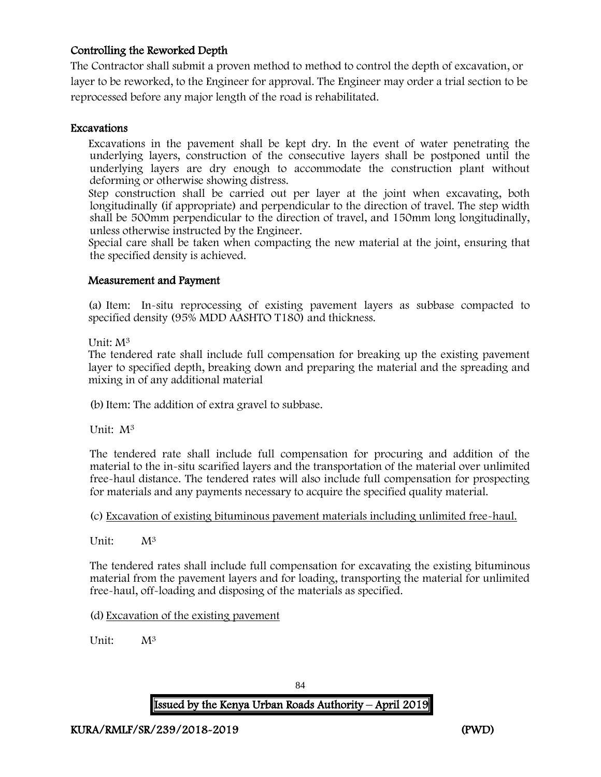# Controlling the Reworked Depth

The Contractor shall submit a proven method to method to control the depth of excavation, or layer to be reworked, to the Engineer for approval. The Engineer may order a trial section to be reprocessed before any major length of the road is rehabilitated.

# Excavations

Excavations in the pavement shall be kept dry. In the event of water penetrating the underlying layers, construction of the consecutive layers shall be postponed until the underlying layers are dry enough to accommodate the construction plant without deforming or otherwise showing distress.

Step construction shall be carried out per layer at the joint when excavating, both longitudinally (if appropriate) and perpendicular to the direction of travel. The step width shall be 500mm perpendicular to the direction of travel, and 150mm long longitudinally, unless otherwise instructed by the Engineer.

Special care shall be taken when compacting the new material at the joint, ensuring that the specified density is achieved.

## Measurement and Payment

(a) Item: In-situ reprocessing of existing pavement layers as subbase compacted to specified density (95% MDD AASHTO T180) and thickness.

Unit: M<sup>3</sup>

The tendered rate shall include full compensation for breaking up the existing pavement layer to specified depth, breaking down and preparing the material and the spreading and mixing in of any additional material

(b)Item: The addition of extra gravel to subbase.

Unit: M<sup>3</sup>

The tendered rate shall include full compensation for procuring and addition of the material to the in-situ scarified layers and the transportation of the material over unlimited free-haul distance. The tendered rates will also include full compensation for prospecting for materials and any payments necessary to acquire the specified quality material.

(c) Excavation of existing bituminous pavement materials including unlimited free-haul.

Unit:  $M^3$ 

The tendered rates shall include full compensation for excavating the existing bituminous material from the pavement layers and for loading, transporting the material for unlimited free-haul, off-loading and disposing of the materials as specified.

#### (d) Excavation of the existing pavement

Unit:  $M^3$ 

84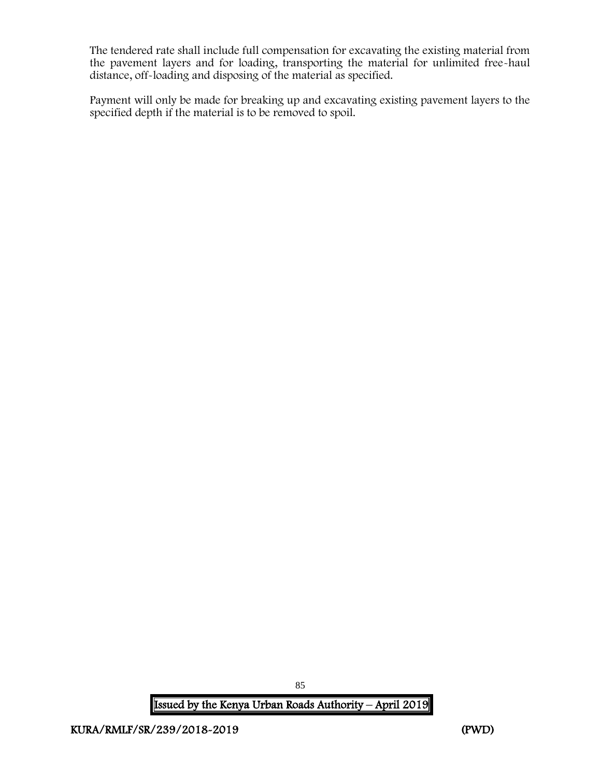The tendered rate shall include full compensation for excavating the existing material from the pavement layers and for loading, transporting the material for unlimited free-haul distance, off-loading and disposing of the material as specified.

Payment will only be made for breaking up and excavating existing pavement layers to the specified depth if the material is to be removed to spoil.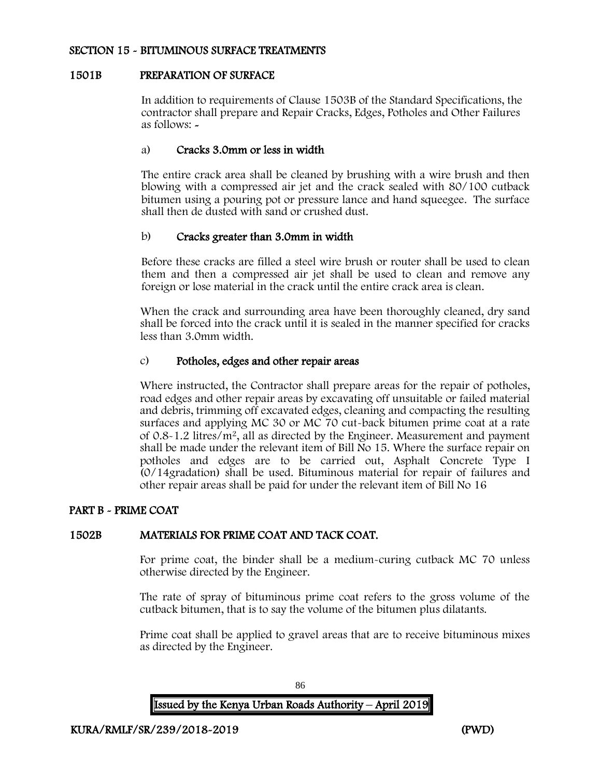## SECTION 15 - BITUMINOUS SURFACE TREATMENTS

## 1501B PREPARATION OF SURFACE

In addition to requirements of Clause 1503B of the Standard Specifications, the contractor shall prepare and Repair Cracks, Edges, Potholes and Other Failures as follows: -

# a) Cracks 3.0mm or less in width

The entire crack area shall be cleaned by brushing with a wire brush and then blowing with a compressed air jet and the crack sealed with 80/100 cutback bitumen using a pouring pot or pressure lance and hand squeegee. The surface shall then de dusted with sand or crushed dust.

## b) Cracks greater than 3.0mm in width

Before these cracks are filled a steel wire brush or router shall be used to clean them and then a compressed air jet shall be used to clean and remove any foreign or lose material in the crack until the entire crack area is clean.

When the crack and surrounding area have been thoroughly cleaned, dry sand shall be forced into the crack until it is sealed in the manner specified for cracks less than 3.0mm width.

# c) Potholes, edges and other repair areas

Where instructed, the Contractor shall prepare areas for the repair of potholes, road edges and other repair areas by excavating off unsuitable or failed material and debris, trimming off excavated edges, cleaning and compacting the resulting surfaces and applying MC 30 or MC 70 cut-back bitumen prime coat at a rate of 0.8-1.2 litres/m<sup>2</sup>, all as directed by the Engineer. Measurement and payment shall be made under the relevant item of Bill No 15. Where the surface repair on potholes and edges are to be carried out, Asphalt Concrete Type I (0/14gradation) shall be used. Bituminous material for repair of failures and other repair areas shall be paid for under the relevant item of Bill No 16

## PART B - PRIME COAT

# 1502B MATERIALS FOR PRIME COAT AND TACK COAT.

For prime coat, the binder shall be a medium-curing cutback MC 70 unless otherwise directed by the Engineer.

The rate of spray of bituminous prime coat refers to the gross volume of the cutback bitumen, that is to say the volume of the bitumen plus dilatants.

Prime coat shall be applied to gravel areas that are to receive bituminous mixes as directed by the Engineer.

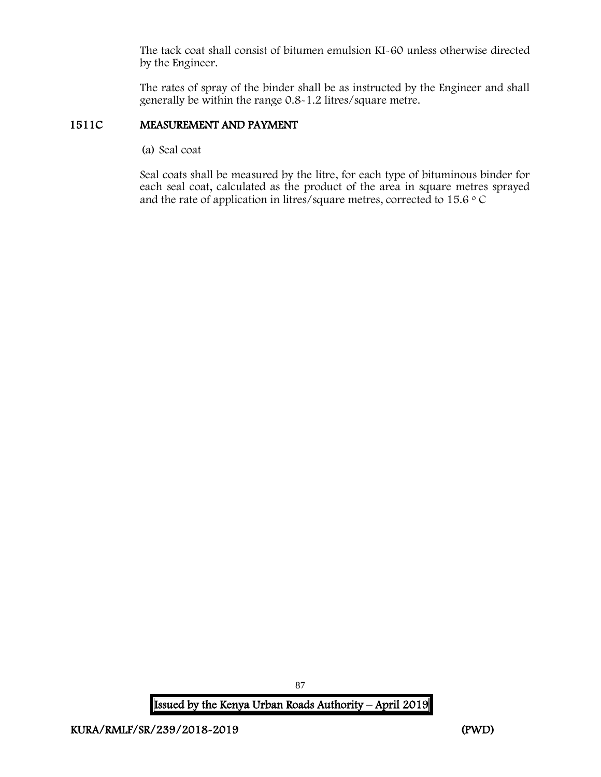The tack coat shall consist of bitumen emulsion KI-60 unless otherwise directed by the Engineer.

The rates of spray of the binder shall be as instructed by the Engineer and shall generally be within the range 0.8-1.2 litres/square metre.

## 1511C MEASUREMENT AND PAYMENT

(a) Seal coat

Seal coats shall be measured by the litre, for each type of bituminous binder for each seal coat, calculated as the product of the area in square metres sprayed and the rate of application in litres/square metres, corrected to  $15.6 \degree$ C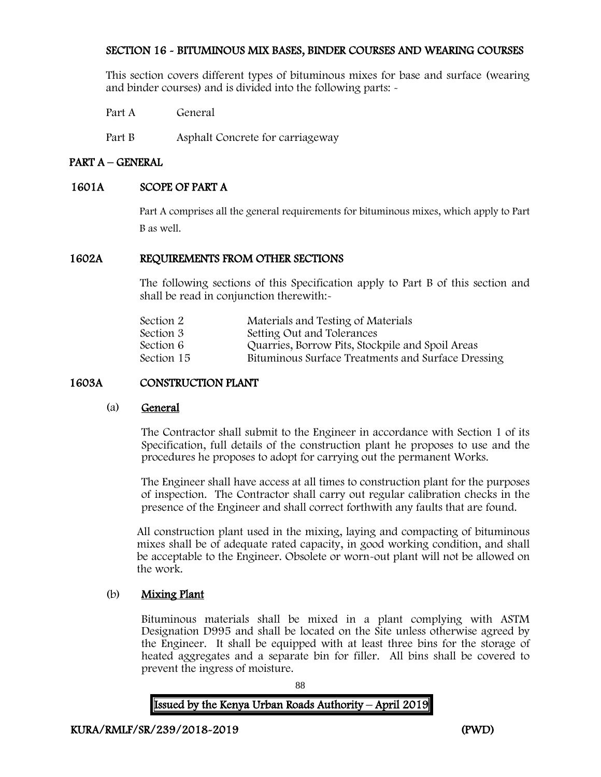# SECTION 16 - BITUMINOUS MIX BASES, BINDER COURSES AND WEARING COURSES

This section covers different types of bituminous mixes for base and surface (wearing and binder courses) and is divided into the following parts: -

Part A General

Part B Asphalt Concrete for carriageway

# PART A – GENERAL

# 1601A SCOPE OF PART A

Part A comprises all the general requirements for bituminous mixes, which apply to Part B as well.

# 1602A REQUIREMENTS FROM OTHER SECTIONS

The following sections of this Specification apply to Part B of this section and shall be read in conjunction therewith:-

| Materials and Testing of Materials                 |
|----------------------------------------------------|
| Setting Out and Tolerances                         |
| Quarries, Borrow Pits, Stockpile and Spoil Areas   |
| Bituminous Surface Treatments and Surface Dressing |
|                                                    |

# 1603A CONSTRUCTION PLANT

#### (a) General

The Contractor shall submit to the Engineer in accordance with Section 1 of its Specification, full details of the construction plant he proposes to use and the procedures he proposes to adopt for carrying out the permanent Works.

The Engineer shall have access at all times to construction plant for the purposes of inspection. The Contractor shall carry out regular calibration checks in the presence of the Engineer and shall correct forthwith any faults that are found.

All construction plant used in the mixing, laying and compacting of bituminous mixes shall be of adequate rated capacity, in good working condition, and shall be acceptable to the Engineer. Obsolete or worn-out plant will not be allowed on the work.

## (b) Mixing Plant

Bituminous materials shall be mixed in a plant complying with ASTM Designation D995 and shall be located on the Site unless otherwise agreed by the Engineer. It shall be equipped with at least three bins for the storage of heated aggregates and a separate bin for filler. All bins shall be covered to prevent the ingress of moisture.

> 88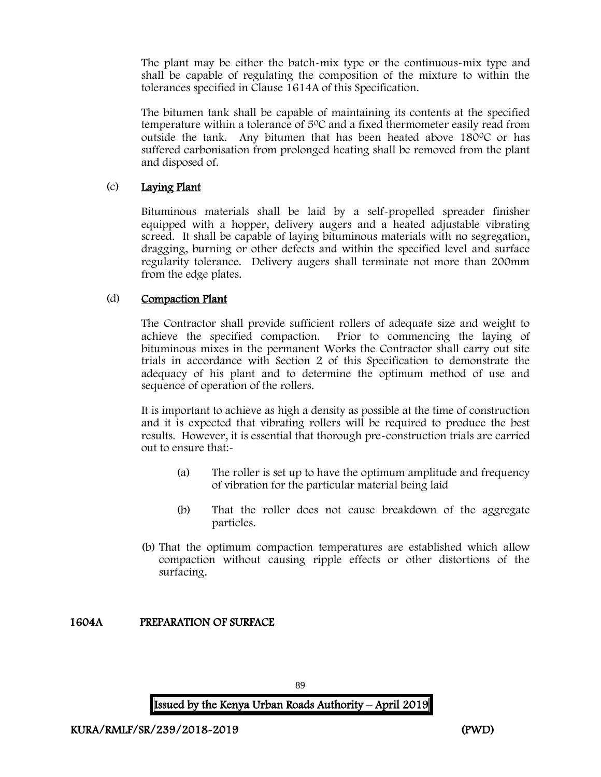The plant may be either the batch-mix type or the continuous-mix type and shall be capable of regulating the composition of the mixture to within the tolerances specified in Clause 1614A of this Specification.

The bitumen tank shall be capable of maintaining its contents at the specified temperature within a tolerance of  $5^{\circ}$ C and a fixed thermometer easily read from outside the tank. Any bitumen that has been heated above  $180^{\circ}$ C or has suffered carbonisation from prolonged heating shall be removed from the plant and disposed of.

## (c) Laying Plant

Bituminous materials shall be laid by a self-propelled spreader finisher equipped with a hopper, delivery augers and a heated adjustable vibrating screed. It shall be capable of laying bituminous materials with no segregation, dragging, burning or other defects and within the specified level and surface regularity tolerance. Delivery augers shall terminate not more than 200mm from the edge plates.

# (d) Compaction Plant

The Contractor shall provide sufficient rollers of adequate size and weight to achieve the specified compaction. Prior to commencing the laying of bituminous mixes in the permanent Works the Contractor shall carry out site trials in accordance with Section 2 of this Specification to demonstrate the adequacy of his plant and to determine the optimum method of use and sequence of operation of the rollers.

It is important to achieve as high a density as possible at the time of construction and it is expected that vibrating rollers will be required to produce the best results. However, it is essential that thorough pre-construction trials are carried out to ensure that:-

- (a) The roller is set up to have the optimum amplitude and frequency of vibration for the particular material being laid
- (b) That the roller does not cause breakdown of the aggregate particles.
- (b) That the optimum compaction temperatures are established which allow compaction without causing ripple effects or other distortions of the surfacing.

# 1604A PREPARATION OF SURFACE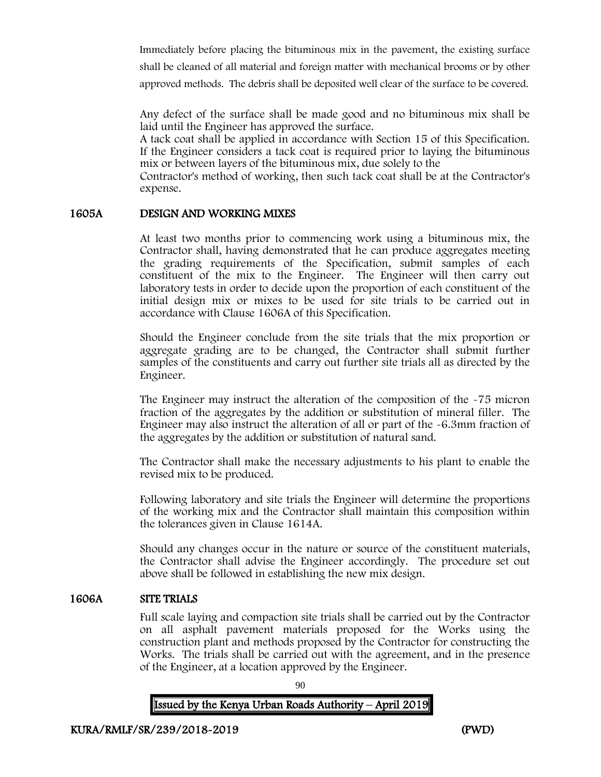Immediately before placing the bituminous mix in the pavement, the existing surface shall be cleaned of all material and foreign matter with mechanical brooms or by other approved methods. The debris shall be deposited well clear of the surface to be covered.

Any defect of the surface shall be made good and no bituminous mix shall be laid until the Engineer has approved the surface.

A tack coat shall be applied in accordance with Section 15 of this Specification. If the Engineer considers a tack coat is required prior to laying the bituminous mix or between layers of the bituminous mix, due solely to the

Contractor's method of working, then such tack coat shall be at the Contractor's expense.

## 1605A DESIGN AND WORKING MIXES

At least two months prior to commencing work using a bituminous mix, the Contractor shall, having demonstrated that he can produce aggregates meeting the grading requirements of the Specification, submit samples of each constituent of the mix to the Engineer. The Engineer will then carry out laboratory tests in order to decide upon the proportion of each constituent of the initial design mix or mixes to be used for site trials to be carried out in accordance with Clause 1606A of this Specification.

Should the Engineer conclude from the site trials that the mix proportion or aggregate grading are to be changed, the Contractor shall submit further samples of the constituents and carry out further site trials all as directed by the Engineer.

The Engineer may instruct the alteration of the composition of the -75 micron fraction of the aggregates by the addition or substitution of mineral filler. The Engineer may also instruct the alteration of all or part of the -6.3mm fraction of the aggregates by the addition or substitution of natural sand.

The Contractor shall make the necessary adjustments to his plant to enable the revised mix to be produced.

Following laboratory and site trials the Engineer will determine the proportions of the working mix and the Contractor shall maintain this composition within the tolerances given in Clause 1614A.

Should any changes occur in the nature or source of the constituent materials, the Contractor shall advise the Engineer accordingly. The procedure set out above shall be followed in establishing the new mix design.

## 1606A SITE TRIALS

Full scale laying and compaction site trials shall be carried out by the Contractor on all asphalt pavement materials proposed for the Works using the construction plant and methods proposed by the Contractor for constructing the Works. The trials shall be carried out with the agreement, and in the presence of the Engineer, at a location approved by the Engineer.

 Issued by the Kenya Urban Roads Authority – April 2019

 $9<sub>0</sub>$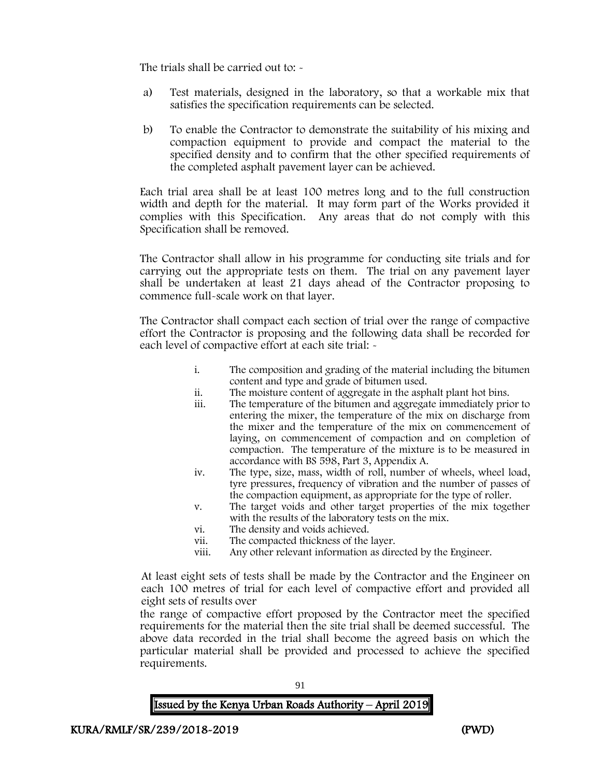The trials shall be carried out to: -

- a) Test materials, designed in the laboratory, so that a workable mix that satisfies the specification requirements can be selected.
- b) To enable the Contractor to demonstrate the suitability of his mixing and compaction equipment to provide and compact the material to the specified density and to confirm that the other specified requirements of the completed asphalt pavement layer can be achieved.

Each trial area shall be at least 100 metres long and to the full construction width and depth for the material. It may form part of the Works provided it complies with this Specification. Any areas that do not comply with this Specification shall be removed.

The Contractor shall allow in his programme for conducting site trials and for carrying out the appropriate tests on them. The trial on any pavement layer shall be undertaken at least 21 days ahead of the Contractor proposing to commence full-scale work on that layer.

The Contractor shall compact each section of trial over the range of compactive effort the Contractor is proposing and the following data shall be recorded for each level of compactive effort at each site trial: -

- i. The composition and grading of the material including the bitumen content and type and grade of bitumen used.
- ii. The moisture content of aggregate in the asphalt plant hot bins.
- iii. The temperature of the bitumen and aggregate immediately prior to entering the mixer, the temperature of the mix on discharge from the mixer and the temperature of the mix on commencement of laying, on commencement of compaction and on completion of compaction. The temperature of the mixture is to be measured in accordance with BS 598, Part 3, Appendix A.
- iv. The type, size, mass, width of roll, number of wheels, wheel load, tyre pressures, frequency of vibration and the number of passes of the compaction equipment, as appropriate for the type of roller.
- v. The target voids and other target properties of the mix together with the results of the laboratory tests on the mix.
- vi. The density and voids achieved.
- vii. The compacted thickness of the layer.
- viii. Any other relevant information as directed by the Engineer.

At least eight sets of tests shall be made by the Contractor and the Engineer on each 100 metres of trial for each level of compactive effort and provided all eight sets of results over

the range of compactive effort proposed by the Contractor meet the specified requirements for the material then the site trial shall be deemed successful. The above data recorded in the trial shall become the agreed basis on which the particular material shall be provided and processed to achieve the specified requirements.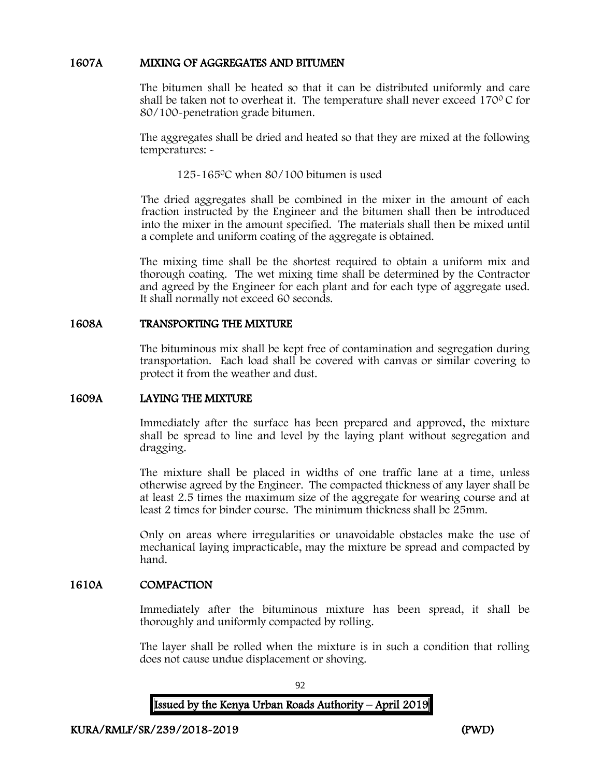## 1607A MIXING OF AGGREGATES AND BITUMEN

The bitumen shall be heated so that it can be distributed uniformly and care shall be taken not to overheat it. The temperature shall never exceed 170 $\degree$ C for 80/100-penetration grade bitumen.

The aggregates shall be dried and heated so that they are mixed at the following temperatures: -

125-165<sup>0</sup>C when 80/100 bitumen is used

The dried aggregates shall be combined in the mixer in the amount of each fraction instructed by the Engineer and the bitumen shall then be introduced into the mixer in the amount specified. The materials shall then be mixed until a complete and uniform coating of the aggregate is obtained.

The mixing time shall be the shortest required to obtain a uniform mix and thorough coating. The wet mixing time shall be determined by the Contractor and agreed by the Engineer for each plant and for each type of aggregate used. It shall normally not exceed 60 seconds.

## 1608A TRANSPORTING THE MIXTURE

The bituminous mix shall be kept free of contamination and segregation during transportation. Each load shall be covered with canvas or similar covering to protect it from the weather and dust.

#### 1609A LAYING THE MIXTURE

Immediately after the surface has been prepared and approved, the mixture shall be spread to line and level by the laying plant without segregation and dragging.

The mixture shall be placed in widths of one traffic lane at a time, unless otherwise agreed by the Engineer. The compacted thickness of any layer shall be at least 2.5 times the maximum size of the aggregate for wearing course and at least 2 times for binder course. The minimum thickness shall be 25mm.

Only on areas where irregularities or unavoidable obstacles make the use of mechanical laying impracticable, may the mixture be spread and compacted by hand.

#### 1610A COMPACTION

Immediately after the bituminous mixture has been spread, it shall be thoroughly and uniformly compacted by rolling.

The layer shall be rolled when the mixture is in such a condition that rolling does not cause undue displacement or shoving.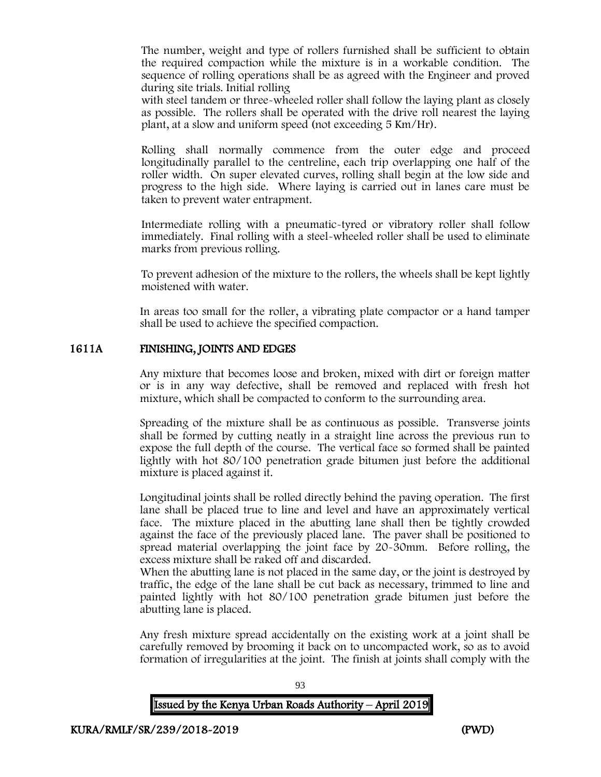The number, weight and type of rollers furnished shall be sufficient to obtain the required compaction while the mixture is in a workable condition. The sequence of rolling operations shall be as agreed with the Engineer and proved during site trials. Initial rolling

with steel tandem or three-wheeled roller shall follow the laying plant as closely as possible. The rollers shall be operated with the drive roll nearest the laying plant, at a slow and uniform speed (not exceeding 5 Km/Hr).

Rolling shall normally commence from the outer edge and proceed longitudinally parallel to the centreline, each trip overlapping one half of the roller width. On super elevated curves, rolling shall begin at the low side and progress to the high side. Where laying is carried out in lanes care must be taken to prevent water entrapment.

Intermediate rolling with a pneumatic-tyred or vibratory roller shall follow immediately. Final rolling with a steel-wheeled roller shall be used to eliminate marks from previous rolling.

To prevent adhesion of the mixture to the rollers, the wheels shall be kept lightly moistened with water.

In areas too small for the roller, a vibrating plate compactor or a hand tamper shall be used to achieve the specified compaction.

## 1611A FINISHING, JOINTS AND EDGES

Any mixture that becomes loose and broken, mixed with dirt or foreign matter or is in any way defective, shall be removed and replaced with fresh hot mixture, which shall be compacted to conform to the surrounding area.

Spreading of the mixture shall be as continuous as possible. Transverse joints shall be formed by cutting neatly in a straight line across the previous run to expose the full depth of the course. The vertical face so formed shall be painted lightly with hot 80/100 penetration grade bitumen just before the additional mixture is placed against it.

Longitudinal joints shall be rolled directly behind the paving operation. The first lane shall be placed true to line and level and have an approximately vertical face. The mixture placed in the abutting lane shall then be tightly crowded against the face of the previously placed lane. The paver shall be positioned to spread material overlapping the joint face by 20-30mm. Before rolling, the excess mixture shall be raked off and discarded.

When the abutting lane is not placed in the same day, or the joint is destroyed by traffic, the edge of the lane shall be cut back as necessary, trimmed to line and painted lightly with hot 80/100 penetration grade bitumen just before the abutting lane is placed.

Any fresh mixture spread accidentally on the existing work at a joint shall be carefully removed by brooming it back on to uncompacted work, so as to avoid formation of irregularities at the joint. The finish at joints shall comply with the

| Issued by the Kenya Urban Roads Authority - April 2019 |  |
|--------------------------------------------------------|--|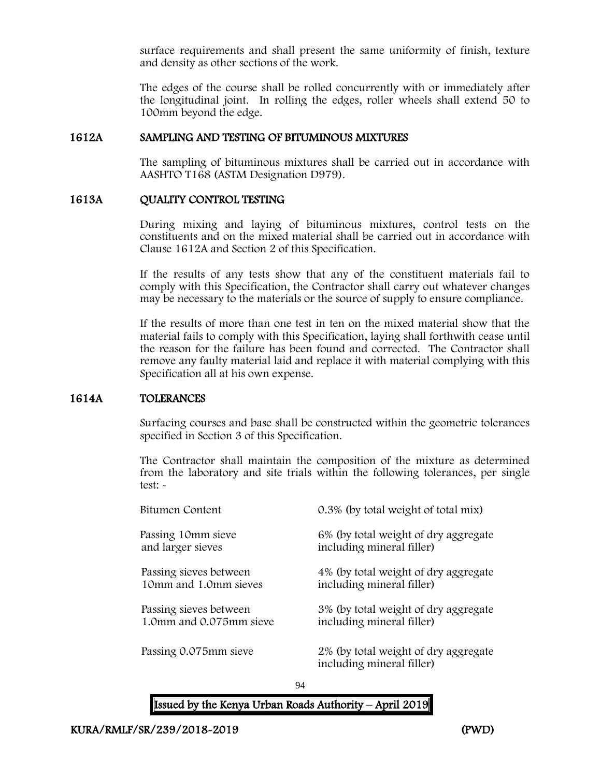surface requirements and shall present the same uniformity of finish, texture and density as other sections of the work.

The edges of the course shall be rolled concurrently with or immediately after the longitudinal joint. In rolling the edges, roller wheels shall extend 50 to 100mm beyond the edge.

#### 1612A SAMPLING AND TESTING OF BITUMINOUS MIXTURES

The sampling of bituminous mixtures shall be carried out in accordance with AASHTO T168 (ASTM Designation D979).

## 1613A QUALITY CONTROL TESTING

During mixing and laying of bituminous mixtures, control tests on the constituents and on the mixed material shall be carried out in accordance with Clause 1612A and Section 2 of this Specification.

If the results of any tests show that any of the constituent materials fail to comply with this Specification, the Contractor shall carry out whatever changes may be necessary to the materials or the source of supply to ensure compliance.

If the results of more than one test in ten on the mixed material show that the material fails to comply with this Specification, laying shall forthwith cease until the reason for the failure has been found and corrected. The Contractor shall remove any faulty material laid and replace it with material complying with this Specification all at his own expense.

## 1614A TOLERANCES

Surfacing courses and base shall be constructed within the geometric tolerances specified in Section 3 of this Specification.

The Contractor shall maintain the composition of the mixture as determined from the laboratory and site trials within the following tolerances, per single test: -

| Bitumen Content         | 0.3% (by total weight of total mix)                               |
|-------------------------|-------------------------------------------------------------------|
| Passing 10mm sieve      | 6% (by total weight of dry aggregate                              |
| and larger sieves       | including mineral filler)                                         |
| Passing sieves between  | 4% (by total weight of dry aggregate                              |
| 10mm and 1.0mm sieves   | including mineral filler)                                         |
| Passing sieves between  | 3% (by total weight of dry aggregate                              |
| 1.0mm and 0.075mm sieve | including mineral filler)                                         |
| Passing 0.075mm sieve   | 2% (by total weight of dry aggregate<br>including mineral filler) |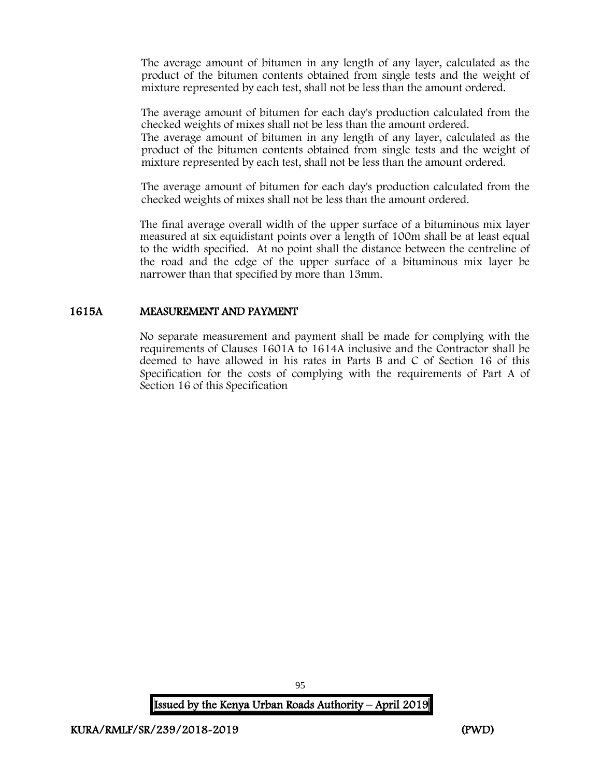The average amount of bitumen in any length of any layer, calculated as the product of the bitumen contents obtained from single tests and the weight of mixture represented by each test, shall not be less than the amount ordered.

The average amount of bitumen for each day's production calculated from the checked weights of mixes shall not be less than the amount ordered.

The average amount of bitumen in any length of any layer, calculated as the product of the bitumen contents obtained from single tests and the weight of mixture represented by each test, shall not be less than the amount ordered.

The average amount of bitumen for each day's production calculated from the checked weights of mixes shall not be less than the amount ordered.

The final average overall width of the upper surface of a bituminous mix layer measured at six equidistant points over a length of 100m shall be at least equal to the width specified. At no point shall the distance between the centreline of the road and the edge of the upper surface of a bituminous mix layer be narrower than that specified by more than 13mm.

## 1615A MEASUREMENT AND PAYMENT

No separate measurement and payment shall be made for complying with the requirements of Clauses 1601A to 1614A inclusive and the Contractor shall be deemed to have allowed in his rates in Parts B and C of Section 16 of this Specification for the costs of complying with the requirements of Part A of Section 16 of this Specification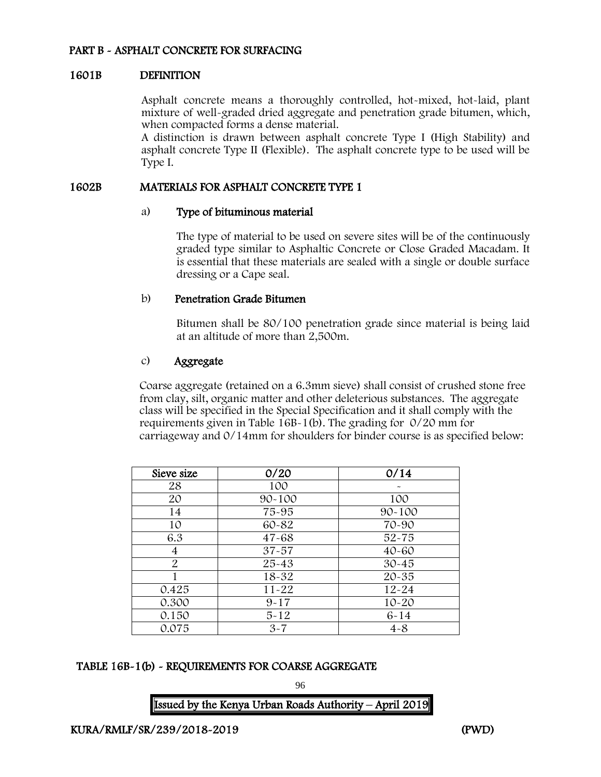## PART B - ASPHALT CONCRETE FOR SURFACING

## 1601B DEFINITION

Asphalt concrete means a thoroughly controlled, hot-mixed, hot-laid, plant mixture of well-graded dried aggregate and penetration grade bitumen, which, when compacted forms a dense material.

A distinction is drawn between asphalt concrete Type I (High Stability) and asphalt concrete Type II (Flexible). The asphalt concrete type to be used will be Type I.

## 1602B MATERIALS FOR ASPHALT CONCRETE TYPE 1

#### a) Type of bituminous material

The type of material to be used on severe sites will be of the continuously graded type similar to Asphaltic Concrete or Close Graded Macadam. It is essential that these materials are sealed with a single or double surface dressing or a Cape seal.

## b) Penetration Grade Bitumen

Bitumen shall be 80/100 penetration grade since material is being laid at an altitude of more than 2,500m.

## c) Aggregate

Coarse aggregate (retained on a 6.3mm sieve) shall consist of crushed stone free from clay, silt, organic matter and other deleterious substances. The aggregate class will be specified in the Special Specification and it shall comply with the requirements given in Table 16B-1(b). The grading for 0/20 mm for carriageway and 0/14mm for shoulders for binder course is as specified below:

| Sieve size     | 0/20       | 0/14       |
|----------------|------------|------------|
| 28             | 100        |            |
| 20             | $90 - 100$ | 100        |
| 14             | 75-95      | $90 - 100$ |
| 10             | 60-82      | 70-90      |
| 6.3            | $47 - 68$  | $52 - 75$  |
| 4              | $37 - 57$  | $40 - 60$  |
| $\overline{2}$ | $25 - 43$  | $30 - 45$  |
|                | 18-32      | $20 - 35$  |
| 0.425          | $11 - 22$  | $12 - 24$  |
| 0.300          | $9 - 17$   | $10 - 20$  |
| 0.150          | $5 - 12$   | $6 - 14$   |
| 0.075          | $3 - 7$    | $4 - 8$    |

## TABLE 16B-1(b) - REQUIREMENTS FOR COARSE AGGREGATE

96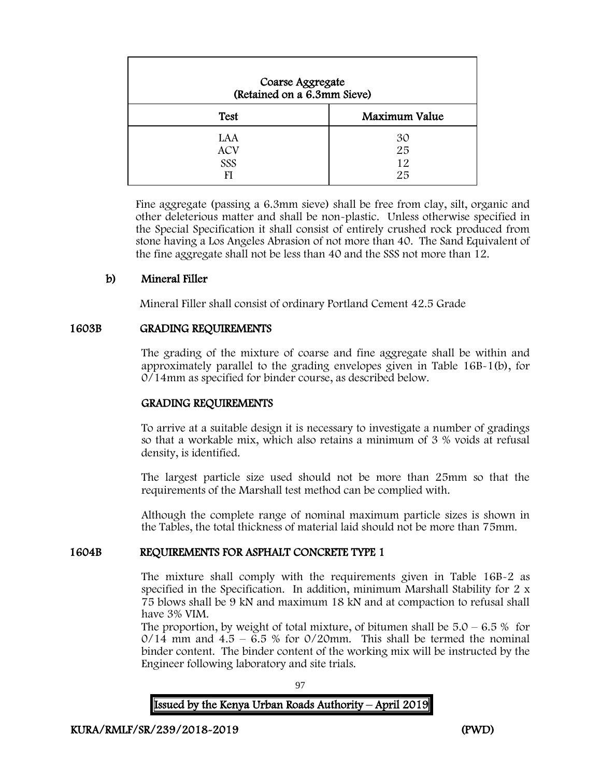| Coarse Aggregate<br>(Retained on a 6.3mm Sieve) |                      |
|-------------------------------------------------|----------------------|
| <b>Test</b>                                     | Maximum Value        |
| LAA<br><b>ACV</b><br>SSS                        | 30<br>25<br>12<br>25 |

Fine aggregate (passing a 6.3mm sieve) shall be free from clay, silt, organic and other deleterious matter and shall be non-plastic. Unless otherwise specified in the Special Specification it shall consist of entirely crushed rock produced from stone having a Los Angeles Abrasion of not more than 40. The Sand Equivalent of the fine aggregate shall not be less than 40 and the SSS not more than 12.

## b) Mineral Filler

Mineral Filler shall consist of ordinary Portland Cement 42.5 Grade

## 1603B GRADING REQUIREMENTS

The grading of the mixture of coarse and fine aggregate shall be within and approximately parallel to the grading envelopes given in Table 16B-1(b), for 0/14mm as specified for binder course, as described below.

## GRADING REQUIREMENTS

To arrive at a suitable design it is necessary to investigate a number of gradings so that a workable mix, which also retains a minimum of 3 % voids at refusal density, is identified.

The largest particle size used should not be more than 25mm so that the requirements of the Marshall test method can be complied with.

Although the complete range of nominal maximum particle sizes is shown in the Tables, the total thickness of material laid should not be more than 75mm.

## 1604B REQUIREMENTS FOR ASPHALT CONCRETE TYPE 1

The mixture shall comply with the requirements given in Table 16B-2 as specified in the Specification. In addition, minimum Marshall Stability for 2 x 75 blows shall be 9 kN and maximum 18 kN and at compaction to refusal shall have 3% VIM.

The proportion, by weight of total mixture, of bitumen shall be  $5.0 - 6.5 %$  for  $0/14$  mm and  $4.5 - 6.5$  % for  $0/20$ mm. This shall be termed the nominal binder content. The binder content of the working mix will be instructed by the Engineer following laboratory and site trials.

 Issued by the Kenya Urban Roads Authority – April 2019

**97**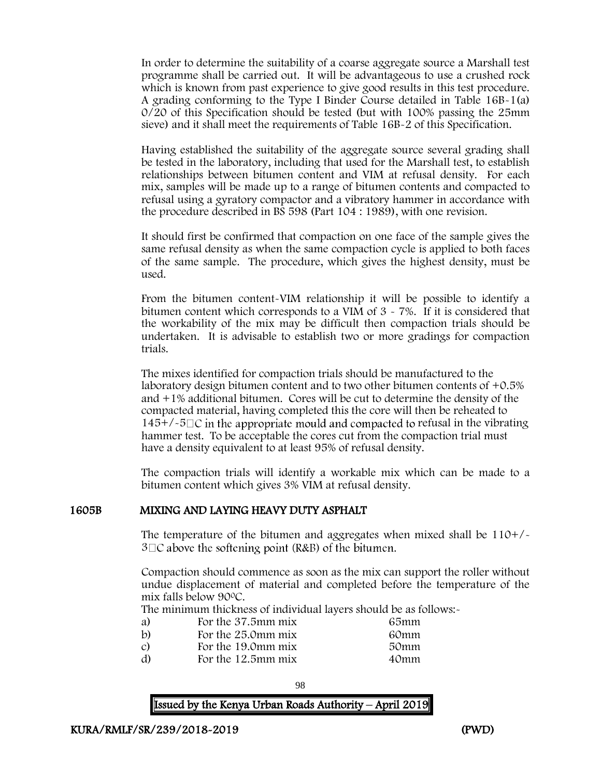In order to determine the suitability of a coarse aggregate source a Marshall test programme shall be carried out. It will be advantageous to use a crushed rock which is known from past experience to give good results in this test procedure. A grading conforming to the Type I Binder Course detailed in Table 16B-1(a) 0/20 of this Specification should be tested (but with 100% passing the 25mm sieve) and it shall meet the requirements of Table 16B-2 of this Specification.

Having established the suitability of the aggregate source several grading shall be tested in the laboratory, including that used for the Marshall test, to establish relationships between bitumen content and VIM at refusal density. For each mix, samples will be made up to a range of bitumen contents and compacted to refusal using a gyratory compactor and a vibratory hammer in accordance with the procedure described in BS 598 (Part 104 : 1989), with one revision.

It should first be confirmed that compaction on one face of the sample gives the same refusal density as when the same compaction cycle is applied to both faces of the same sample. The procedure, which gives the highest density, must be used.

From the bitumen content-VIM relationship it will be possible to identify a bitumen content which corresponds to a VIM of  $3 \times 7\%$ . If it is considered that the workability of the mix may be difficult then compaction trials should be undertaken. It is advisable to establish two or more gradings for compaction trials.

The mixes identified for compaction trials should be manufactured to the laboratory design bitumen content and to two other bitumen contents of +0.5% and +1% additional bitumen. Cores will be cut to determine the density of the compacted material, having completed this the core will then be reheated to  $145+/-5\degree$  in the appropriate mould and compacted to refusal in the vibrating hammer test. To be acceptable the cores cut from the compaction trial must have a density equivalent to at least 95% of refusal density.

The compaction trials will identify a workable mix which can be made to a bitumen content which gives 3% VIM at refusal density.

#### 1605B MIXING AND LAYING HEAVY DUTY ASPHALT

The temperature of the bitumen and aggregates when mixed shall be 110+/-  $3\Box C$  above the softening point (R&B) of the bitumen.

Compaction should commence as soon as the mix can support the roller without undue displacement of material and completed before the temperature of the mix falls below 90<sup>0</sup>C.

The minimum thickness of individual layers should be as follows:-

| a) | For the 37.5mm mix    | 65mm |
|----|-----------------------|------|
| b) | For the 25.0mm mix    | 60mm |
| c) | For the 19.0mm mix    | 50mm |
| d) | For the $12.5$ mm mix | 40mm |

98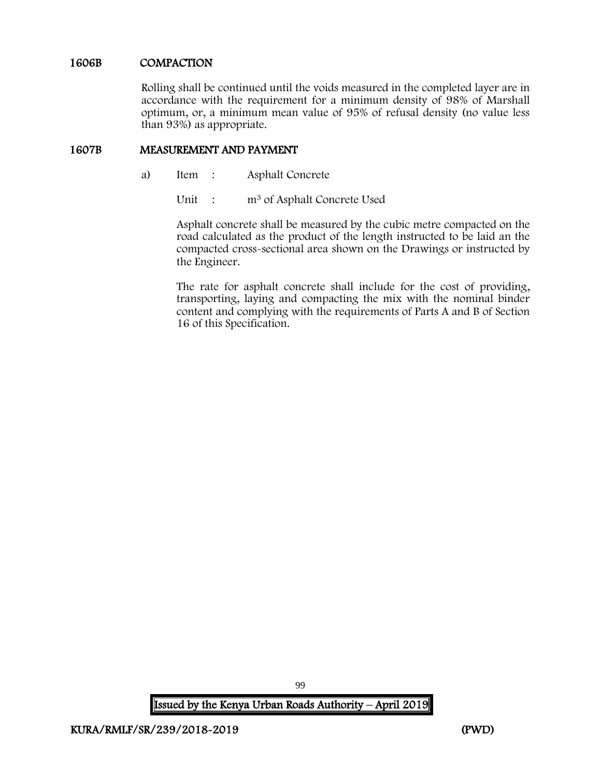## 1606B COMPACTION

Rolling shall be continued until the voids measured in the completed layer are in accordance with the requirement for a minimum density of 98% of Marshall optimum, or, a minimum mean value of 95% of refusal density (no value less than 93%) as appropriate.

## 1607B MEASUREMENT AND PAYMENT

- a) Item : Asphalt Concrete
	- Unit : m<sup>3</sup> of Asphalt Concrete Used

Asphalt concrete shall be measured by the cubic metre compacted on the road calculated as the product of the length instructed to be laid an the compacted cross-sectional area shown on the Drawings or instructed by the Engineer.

The rate for asphalt concrete shall include for the cost of providing, transporting, laying and compacting the mix with the nominal binder content and complying with the requirements of Parts A and B of Section 16 of this Specification.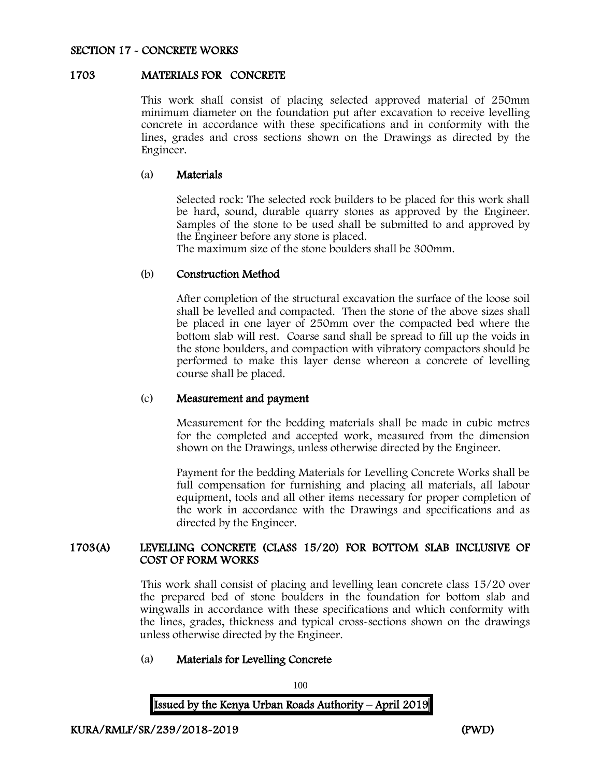## SECTION 17 - CONCRETE WORKS

#### 1703 MATERIALS FOR CONCRETE

This work shall consist of placing selected approved material of 250mm minimum diameter on the foundation put after excavation to receive levelling concrete in accordance with these specifications and in conformity with the lines, grades and cross sections shown on the Drawings as directed by the Engineer.

#### (a) Materials

Selected rock: The selected rock builders to be placed for this work shall be hard, sound, durable quarry stones as approved by the Engineer. Samples of the stone to be used shall be submitted to and approved by the Engineer before any stone is placed.

The maximum size of the stone boulders shall be 300mm.

## (b) Construction Method

After completion of the structural excavation the surface of the loose soil shall be levelled and compacted. Then the stone of the above sizes shall be placed in one layer of 250mm over the compacted bed where the bottom slab will rest. Coarse sand shall be spread to fill up the voids in the stone boulders, and compaction with vibratory compactors should be performed to make this layer dense whereon a concrete of levelling course shall be placed.

#### (c) Measurement and payment

Measurement for the bedding materials shall be made in cubic metres for the completed and accepted work, measured from the dimension shown on the Drawings, unless otherwise directed by the Engineer.

Payment for the bedding Materials for Levelling Concrete Works shall be full compensation for furnishing and placing all materials, all labour equipment, tools and all other items necessary for proper completion of the work in accordance with the Drawings and specifications and as directed by the Engineer.

## 1703(A) LEVELLING CONCRETE (CLASS 15/20) FOR BOTTOM SLAB INCLUSIVE OF COST OF FORM WORKS

This work shall consist of placing and levelling lean concrete class 15/20 over the prepared bed of stone boulders in the foundation for bottom slab and wingwalls in accordance with these specifications and which conformity with the lines, grades, thickness and typical cross-sections shown on the drawings unless otherwise directed by the Engineer.

## (a) Materials for Levelling Concrete

Issued by the Kenya Urban Roads Authority – April 2019

100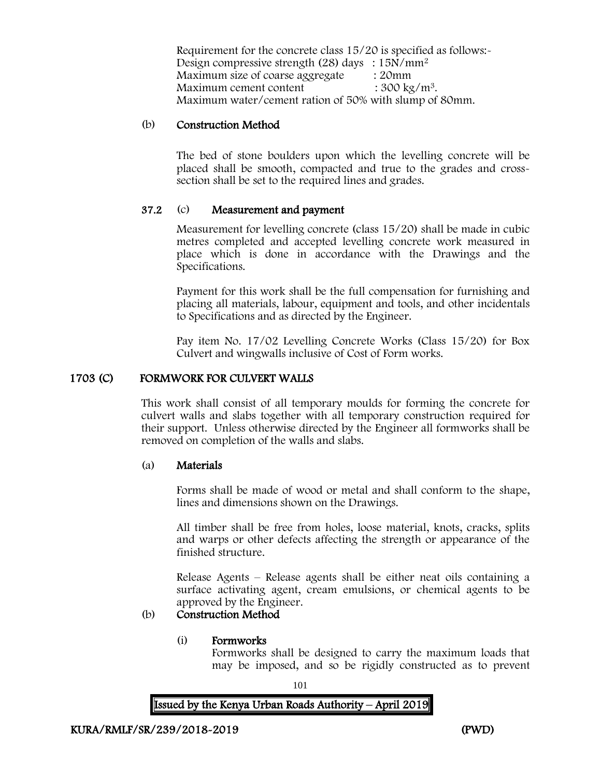Requirement for the concrete class  $15/20$  is specified as follows:-Design compressive strength (28) days :  $15N/mm^2$ Maximum size of coarse aggregate : 20mm Maximum cement content  $: 300 \text{ kg/m}^3$ . Maximum water/cement ration of 50% with slump of 80mm.

## (b) Construction Method

The bed of stone boulders upon which the levelling concrete will be placed shall be smooth, compacted and true to the grades and crosssection shall be set to the required lines and grades.

## 37.2 (c) Measurement and payment

Measurement for levelling concrete (class 15/20) shall be made in cubic metres completed and accepted levelling concrete work measured in place which is done in accordance with the Drawings and the Specifications.

Payment for this work shall be the full compensation for furnishing and placing all materials, labour, equipment and tools, and other incidentals to Specifications and as directed by the Engineer.

Pay item No. 17/02 Levelling Concrete Works (Class 15/20) for Box Culvert and wingwalls inclusive of Cost of Form works.

## 1703 (C) FORMWORK FOR CULVERT WALLS

This work shall consist of all temporary moulds for forming the concrete for culvert walls and slabs together with all temporary construction required for their support. Unless otherwise directed by the Engineer all formworks shall be removed on completion of the walls and slabs.

#### (a) Materials

Forms shall be made of wood or metal and shall conform to the shape, lines and dimensions shown on the Drawings.

All timber shall be free from holes, loose material, knots, cracks, splits and warps or other defects affecting the strength or appearance of the finished structure.

Release Agents – Release agents shall be either neat oils containing a surface activating agent, cream emulsions, or chemical agents to be approved by the Engineer.

# (b) Construction Method

#### (i) Formworks

Formworks shall be designed to carry the maximum loads that may be imposed, and so be rigidly constructed as to prevent

101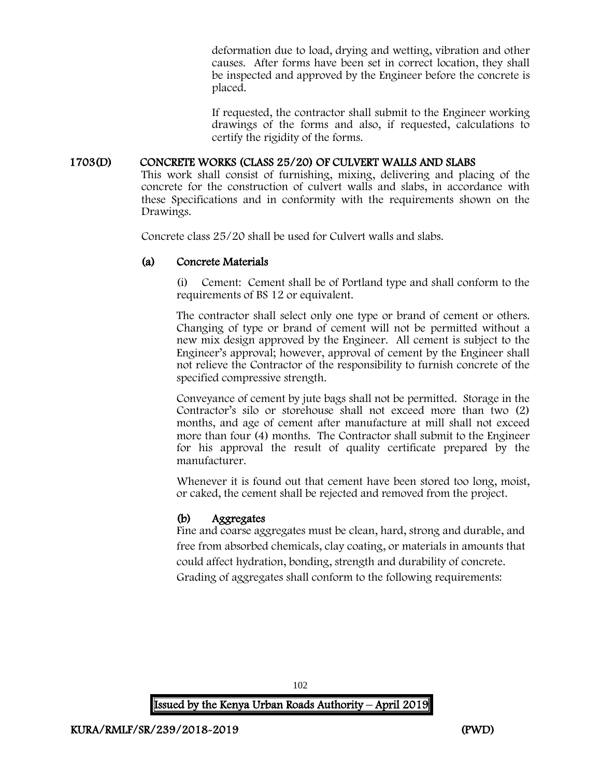deformation due to load, drying and wetting, vibration and other causes. After forms have been set in correct location, they shall be inspected and approved by the Engineer before the concrete is placed.

If requested, the contractor shall submit to the Engineer working drawings of the forms and also, if requested, calculations to certify the rigidity of the forms.

# 1703(D) CONCRETE WORKS (CLASS 25/20) OF CULVERT WALLS AND SLABS

This work shall consist of furnishing, mixing, delivering and placing of the concrete for the construction of culvert walls and slabs, in accordance with these Specifications and in conformity with the requirements shown on the Drawings.

Concrete class 25/20 shall be used for Culvert walls and slabs.

# (a) Concrete Materials

(i) Cement: Cement shall be of Portland type and shall conform to the requirements of BS 12 or equivalent.

The contractor shall select only one type or brand of cement or others. Changing of type or brand of cement will not be permitted without a new mix design approved by the Engineer. All cement is subject to the Engineer's approval; however, approval of cement by the Engineer shall not relieve the Contractor of the responsibility to furnish concrete of the specified compressive strength.

Conveyance of cement by jute bags shall not be permitted. Storage in the Contractor's silo or storehouse shall not exceed more than two (2) months, and age of cement after manufacture at mill shall not exceed more than four (4) months. The Contractor shall submit to the Engineer for his approval the result of quality certificate prepared by the manufacturer.

Whenever it is found out that cement have been stored too long, moist, or caked, the cement shall be rejected and removed from the project.

# (b) Aggregates

Fine and coarse aggregates must be clean, hard, strong and durable, and free from absorbed chemicals, clay coating, or materials in amounts that could affect hydration, bonding, strength and durability of concrete. Grading of aggregates shall conform to the following requirements: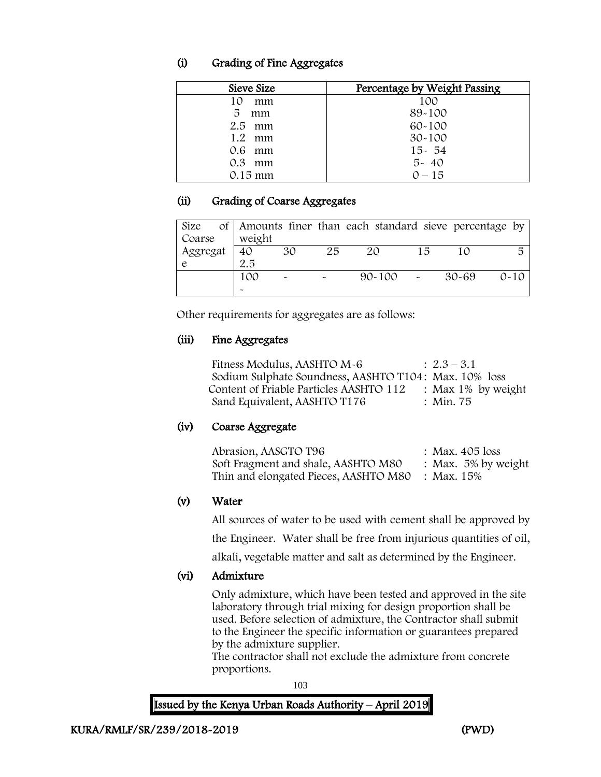# (i) Grading of Fine Aggregates

| Sieve Size | Percentage by Weight Passing |
|------------|------------------------------|
| 10<br>mm   | 100                          |
| 5<br>mm    | 89-100                       |
| $2.5$ mm   | $60 - 100$                   |
| 1.2 mm     | $30 - 100$                   |
| 0.6 mm     | $15 - 54$                    |
| 0.3<br>mm  | $5 - 40$                     |
| $0.15$ mm  | $0 - 15$                     |

# (ii) Grading of Coarse Aggregates

|          |            |                       |    | Size of Amounts finer than each standard sieve percentage by |    |           |          |
|----------|------------|-----------------------|----|--------------------------------------------------------------|----|-----------|----------|
| Coarse   | weight     |                       |    |                                                              |    |           |          |
| Aggregat | $\vert 40$ | 30                    | 25 | 20                                                           | 15 | 10        |          |
| e        | 2.5        |                       |    |                                                              |    |           |          |
|          | 100        | $\tilde{\phantom{a}}$ |    | $90 - 100$                                                   |    | $30 - 69$ | $0 - 10$ |
|          |            |                       |    |                                                              |    |           |          |

Other requirements for aggregates are as follows:

# (iii) Fine Aggregates

| Fitness Modulus, AASHTO M-6                           | $: 2.3 - 3.1$         |
|-------------------------------------------------------|-----------------------|
| Sodium Sulphate Soundness, AASHTO T104: Max. 10% loss |                       |
| Content of Friable Particles AASHTO 112               | : Max $1\%$ by weight |
| Sand Equivalent, AASHTO T176                          | : Min. 75             |

# (iv) Coarse Aggregate

| Abrasion, AASGTO T96                             | : Max. $405$ loss      |
|--------------------------------------------------|------------------------|
| Soft Fragment and shale, AASHTO M80              | : Max. $5\%$ by weight |
| Thin and elongated Pieces, AASHTO M80 : Max. 15% |                        |

# (v) Water

All sources of water to be used with cement shall be approved by

the Engineer. Water shall be free from injurious quantities of oil,

alkali, vegetable matter and salt as determined by the Engineer.

# (vi) Admixture

Only admixture, which have been tested and approved in the site laboratory through trial mixing for design proportion shall be used. Before selection of admixture, the Contractor shall submit to the Engineer the specific information or guarantees prepared by the admixture supplier.

The contractor shall not exclude the admixture from concrete proportions.

103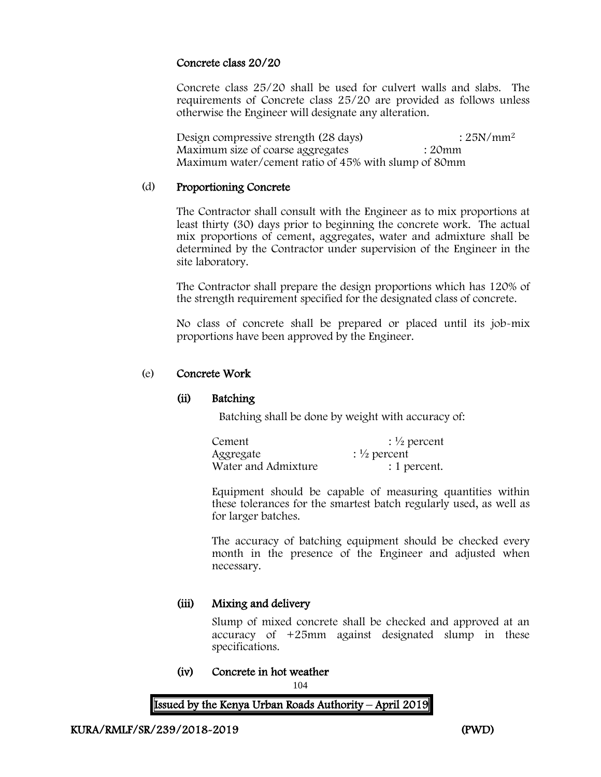# Concrete class 20/20

Concrete class 25/20 shall be used for culvert walls and slabs. The requirements of Concrete class 25/20 are provided as follows unless otherwise the Engineer will designate any alteration.

Design compressive strength (28 days) : 25N/mm<sup>2</sup> Maximum size of coarse aggregates : 20mm Maximum water/cement ratio of 45% with slump of 80mm

## (d) Proportioning Concrete

The Contractor shall consult with the Engineer as to mix proportions at least thirty (30) days prior to beginning the concrete work. The actual mix proportions of cement, aggregates, water and admixture shall be determined by the Contractor under supervision of the Engineer in the site laboratory.

The Contractor shall prepare the design proportions which has 120% of the strength requirement specified for the designated class of concrete.

No class of concrete shall be prepared or placed until its job-mix proportions have been approved by the Engineer.

## (e) Concrete Work

#### (ii) Batching

Batching shall be done by weight with accuracy of:

| Cement              | $\frac{1}{2}$ percent   |
|---------------------|-------------------------|
| Aggregate           | : $\frac{1}{2}$ percent |
| Water and Admixture | : 1 percent.            |

Equipment should be capable of measuring quantities within these tolerances for the smartest batch regularly used, as well as for larger batches.

The accuracy of batching equipment should be checked every month in the presence of the Engineer and adjusted when necessary.

## (iii) Mixing and delivery

Slump of mixed concrete shall be checked and approved at an accuracy of +25mm against designated slump in these specifications.

(iv) Concrete in hot weather

104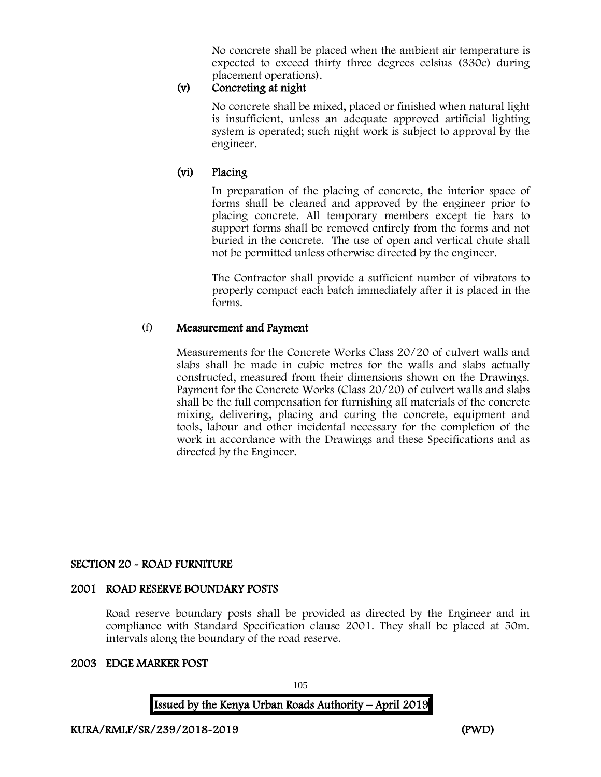No concrete shall be placed when the ambient air temperature is expected to exceed thirty three degrees celsius (330c) during placement operations).

# (v) Concreting at night

No concrete shall be mixed, placed or finished when natural light is insufficient, unless an adequate approved artificial lighting system is operated; such night work is subject to approval by the engineer.

# (vi) Placing

In preparation of the placing of concrete, the interior space of forms shall be cleaned and approved by the engineer prior to placing concrete. All temporary members except tie bars to support forms shall be removed entirely from the forms and not buried in the concrete. The use of open and vertical chute shall not be permitted unless otherwise directed by the engineer.

The Contractor shall provide a sufficient number of vibrators to properly compact each batch immediately after it is placed in the forms.

# (f) Measurement and Payment

Measurements for the Concrete Works Class 20/20 of culvert walls and slabs shall be made in cubic metres for the walls and slabs actually constructed, measured from their dimensions shown on the Drawings. Payment for the Concrete Works (Class 20/20) of culvert walls and slabs shall be the full compensation for furnishing all materials of the concrete mixing, delivering, placing and curing the concrete, equipment and tools, labour and other incidental necessary for the completion of the work in accordance with the Drawings and these Specifications and as directed by the Engineer.

# SECTION 20 - ROAD FURNITURE

## 2001 ROAD RESERVE BOUNDARY POSTS

Road reserve boundary posts shall be provided as directed by the Engineer and in compliance with Standard Specification clause 2001. They shall be placed at 50m. intervals along the boundary of the road reserve.

## 2003 EDGE MARKER POST

105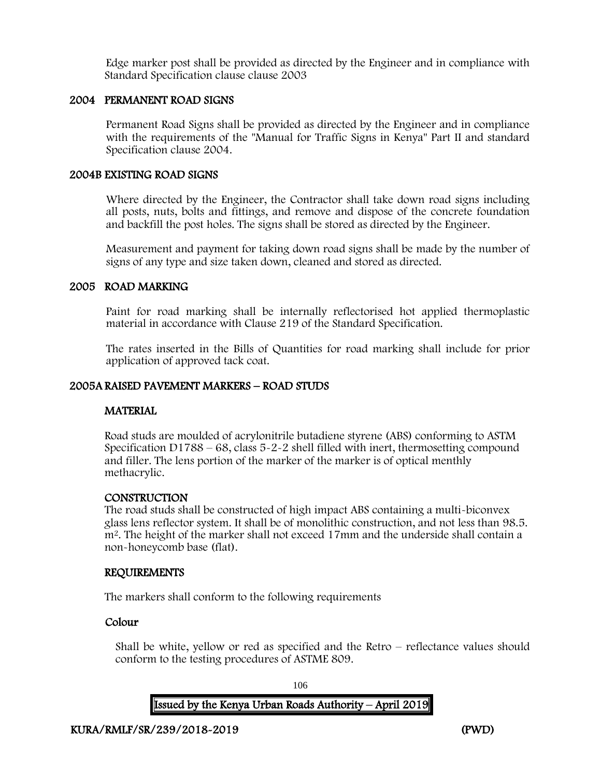Edge marker post shall be provided as directed by the Engineer and in compliance with Standard Specification clause clause 2003

## 2004 PERMANENT ROAD SIGNS

Permanent Road Signs shall be provided as directed by the Engineer and in compliance with the requirements of the "Manual for Traffic Signs in Kenya" Part II and standard Specification clause 2004.

# 2004B EXISTING ROAD SIGNS

Where directed by the Engineer, the Contractor shall take down road signs including all posts, nuts, bolts and fittings, and remove and dispose of the concrete foundation and backfill the post holes. The signs shall be stored as directed by the Engineer.

Measurement and payment for taking down road signs shall be made by the number of signs of any type and size taken down, cleaned and stored as directed.

## 2005 ROAD MARKING

Paint for road marking shall be internally reflectorised hot applied thermoplastic material in accordance with Clause 219 of the Standard Specification.

The rates inserted in the Bills of Quantities for road marking shall include for prior application of approved tack coat.

## 2005A RAISED PAVEMENT MARKERS – ROAD STUDS

# **MATERIAL**

Road studs are moulded of acrylonitrile butadiene styrene (ABS) conforming to ASTM Specification D1788 – 68, class  $5-2-2$  shell filled with inert, thermosetting compound and filler. The lens portion of the marker of the marker is of optical menthly methacrylic.

## **CONSTRUCTION**

The road studs shall be constructed of high impact ABS containing a multi-biconvex glass lens reflector system. It shall be of monolithic construction, and not less than 98.5. m<sup>2</sup>. The height of the marker shall not exceed 17mm and the underside shall contain a non-honeycomb base (flat).

## REQUIREMENTS

The markers shall conform to the following requirements

# Colour

Shall be white, yellow or red as specified and the Retro – reflectance values should conform to the testing procedures of ASTME 809.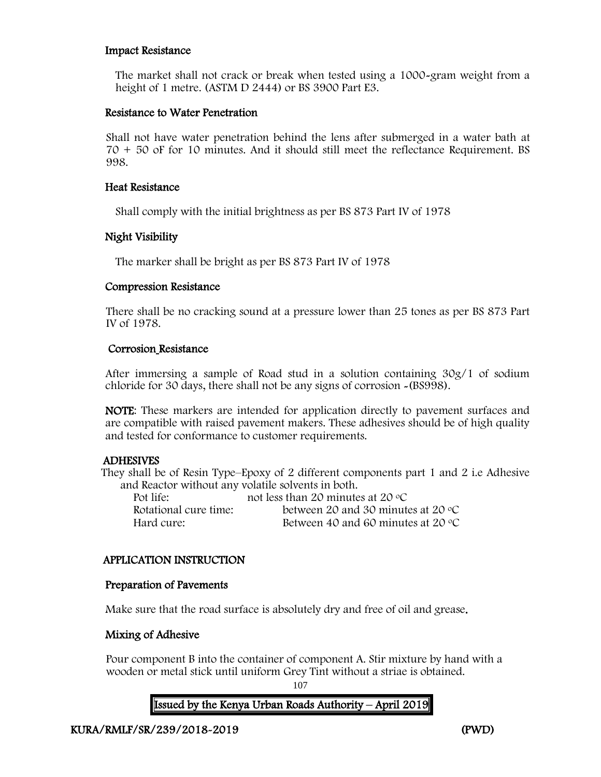#### Impact Resistance

The market shall not crack or break when tested using a 1000-gram weight from a height of 1 metre. (ASTM D 2444) or BS 3900 Part E3.

## Resistance to Water Penetration

Shall not have water penetration behind the lens after submerged in a water bath at 70 + 50 oF for 10 minutes. And it should still meet the reflectance Requirement. BS 998.

## Heat Resistance

Shall comply with the initial brightness as per BS 873 Part IV of 1978

## Night Visibility

The marker shall be bright as per BS 873 Part IV of 1978

## Compression Resistance

There shall be no cracking sound at a pressure lower than 25 tones as per BS 873 Part IV of 1978.

## Corrosion Resistance

After immersing a sample of Road stud in a solution containing 30g/1 of sodium chloride for 30 days, there shall not be any signs of corrosion -(BS998).

NOTE: These markers are intended for application directly to pavement surfaces and are compatible with raised pavement makers. These adhesives should be of high quality and tested for conformance to customer requirements.

## ADHESIVES

They shall be of Resin Type–Epoxy of 2 different components part 1 and 2 i.e Adhesive and Reactor without any volatile solvents in both.

| Pot life:             | not less than 20 minutes at 20 $\degree$ C  |
|-----------------------|---------------------------------------------|
| Rotational cure time: | between 20 and 30 minutes at 20 $\degree$ C |
| Hard cure:            | Between 40 and 60 minutes at 20 $\degree$ C |

## APPLICATION INSTRUCTION

#### Preparation of Pavements

Make sure that the road surface is absolutely dry and free of oil and grease.

## Mixing of Adhesive

Pour component B into the container of component A. Stir mixture by hand with a wooden or metal stick until uniform Grey Tint without a striae is obtained.

107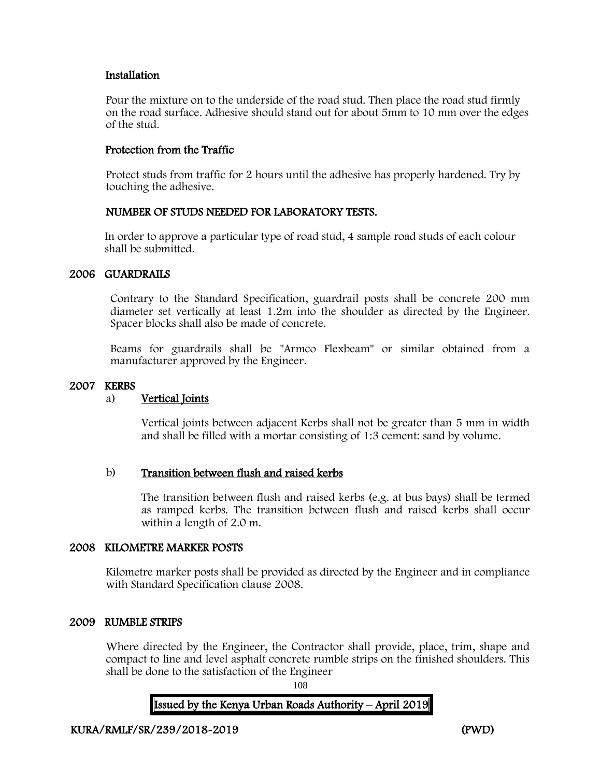#### Installation

Pour the mixture on to the underside of the road stud. Then place the road stud firmly on the road surface. Adhesive should stand out for about 5mm to 10 mm over the edges of the stud.

#### Protection from the Traffic

Protect studs from traffic for 2 hours until the adhesive has properly hardened. Try by touching the adhesive.

#### NUMBER OF STUDS NEEDED FOR LABORATORY TESTS.

In order to approve a particular type of road stud, 4 sample road studs of each colour shall be submitted.

#### 2006 GUARDRAILS

Contrary to the Standard Specification, guardrail posts shall be concrete 200 mm diameter set vertically at least 1.2m into the shoulder as directed by the Engineer. Spacer blocks shall also be made of concrete.

Beams for guardrails shall be "Armco Flexbeam" or similar obtained from a manufacturer approved by the Engineer.

#### 2007 KERBS

#### a) Vertical Joints

Vertical joints between adjacent Kerbs shall not be greater than 5 mm in width and shall be filled with a mortar consisting of 1:3 cement: sand by volume.

#### b) Transition between flush and raised kerbs

The transition between flush and raised kerbs (e.g. at bus bays) shall be termed as ramped kerbs. The transition between flush and raised kerbs shall occur within a length of 2.0 m.

#### 2008 KILOMETRE MARKER POSTS

Kilometre marker posts shall be provided as directed by the Engineer and in compliance with Standard Specification clause 2008.

#### 2009 RUMBLE STRIPS

Where directed by the Engineer, the Contractor shall provide, place, trim, shape and compact to line and level asphalt concrete rumble strips on the finished shoulders. This shall be done to the satisfaction of the Engineer

108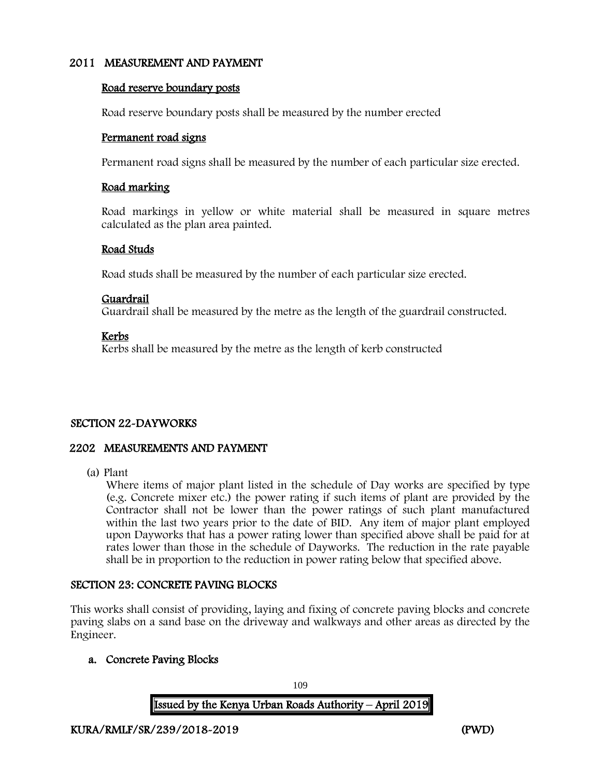### 2011 MEASUREMENT AND PAYMENT

#### Road reserve boundary posts

Road reserve boundary posts shall be measured by the number erected

#### Permanent road signs

Permanent road signs shall be measured by the number of each particular size erected.

#### Road marking

Road markings in yellow or white material shall be measured in square metres calculated as the plan area painted.

#### Road Studs

Road studs shall be measured by the number of each particular size erected.

#### Guardrail

Guardrail shall be measured by the metre as the length of the guardrail constructed.

#### Kerbs

Kerbs shall be measured by the metre as the length of kerb constructed

#### SECTION 22-DAYWORKS

#### 2202 MEASUREMENTS AND PAYMENT

(a) Plant

Where items of major plant listed in the schedule of Day works are specified by type (e.g. Concrete mixer etc.) the power rating if such items of plant are provided by the Contractor shall not be lower than the power ratings of such plant manufactured within the last two years prior to the date of BID. Any item of major plant employed upon Dayworks that has a power rating lower than specified above shall be paid for at rates lower than those in the schedule of Dayworks. The reduction in the rate payable shall be in proportion to the reduction in power rating below that specified above.

#### SECTION 23: CONCRETE PAVING BLOCKS

This works shall consist of providing, laying and fixing of concrete paving blocks and concrete paving slabs on a sand base on the driveway and walkways and other areas as directed by the Engineer.

#### a. Concrete Paving Blocks

109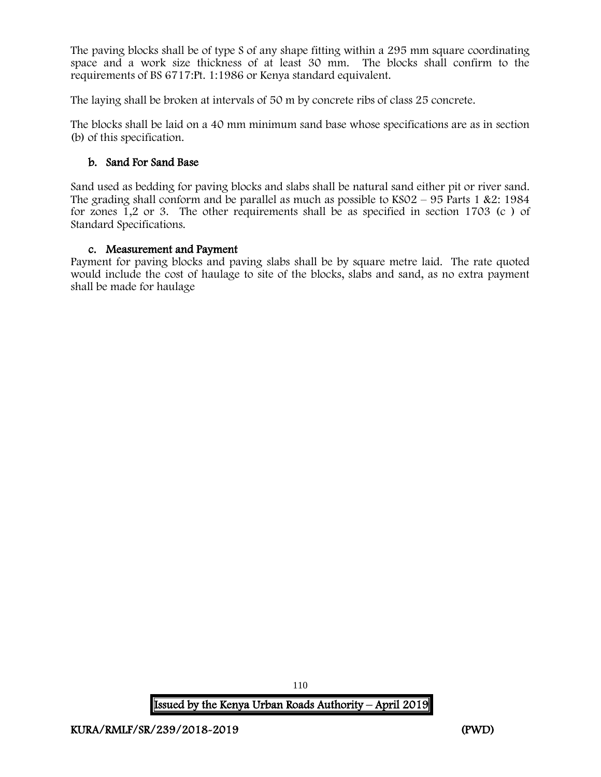The paving blocks shall be of type S of any shape fitting within a 295 mm square coordinating space and a work size thickness of at least 30 mm. The blocks shall confirm to the requirements of BS 6717:Pt. 1:1986 or Kenya standard equivalent.

The laying shall be broken at intervals of 50 m by concrete ribs of class 25 concrete.

The blocks shall be laid on a 40 mm minimum sand base whose specifications are as in section (b) of this specification.

## b. Sand For Sand Base

Sand used as bedding for paving blocks and slabs shall be natural sand either pit or river sand. The grading shall conform and be parallel as much as possible to  $KSO2 - 95$  Parts 1 &2: 1984 for zones 1,2 or 3. The other requirements shall be as specified in section 1703 (c ) of Standard Specifications.

## c. Measurement and Payment

Payment for paving blocks and paving slabs shall be by square metre laid. The rate quoted would include the cost of haulage to site of the blocks, slabs and sand, as no extra payment shall be made for haulage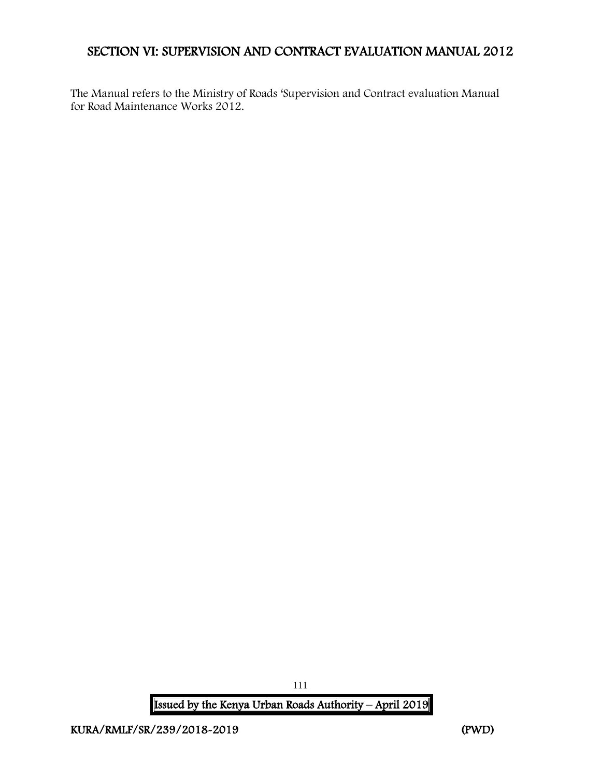## SECTION VI: SUPERVISION AND CONTRACT EVALUATION MANUAL 2012

The Manual refers to the Ministry of Roads 'Supervision and Contract evaluation Manual for Road Maintenance Works 2012.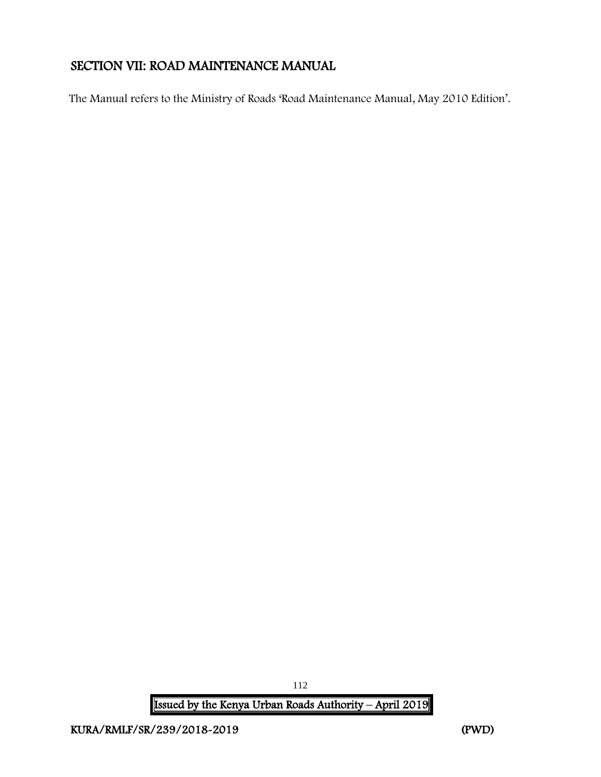## SECTION VII: ROAD MAINTENANCE MANUAL

The Manual refers to the Ministry of Roads 'Road Maintenance Manual, May 2010 Edition'.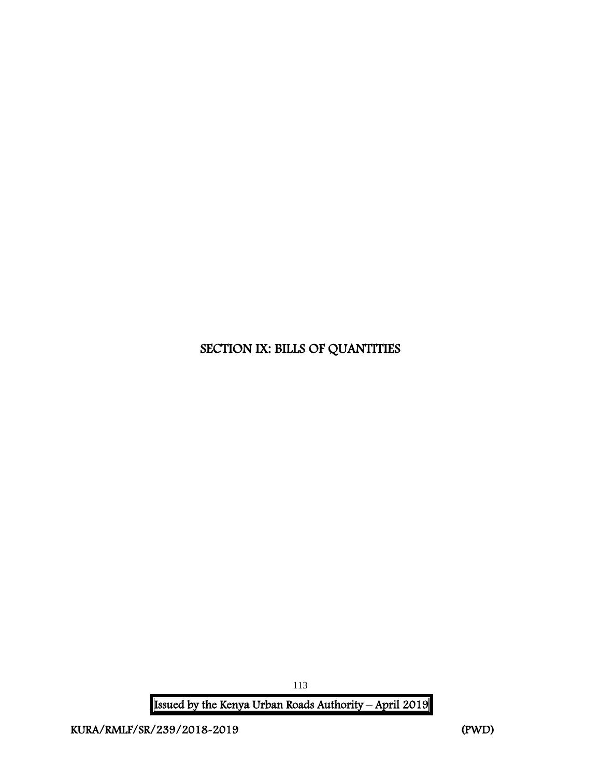## SECTION IX: BILLS OF QUANTITIES

Issued by the Kenya Urban Roads Authority – April 2019

113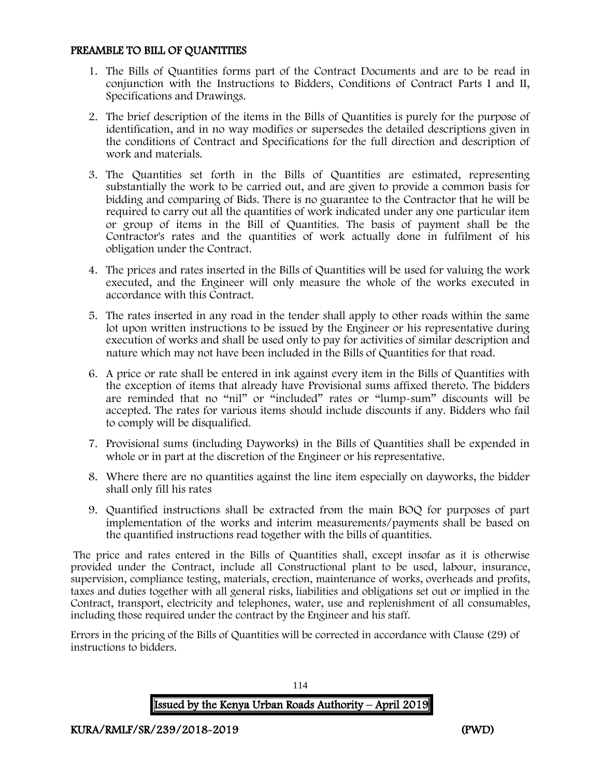#### PREAMBLE TO BILL OF QUANTITIES

- 1. The Bills of Quantities forms part of the Contract Documents and are to be read in conjunction with the Instructions to Bidders, Conditions of Contract Parts I and II, Specifications and Drawings.
- 2. The brief description of the items in the Bills of Quantities is purely for the purpose of identification, and in no way modifies or supersedes the detailed descriptions given in the conditions of Contract and Specifications for the full direction and description of work and materials.
- 3. The Quantities set forth in the Bills of Quantities are estimated, representing substantially the work to be carried out, and are given to provide a common basis for bidding and comparing of Bids. There is no guarantee to the Contractor that he will be required to carry out all the quantities of work indicated under any one particular item or group of items in the Bill of Quantities. The basis of payment shall be the Contractor's rates and the quantities of work actually done in fulfilment of his obligation under the Contract.
- 4. The prices and rates inserted in the Bills of Quantities will be used for valuing the work executed, and the Engineer will only measure the whole of the works executed in accordance with this Contract.
- 5. The rates inserted in any road in the tender shall apply to other roads within the same lot upon written instructions to be issued by the Engineer or his representative during execution of works and shall be used only to pay for activities of similar description and nature which may not have been included in the Bills of Quantities for that road.
- 6. A price or rate shall be entered in ink against every item in the Bills of Quantities with the exception of items that already have Provisional sums affixed thereto. The bidders are reminded that no "nil" or "included" rates or "lump-sum" discounts will be accepted. The rates for various items should include discounts if any. Bidders who fail to comply will be disqualified.
- 7. Provisional sums (including Dayworks) in the Bills of Quantities shall be expended in whole or in part at the discretion of the Engineer or his representative.
- 8. Where there are no quantities against the line item especially on dayworks, the bidder shall only fill his rates
- 9. Quantified instructions shall be extracted from the main BOQ for purposes of part implementation of the works and interim measurements/payments shall be based on the quantified instructions read together with the bills of quantities.

The price and rates entered in the Bills of Quantities shall, except insofar as it is otherwise provided under the Contract, include all Constructional plant to be used, labour, insurance, supervision, compliance testing, materials, erection, maintenance of works, overheads and profits, taxes and duties together with all general risks, liabilities and obligations set out or implied in the Contract, transport, electricity and telephones, water, use and replenishment of all consumables, including those required under the contract by the Engineer and his staff.

Errors in the pricing of the Bills of Quantities will be corrected in accordance with Clause (29) of instructions to bidders.

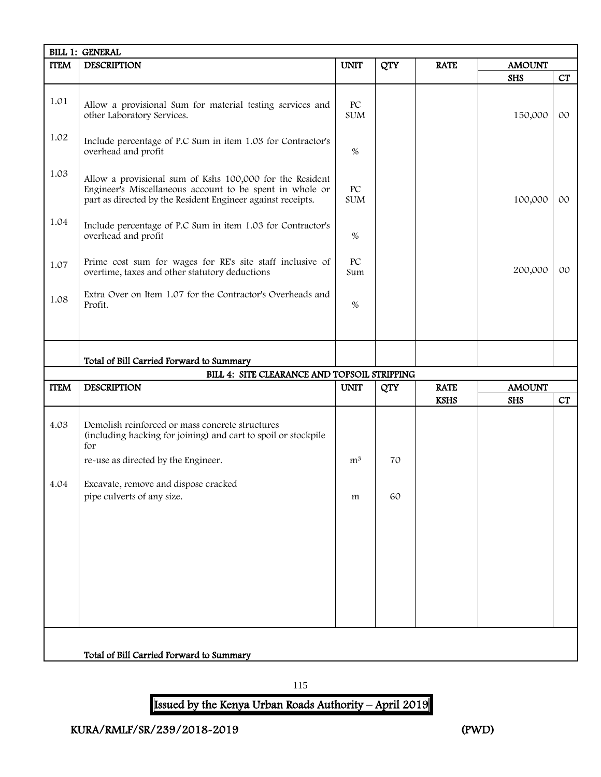|             | <b>BILL 1: GENERAL</b>                                                                                                                                                              |                                |            |             |               |        |
|-------------|-------------------------------------------------------------------------------------------------------------------------------------------------------------------------------------|--------------------------------|------------|-------------|---------------|--------|
| <b>ITEM</b> | <b>DESCRIPTION</b>                                                                                                                                                                  | <b>UNIT</b>                    | <b>QTY</b> | <b>RATE</b> | <b>AMOUNT</b> |        |
|             |                                                                                                                                                                                     |                                |            |             | <b>SHS</b>    | CT     |
| 1.01        | Allow a provisional Sum for material testing services and<br>other Laboratory Services.                                                                                             | ${\rm P}{\bf C}$<br><b>SUM</b> |            |             | 150,000       | $00\,$ |
| 1.02        | Include percentage of P.C Sum in item 1.03 for Contractor's<br>overhead and profit                                                                                                  | $\%$                           |            |             |               |        |
| 1.03        | Allow a provisional sum of Kshs 100,000 for the Resident<br>Engineer's Miscellaneous account to be spent in whole or<br>part as directed by the Resident Engineer against receipts. | PC<br><b>SUM</b>               |            |             | 100,000       | 00     |
| 1.04        | Include percentage of P.C Sum in item 1.03 for Contractor's<br>overhead and profit                                                                                                  | $\%$                           |            |             |               |        |
| 1.07        | Prime cost sum for wages for RE's site staff inclusive of<br>overtime, taxes and other statutory deductions                                                                         | PC<br>Sum                      |            |             | 200,000       | $00\,$ |
| 1.08        | Extra Over on Item 1.07 for the Contractor's Overheads and<br>Profit.                                                                                                               | $\%$                           |            |             |               |        |
|             |                                                                                                                                                                                     |                                |            |             |               |        |
|             |                                                                                                                                                                                     |                                |            |             |               |        |
|             | Total of Bill Carried Forward to Summary                                                                                                                                            |                                |            |             |               |        |
|             | BILL 4: SITE CLEARANCE AND TOPSOIL STRIPPING                                                                                                                                        |                                |            |             |               |        |
| <b>ITEM</b> | <b>DESCRIPTION</b>                                                                                                                                                                  | <b>UNIT</b>                    | <b>QTY</b> | <b>RATE</b> | <b>AMOUNT</b> |        |
|             |                                                                                                                                                                                     |                                |            | <b>KSHS</b> | <b>SHS</b>    | CT     |
| 4.03        | Demolish reinforced or mass concrete structures<br>(including hacking for joining) and cart to spoil or stockpile<br>for                                                            |                                |            |             |               |        |
|             | re-use as directed by the Engineer.                                                                                                                                                 | m <sup>3</sup>                 | 70         |             |               |        |
| 4.04        | Excavate, remove and dispose cracked                                                                                                                                                |                                |            |             |               |        |
|             | pipe culverts of any size.                                                                                                                                                          | m                              | 60         |             |               |        |
|             |                                                                                                                                                                                     |                                |            |             |               |        |
|             |                                                                                                                                                                                     |                                |            |             |               |        |
|             |                                                                                                                                                                                     |                                |            |             |               |        |
|             |                                                                                                                                                                                     |                                |            |             |               |        |
|             |                                                                                                                                                                                     |                                |            |             |               |        |
|             |                                                                                                                                                                                     |                                |            |             |               |        |
|             |                                                                                                                                                                                     |                                |            |             |               |        |
|             |                                                                                                                                                                                     |                                |            |             |               |        |
|             | Total of Bill Carried Forward to Summary                                                                                                                                            |                                |            |             |               |        |
|             |                                                                                                                                                                                     |                                |            |             |               |        |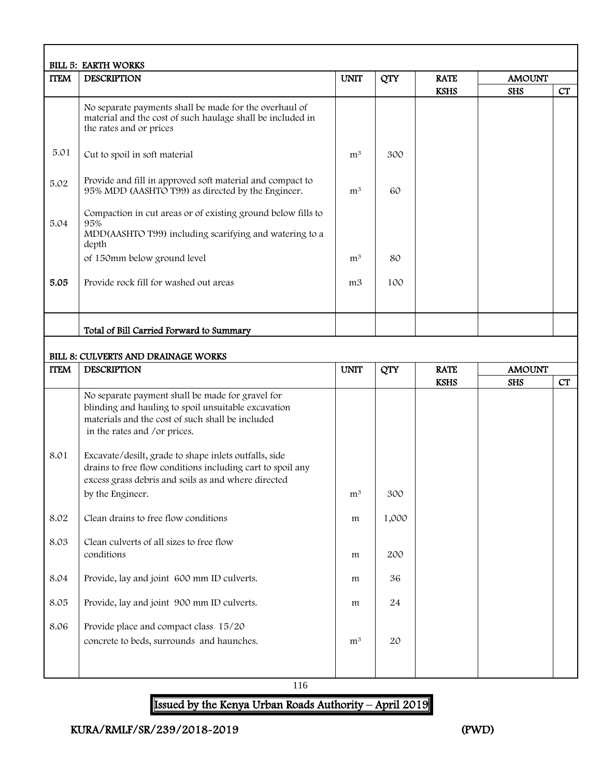| <b>DESCRIPTION</b>                                                                                                                                                                          | <b>UNIT</b>                                                       | <b>QTY</b> | <b>RATE</b> | <b>AMOUNT</b> |                             |
|---------------------------------------------------------------------------------------------------------------------------------------------------------------------------------------------|-------------------------------------------------------------------|------------|-------------|---------------|-----------------------------|
|                                                                                                                                                                                             |                                                                   |            | <b>KSHS</b> | <b>SHS</b>    | CT                          |
| No separate payments shall be made for the overhaul of<br>material and the cost of such haulage shall be included in<br>the rates and or prices                                             |                                                                   |            |             |               |                             |
| Cut to spoil in soft material                                                                                                                                                               | $\mathfrak{m}^3$                                                  | 300        |             |               |                             |
| Provide and fill in approved soft material and compact to<br>95% MDD (AASHTO T99) as directed by the Engineer.                                                                              | m <sup>3</sup>                                                    | 60         |             |               |                             |
| Compaction in cut areas or of existing ground below fills to<br>95%<br>MDD(AASHTO T99) including scarifying and watering to a<br>depth                                                      |                                                                   |            |             |               |                             |
| of 150mm below ground level                                                                                                                                                                 | m <sup>3</sup>                                                    | 80         |             |               |                             |
| Provide rock fill for washed out areas                                                                                                                                                      | m <sub>3</sub>                                                    | 100        |             |               |                             |
| Total of Bill Carried Forward to Summary                                                                                                                                                    |                                                                   |            |             |               |                             |
|                                                                                                                                                                                             |                                                                   |            |             |               |                             |
| <b>DESCRIPTION</b>                                                                                                                                                                          | <b>UNIT</b>                                                       | <b>QTY</b> | <b>RATE</b> |               | CT                          |
| No separate payment shall be made for gravel for<br>blinding and hauling to spoil unsuitable excavation<br>materials and the cost of such shall be included<br>in the rates and /or prices. |                                                                   |            |             |               |                             |
| Excavate/desilt, grade to shape inlets outfalls, side<br>drains to free flow conditions including cart to spoil any<br>excess grass debris and soils as and where directed                  |                                                                   |            |             |               |                             |
| by the Engineer.                                                                                                                                                                            | m <sup>3</sup>                                                    | 300        |             |               |                             |
| Clean drains to free flow conditions                                                                                                                                                        | m                                                                 | 1,000      |             |               |                             |
| Clean culverts of all sizes to free flow<br>conditions                                                                                                                                      | m                                                                 | 200        |             |               |                             |
| Provide, lay and joint 600 mm ID culverts.                                                                                                                                                  | m                                                                 | 36         |             |               |                             |
| Provide, lay and joint 900 mm ID culverts.                                                                                                                                                  | m                                                                 | 24         |             |               |                             |
| Provide place and compact class 15/20<br>concrete to beds, surrounds and haunches.                                                                                                          | m <sup>3</sup>                                                    | 20         |             |               |                             |
|                                                                                                                                                                                             | <b>BILL 5: EARTH WORKS</b><br>BILL 8: CULVERTS AND DRAINAGE WORKS |            |             | <b>KSHS</b>   | <b>AMOUNT</b><br><b>SHS</b> |

116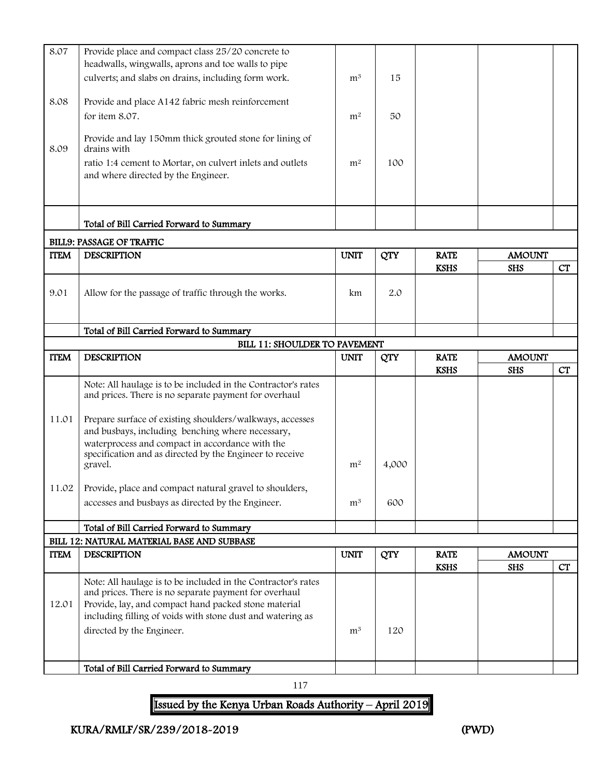| 8.07        | Provide place and compact class 25/20 concrete to                |                  |            |             |                             |    |
|-------------|------------------------------------------------------------------|------------------|------------|-------------|-----------------------------|----|
|             | headwalls, wingwalls, aprons and toe walls to pipe               |                  |            |             |                             |    |
|             | culverts; and slabs on drains, including form work.              | m <sup>3</sup>   | 15         |             |                             |    |
|             |                                                                  |                  |            |             |                             |    |
| 8.08        | Provide and place A142 fabric mesh reinforcement                 |                  |            |             |                             |    |
|             | for item 8.07.                                                   | m <sup>2</sup>   | 50         |             |                             |    |
|             | Provide and lay 150mm thick grouted stone for lining of          |                  |            |             |                             |    |
| 8.09        | drains with                                                      |                  |            |             |                             |    |
|             | ratio 1:4 cement to Mortar, on culvert inlets and outlets        | m <sup>2</sup>   | 100        |             |                             |    |
|             | and where directed by the Engineer.                              |                  |            |             |                             |    |
|             |                                                                  |                  |            |             |                             |    |
|             |                                                                  |                  |            |             |                             |    |
|             | Total of Bill Carried Forward to Summary                         |                  |            |             |                             |    |
|             | <b>BILL9: PASSAGE OF TRAFFIC</b>                                 |                  |            |             |                             |    |
| <b>ITEM</b> | <b>DESCRIPTION</b>                                               | <b>UNIT</b>      | <b>QTY</b> | <b>RATE</b> | <b>AMOUNT</b>               |    |
|             |                                                                  |                  |            | <b>KSHS</b> | <b>SHS</b>                  | CT |
|             |                                                                  |                  |            |             |                             |    |
| 9.01        | Allow for the passage of traffic through the works.              | km               | 2.0        |             |                             |    |
|             |                                                                  |                  |            |             |                             |    |
|             | Total of Bill Carried Forward to Summary                         |                  |            |             |                             |    |
|             | <b>BILL 11: SHOULDER TO PAVEMENT</b>                             |                  |            |             |                             |    |
| <b>ITEM</b> | <b>DESCRIPTION</b>                                               | <b>UNIT</b>      | <b>QTY</b> | <b>RATE</b> | <b>AMOUNT</b>               |    |
|             |                                                                  |                  |            | <b>KSHS</b> | <b>SHS</b>                  | CT |
|             | Note: All haulage is to be included in the Contractor's rates    |                  |            |             |                             |    |
|             | and prices. There is no separate payment for overhaul            |                  |            |             |                             |    |
| 11.01       | Prepare surface of existing shoulders/walkways, accesses         |                  |            |             |                             |    |
|             | and busbays, including benching where necessary,                 |                  |            |             |                             |    |
|             | waterprocess and compact in accordance with the                  |                  |            |             |                             |    |
|             | specification and as directed by the Engineer to receive         | m <sup>2</sup>   |            |             |                             |    |
|             | gravel.                                                          |                  | 4,000      |             |                             |    |
| 11.02       | Provide, place and compact natural gravel to shoulders,          |                  |            |             |                             |    |
|             | accesses and busbays as directed by the Engineer.                | $\mathfrak{m}^3$ | 600        |             |                             |    |
|             |                                                                  |                  |            |             |                             |    |
|             | Total of Bill Carried Forward to Summary                         |                  |            |             |                             |    |
| <b>ITEM</b> | BILL 12: NATURAL MATERIAL BASE AND SUBBASE<br><b>DESCRIPTION</b> | <b>UNIT</b>      |            | <b>RATE</b> |                             |    |
|             |                                                                  |                  | <b>QTY</b> | <b>KSHS</b> | <b>AMOUNT</b><br><b>SHS</b> | CT |
|             | Note: All haulage is to be included in the Contractor's rates    |                  |            |             |                             |    |
|             | and prices. There is no separate payment for overhaul            |                  |            |             |                             |    |
| 12.01       | Provide, lay, and compact hand packed stone material             |                  |            |             |                             |    |
|             | including filling of voids with stone dust and watering as       |                  |            |             |                             |    |
|             | directed by the Engineer.                                        | m <sup>3</sup>   | 120        |             |                             |    |
|             |                                                                  |                  |            |             |                             |    |
|             | Total of Bill Carried Forward to Summary                         |                  |            |             |                             |    |
|             |                                                                  |                  |            |             |                             |    |

117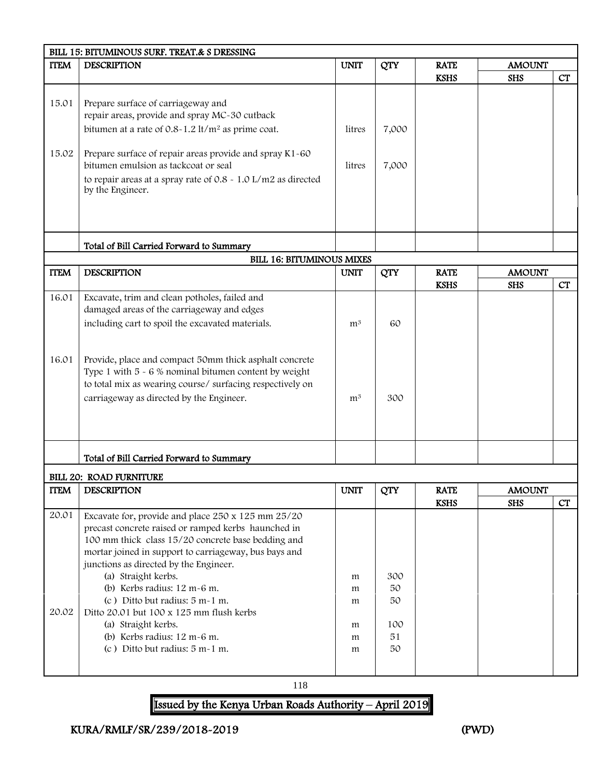|             | BILL 15: BITUMINOUS SURF. TREAT.& S DRESSING                                                    |                |            |             |               |    |
|-------------|-------------------------------------------------------------------------------------------------|----------------|------------|-------------|---------------|----|
| <b>ITEM</b> | <b>DESCRIPTION</b>                                                                              | <b>UNIT</b>    | <b>QTY</b> | <b>RATE</b> | <b>AMOUNT</b> |    |
|             |                                                                                                 |                |            | <b>KSHS</b> | <b>SHS</b>    | CT |
|             |                                                                                                 |                |            |             |               |    |
| 15.01       | Prepare surface of carriageway and                                                              |                |            |             |               |    |
|             | repair areas, provide and spray MC-30 cutback                                                   |                |            |             |               |    |
|             | bitumen at a rate of $0.8 - 1.2$ lt/m <sup>2</sup> as prime coat.                               | litres         | 7,000      |             |               |    |
|             |                                                                                                 |                |            |             |               |    |
| 15.02       | Prepare surface of repair areas provide and spray K1-60<br>bitumen emulsion as tackcoat or seal | litres         | 7,000      |             |               |    |
|             | to repair areas at a spray rate of $0.8 \sim 1.0$ L/m2 as directed                              |                |            |             |               |    |
|             | by the Engineer.                                                                                |                |            |             |               |    |
|             |                                                                                                 |                |            |             |               |    |
|             |                                                                                                 |                |            |             |               |    |
|             |                                                                                                 |                |            |             |               |    |
|             | Total of Bill Carried Forward to Summary                                                        |                |            |             |               |    |
|             | <b>BILL 16: BITUMINOUS MIXES</b>                                                                |                |            |             |               |    |
| <b>ITEM</b> | <b>DESCRIPTION</b>                                                                              | <b>UNIT</b>    | <b>QTY</b> | <b>RATE</b> | <b>AMOUNT</b> |    |
|             |                                                                                                 |                |            | <b>KSHS</b> | <b>SHS</b>    | CT |
| 16.01       | Excavate, trim and clean potholes, failed and                                                   |                |            |             |               |    |
|             | damaged areas of the carriageway and edges                                                      |                |            |             |               |    |
|             | including cart to spoil the excavated materials.                                                | m <sup>3</sup> | 60         |             |               |    |
|             |                                                                                                 |                |            |             |               |    |
| 16.01       | Provide, place and compact 50mm thick asphalt concrete                                          |                |            |             |               |    |
|             | Type 1 with $5 - 6$ % nominal bitumen content by weight                                         |                |            |             |               |    |
|             | to total mix as wearing course/ surfacing respectively on                                       |                |            |             |               |    |
|             | carriageway as directed by the Engineer.                                                        | m <sup>3</sup> | 300        |             |               |    |
|             |                                                                                                 |                |            |             |               |    |
|             |                                                                                                 |                |            |             |               |    |
|             |                                                                                                 |                |            |             |               |    |
|             | Total of Bill Carried Forward to Summary                                                        |                |            |             |               |    |
|             |                                                                                                 |                |            |             |               |    |
|             | <b>BILL 20: ROAD FURNITURE</b>                                                                  |                |            |             |               |    |
| <b>ITEM</b> | <b>DESCRIPTION</b>                                                                              | <b>UNIT</b>    | <b>QTY</b> | <b>RATE</b> | <b>AMOUNT</b> |    |
| 20.01       | Excavate for, provide and place 250 x 125 mm 25/20                                              |                |            | <b>KSHS</b> | <b>SHS</b>    | CT |
|             | precast concrete raised or ramped kerbs haunched in                                             |                |            |             |               |    |
|             | 100 mm thick class 15/20 concrete base bedding and                                              |                |            |             |               |    |
|             | mortar joined in support to carriageway, bus bays and                                           |                |            |             |               |    |
|             | junctions as directed by the Engineer.                                                          |                |            |             |               |    |
|             | (a) Straight kerbs.                                                                             | m              | 300        |             |               |    |
|             | (b) Kerbs radius: 12 m-6 m.                                                                     | m              | 50         |             |               |    |
|             | $(c)$ Ditto but radius: 5 m - 1 m.                                                              | m              | 50         |             |               |    |
| 20.02       | Ditto 20.01 but 100 x 125 mm flush kerbs                                                        |                |            |             |               |    |
|             | (a) Straight kerbs.<br>(b) Kerbs radius: 12 m-6 m.                                              | m              | 100<br>51  |             |               |    |
|             | $(c)$ Ditto but radius: 5 m-1 m.                                                                | m<br>m         | 50         |             |               |    |
|             |                                                                                                 |                |            |             |               |    |
|             |                                                                                                 |                |            |             |               |    |

118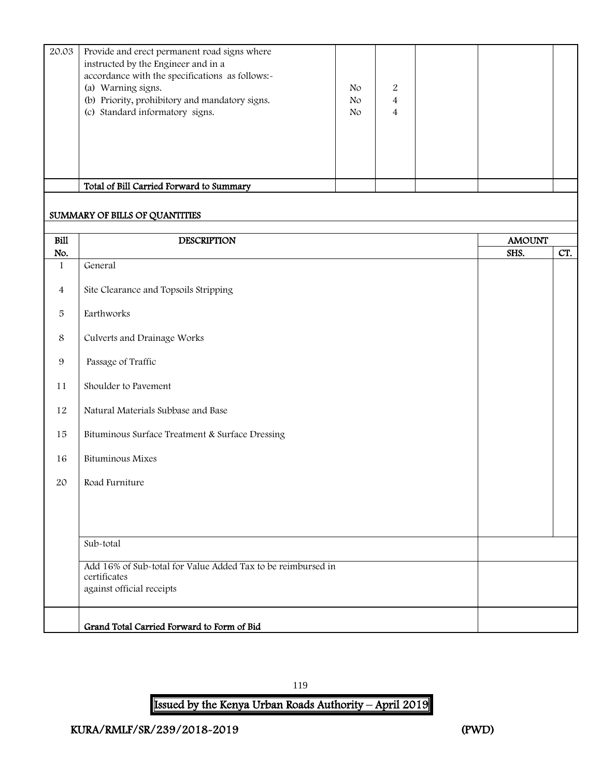| 20.03          | Provide and erect permanent road signs where<br>instructed by the Engineer and in a<br>accordance with the specifications as follows:-<br>(a) Warning signs.<br>(b) Priority, prohibitory and mandatory signs.<br>(c) Standard informatory signs. | No<br>No<br>$\rm No$ | $\,2$<br>$\overline{\mathbf{4}}$<br>$\overline{4}$ |  |               |     |
|----------------|---------------------------------------------------------------------------------------------------------------------------------------------------------------------------------------------------------------------------------------------------|----------------------|----------------------------------------------------|--|---------------|-----|
|                |                                                                                                                                                                                                                                                   |                      |                                                    |  |               |     |
|                | Total of Bill Carried Forward to Summary                                                                                                                                                                                                          |                      |                                                    |  |               |     |
|                | SUMMARY OF BILLS OF QUANTITIES                                                                                                                                                                                                                    |                      |                                                    |  |               |     |
| <b>Bill</b>    | <b>DESCRIPTION</b>                                                                                                                                                                                                                                |                      |                                                    |  | <b>AMOUNT</b> |     |
| No.            |                                                                                                                                                                                                                                                   |                      |                                                    |  | SHS.          | CT. |
| $\mathbf{1}$   | General                                                                                                                                                                                                                                           |                      |                                                    |  |               |     |
| $\overline{4}$ | Site Clearance and Topsoils Stripping                                                                                                                                                                                                             |                      |                                                    |  |               |     |
| 5              | Earthworks                                                                                                                                                                                                                                        |                      |                                                    |  |               |     |
| 8              | Culverts and Drainage Works                                                                                                                                                                                                                       |                      |                                                    |  |               |     |
| 9              | Passage of Traffic                                                                                                                                                                                                                                |                      |                                                    |  |               |     |
| 11             | Shoulder to Pavement                                                                                                                                                                                                                              |                      |                                                    |  |               |     |
| 12             | Natural Materials Subbase and Base                                                                                                                                                                                                                |                      |                                                    |  |               |     |
| 15             | Bituminous Surface Treatment & Surface Dressing                                                                                                                                                                                                   |                      |                                                    |  |               |     |
| 16             | <b>Bituminous Mixes</b>                                                                                                                                                                                                                           |                      |                                                    |  |               |     |
| 20             | Road Furniture                                                                                                                                                                                                                                    |                      |                                                    |  |               |     |
|                |                                                                                                                                                                                                                                                   |                      |                                                    |  |               |     |
|                | Sub-total                                                                                                                                                                                                                                         |                      |                                                    |  |               |     |
|                | Add 16% of Sub-total for Value Added Tax to be reimbursed in<br>certificates<br>against official receipts                                                                                                                                         |                      |                                                    |  |               |     |
|                | Grand Total Carried Forward to Form of Bid                                                                                                                                                                                                        |                      |                                                    |  |               |     |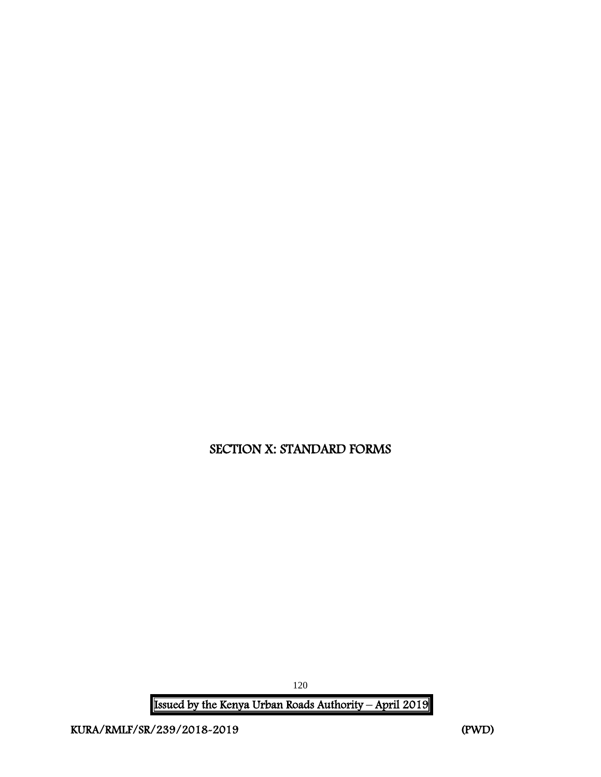SECTION X: STANDARD FORMS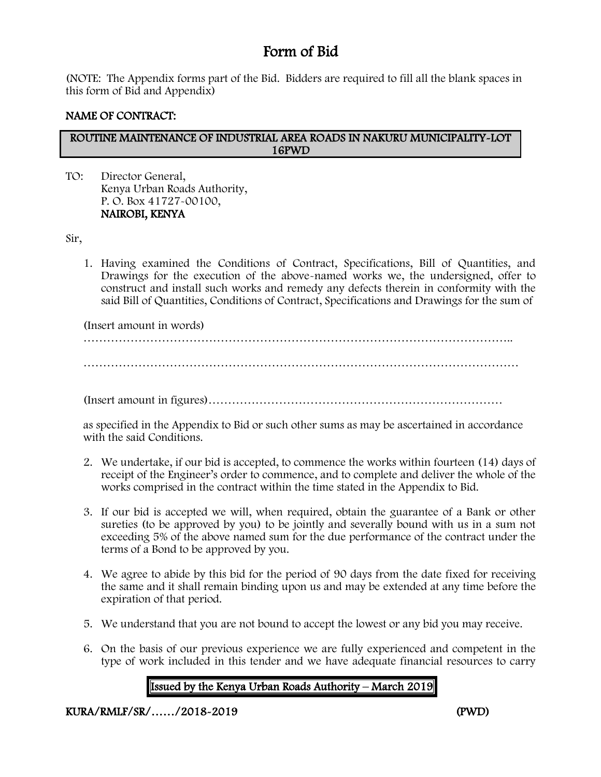## Form of Bid

(NOTE: The Appendix forms part of the Bid. Bidders are required to fill all the blank spaces in this form of Bid and Appendix)

## NAME OF CONTRACT:

#### ROUTINE MAINTENANCE OF INDUSTRIAL AREA ROADS IN NAKURU MUNICIPALITY-LOT 16PWD

TO: Director General, Kenya Urban Roads Authority, P. O. Box 41727-00100, NAIROBI, KENYA

Sir,

1. Having examined the Conditions of Contract, Specifications, Bill of Quantities, and Drawings for the execution of the above-named works we, the undersigned, offer to construct and install such works and remedy any defects therein in conformity with the said Bill of Quantities, Conditions of Contract, Specifications and Drawings for the sum of

(Insert amount in words)

………………………………………………………………………………………………..

…………………………………………………………………………………………………

(Insert amount in figures)…………………………………………………………………

as specified in the Appendix to Bid or such other sums as may be ascertained in accordance with the said Conditions.

- 2. We undertake, if our bid is accepted, to commence the works within fourteen (14) days of receipt of the Engineer's order to commence, and to complete and deliver the whole of the works comprised in the contract within the time stated in the Appendix to Bid.
- 3. If our bid is accepted we will, when required, obtain the guarantee of a Bank or other sureties (to be approved by you) to be jointly and severally bound with us in a sum not exceeding 5% of the above named sum for the due performance of the contract under the terms of a Bond to be approved by you.
- 4. We agree to abide by this bid for the period of 90 days from the date fixed for receiving the same and it shall remain binding upon us and may be extended at any time before the expiration of that period.
- 5. We understand that you are not bound to accept the lowest or any bid you may receive.
- 6. On the basis of our previous experience we are fully experienced and competent in the type of work included in this tender and we have adequate financial resources to carry

## Issued by the Kenya Urban Roads Authority – March 2019

KURA/RMLF/SR/……/2018-2019 (PWD)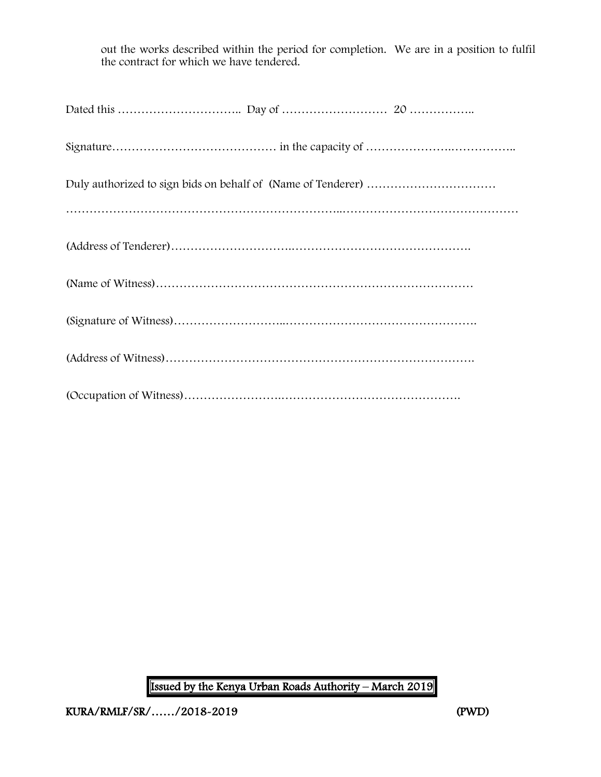out the works described within the period for completion. We are in a position to fulfil the contract for which we have tendered.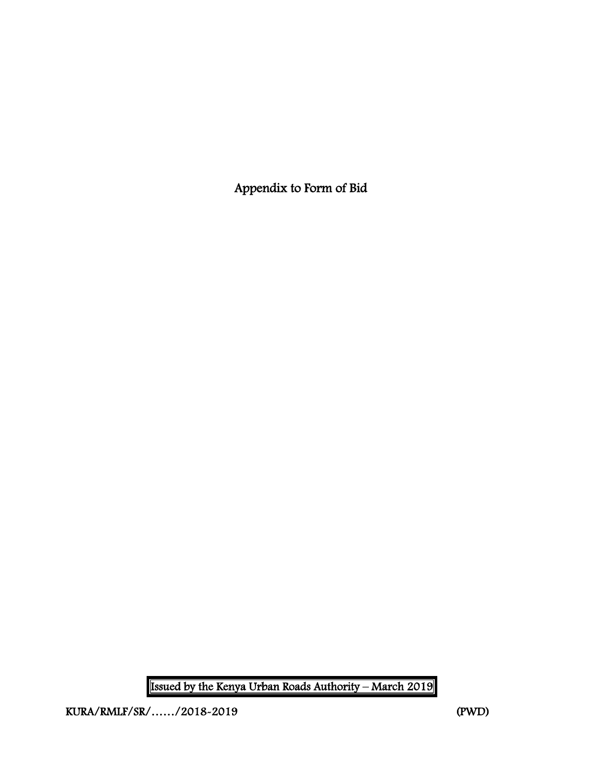Appendix to Form of Bid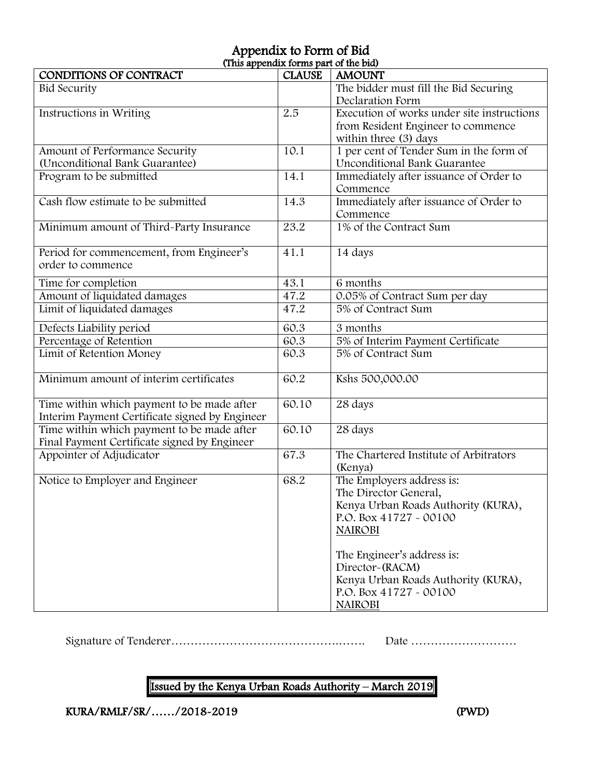|                                                | (This appendix forms part of the bid) |                                            |
|------------------------------------------------|---------------------------------------|--------------------------------------------|
| CONDITIONS OF CONTRACT                         | <b>CLAUSE</b>                         | <b>AMOUNT</b>                              |
| <b>Bid Security</b>                            |                                       | The bidder must fill the Bid Securing      |
|                                                |                                       | Declaration Form                           |
| Instructions in Writing                        | 2.5                                   | Execution of works under site instructions |
|                                                |                                       | from Resident Engineer to commence         |
|                                                |                                       | within three (3) days                      |
| Amount of Performance Security                 | 10.1                                  | 1 per cent of Tender Sum in the form of    |
| (Unconditional Bank Guarantee)                 |                                       | Unconditional Bank Guarantee               |
| Program to be submitted                        | 14.1                                  | Immediately after issuance of Order to     |
|                                                |                                       | Commence                                   |
| Cash flow estimate to be submitted             | 14.3                                  | Immediately after issuance of Order to     |
|                                                |                                       | Commence                                   |
| Minimum amount of Third-Party Insurance        | 23.2                                  | 1% of the Contract Sum                     |
|                                                |                                       |                                            |
| Period for commencement, from Engineer's       | 41.1                                  | 14 days                                    |
| order to commence                              |                                       |                                            |
|                                                |                                       |                                            |
| Time for completion                            | 43.1                                  | 6 months                                   |
| Amount of liquidated damages                   | 47.2                                  | 0.05% of Contract Sum per day              |
| Limit of liquidated damages                    | 47.2                                  | 5% of Contract Sum                         |
| Defects Liability period                       | 60.3                                  | 3 months                                   |
| Percentage of Retention                        | 60.3                                  | 5% of Interim Payment Certificate          |
| Limit of Retention Money                       | 60.3                                  | 5% of Contract Sum                         |
|                                                |                                       |                                            |
| Minimum amount of interim certificates         | 60.2                                  | Kshs 500,000.00                            |
|                                                |                                       |                                            |
| Time within which payment to be made after     | 60.10                                 | 28 days                                    |
| Interim Payment Certificate signed by Engineer |                                       |                                            |
| Time within which payment to be made after     | 60.10                                 | 28 days                                    |
| Final Payment Certificate signed by Engineer   |                                       |                                            |
| Appointer of Adjudicator                       | 67.3                                  | The Chartered Institute of Arbitrators     |
|                                                |                                       | (Kenya)                                    |
| Notice to Employer and Engineer                | 68.2                                  | The Employers address is:                  |
|                                                |                                       | The Director General,                      |
|                                                |                                       | Kenya Urban Roads Authority (KURA),        |
|                                                |                                       | P.O. Box 41727 - 00100                     |
|                                                |                                       | <b>NAIROBI</b>                             |
|                                                |                                       |                                            |
|                                                |                                       | The Engineer's address is:                 |
|                                                |                                       | Director~(RACM)                            |
|                                                |                                       | Kenya Urban Roads Authority (KURA),        |
|                                                |                                       | P.O. Box 41727 - 00100                     |
|                                                |                                       |                                            |
|                                                |                                       | <b>NAIROBI</b>                             |

Appendix to Form of Bid (This appendix forms part of the bid)

Signature of Tenderer…………………………………….……. Date ………………………

Issued by the Kenya Urban Roads Authority – March 2019

KURA/RMLF/SR/……/2018-2019 (PWD)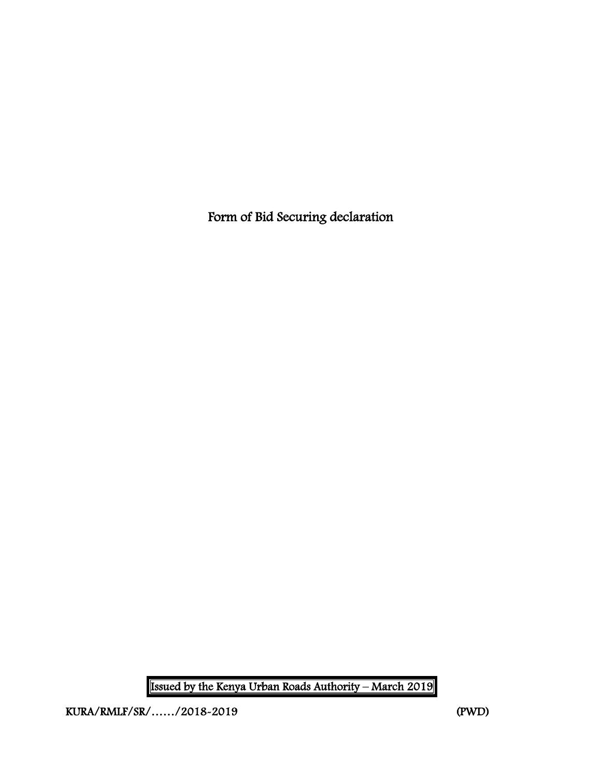Form of Bid Securing declaration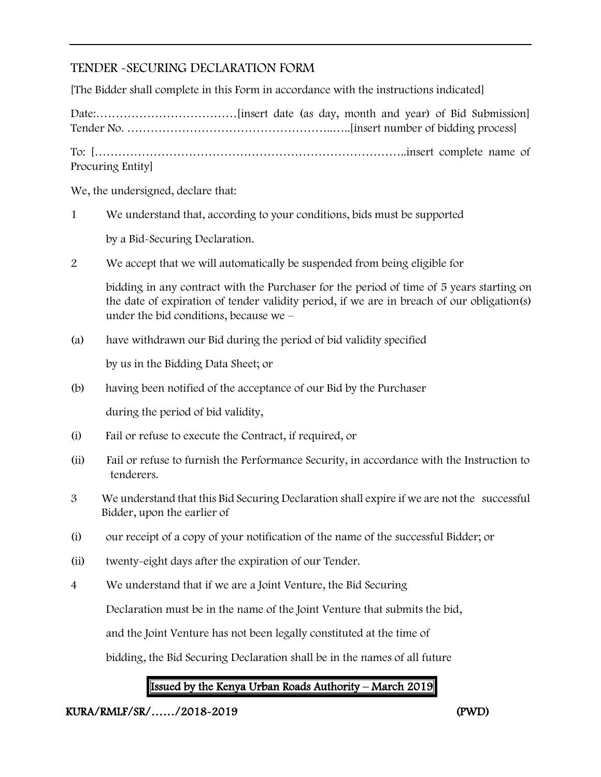## TENDER -SECURING DECLARATION FORM

[The Bidder shall complete in this Form in accordance with the instructions indicated]

Date:………………………………[insert date (as day, month and year) of Bid Submission] Tender No. ……………………………………………..…..[insert number of bidding process]

Ī

To: [……………………………………………………………………..insert complete name of Procuring Entity]

We, the undersigned, declare that:

1 We understand that, according to your conditions, bids must be supported

by a Bid-Securing Declaration.

2 We accept that we will automatically be suspended from being eligible for

bidding in any contract with the Purchaser for the period of time of 5 years starting on the date of expiration of tender validity period, if we are in breach of our obligation(s) under the bid conditions, because we –

(a) have withdrawn our Bid during the period of bid validity specified

by us in the Bidding Data Sheet; or

(b) having been notified of the acceptance of our Bid by the Purchaser

during the period of bid validity,

- (i) Fail or refuse to execute the Contract, if required, or
- (ii) Fail or refuse to furnish the Performance Security, in accordance with the Instruction to tenderers.
- 3 We understand that this Bid Securing Declaration shall expire if we are not the successful Bidder, upon the earlier of
- (i) our receipt of a copy of your notification of the name of the successful Bidder; or
- (ii) twenty-eight days after the expiration of our Tender.
- 4 We understand that if we are a Joint Venture, the Bid Securing

Declaration must be in the name of the Joint Venture that submits the bid,

and the Joint Venture has not been legally constituted at the time of

bidding, the Bid Securing Declaration shall be in the names of all future

## Issued by the Kenya Urban Roads Authority – March 2019

## KURA/RMLF/SR/……/2018-2019 (PWD)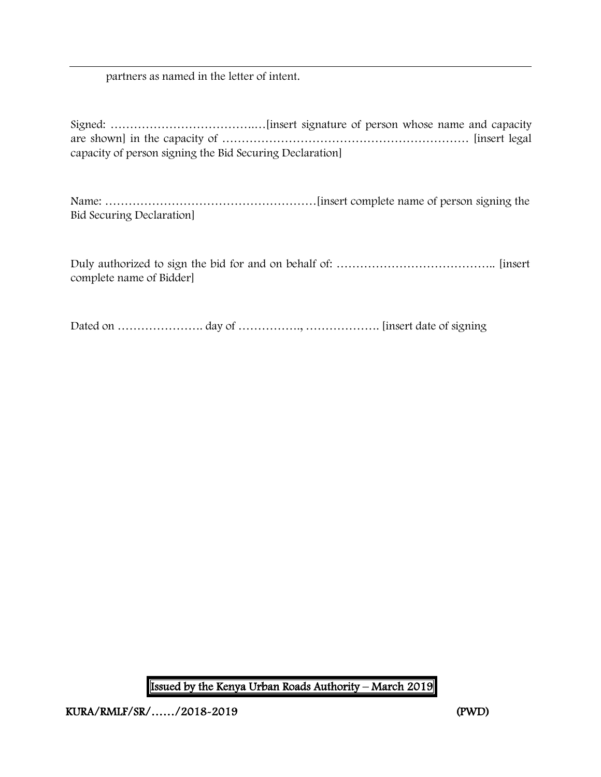partners as named in the letter of intent.

| capacity of person signing the Bid Securing Declaration |  |  |  |  |
|---------------------------------------------------------|--|--|--|--|

Name: ………………………………………………[insert complete name of person signing the Bid Securing Declaration]

Duly authorized to sign the bid for and on behalf of: ………………………………….. [insert complete name of Bidder]

Dated on …………………. day of ……………., ………………. [insert date of signing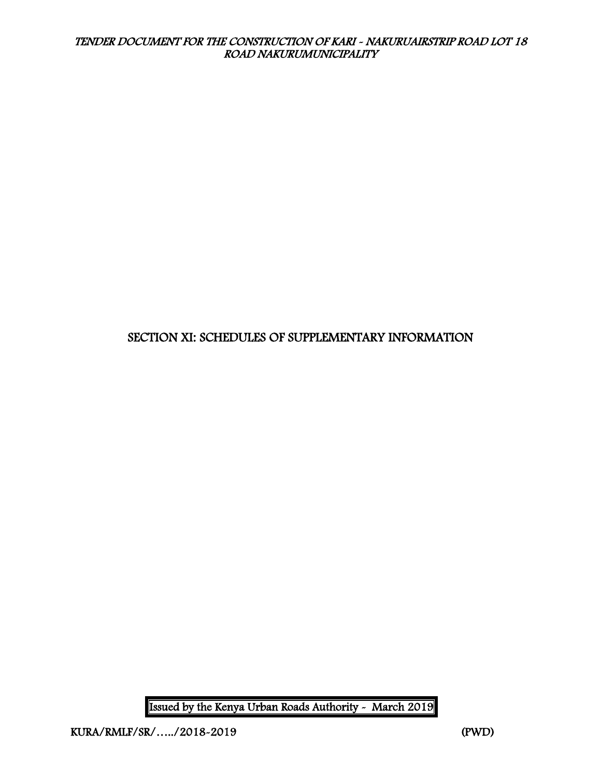## SECTION XI: SCHEDULES OF SUPPLEMENTARY INFORMATION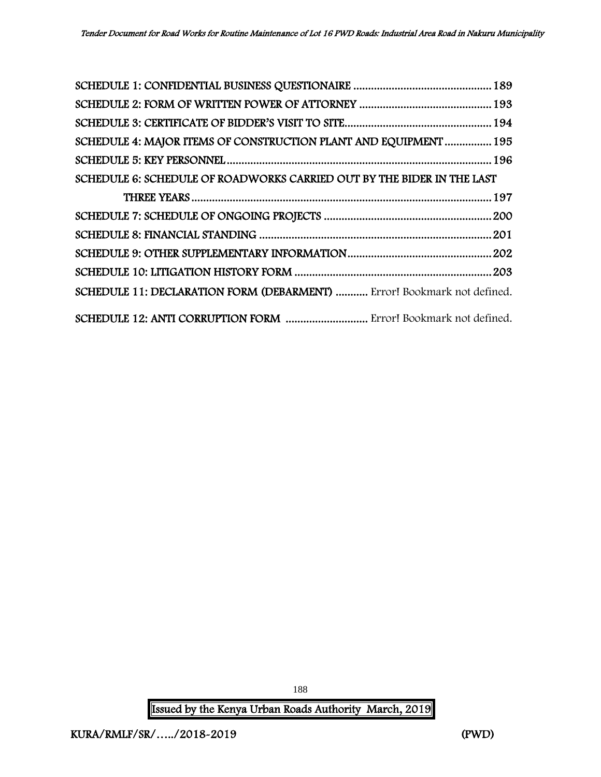| SCHEDULE 4: MAJOR ITEMS OF CONSTRUCTION PLANT AND EQUIPMENT  195        |
|-------------------------------------------------------------------------|
|                                                                         |
| SCHEDULE 6: SCHEDULE OF ROADWORKS CARRIED OUT BY THE BIDER IN THE LAST  |
|                                                                         |
|                                                                         |
| .201                                                                    |
|                                                                         |
|                                                                         |
| SCHEDULE 11: DECLARATION FORM (DEBARMENT)  Error! Bookmark not defined. |
| SCHEDULE 12: ANTI CORRUPTION FORM  Error! Bookmark not defined.         |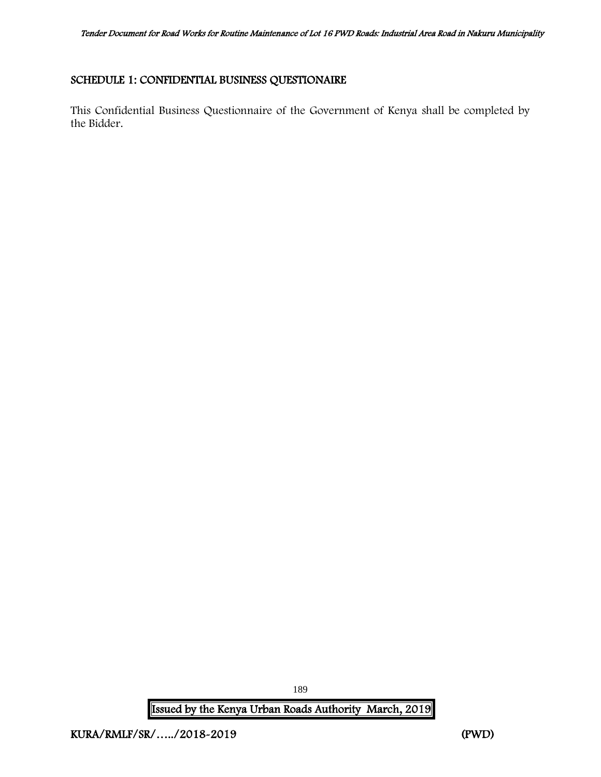## <span id="page-130-0"></span>SCHEDULE 1: CONFIDENTIAL BUSINESS QUESTIONAIRE

This Confidential Business Questionnaire of the Government of Kenya shall be completed by the Bidder.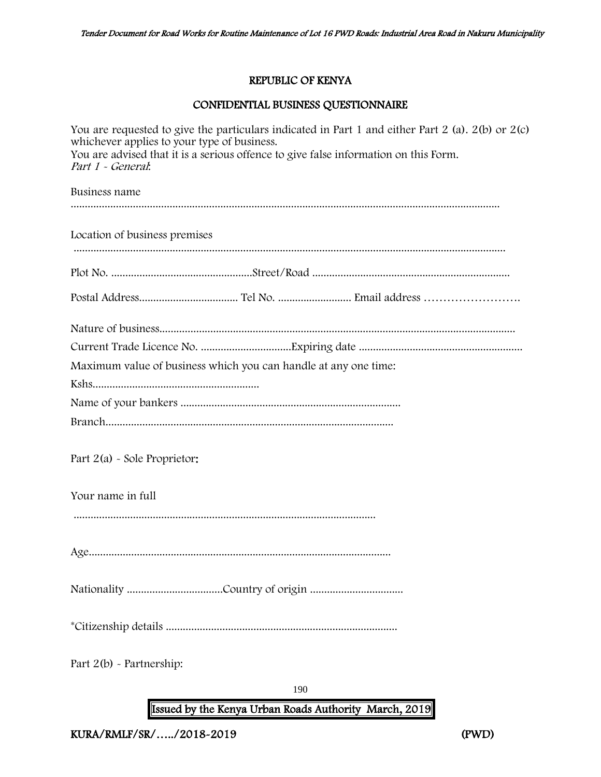## REPUBLIC OF KENYA

## CONFIDENTIAL BUSINESS QUESTIONNAIRE

| You are requested to give the particulars indicated in Part 1 and either Part 2 (a). $2(b)$ or $2(c)$<br>whichever applies to your type of business.<br>You are advised that it is a serious offence to give false information on this Form.<br>Part 1 - General: |
|-------------------------------------------------------------------------------------------------------------------------------------------------------------------------------------------------------------------------------------------------------------------|
| Business name                                                                                                                                                                                                                                                     |
|                                                                                                                                                                                                                                                                   |
| Location of business premises                                                                                                                                                                                                                                     |
|                                                                                                                                                                                                                                                                   |
|                                                                                                                                                                                                                                                                   |
|                                                                                                                                                                                                                                                                   |
|                                                                                                                                                                                                                                                                   |
| Maximum value of business which you can handle at any one time:                                                                                                                                                                                                   |
|                                                                                                                                                                                                                                                                   |
|                                                                                                                                                                                                                                                                   |
|                                                                                                                                                                                                                                                                   |
| Part $2(a)$ - Sole Proprietor:                                                                                                                                                                                                                                    |
| Your name in full                                                                                                                                                                                                                                                 |
|                                                                                                                                                                                                                                                                   |
|                                                                                                                                                                                                                                                                   |
|                                                                                                                                                                                                                                                                   |
|                                                                                                                                                                                                                                                                   |
| Part $2(b)$ - Partnership:                                                                                                                                                                                                                                        |
| 190                                                                                                                                                                                                                                                               |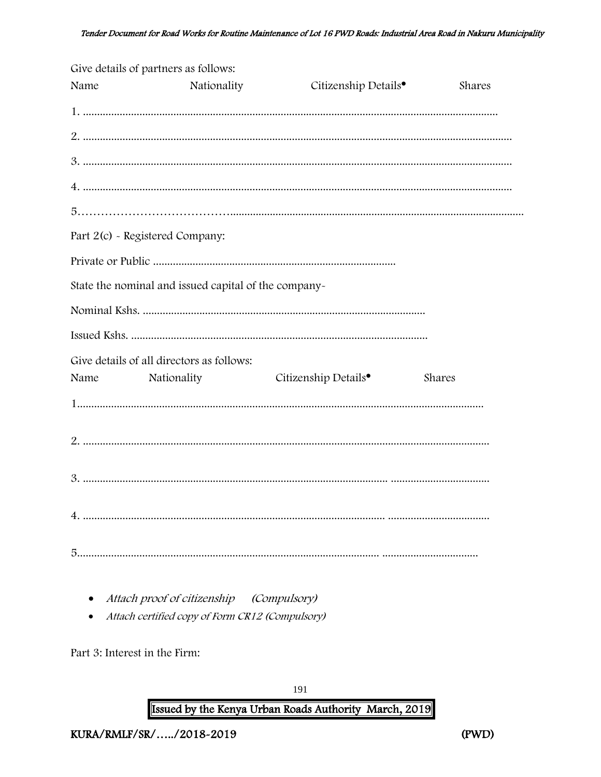|      | Give details of partners as follows:                 |                                  |        |
|------|------------------------------------------------------|----------------------------------|--------|
| Name | Nationality                                          | Citizenship Details <sup>•</sup> | Shares |
|      |                                                      |                                  |        |
|      |                                                      |                                  |        |
|      |                                                      |                                  |        |
|      |                                                      |                                  |        |
|      |                                                      |                                  |        |
|      | Part 2(c) - Registered Company:                      |                                  |        |
|      |                                                      |                                  |        |
|      | State the nominal and issued capital of the company- |                                  |        |
|      |                                                      |                                  |        |
|      |                                                      |                                  |        |
|      | Give details of all directors as follows:            |                                  |        |
| Name | Nationality                                          | Citizenship Details <sup>•</sup> | Shares |
|      |                                                      |                                  |        |
|      |                                                      |                                  |        |
|      |                                                      |                                  |        |
|      |                                                      |                                  |        |
|      |                                                      |                                  |        |

- Attach proof of citizenship (Compulsory)
- Attach certified copy of Form CR12 (Compulsory)

Part 3: Interest in the Firm: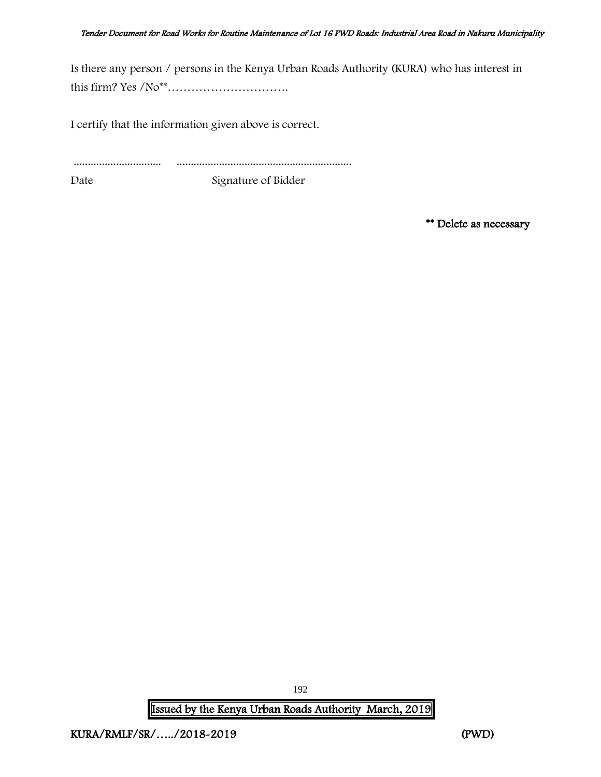#### Tender Document for Road Works for Routine Maintenance of Lot 16 PWD Roads: Industrial Area Road in Nakuru Municipality

Is there any person / persons in the Kenya Urban Roads Authority (KURA) who has interest in this firm? Yes /No\*\*………………………….

I certify that the information given above is correct.

............................... .............................................................. Date Signature of Bidder

\*\* Delete as necessary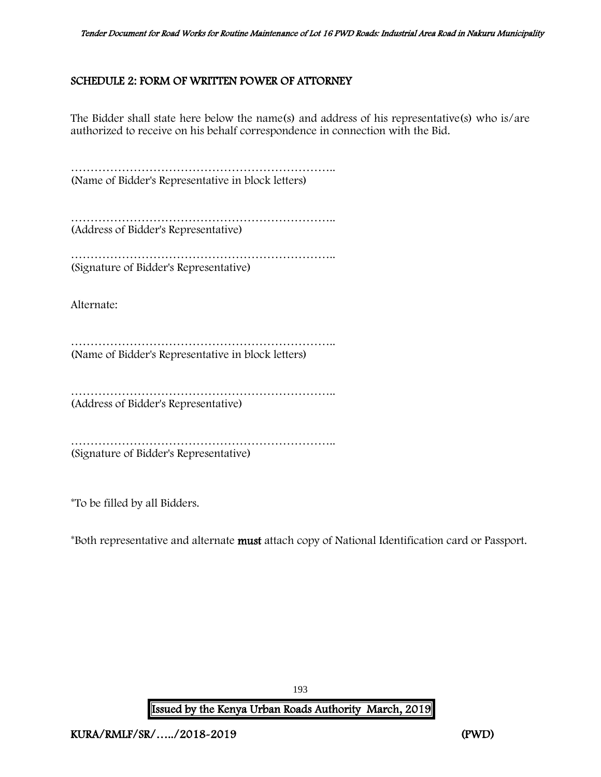## <span id="page-134-0"></span>SCHEDULE 2: FORM OF WRITTEN POWER OF ATTORNEY

The Bidder shall state here below the name(s) and address of his representative(s) who is/are authorized to receive on his behalf correspondence in connection with the Bid.

………………………………………………………….. (Name of Bidder's Representative in block letters)

………………………………………………………….. (Address of Bidder's Representative)

………………………………………………………….. (Signature of Bidder's Representative)

Alternate:

………………………………………………………….. (Name of Bidder's Representative in block letters)

………………………………………………………….. (Address of Bidder's Representative)

………………………………………………………………………… (Signature of Bidder's Representative)

\*To be filled by all Bidders.

\*Both representative and alternate must attach copy of National Identification card or Passport.

193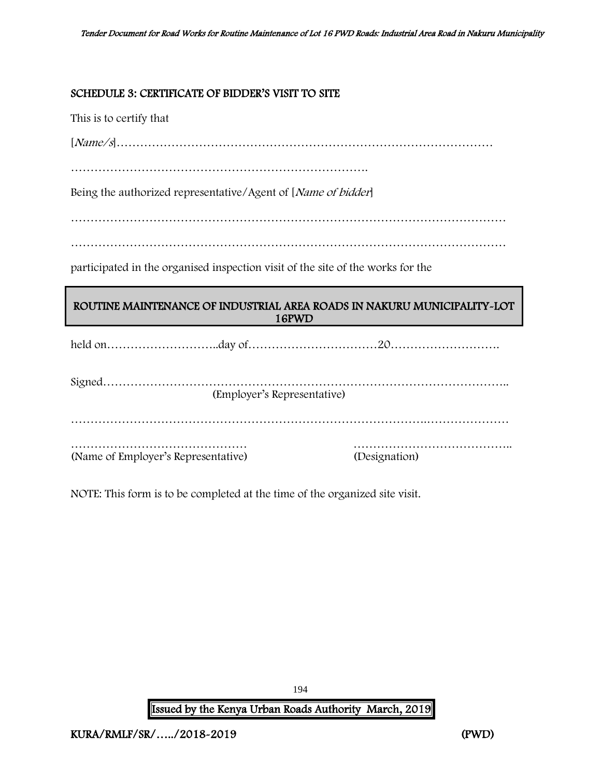#### <span id="page-135-0"></span>SCHEDULE 3: CERTIFICATE OF BIDDER'S VISIT TO SITE

This is to certify that

[Name/s]……………………………………………………………………………………

………………………………………………………………….

Being the authorized representative/Agent of [Name of bidder]

…………………………………………………………………………………………………

…………………………………………………………………………………………………

participated in the organised inspection visit of the site of the works for the

## ROUTINE MAINTENANCE OF INDUSTRIAL AREA ROADS IN NAKURU MUNICIPALITY-LOT 16PWD

held on………………………..day of……………………………20……………………….

| (Employer's Representative)         |               |
|-------------------------------------|---------------|
|                                     |               |
|                                     |               |
| (Name of Employer's Representative) | (Designation) |

NOTE: This form is to be completed at the time of the organized site visit.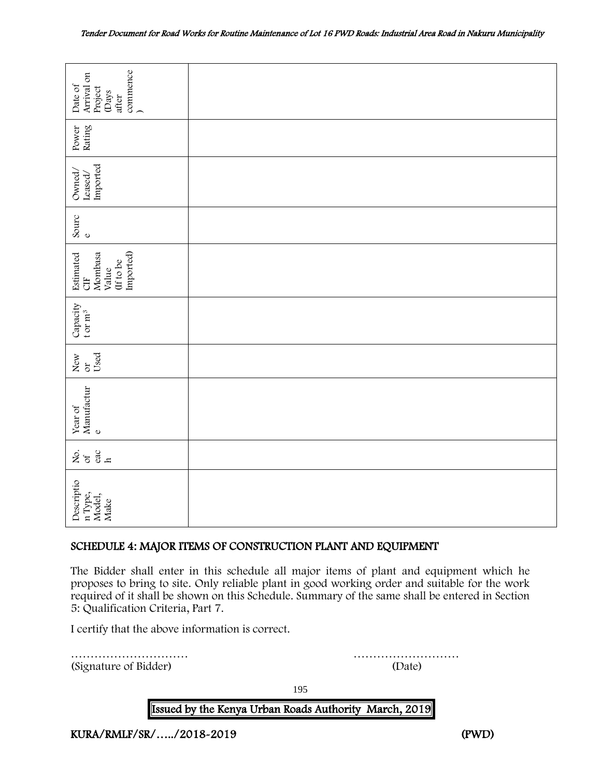| commence<br>Arrival on<br>Date of<br>Project<br>(Days<br>after                                                                                                                                                                                                                                                                     |             |  |  |  |
|------------------------------------------------------------------------------------------------------------------------------------------------------------------------------------------------------------------------------------------------------------------------------------------------------------------------------------|-------------|--|--|--|
| Rating<br>Power                                                                                                                                                                                                                                                                                                                    |             |  |  |  |
| Imported<br>Owned,<br>Leased/                                                                                                                                                                                                                                                                                                      |             |  |  |  |
| Sourc<br>$\mathbf 0$                                                                                                                                                                                                                                                                                                               |             |  |  |  |
| Imported)<br>Mombasa<br>Estimated<br>(If to be<br>Value<br>UE                                                                                                                                                                                                                                                                      |             |  |  |  |
| Capacity<br>t or $m^3$                                                                                                                                                                                                                                                                                                             |             |  |  |  |
| Used<br>New<br>$\sigma$                                                                                                                                                                                                                                                                                                            |             |  |  |  |
| $\operatorname*{Year}$ of $\operatorname*{Mannfactur}$<br>$\circ$                                                                                                                                                                                                                                                                  |             |  |  |  |
| 258                                                                                                                                                                                                                                                                                                                                |             |  |  |  |
| Descriptio<br>n Type,<br>Model,<br>Make                                                                                                                                                                                                                                                                                            |             |  |  |  |
| SCHEDULE 4: MAJOR ITEMS OF CONSTRUCTION PLANT AND EQUIPMENT                                                                                                                                                                                                                                                                        |             |  |  |  |
| The Bidder shall enter in this schedule all major items of plant and equipment which he<br>proposes to bring to site. Only reliable plant in good working order and suitable for the work<br>required of it shall be shown on this Schedule. Summary of the same shall be entered in Section<br>5: Qualification Criteria, Part 7. |             |  |  |  |
| I certify that the above information is correct.                                                                                                                                                                                                                                                                                   |             |  |  |  |
| (Signature of Bidder)                                                                                                                                                                                                                                                                                                              | .<br>(Date) |  |  |  |

## <span id="page-136-0"></span>SCHEDULE 4: MAJOR ITEMS OF CONSTRUCTION PLANT AND EQUIPMENT

195

Issued by the Kenya Urban Roads Authority March, 2019

KURA/RMLF/SR/…../2018-2019 (PWD)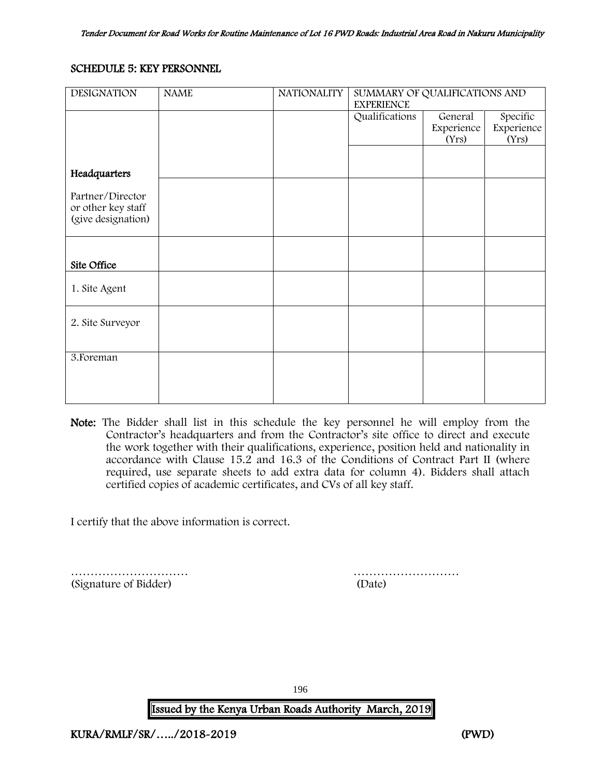#### <span id="page-137-0"></span>SCHEDULE 5: KEY PERSONNEL

| <b>DESIGNATION</b> | <b>NAME</b> | <b>NATIONALITY</b> | SUMMARY OF QUALIFICATIONS AND<br><b>EXPERIENCE</b> |            |            |
|--------------------|-------------|--------------------|----------------------------------------------------|------------|------------|
|                    |             |                    | Qualifications                                     | General    | Specific   |
|                    |             |                    |                                                    | Experience | Experience |
|                    |             |                    |                                                    | (Yrs)      | (Yrs)      |
|                    |             |                    |                                                    |            |            |
| Headquarters       |             |                    |                                                    |            |            |
|                    |             |                    |                                                    |            |            |
| Partner/Director   |             |                    |                                                    |            |            |
| or other key staff |             |                    |                                                    |            |            |
| (give designation) |             |                    |                                                    |            |            |
|                    |             |                    |                                                    |            |            |
|                    |             |                    |                                                    |            |            |
| Site Office        |             |                    |                                                    |            |            |
|                    |             |                    |                                                    |            |            |
| 1. Site Agent      |             |                    |                                                    |            |            |
|                    |             |                    |                                                    |            |            |
| 2. Site Surveyor   |             |                    |                                                    |            |            |
|                    |             |                    |                                                    |            |            |
|                    |             |                    |                                                    |            |            |
| 3. Foreman         |             |                    |                                                    |            |            |
|                    |             |                    |                                                    |            |            |
|                    |             |                    |                                                    |            |            |
|                    |             |                    |                                                    |            |            |

Note: The Bidder shall list in this schedule the key personnel he will employ from the Contractor's headquarters and from the Contractor's site office to direct and execute the work together with their qualifications, experience, position held and nationality in accordance with Clause 15.2 and 16.3 of the Conditions of Contract Part II (where required, use separate sheets to add extra data for column 4). Bidders shall attach certified copies of academic certificates, and CVs of all key staff.

I certify that the above information is correct.

………………………… ……………………… (Signature of Bidder) (Date)

196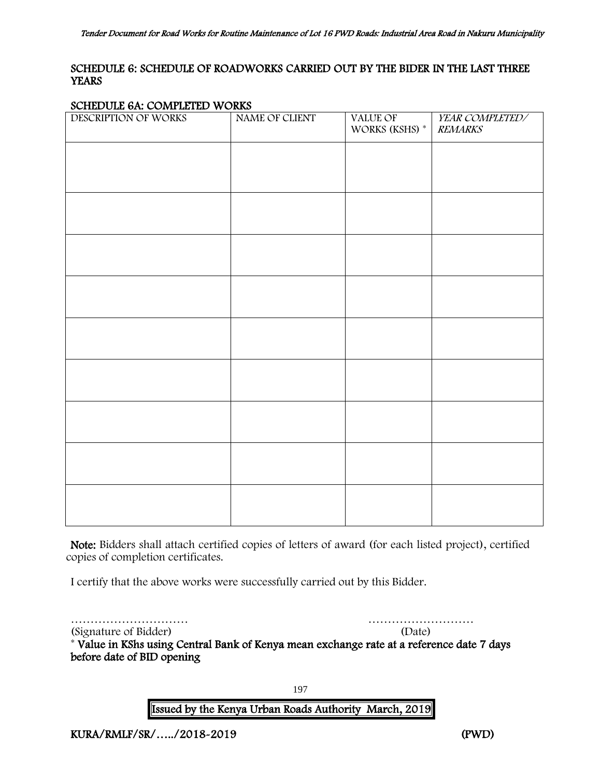#### <span id="page-138-0"></span>SCHEDULE 6: SCHEDULE OF ROADWORKS CARRIED OUT BY THE BIDER IN THE LAST THREE **YEARS**

#### SCHEDULE 6A: COMPLETED WORKS

| $S_{\text{SMB}}$ $S_{\text{SMB}}$ $S_{\text{SMB}}$ $S_{\text{SMB}}$<br>DESCRIPTION OF WORKS | NAME OF CLIENT | VALUE OF<br>WORKS (KSHS) * | YEAR COMPLETED/<br><b>REMARKS</b> |
|---------------------------------------------------------------------------------------------|----------------|----------------------------|-----------------------------------|
|                                                                                             |                |                            |                                   |
|                                                                                             |                |                            |                                   |
|                                                                                             |                |                            |                                   |
|                                                                                             |                |                            |                                   |
|                                                                                             |                |                            |                                   |
|                                                                                             |                |                            |                                   |
|                                                                                             |                |                            |                                   |
|                                                                                             |                |                            |                                   |
|                                                                                             |                |                            |                                   |
|                                                                                             |                |                            |                                   |

Note: Bidders shall attach certified copies of letters of award (for each listed project), certified copies of completion certificates.

I certify that the above works were successfully carried out by this Bidder.

………………………… ………………………

(Signature of Bidder) (Date)

\* Value in KShs using Central Bank of Kenya mean exchange rate at a reference date 7 days before date of BID opening

197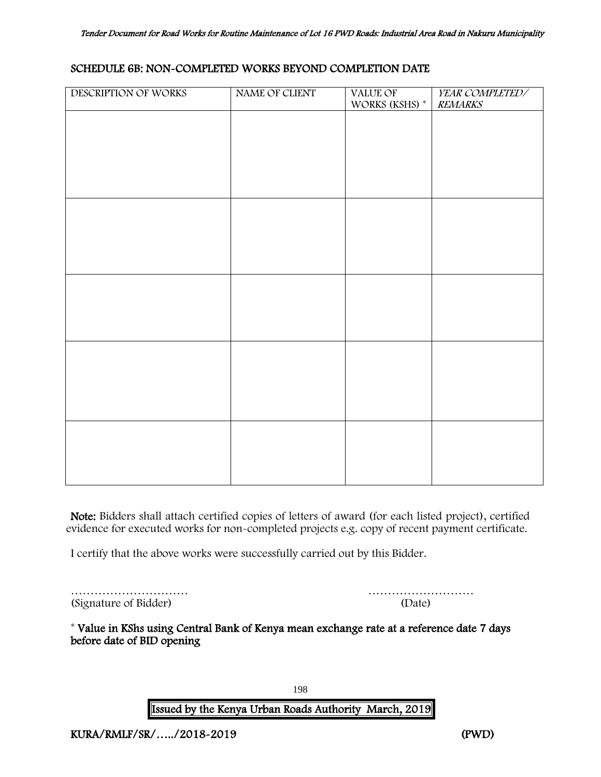#### SCHEDULE 6B: NON-COMPLETED WORKS BEYOND COMPLETION DATE

| DESCRIPTION OF WORKS | NAME OF CLIENT | VALUE OF<br>WORKS (KSHS) * | YEAR COMPLETED/<br><b>REMARKS</b> |
|----------------------|----------------|----------------------------|-----------------------------------|
|                      |                |                            |                                   |
|                      |                |                            |                                   |
|                      |                |                            |                                   |
|                      |                |                            |                                   |
|                      |                |                            |                                   |
|                      |                |                            |                                   |
|                      |                |                            |                                   |
|                      |                |                            |                                   |
|                      |                |                            |                                   |
|                      |                |                            |                                   |
|                      |                |                            |                                   |
|                      |                |                            |                                   |
|                      |                |                            |                                   |
|                      |                |                            |                                   |
|                      |                |                            |                                   |
|                      |                |                            |                                   |

Note: Bidders shall attach certified copies of letters of award (for each listed project), certified evidence for executed works for non-completed projects e.g. copy of recent payment certificate.

I certify that the above works were successfully carried out by this Bidder.

|                       | .      |
|-----------------------|--------|
| (Signature of Bidder) | (Date) |

………………………… ………………………

\* Value in KShs using Central Bank of Kenya mean exchange rate at a reference date 7 days before date of BID opening

198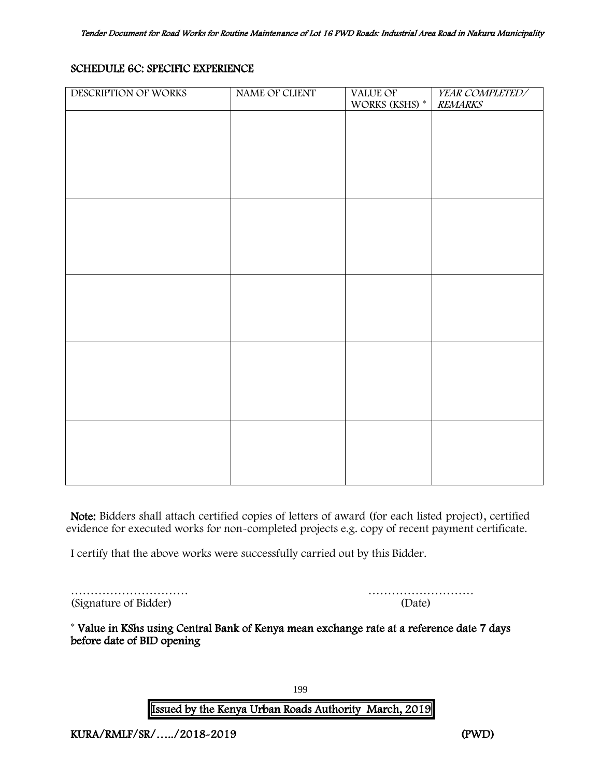#### SCHEDULE 6C: SPECIFIC EXPERIENCE

| DESCRIPTION OF WORKS | NAME OF CLIENT | <b>VALUE OF</b><br>WORKS (KSHS) $^\ast$ | YEAR COMPLETED/<br><b>REMARKS</b> |
|----------------------|----------------|-----------------------------------------|-----------------------------------|
|                      |                |                                         |                                   |
|                      |                |                                         |                                   |
|                      |                |                                         |                                   |
|                      |                |                                         |                                   |
|                      |                |                                         |                                   |
|                      |                |                                         |                                   |
|                      |                |                                         |                                   |
|                      |                |                                         |                                   |
|                      |                |                                         |                                   |
|                      |                |                                         |                                   |
|                      |                |                                         |                                   |
|                      |                |                                         |                                   |
|                      |                |                                         |                                   |
|                      |                |                                         |                                   |
|                      |                |                                         |                                   |
|                      |                |                                         |                                   |

Note: Bidders shall attach certified copies of letters of award (for each listed project), certified evidence for executed works for non-completed projects e.g. copy of recent payment certificate.

I certify that the above works were successfully carried out by this Bidder.

|                       | .      |
|-----------------------|--------|
| (Signature of Bidder) | (Date) |

………………………… ………………………

<span id="page-140-0"></span>\* Value in KShs using Central Bank of Kenya mean exchange rate at a reference date 7 days before date of BID opening

199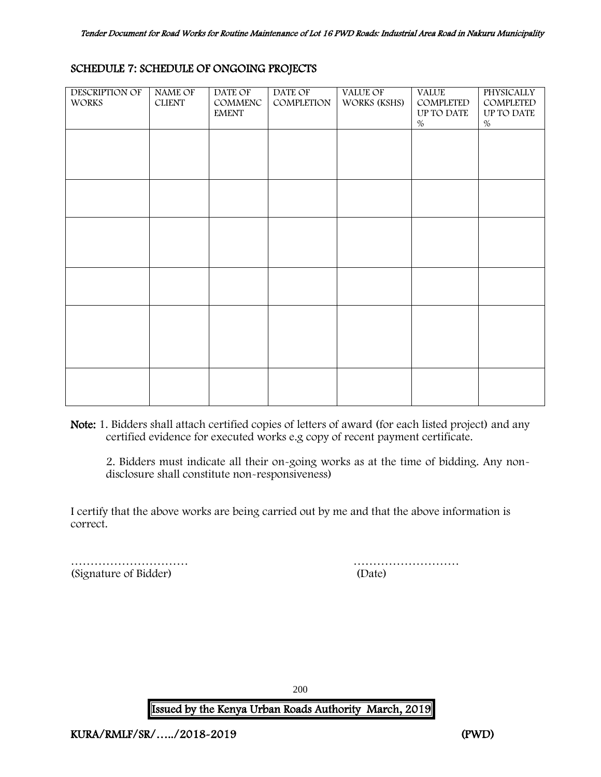#### SCHEDULE 7: SCHEDULE OF ONGOING PROJECTS

| DESCRIPTION OF<br><b>WORKS</b> | NAME OF<br><b>CLIENT</b> | DATE OF<br>COMMENC<br><b>EMENT</b> | DATE OF<br>COMPLETION | VALUE OF<br>WORKS (KSHS) | <b>VALUE</b><br>COMPLETED<br>UP TO DATE<br>$\%$ | <b>PHYSICALLY</b><br>COMPLETED<br>UP TO DATE<br>% |
|--------------------------------|--------------------------|------------------------------------|-----------------------|--------------------------|-------------------------------------------------|---------------------------------------------------|
|                                |                          |                                    |                       |                          |                                                 |                                                   |
|                                |                          |                                    |                       |                          |                                                 |                                                   |
|                                |                          |                                    |                       |                          |                                                 |                                                   |
|                                |                          |                                    |                       |                          |                                                 |                                                   |
|                                |                          |                                    |                       |                          |                                                 |                                                   |
|                                |                          |                                    |                       |                          |                                                 |                                                   |

Note: 1. Bidders shall attach certified copies of letters of award (for each listed project) and any certified evidence for executed works e.g copy of recent payment certificate.

2. Bidders must indicate all their on-going works as at the time of bidding. Any nondisclosure shall constitute non-responsiveness)

I certify that the above works are being carried out by me and that the above information is correct.

<span id="page-141-0"></span>(Signature of Bidder) (Date)

………………………… ………………………

200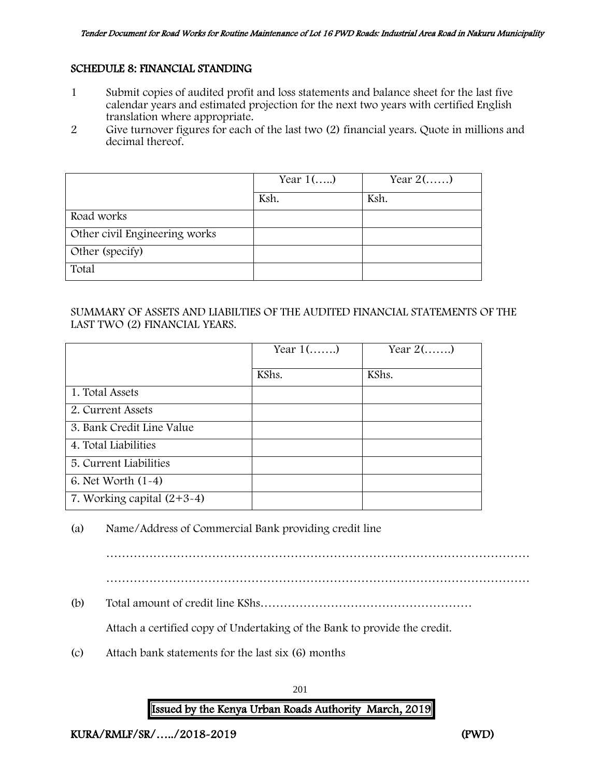#### SCHEDULE 8: FINANCIAL STANDING

- 1 Submit copies of audited profit and loss statements and balance sheet for the last five calendar years and estimated projection for the next two years with certified English translation where appropriate.
- 2 Give turnover figures for each of the last two (2) financial years. Quote in millions and decimal thereof.

|                               | Year $1()$ | Year $2(\ldots)$ |
|-------------------------------|------------|------------------|
|                               | Ksh.       | Ksh.             |
| Road works                    |            |                  |
| Other civil Engineering works |            |                  |
| Other (specify)               |            |                  |
| Total                         |            |                  |

#### SUMMARY OF ASSETS AND LIABILTIES OF THE AUDITED FINANCIAL STATEMENTS OF THE LAST TWO (2) FINANCIAL YEARS.

|                              | Year $1$ () | Year $2(\ldots)$ |
|------------------------------|-------------|------------------|
|                              | KShs.       | KShs.            |
| 1. Total Assets              |             |                  |
| 2. Current Assets            |             |                  |
| 3. Bank Credit Line Value    |             |                  |
| 4. Total Liabilities         |             |                  |
| 5. Current Liabilities       |             |                  |
| 6. Net Worth $(1-4)$         |             |                  |
| 7. Working capital $(2+3-4)$ |             |                  |

(a) Name/Address of Commercial Bank providing credit line

……………………………………………………………………………………………… ………………………………………………………………………………………………

(b) Total amount of credit line KShs………………………………………………

Attach a certified copy of Undertaking of the Bank to provide the credit.

(c) Attach bank statements for the last six (6) months

201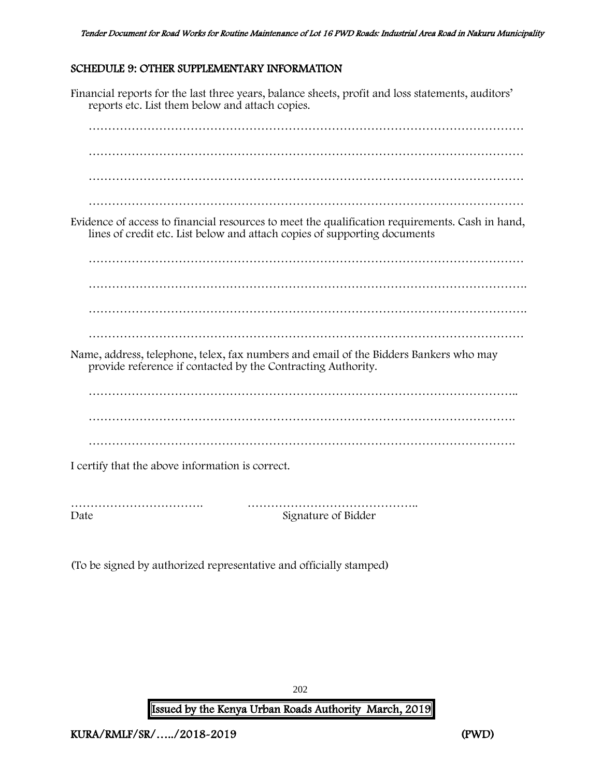## <span id="page-143-0"></span>SCHEDULE 9: OTHER SUPPLEMENTARY INFORMATION

Financial reports for the last three years, balance sheets, profit and loss statements, auditors' reports etc. List them below and attach copies. ………………………………………………………………………………………………… ………………………………………………………………………………………………… ………………………………………………………………………………………………… ………………………………………………………………………………………………… Evidence of access to financial resources to meet the qualification requirements. Cash in hand, lines of credit etc. List below and attach copies of supporting documents ………………………………………………………………………………………………… …………………………………………………………………………………………………. …………………………………………………………………………………………………. ………………………………………………………………………………………………… Name, address, telephone, telex, fax numbers and email of the Bidders Bankers who may provide reference if contacted by the Contracting Authority. ………………………………………………………………………………………………. ………………………………………………………………………………………………. I certify that the above information is correct. ……………………………. …………………………………….. Date Signature of Bidder

(To be signed by authorized representative and officially stamped)

202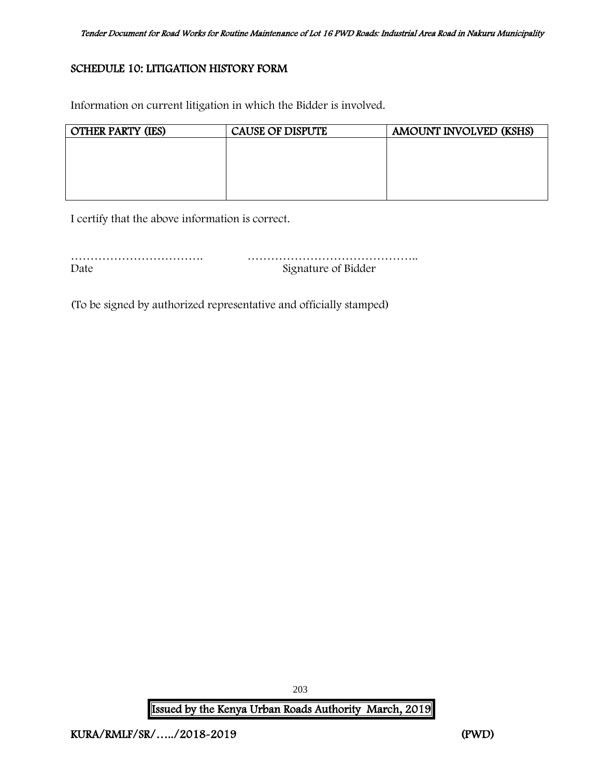### SCHEDULE 10: LITIGATION HISTORY FORM

Information on current litigation in which the Bidder is involved.

| <b>OTHER PARTY (IES)</b> | <b>CAUSE OF DISPUTE</b> | AMOUNT INVOLVED (KSHS) |
|--------------------------|-------------------------|------------------------|
|                          |                         |                        |
|                          |                         |                        |
|                          |                         |                        |
|                          |                         |                        |
|                          |                         |                        |

I certify that the above information is correct.

| Date | Signature of Bidder |
|------|---------------------|

(To be signed by authorized representative and officially stamped)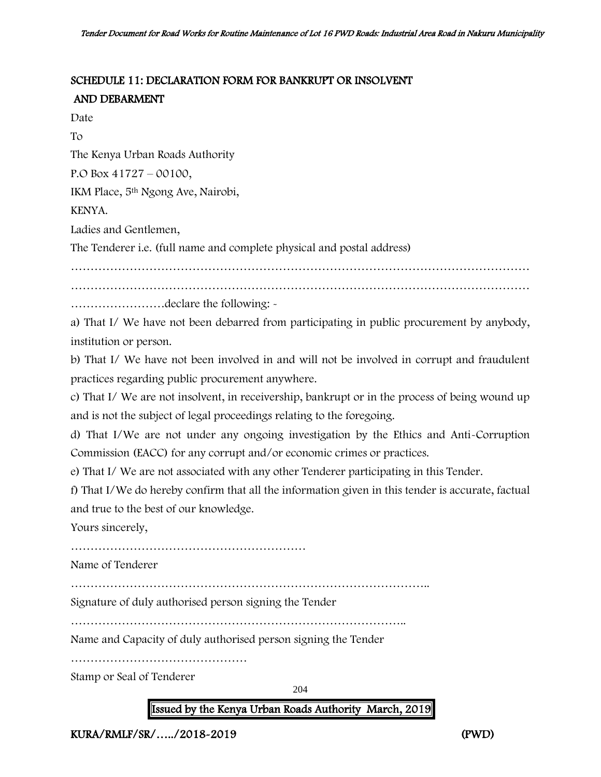## SCHEDULE 11: DECLARATION FORM FOR BANKRUPT OR INSOLVENT AND DEBARMENT

Date

To

The Kenya Urban Roads Authority

P.O Box 41727 – 00100,

IKM Place, 5th Ngong Ave, Nairobi,

KENYA.

Ladies and Gentlemen,

The Tenderer i.e. (full name and complete physical and postal address)

……………………………………………………………………………………………………… ……………………………………………………………………………………………………… ……………………declare the following: -

a) That I/ We have not been debarred from participating in public procurement by anybody, institution or person.

b) That I/ We have not been involved in and will not be involved in corrupt and fraudulent practices regarding public procurement anywhere.

c) That I/ We are not insolvent, in receivership, bankrupt or in the process of being wound up and is not the subject of legal proceedings relating to the foregoing.

d) That I/We are not under any ongoing investigation by the Ethics and Anti-Corruption Commission (EACC) for any corrupt and/or economic crimes or practices.

e) That I/ We are not associated with any other Tenderer participating in this Tender.

f) That I/We do hereby confirm that all the information given in this tender is accurate, factual and true to the best of our knowledge.

Yours sincerely,

……………………………………………………

Name of Tenderer

………………………………………………………………………………..

Signature of duly authorised person signing the Tender

…………………………………………………………………………..

Name and Capacity of duly authorised person signing the Tender

………………………………………

Stamp or Seal of Tenderer

204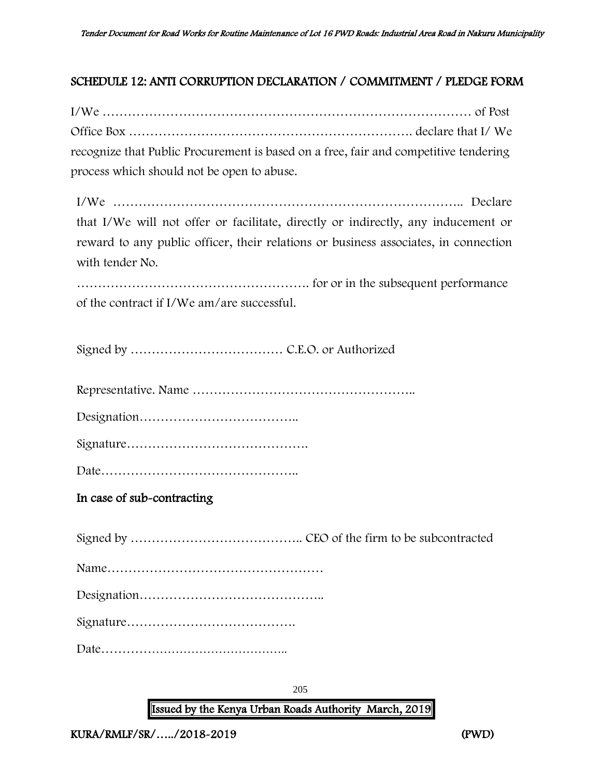## SCHEDULE 12: ANTI CORRUPTION DECLARATION / COMMITMENT / PLEDGE FORM

I/We …………………………………………………………………………… of Post Office Box …………………………………………………………. declare that I/ We recognize that Public Procurement is based on a free, fair and competitive tendering process which should not be open to abuse.

I/We ……………………………………………………………………….. Declare that I/We will not offer or facilitate, directly or indirectly, any inducement or reward to any public officer, their relations or business associates, in connection with tender No.

………………………………………………. for or in the subsequent performance of the contract if I/We am/are successful.

Signed by ……………………………… C.E.O. or Authorized

Representative. Name ……………………………………………..

Designation………………………………..

Signature…………………………………….

Date………………………………………..

In case of sub-contracting

Signed by ………………………………….. CEO of the firm to be subcontracted Name…………………………………………… Designation…………………………………….. Signature…………………………………. Date………………………………………..

205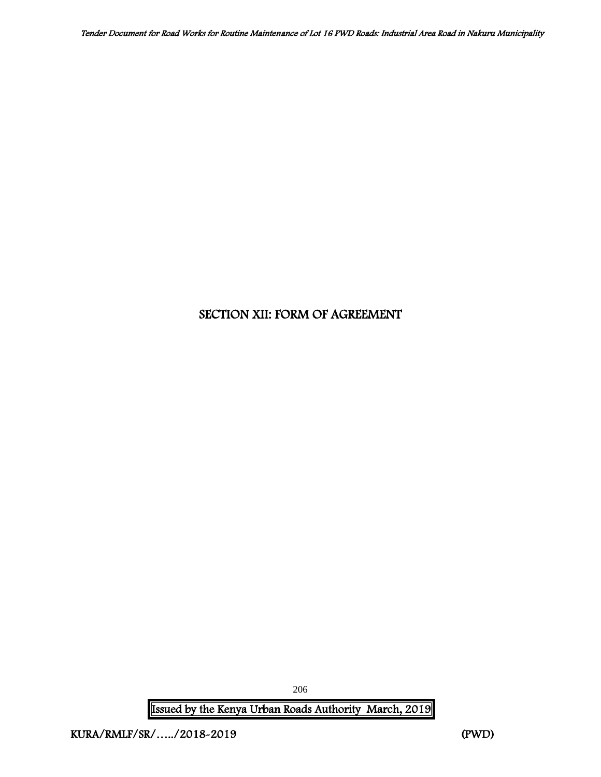# SECTION XII: FORM OF AGREEMENT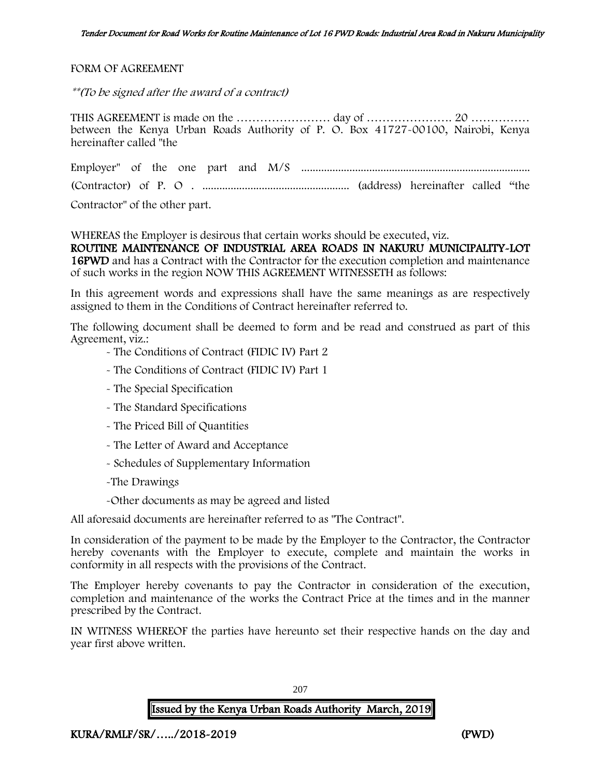FORM OF AGREEMENT

\*\*(To be signed after the award of a contract)

THIS AGREEMENT is made on the …………………… day of …………………. 20 …………… between the Kenya Urban Roads Authority of P. O. Box 41727-00100, Nairobi, Kenya hereinafter called "the Employer" of the one part and M/S .................................................................................

(Contractor) of P. O . .................................................... (address) hereinafter called "the

Contractor" of the other part.

WHEREAS the Employer is desirous that certain works should be executed, viz.

ROUTINE MAINTENANCE OF INDUSTRIAL AREA ROADS IN NAKURU MUNICIPALITY-LOT 16PWD and has a Contract with the Contractor for the execution completion and maintenance of such works in the region NOW THIS AGREEMENT WITNESSETH as follows:

In this agreement words and expressions shall have the same meanings as are respectively assigned to them in the Conditions of Contract hereinafter referred to.

The following document shall be deemed to form and be read and construed as part of this Agreement, viz.:

- The Conditions of Contract (FIDIC IV) Part 2
- The Conditions of Contract (FIDIC IV) Part 1
- The Special Specification
- The Standard Specifications
- The Priced Bill of Quantities
- The Letter of Award and Acceptance
- Schedules of Supplementary Information
- -The Drawings
- -Other documents as may be agreed and listed

All aforesaid documents are hereinafter referred to as "The Contract".

In consideration of the payment to be made by the Employer to the Contractor, the Contractor hereby covenants with the Employer to execute, complete and maintain the works in conformity in all respects with the provisions of the Contract.

The Employer hereby covenants to pay the Contractor in consideration of the execution, completion and maintenance of the works the Contract Price at the times and in the manner prescribed by the Contract.

IN WITNESS WHEREOF the parties have hereunto set their respective hands on the day and year first above written.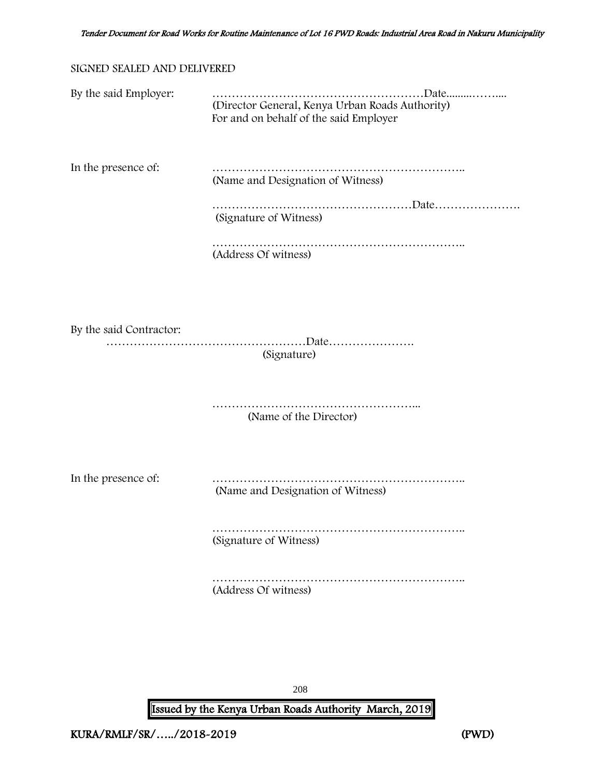#### SIGNED SEALED AND DELIVERED

| By the said Employer:   | (Director General, Kenya Urban Roads Authority)<br>For and on behalf of the said Employer |
|-------------------------|-------------------------------------------------------------------------------------------|
| In the presence of:     | (Name and Designation of Witness)                                                         |
|                         | (Signature of Witness)                                                                    |
|                         | (Address Of witness)                                                                      |
| By the said Contractor: | (Signature)                                                                               |
|                         | (Name of the Director)                                                                    |
| In the presence of:     | (Name and Designation of Witness)                                                         |
|                         | (Signature of Witness)                                                                    |
|                         | (Address Of witness)                                                                      |
|                         |                                                                                           |

208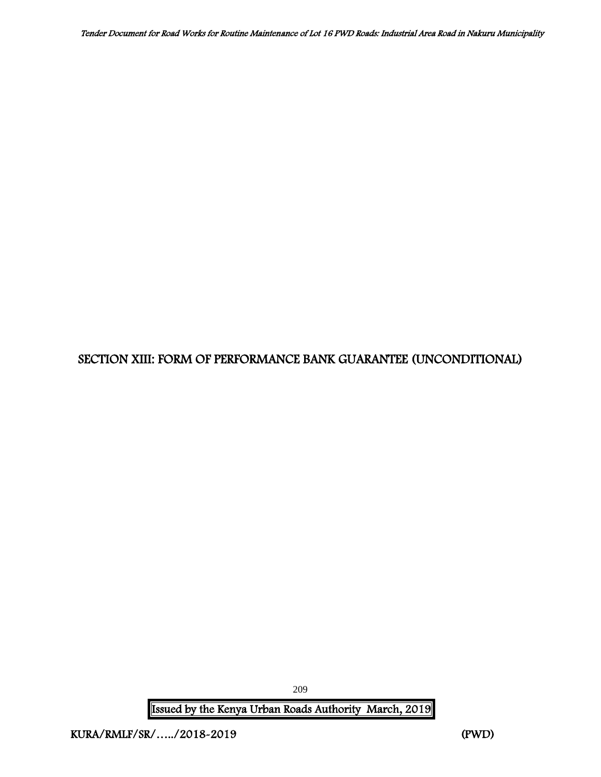# SECTION XIII: FORM OF PERFORMANCE BANK GUARANTEE (UNCONDITIONAL)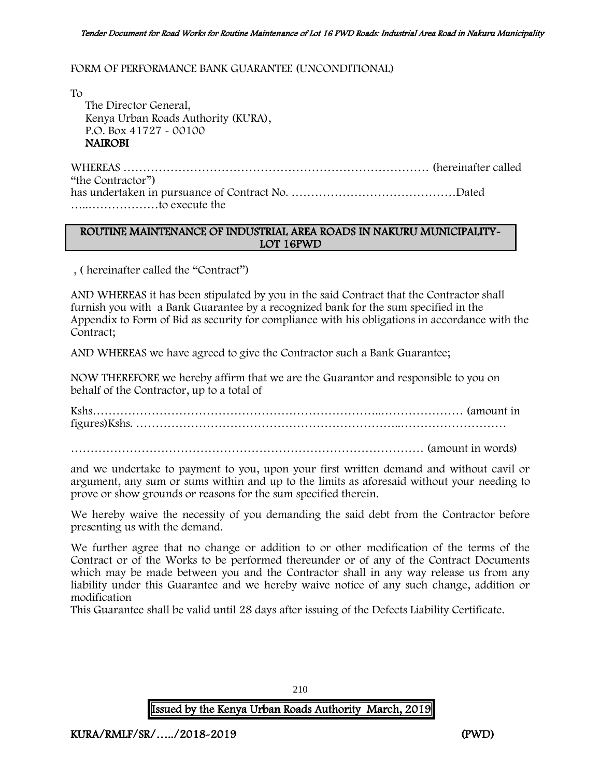#### FORM OF PERFORMANCE BANK GUARANTEE (UNCONDITIONAL)

To The Director General, Kenya Urban Roads Authority (KURA), P.O. Box 41727 - 00100 NAIROBI

WHEREAS …………………………………………………………………… (hereinafter called "the Contractor") has undertaken in pursuance of Contract No. ……………………………………Dated …..………………to execute the

#### ROUTINE MAINTENANCE OF INDUSTRIAL AREA ROADS IN NAKURU MUNICIPALITY-LOT 16PWD

, ( hereinafter called the "Contract")

AND WHEREAS it has been stipulated by you in the said Contract that the Contractor shall furnish you with a Bank Guarantee by a recognized bank for the sum specified in the Appendix to Form of Bid as security for compliance with his obligations in accordance with the Contract;

AND WHEREAS we have agreed to give the Contractor such a Bank Guarantee;

NOW THEREFORE we hereby affirm that we are the Guarantor and responsible to you on behalf of the Contractor, up to a total of

Kshs………………………………………………………………..………………… (amount in figures)Kshs. …………………………………………………………..………………………

……………………………………………………………………………… (amount in words)

and we undertake to payment to you, upon your first written demand and without cavil or argument, any sum or sums within and up to the limits as aforesaid without your needing to prove or show grounds or reasons for the sum specified therein.

We hereby waive the necessity of you demanding the said debt from the Contractor before presenting us with the demand.

We further agree that no change or addition to or other modification of the terms of the Contract or of the Works to be performed thereunder or of any of the Contract Documents which may be made between you and the Contractor shall in any way release us from any liability under this Guarantee and we hereby waive notice of any such change, addition or modification

This Guarantee shall be valid until 28 days after issuing of the Defects Liability Certificate.

210